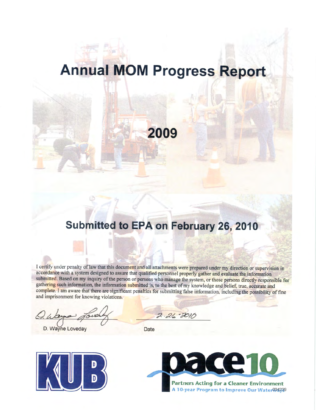# **Annual MOM Progress Report**

**2009**

## **Submitted to EPA on February 26, 2010**

I certify under penalty of law that this document and all attachments were prepared under my direction or supervision in accordance with a system designed to assure that qualified personnel properly gather and evaluate the information submitted. Based on my inquiry of the person or persons who manage the system, or those persons directly responsible for gathering such information, the information submitted is, to the best of my knowledge and belief, true, accurate and complete. I am aware that there are significant penalties for submitting false information, including the possibility of fine and imprisonment for knowing violations.

D. Wayne Loveday Date

 $2.26 - 2010$ 



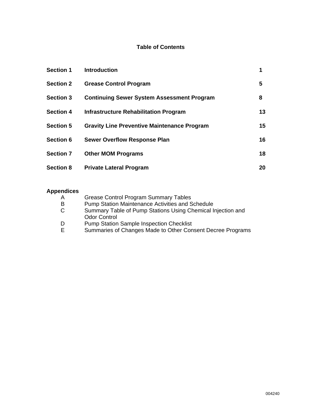### **Table of Contents**

| <b>Section 1</b> | <b>Introduction</b>                                | 1  |
|------------------|----------------------------------------------------|----|
| <b>Section 2</b> | <b>Grease Control Program</b>                      | 5  |
| <b>Section 3</b> | <b>Continuing Sewer System Assessment Program</b>  | 8  |
| <b>Section 4</b> | Infrastructure Rehabilitation Program              | 13 |
| <b>Section 5</b> | <b>Gravity Line Preventive Maintenance Program</b> | 15 |
| <b>Section 6</b> | <b>Sewer Overflow Response Plan</b>                | 16 |
| <b>Section 7</b> | <b>Other MOM Programs</b>                          | 18 |
| <b>Section 8</b> | <b>Private Lateral Program</b>                     | 20 |

## **Appendices**

| A  | <b>Grease Control Program Summary Tables</b>                |
|----|-------------------------------------------------------------|
| B  | <b>Pump Station Maintenance Activities and Schedule</b>     |
| C. | Summary Table of Pump Stations Using Chemical Injection and |
|    | <b>Odor Control</b>                                         |
| D  | <b>Pump Station Sample Inspection Checklist</b>             |
| E. | Summaries of Changes Made to Other Consent Decree Programs  |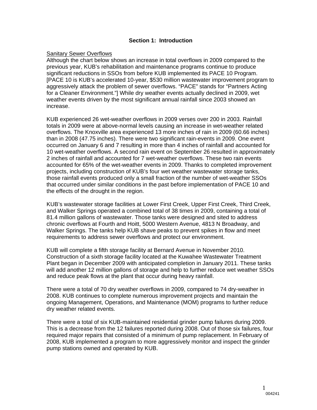#### **Section 1: Introduction**

#### Sanitary Sewer Overflows

Although the chart below shows an increase in total overflows in 2009 compared to the previous year, KUB's rehabilitation and maintenance programs continue to produce significant reductions in SSOs from before KUB implemented its PACE 10 Program. [PACE 10 is KUB's accelerated 10-year, \$530 million wastewater improvement program to aggressively attack the problem of sewer overflows. "PACE" stands for "Partners Acting for a Cleaner Environment."] While dry weather events actually declined in 2009, wet weather events driven by the most significant annual rainfall since 2003 showed an increase.

KUB experienced 26 wet-weather overflows in 2009 verses over 200 in 2003. Rainfall totals in 2009 were at above-normal levels causing an increase in wet-weather related overflows. The Knoxville area experienced 13 more inches of rain in 2009 (60.66 inches) than in 2008 (47.75 inches). There were two significant rain-events in 2009. One event occurred on January 6 and 7 resulting in more than 4 inches of rainfall and accounted for 10 wet-weather overflows. A second rain event on September 26 resulted in approximately 2 inches of rainfall and accounted for 7 wet-weather overflows. These two rain events accounted for 65% of the wet-weather events in 2009. Thanks to completed improvement projects, including construction of KUB's four wet weather wastewater storage tanks, those rainfall events produced only a small fraction of the number of wet-weather SSOs that occurred under similar conditions in the past before implementation of PACE 10 and the effects of the drought in the region.

KUB's wastewater storage facilities at Lower First Creek, Upper First Creek, Third Creek, and Walker Springs operated a combined total of 38 times in 2009, containing a total of 81.4 million gallons of wastewater. Those tanks were designed and sited to address chronic overflows at Fourth and Hoitt, 5000 Western Avenue, 4813 N Broadway, and Walker Springs. The tanks help KUB shave peaks to prevent spikes in flow and meet requirements to address sewer overflows and protect our environment.

KUB will complete a fifth storage facility at Bernard Avenue in November 2010. Construction of a sixth storage facility located at the Kuwahee Wastewater Treatment Plant began in December 2009 with anticipated completion in January 2011. These tanks will add another 12 million gallons of storage and help to further reduce wet weather SSOs and reduce peak flows at the plant that occur during heavy rainfall.

There were a total of 70 dry weather overflows in 2009, compared to 74 dry-weather in 2008. KUB continues to complete numerous improvement projects and maintain the ongoing Management, Operations, and Maintenance (MOM) programs to further reduce dry weather related events.

There were a total of six KUB-maintained residential grinder pump failures during 2009. This is a decrease from the 12 failures reported during 2008. Out of those six failures, four required major repairs that consisted of a minimum of pump replacement. In February of 2008, KUB implemented a program to more aggressively monitor and inspect the grinder pump stations owned and operated by KUB.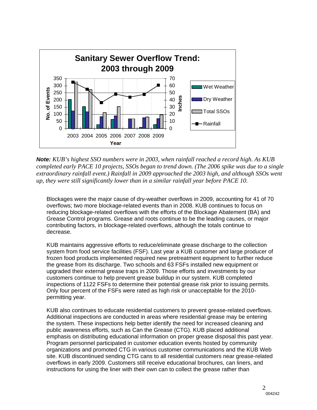

*Note: KUB's highest SSO numbers were in 2003, when rainfall reached a record high. As KUB completed early PACE 10 projects, SSOs began to trend down. (The 2006 spike was due to a single extraordinary rainfall event.) Rainfall in 2009 approached the 2003 high, and although SSOs went up, they were still significantly lower than in a similar rainfall year before PACE 10.*

Blockages were the major cause of dry-weather overflows in 2009, accounting for 41 of 70 overflows; two more blockage-related events than in 2008. KUB continues to focus on reducing blockage-related overflows with the efforts of the Blockage Abatement (BA) and Grease Control programs. Grease and roots continue to be the leading causes, or major contributing factors, in blockage-related overflows, although the totals continue to decrease.

KUB maintains aggressive efforts to reduce/eliminate grease discharge to the collection system from food service facilities (FSF). Last year a KUB customer and large producer of frozen food products implemented required new pretreatment equipment to further reduce the grease from its discharge. Two schools and 63 FSFs installed new equipment or upgraded their external grease traps in 2009. Those efforts and investments by our customers continue to help prevent grease buildup in our system. KUB completed inspections of 1122 FSFs to determine their potential grease risk prior to issuing permits. Only four percent of the FSFs were rated as high risk or unacceptable for the 2010 permitting year.

KUB also continues to educate residential customers to prevent grease-related overflows. Additional inspections are conducted in areas where residential grease may be entering the system. These inspections help better identify the need for increased cleaning and public awareness efforts, such as Can the Grease (CTG). KUB placed additional emphasis on distributing educational information on proper grease disposal this past year. Program personnel participated in customer education events hosted by community organizations and promoted CTG in various customer communications and the KUB Web site. KUB discontinued sending CTG cans to all residential customers near grease-related overflows in early 2009. Customers still receive educational brochures, can liners, and instructions for using the liner with their own can to collect the grease rather than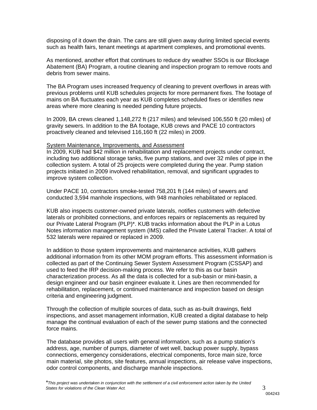disposing of it down the drain. The cans are still given away during limited special events such as health fairs, tenant meetings at apartment complexes, and promotional events.

As mentioned, another effort that continues to reduce dry weather SSOs is our Blockage Abatement (BA) Program, a routine cleaning and inspection program to remove roots and debris from sewer mains.

The BA Program uses increased frequency of cleaning to prevent overflows in areas with previous problems until KUB schedules projects for more permanent fixes. The footage of mains on BA fluctuates each year as KUB completes scheduled fixes or identifies new areas where more cleaning is needed pending future projects.

In 2009, BA crews cleaned 1,148,272 ft (217 miles) and televised 106,550 ft (20 miles) of gravity sewers. In addition to the BA footage, KUB crews and PACE 10 contractors proactively cleaned and televised 116,160 ft (22 miles) in 2009.

#### System Maintenance, Improvements, and Assessment

In 2009, KUB had \$42 million in rehabilitation and replacement projects under contract, including two additional storage tanks, five pump stations, and over 32 miles of pipe in the collection system. A total of 25 projects were completed during the year. Pump station projects initiated in 2009 involved rehabilitation, removal, and significant upgrades to improve system collection.

Under PACE 10, contractors smoke-tested 758,201 ft (144 miles) of sewers and conducted 3,594 manhole inspections, with 948 manholes rehabilitated or replaced.

KUB also inspects customer-owned private laterals, notifies customers with defective laterals or prohibited connections, and enforces repairs or replacements as required by our Private Lateral Program (PLP)\*. KUB tracks information about the PLP in a Lotus Notes information management system (IMS) called the Private Lateral Tracker. A total of 532 laterals were repaired or replaced in 2009.

In addition to those system improvements and maintenance activities, KUB gathers additional information from its other MOM program efforts. This assessment information is collected as part of the Continuing Sewer System Assessment Program (CSSAP) and used to feed the IRP decision-making process. We refer to this as our basin characterization process. As all the data is collected for a sub-basin or mini-basin, a design engineer and our basin engineer evaluate it. Lines are then recommended for rehabilitation, replacement, or continued maintenance and inspection based on design criteria and engineering judgment.

Through the collection of multiple sources of data, such as as-built drawings, field inspections, and asset management information, KUB created a digital database to help manage the continual evaluation of each of the sewer pump stations and the connected force mains.

The database provides all users with general information, such as a pump station's address, age, number of pumps, diameter of wet well, backup power supply, bypass connections, emergency considerations, electrical components, force main size, force main material, site photos, site features, annual inspections, air release valve inspections, odor control components, and discharge manhole inspections.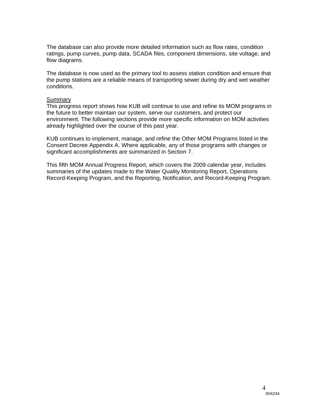The database can also provide more detailed information such as flow rates, condition ratings, pump curves, pump data, SCADA files, component dimensions, site voltage, and flow diagrams.

The database is now used as the primary tool to assess station condition and ensure that the pump stations are a reliable means of transporting sewer during dry and wet weather conditions.

#### **Summarv**

This progress report shows how KUB will continue to use and refine its MOM programs in the future to better maintain our system, serve our customers, and protect our environment. The following sections provide more specific information on MOM activities already highlighted over the course of this past year.

KUB continues to implement, manage, and refine the Other MOM Programs listed in the Consent Decree Appendix A. Where applicable, any of those programs with changes or significant accomplishments are summarized in Section 7.

This fifth MOM Annual Progress Report, which covers the 2009 calendar year, includes summaries of the updates made to the Water Quality Monitoring Report, Operations Record-Keeping Program, and the Reporting, Notification, and Record-Keeping Program.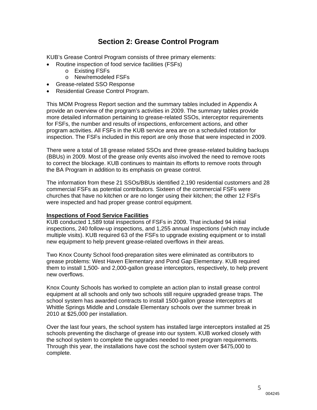## **Section 2: Grease Control Program**

KUB's Grease Control Program consists of three primary elements:

- Routine inspection of food service facilities (FSFs)
	- o Existing FSFs
	- o New/remodeled FSFs
- Grease-related SSO Response
- Residential Grease Control Program.

This MOM Progress Report section and the summary tables included in Appendix A provide an overview of the program's activities in 2009. The summary tables provide more detailed information pertaining to grease-related SSOs, interceptor requirements for FSFs, the number and results of inspections, enforcement actions, and other program activities. All FSFs in the KUB service area are on a scheduled rotation for inspection. The FSFs included in this report are only those that were inspected in 2009.

There were a total of 18 grease related SSOs and three grease-related building backups (BBUs) in 2009. Most of the grease only events also involved the need to remove roots to correct the blockage. KUB continues to maintain its efforts to remove roots through the BA Program in addition to its emphasis on grease control.

The information from these 21 SSOs/BBUs identified 2,190 residential customers and 28 commercial FSFs as potential contributors. Sixteen of the commercial FSFs were churches that have no kitchen or are no longer using their kitchen; the other 12 FSFs were inspected and had proper grease control equipment.

#### **Inspections of Food Service Facilities**

KUB conducted 1,589 total inspections of FSFs in 2009. That included 94 initial inspections, 240 follow-up inspections, and 1,255 annual inspections (which may include multiple visits). KUB required 63 of the FSFs to upgrade existing equipment or to install new equipment to help prevent grease-related overflows in their areas.

Two Knox County School food-preparation sites were eliminated as contributors to grease problems: West Haven Elementary and Pond Gap Elementary. KUB required them to install 1,500- and 2,000-gallon grease interceptors, respectively, to help prevent new overflows.

Knox County Schools has worked to complete an action plan to install grease control equipment at all schools and only two schools still require upgraded grease traps. The school system has awarded contracts to install 1500-gallon grease interceptors at Whittle Springs Middle and Lonsdale Elementary schools over the summer break in 2010 at \$25,000 per installation.

Over the last four years, the school system has installed large interceptors installed at 25 schools preventing the discharge of grease into our system. KUB worked closely with the school system to complete the upgrades needed to meet program requirements. Through this year, the installations have cost the school system over \$475,000 to complete.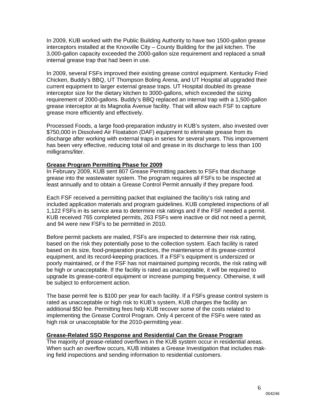In 2009, KUB worked with the Public Building Authority to have two 1500-gallon grease interceptors installed at the Knoxville City – County Building for the jail kitchen. The 3,000-gallon capacity exceeded the 2000-gallon size requirement and replaced a small internal grease trap that had been in use.

In 2009, several FSFs improved their existing grease control equipment. Kentucky Fried Chicken, Buddy's BBQ, UT Thompson Boling Arena, and UT Hospital all upgraded their current equipment to larger external grease traps. UT Hospital doubled its grease interceptor size for the dietary kitchen to 3000-gallons, which exceeded the sizing requirement of 2000-gallons. Buddy's BBQ replaced an internal trap with a 1,500-gallon grease interceptor at its Magnolia Avenue facility. That will allow each FSF to capture grease more efficiently and effectively.

Processed Foods, a large food-preparation industry in KUB's system, also invested over \$750,000 in Dissolved Air Floatation (DAF) equipment to eliminate grease from its discharge after working with external traps in series for several years. This improvement has been very effective, reducing total oil and grease in its discharge to less than 100 milligrams/liter.

#### **Grease Program Permitting Phase for 2009**

In February 2009, KUB sent 807 Grease Permitting packets to FSFs that discharge grease into the wastewater system. The program requires all FSFs to be inspected at least annually and to obtain a Grease Control Permit annually if they prepare food.

Each FSF received a permitting packet that explained the facility's risk rating and included application materials and program guidelines. KUB completed inspections of all 1,122 FSFs in its service area to determine risk ratings and if the FSF needed a permit. KUB received 765 completed permits, 263 FSFs were inactive or did not need a permit, and 94 were new FSFs to be permitted in 2010.

Before permit packets are mailed, FSFs are inspected to determine their risk rating, based on the risk they potentially pose to the collection system. Each facility is rated based on its size, food-preparation practices, the maintenance of its grease-control equipment, and its record-keeping practices. If a FSF's equipment is undersized or poorly maintained, or if the FSF has not maintained pumping records, the risk rating will be high or unacceptable. If the facility is rated as unacceptable, it will be required to upgrade its grease-control equipment or increase pumping frequency. Otherwise, it will be subject to enforcement action.

The base permit fee is \$100 per year for each facility. If a FSFs grease control system is rated as unacceptable or high risk to KUB's system, KUB charges the facility an additional \$50 fee. Permitting fees help KUB recover some of the costs related to implementing the Grease Control Program. Only 4 percent of the FSFs were rated as high risk or unacceptable for the 2010-permitting year.

#### **Grease-Related SSO Response and Residential Can the Grease Program**

The majority of grease-related overflows in the KUB system occur in residential areas. When such an overflow occurs, KUB initiates a Grease Investigation that includes making field inspections and sending information to residential customers.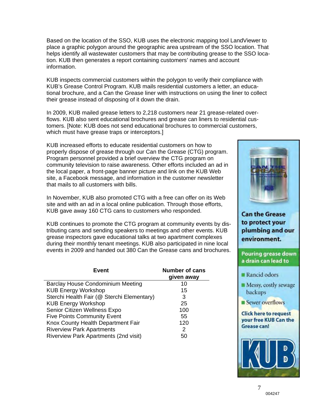Based on the location of the SSO, KUB uses the electronic mapping tool LandViewer to place a graphic polygon around the geographic area upstream of the SSO location. That helps identify all wastewater customers that may be contributing grease to the SSO location. KUB then generates a report containing customers' names and account information.

KUB inspects commercial customers within the polygon to verify their compliance with KUB's Grease Control Program. KUB mails residential customers a letter, an educational brochure, and a Can the Grease liner with instructions on using the liner to collect their grease instead of disposing of it down the drain.

In 2009, KUB mailed grease letters to 2,218 customers near 21 grease-related overflows. KUB also sent educational brochures and grease can liners to residential customers. [Note: KUB does not send educational brochures to commercial customers, which must have grease traps or interceptors.]

KUB increased efforts to educate residential customers on how to properly dispose of grease through our Can the Grease (CTG) program. Program personnel provided a brief overview the CTG program on community television to raise awareness. Other efforts included an ad in the local paper, a front-page banner picture and link on the KUB Web site, a Facebook message, and information in the customer newsletter that mails to all customers with bills.

In November, KUB also promoted CTG with a free can offer on its Web site and with an ad in a local online publication. Through those efforts, KUB gave away 160 CTG cans to customers who responded.

KUB continues to promote the CTG program at community events by distributing cans and sending speakers to meetings and other events. KUB grease inspectors gave educational talks at two apartment complexes during their monthly tenant meetings. KUB also participated in nine local events in 2009 and handed out 380 Can the Grease cans and brochures.

| Event                                      | <b>Number of cans</b><br>given away |
|--------------------------------------------|-------------------------------------|
| Barclay House Condominium Meeting          | 10                                  |
| <b>KUB Energy Workshop</b>                 | 15                                  |
| Sterchi Health Fair (@ Sterchi Elementary) | 3                                   |
| <b>KUB Energy Workshop</b>                 | 25                                  |
| Senior Citizen Wellness Expo               | 100                                 |
| <b>Five Points Community Event</b>         | 55                                  |
| Knox County Health Department Fair         | 120                                 |
| <b>Riverview Park Apartments</b>           | 2                                   |
| Riverview Park Apartments (2nd visit)      | 50                                  |



**Can the Grease** to protect your plumbing and our environment.

#### Pouring grease down a drain can lead to

- Rancid odors
- Messy, costly sewage backups
- Sewer overflows

#### **Click here to request** your free KUB Can the **Grease can!**

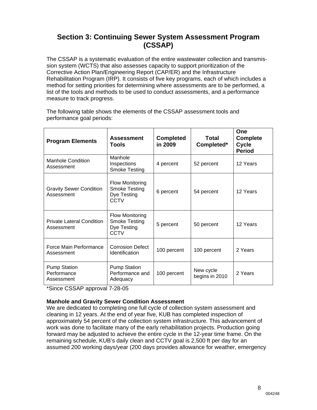## **Section 3: Continuing Sewer System Assessment Program (CSSAP)**

The CSSAP is a systematic evaluation of the entire wastewater collection and transmission system (WCTS) that also assesses capacity to support prioritization of the Corrective Action Plan/Engineering Report (CAP/ER) and the Infrastructure Rehabilitation Program (IRP). It consists of five key programs, each of which includes a method for setting priorities for determining where assessments are to be performed, a list of the tools and methods to be used to conduct assessments, and a performance measure to track progress.

The following table shows the elements of the CSSAP assessment tools and performance goal periods:

| <b>Program Elements</b>                          | <b>Assessment</b><br>Tools                                            | <b>Completed</b><br>in 2009 | Total<br>Completed*         | One<br><b>Complete</b><br>Cycle<br><b>Period</b> |
|--------------------------------------------------|-----------------------------------------------------------------------|-----------------------------|-----------------------------|--------------------------------------------------|
| <b>Manhole Condition</b><br>Assessment           | Manhole<br>Inspections<br><b>Smoke Testing</b>                        | 4 percent                   | 52 percent                  | 12 Years                                         |
| <b>Gravity Sewer Condition</b><br>Assessment     | <b>Flow Monitoring</b><br><b>Smoke Testing</b><br>Dye Testing<br>CCTV | 6 percent                   | 54 percent                  | 12 Years                                         |
| <b>Private Lateral Condition</b><br>Assessment   | <b>Flow Monitoring</b><br><b>Smoke Testing</b><br>Dye Testing<br>CCTV | 5 percent                   | 50 percent                  | 12 Years                                         |
| Force Main Performance<br>Assessment             | <b>Corrosion Defect</b><br>Identification                             | 100 percent                 | 100 percent                 | 2 Years                                          |
| <b>Pump Station</b><br>Performance<br>Assessment | <b>Pump Station</b><br>Performance and<br>Adequacy                    | 100 percent                 | New cycle<br>begins in 2010 | 2 Years                                          |

\*Since CSSAP approval 7-28-05

### **Manhole and Gravity Sewer Condition Assessment**

We are dedicated to completing one full cycle of collection system assessment and cleaning in 12 years. At the end of year five, KUB has completed inspection of approximately 54 percent of the collection system infrastructure. This advancement of work was done to facilitate many of the early rehabilitation projects. Production going forward may be adjusted to achieve the entire cycle in the 12-year time frame. On the remaining schedule, KUB's daily clean and CCTV goal is 2,500 ft per day for an assumed 200 working days/year (200 days provides allowance for weather, emergency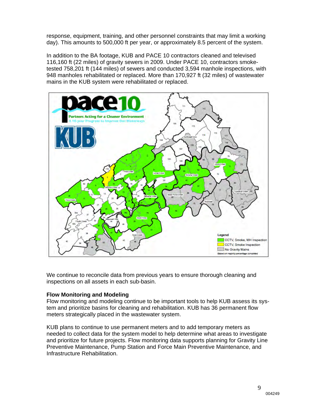response, equipment, training, and other personnel constraints that may limit a working day). This amounts to 500,000 ft per year, or approximately 8.5 percent of the system.

In addition to the BA footage, KUB and PACE 10 contractors cleaned and televised 116,160 ft (22 miles) of gravity sewers in 2009. Under PACE 10, contractors smoketested 758,201 ft (144 miles) of sewers and conducted 3,594 manhole inspections, with 948 manholes rehabilitated or replaced. More than 170,927 ft (32 miles) of wastewater mains in the KUB system were rehabilitated or replaced.



We continue to reconcile data from previous years to ensure thorough cleaning and inspections on all assets in each sub-basin.

#### **Flow Monitoring and Modeling**

Flow monitoring and modeling continue to be important tools to help KUB assess its system and prioritize basins for cleaning and rehabilitation. KUB has 36 permanent flow meters strategically placed in the wastewater system.

KUB plans to continue to use permanent meters and to add temporary meters as needed to collect data for the system model to help determine what areas to investigate and prioritize for future projects. Flow monitoring data supports planning for Gravity Line Preventive Maintenance, Pump Station and Force Main Preventive Maintenance, and Infrastructure Rehabilitation.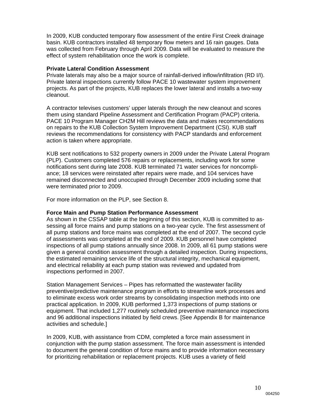In 2009, KUB conducted temporary flow assessment of the entire First Creek drainage basin. KUB contractors installed 48 temporary flow meters and 16 rain gauges. Data was collected from February through April 2009. Data will be evaluated to measure the effect of system rehabilitation once the work is complete.

#### **Private Lateral Condition Assessment**

Private laterals may also be a major source of rainfall-derived inflow/infiltration (RD I/I). Private lateral inspections currently follow PACE 10 wastewater system improvement projects. As part of the projects, KUB replaces the lower lateral and installs a two-way cleanout.

A contractor televises customers' upper laterals through the new cleanout and scores them using standard Pipeline Assessment and Certification Program (PACP) criteria. PACE 10 Program Manager CH2M Hill reviews the data and makes recommendations on repairs to the KUB Collection System Improvement Department (CSI). KUB staff reviews the recommendations for consistency with PACP standards and enforcement action is taken where appropriate.

KUB sent notifications to 532 property owners in 2009 under the Private Lateral Program (PLP). Customers completed 576 repairs or replacements, including work for some notifications sent during late 2008. KUB terminated 71 water services for noncompliance; 18 services were reinstated after repairs were made, and 104 services have remained disconnected and unoccupied through December 2009 including some that were terminated prior to 2009.

For more information on the PLP, see Section 8.

#### **Force Main and Pump Station Performance Assessment**

As shown in the CSSAP table at the beginning of this section, KUB is committed to assessing all force mains and pump stations on a two-year cycle. The first assessment of all pump stations and force mains was completed at the end of 2007. The second cycle of assessments was completed at the end of 2009. KUB personnel have completed inspections of all pump stations annually since 2008. In 2009, all 61 pump stations were given a general condition assessment through a detailed inspection. During inspections, the estimated remaining service life of the structural integrity, mechanical equipment, and electrical reliability at each pump station was reviewed and updated from inspections performed in 2007.

Station Management Services – Pipes has reformatted the wastewater facility preventive/predictive maintenance program in efforts to streamline work processes and to eliminate excess work order streams by consolidating inspection methods into one practical application. In 2009, KUB performed 1,373 inspections of pump stations or equipment. That included 1,277 routinely scheduled preventive maintenance inspections and 96 additional inspections initiated by field crews. [See Appendix B for maintenance activities and schedule.]

In 2009, KUB, with assistance from CDM, completed a force main assessment in conjunction with the pump station assessment. The force main assessment is intended to document the general condition of force mains and to provide information necessary for prioritizing rehabilitation or replacement projects. KUB uses a variety of field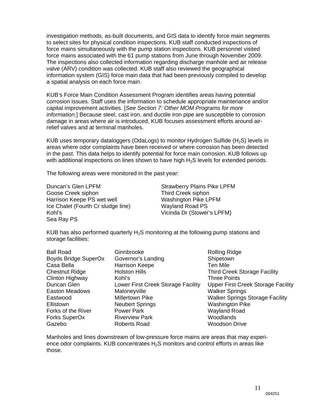investigation methods, as-built documents, and GIS data to identify force main segments to select sites for physical condition inspections. KUB staff conducted inspections of force mains simultaneously with the pump station inspections. KUB personnel visited force mains associated with the 61 pump stations from June through November 2009. The inspections also collected information regarding discharge manhole and air release valve (ARV) condition was collected. KUB staff also reviewed the geographical information system (GIS) force main data that had been previously compiled to develop a spatial analysis on each force main.

KUB's Force Main Condition Assessment Program identifies areas having potential corrosion issues. Staff uses the information to schedule appropriate maintenance and/or capital improvement activities. [*See Section 7: Other MOM Programs for more information*.] Because steel, cast iron, and ductile iron pipe are susceptible to corrosion damage in areas where air is introduced, KUB focuses assessment efforts around airrelief valves and at terminal manholes.

KUB uses temporary dataloggers (OdaLogs) to monitor Hydrogen Sulfide (H<sub>2</sub>S) levels in areas where odor complaints have been received or where corrosion has been detected in the past. This data helps to identify potential for force main corrosion. KUB follows up with additional inspections on lines shown to have high  $H<sub>2</sub>S$  levels for extended periods.

The following areas were monitored in the past year:

Duncan's Glen LPFM Strawberry Plains Pike LPFM Goose Creek siphon Third Creek siphon Harrison Keepe PS wet well Washington Pike LPFM Ice Chalet (Fourth Cr sludge line) Wayland Road PS Kohl's Vicinda Dr (Stower's LPFM) Sea Ray PS

KUB has also performed quarterly  $H_2S$  monitoring at the following pump stations and storage facilities:

| <b>Ball Road</b>       | Ginnbrooke                      |
|------------------------|---------------------------------|
| Boyds Bridge SuperOx   | Governor's Landing              |
| Casa Bella             | <b>Harrison Keepe</b>           |
| <b>Chestnut Ridge</b>  | <b>Holston Hills</b>            |
| <b>Clinton Highway</b> | Kohľs                           |
| Duncan Glen            | Lower First Creek Storage Facil |
| Easton Meadows         | Maloneyville                    |
| Eastwood               | <b>Millertown Pike</b>          |
| Ellistown              | <b>Neubert Springs</b>          |
| Forks of the River     | <b>Power Park</b>               |
| Forks SuperOx          | <b>Riverview Park</b>           |
| Gazebo                 | Roberts Road                    |

Rolling Ridge Shipetown Ten Mile Third Creek Storage Facility Three Points lity Upper First Creek Storage Facility **Walker Springs** Walker Springs Storage Facility **Washington Pike** Wayland Road Woodlands Woodson Drive

Manholes and lines downstream of low-pressure force mains are areas that may experience odor complaints. KUB concentrates  $H_2S$  monitors and control efforts in areas like those.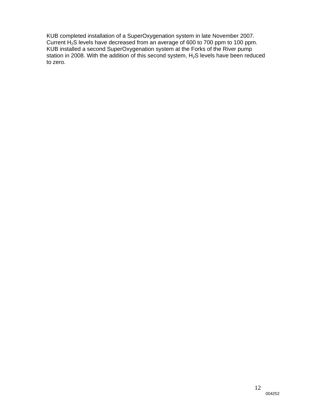KUB completed installation of a SuperOxygenation system in late November 2007. Current H<sub>2</sub>S levels have decreased from an average of 600 to 700 ppm to 100 ppm. KUB installed a second SuperOxygenation system at the Forks of the River pump station in 2008. With the addition of this second system,  $H_2S$  levels have been reduced to zero.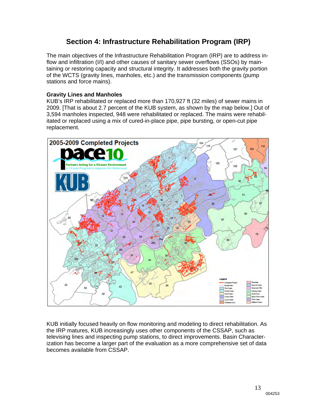## **Section 4: Infrastructure Rehabilitation Program (IRP)**

The main objectives of the Infrastructure Rehabilitation Program (IRP) are to address inflow and infiltration (I/I) and other causes of sanitary sewer overflows (SSOs) by maintaining or restoring capacity and structural integrity. It addresses both the gravity portion of the WCTS (gravity lines, manholes, etc.) and the transmission components (pump stations and force mains).

### **Gravity Lines and Manholes**

KUB's IRP rehabilitated or replaced more than 170,927 ft (32 miles) of sewer mains in 2009. [That is about 2.7 percent of the KUB system, as shown by the map below.] Out of 3,594 manholes inspected, 948 were rehabilitated or replaced. The mains were rehabilitated or replaced using a mix of cured-in-place pipe, pipe bursting, or open-cut pipe replacement.



KUB initially focused heavily on flow monitoring and modeling to direct rehabilitation. As the IRP matures, KUB increasingly uses other components of the CSSAP, such as televising lines and inspecting pump stations, to direct improvements. Basin Characterization has become a larger part of the evaluation as a more comprehensive set of data becomes available from CSSAP.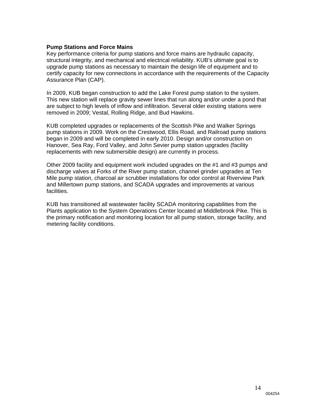#### **Pump Stations and Force Mains**

Key performance criteria for pump stations and force mains are hydraulic capacity, structural integrity, and mechanical and electrical reliability. KUB's ultimate goal is to upgrade pump stations as necessary to maintain the design life of equipment and to certify capacity for new connections in accordance with the requirements of the Capacity Assurance Plan (CAP).

In 2009, KUB began construction to add the Lake Forest pump station to the system. This new station will replace gravity sewer lines that run along and/or under a pond that are subject to high levels of inflow and infiltration. Several older existing stations were removed in 2009; Vestal, Rolling Ridge, and Bud Hawkins.

KUB completed upgrades or replacements of the Scottish Pike and Walker Springs pump stations in 2009. Work on the Crestwood, Ellis Road, and Railroad pump stations began in 2009 and will be completed in early 2010. Design and/or construction on Hanover, Sea Ray, Ford Valley, and John Sevier pump station upgrades (facility replacements with new submersible design) are currently in process.

Other 2009 facility and equipment work included upgrades on the #1 and #3 pumps and discharge valves at Forks of the River pump station, channel grinder upgrades at Ten Mile pump station, charcoal air scrubber installations for odor control at Riverview Park and Millertown pump stations, and SCADA upgrades and improvements at various facilities.

KUB has transitioned all wastewater facility SCADA monitoring capabilities from the Plants application to the System Operations Center located at Middlebrook Pike. This is the primary notification and monitoring location for all pump station, storage facility, and metering facility conditions.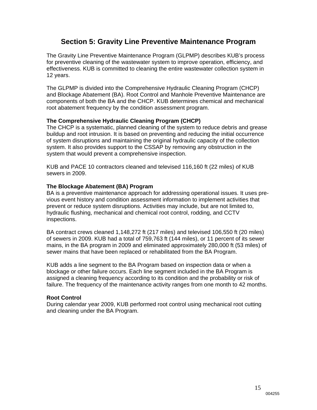## **Section 5: Gravity Line Preventive Maintenance Program**

The Gravity Line Preventive Maintenance Program (GLPMP) describes KUB's process for preventive cleaning of the wastewater system to improve operation, efficiency, and effectiveness. KUB is committed to cleaning the entire wastewater collection system in 12 years.

The GLPMP is divided into the Comprehensive Hydraulic Cleaning Program (CHCP) and Blockage Abatement (BA). Root Control and Manhole Preventive Maintenance are components of both the BA and the CHCP. KUB determines chemical and mechanical root abatement frequency by the condition assessment program.

### **The Comprehensive Hydraulic Cleaning Program (CHCP)**

The CHCP is a systematic, planned cleaning of the system to reduce debris and grease buildup and root intrusion. It is based on preventing and reducing the initial occurrence of system disruptions and maintaining the original hydraulic capacity of the collection system. It also provides support to the CSSAP by removing any obstruction in the system that would prevent a comprehensive inspection.

KUB and PACE 10 contractors cleaned and televised 116,160 ft (22 miles) of KUB sewers in 2009.

#### **The Blockage Abatement (BA) Program**

BA is a preventive maintenance approach for addressing operational issues. It uses previous event history and condition assessment information to implement activities that prevent or reduce system disruptions. Activities may include, but are not limited to, hydraulic flushing, mechanical and chemical root control, rodding, and CCTV inspections.

BA contract crews cleaned 1,148,272 ft (217 miles) and televised 106,550 ft (20 miles) of sewers in 2009. KUB had a total of 759,763 ft (144 miles), or 11 percent of its sewer mains, in the BA program in 2009 and eliminated approximately 280,000 ft (53 miles) of sewer mains that have been replaced or rehabilitated from the BA Program.

KUB adds a line segment to the BA Program based on inspection data or when a blockage or other failure occurs. Each line segment included in the BA Program is assigned a cleaning frequency according to its condition and the probability or risk of failure. The frequency of the maintenance activity ranges from one month to 42 months.

#### **Root Control**

During calendar year 2009, KUB performed root control using mechanical root cutting and cleaning under the BA Program.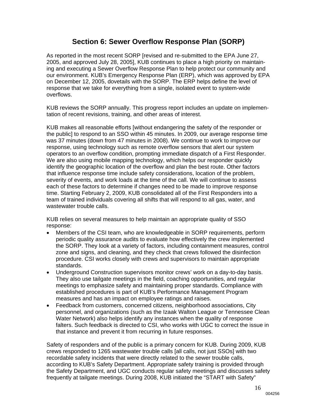## **Section 6: Sewer Overflow Response Plan (SORP)**

As reported in the most recent SORP [revised and re-submitted to the EPA June 27, 2005, and approved July 28, 2005], KUB continues to place a high priority on maintaining and executing a Sewer Overflow Response Plan to help protect our community and our environment. KUB's Emergency Response Plan (ERP), which was approved by EPA on December 12, 2005, dovetails with the SORP. The ERP helps define the level of response that we take for everything from a single, isolated event to system-wide overflows.

KUB reviews the SORP annually. This progress report includes an update on implementation of recent revisions, training, and other areas of interest.

KUB makes all reasonable efforts [without endangering the safety of the responder or the public] to respond to an SSO within 45 minutes. In 2009, our average response time was 37 minutes (down from 47 minutes in 2008). We continue to work to improve our response, using technology such as remote overflow sensors that alert our system operators to an overflow condition, prompting immediate dispatch of a First Responder. We are also using mobile mapping technology, which helps our responder quickly identify the geographic location of the overflow and plan the best route. Other factors that influence response time include safety considerations, location of the problem, severity of events, and work loads at the time of the call. We will continue to assess each of these factors to determine if changes need to be made to improve response time. Starting February 2, 2009, KUB consolidated all of the First Responders into a team of trained individuals covering all shifts that will respond to all gas, water, and wastewater trouble calls.

KUB relies on several measures to help maintain an appropriate quality of SSO response:

- Members of the CSI team, who are knowledgeable in SORP requirements, perform periodic quality assurance audits to evaluate how effectively the crew implemented the SORP. They look at a variety of factors, including containment measures, control zone and signs, and cleaning, and they check that crews followed the disinfection procedure. CSI works closely with crews and supervisors to maintain appropriate standards.
- Underground Construction supervisors monitor crews' work on a day-to-day basis. They also use tailgate meetings in the field, coaching opportunities, and regular meetings to emphasize safety and maintaining proper standards. Compliance with established procedures is part of KUB's Performance Management Program measures and has an impact on employee ratings and raises.
- Feedback from customers, concerned citizens, neighborhood associations, City personnel, and organizations (such as the Izaak Walton League or Tennessee Clean Water Network) also helps identify any instances when the quality of response falters. Such feedback is directed to CSI, who works with UGC to correct the issue in that instance and prevent it from recurring in future responses.

Safety of responders and of the public is a primary concern for KUB. During 2009, KUB crews responded to 1265 wastewater trouble calls [all calls, not just SSOs] with two recordable safety incidents that were directly related to the sewer trouble calls, according to KUB's Safety Department. Appropriate safety training is provided through the Safety Department, and UGC conducts regular safety meetings and discusses safety frequently at tailgate meetings. During 2008, KUB initiated the "START with Safety"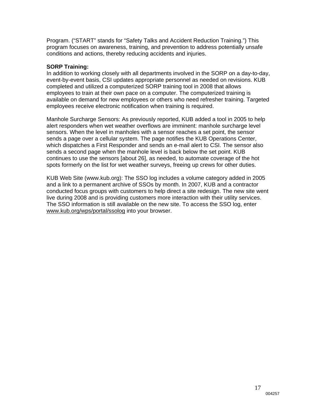Program. ("START" stands for "Safety Talks and Accident Reduction Training.") This program focuses on awareness, training, and prevention to address potentially unsafe conditions and actions, thereby reducing accidents and injuries.

#### **SORP Training:**

In addition to working closely with all departments involved in the SORP on a day-to-day, event-by-event basis, CSI updates appropriate personnel as needed on revisions. KUB completed and utilized a computerized SORP training tool in 2008 that allows employees to train at their own pace on a computer. The computerized training is available on demand for new employees or others who need refresher training. Targeted employees receive electronic notification when training is required.

Manhole Surcharge Sensors: As previously reported, KUB added a tool in 2005 to help alert responders when wet weather overflows are imminent: manhole surcharge level sensors. When the level in manholes with a sensor reaches a set point, the sensor sends a page over a cellular system. The page notifies the KUB Operations Center, which dispatches a First Responder and sends an e-mail alert to CSI. The sensor also sends a second page when the manhole level is back below the set point. KUB continues to use the sensors [about 26], as needed, to automate coverage of the hot spots formerly on the list for wet weather surveys, freeing up crews for other duties.

KUB Web Site (www.kub.org): The SSO log includes a volume category added in 2005 and a link to a permanent archive of SSOs by month. In 2007, KUB and a contractor conducted focus groups with customers to help direct a site redesign. The new site went live during 2008 and is providing customers more interaction with their utility services. The SSO information is still available on the new site. To access the SSO log, enter www.kub.org/wps/portal/ssolog into your browser.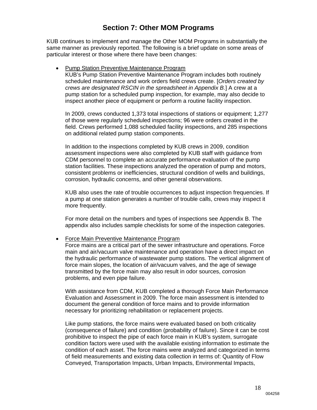## **Section 7: Other MOM Programs**

KUB continues to implement and manage the Other MOM Programs in substantially the same manner as previously reported. The following is a brief update on some areas of particular interest or those where there have been changes:

#### • Pump Station Preventive Maintenance Program

KUB's Pump Station Preventive Maintenance Program includes both routinely scheduled maintenance and work orders field crews create. [*Orders created by crews are designated RSCIN in the spreadsheet in Appendix B.*] A crew at a pump station for a scheduled pump inspection, for example, may also decide to inspect another piece of equipment or perform a routine facility inspection.

In 2009, crews conducted 1,373 total inspections of stations or equipment; 1,277 of those were regularly scheduled inspections; 96 were orders created in the field. Crews performed 1,088 scheduled facility inspections, and 285 inspections on additional related pump station components.

In addition to the inspections completed by KUB crews in 2009, condition assessment inspections were also completed by KUB staff with guidance from CDM personnel to complete an accurate performance evaluation of the pump station facilities. These inspections analyzed the operation of pump and motors, consistent problems or inefficiencies, structural condition of wells and buildings, corrosion, hydraulic concerns, and other general observations.

KUB also uses the rate of trouble occurrences to adjust inspection frequencies. If a pump at one station generates a number of trouble calls, crews may inspect it more frequently.

For more detail on the numbers and types of inspections see Appendix B. The appendix also includes sample checklists for some of the inspection categories.

#### Force Main Preventive Maintenance Program

Force mains are a critical part of the sewer infrastructure and operations. Force main and air/vacuum valve maintenance and operation have a direct impact on the hydraulic performance of wastewater pump stations. The vertical alignment of force main slopes, the location of air/vacuum valves, and the age of sewage transmitted by the force main may also result in odor sources, corrosion problems, and even pipe failure.

With assistance from CDM, KUB completed a thorough Force Main Performance Evaluation and Assessment in 2009. The force main assessment is intended to document the general condition of force mains and to provide information necessary for prioritizing rehabilitation or replacement projects.

Like pump stations, the force mains were evaluated based on both criticality (consequence of failure) and condition (probability of failure). Since it can be cost prohibitive to inspect the pipe of each force main in KUB's system, surrogate condition factors were used with the available existing information to estimate the condition of each asset. The force mains were analyzed and categorized in terms of field measurements and existing data collection in terms of: Quantity of Flow Conveyed, Transportation Impacts, Urban Impacts, Environmental Impacts,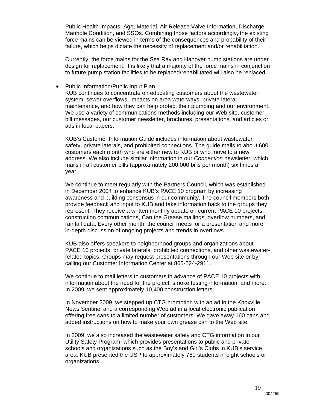Public Health Impacts, Age, Material, Air Release Valve Information, Discharge Manhole Condition, and SSOs. Combining those factors accordingly, the existing force mains can be viewed in terms of the consequences and probability of their failure, which helps dictate the necessity of replacement and/or rehabilitation.

Currently, the force mains for the Sea Ray and Hanover pump stations are under design for replacement. It is likely that a majority of the force mains in conjunction to future pump station facilities to be replaced/rehabilitated will also be replaced.

#### • Public Information/Public Input Plan

KUB continues to concentrate on educating customers about the wastewater system, sewer overflows, impacts on area waterways, private lateral maintenance, and how they can help protect their plumbing and our environment. We use a variety of communications methods including our Web site, customer bill messages, our customer newsletter, brochures, presentations, and articles or ads in local papers.

KUB's Customer Information Guide includes information about wastewater safety, private laterals, and prohibited connections. The guide mails to about 600 customers each month who are either new to KUB or who move to a new address. We also include similar information in our *Connection* newsletter, which mails in all customer bills (approximately 200,000 bills per month) six times a year.

We continue to meet regularly with the Partners Council, which was established in December 2004 to enhance KUB's PACE 10 program by increasing awareness and building consensus in our community. The council members both provide feedback and input to KUB and take information back to the groups they represent. They receive a written monthly update on current PACE 10 projects, construction communications, Can the Grease mailings, overflow numbers, and rainfall data. Every other month, the council meets for a presentation and more in-depth discussion of ongoing projects and trends in overflows.

KUB also offers speakers to neighborhood groups and organizations about PACE 10 projects, private laterals, prohibited connections, and other wastewaterrelated topics. Groups may request presentations through our Web site or by calling our Customer Information Center at 865-524-2911.

We continue to mail letters to customers in advance of PACE 10 projects with information about the need for the project, smoke testing information, and more. In 2009, we sent approximately 10,400 construction letters.

In November 2009, we stepped up CTG promotion with an ad in the Knoxville News Sentinel and a corresponding Web ad in a local electronic publication offering free cans to a limited number of customers. We gave away 160 cans and added instructions on how to make your own grease can to the Web site.

In 2009, we also increased the wastewater safety and CTG information in our Utility Safety Program, which provides presentations to public and private schools and organizations such as the Boy's and Girl's Clubs in KUB's service area. KUB presented the USP to approximately 760 students in eight schools or organizations.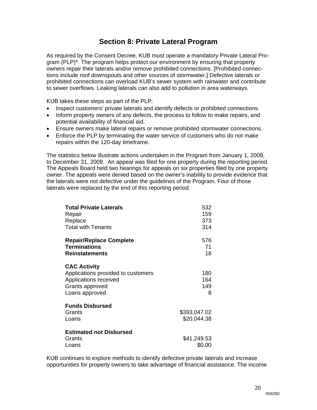## **Section 8: Private Lateral Program**

As required by the Consent Decree, KUB must operate a mandatory Private Lateral Program (PLP)\*. The program helps protect our environment by ensuring that property owners repair their laterals and/or remove prohibited connections. [Prohibited connections include roof downspouts and other sources of stormwater.] Defective laterals or prohibited connections can overload KUB's sewer system with rainwater and contribute to sewer overflows. Leaking laterals can also add to pollution in area waterways.

KUB takes these steps as part of the PLP:

- Inspect customers' private laterals and identify defects or prohibited connections.
- Inform property owners of any defects, the process to follow to make repairs, and potential availability of financial aid.
- Ensure owners make lateral repairs or remove prohibited stormwater connections.
- Enforce the PLP by terminating the water service of customers who do not make repairs within the 120-day timeframe.

The statistics below illustrate actions undertaken in the Program from January 1, 2009, to December 31, 2009. An appeal was filed for one property during the reporting period. The Appeals Board held two hearings for appeals on six properties filed by one property owner. The appeals were denied based on the owner's inability to provide evidence that the laterals were not defective under the guidelines of the Program. Four of those laterals were replaced by the end of this reporting period.

| <b>Total Private Laterals</b>      | 532          |
|------------------------------------|--------------|
| Repair                             | 159          |
| Replace                            | 373          |
| <b>Total with Tenants</b>          | 314          |
| <b>Repair/Replace Complete</b>     | 576          |
| <b>Terminations</b>                | 71           |
| <b>Reinstatements</b>              | 18           |
| <b>CAC Activity</b>                |              |
| Applications provided to customers | 180          |
| Applications received              | 164          |
| Grants approved                    | 149          |
| Loans approved                     | 8            |
| <b>Funds Disbursed</b>             |              |
| Grants                             | \$393,047.02 |
| Loans                              | \$20,044.38  |
| <b>Estimated not Disbursed</b>     |              |
| Grants                             | \$41,249.53  |
| Loans                              | \$0.00       |

KUB continues to explore methods to identify defective private laterals and increase opportunities for property owners to take advantage of financial assistance. The income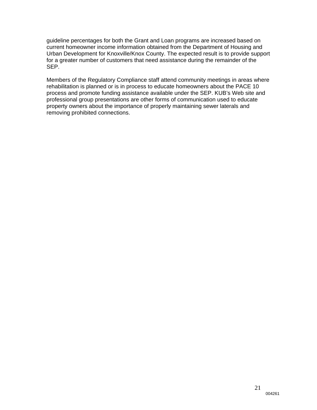guideline percentages for both the Grant and Loan programs are increased based on current homeowner income information obtained from the Department of Housing and Urban Development for Knoxville/Knox County. The expected result is to provide support for a greater number of customers that need assistance during the remainder of the SEP.

Members of the Regulatory Compliance staff attend community meetings in areas where rehabilitation is planned or is in process to educate homeowners about the PACE 10 process and promote funding assistance available under the SEP. KUB's Web site and professional group presentations are other forms of communication used to educate property owners about the importance of properly maintaining sewer laterals and removing prohibited connections.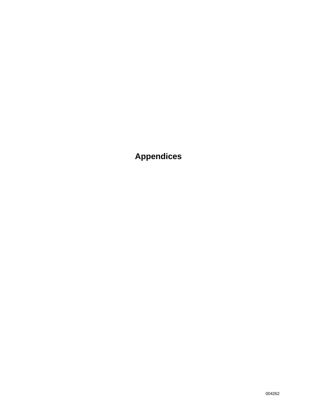**Appendices**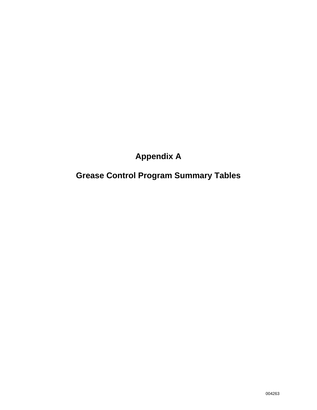## **Appendix A**

## **Grease Control Program Summary Tables**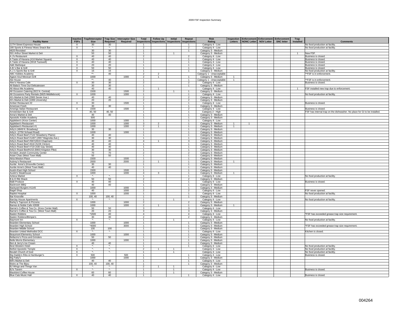| <b>Facility Name</b>                                    | <b>Inactive</b><br><b>FSFs</b> | <b>Trap/Interceptor</b><br><b>Size</b> | Required                   | Trap Size Interceptor Size<br>Required | Total<br><b>Inspections</b>      | <b>Follow Up</b><br><b>Inspections</b> | Initial<br><b>Inspections</b> | Repeat<br>nspections             | <b>Risk</b><br>Rating                            | Letters        | Inspection Enforcement Enforcement Enforcement<br>NONC Letter NOV Letter | <b>SNC letter</b> | Trap<br>Installed | <b>Comments</b>                                                           |
|---------------------------------------------------------|--------------------------------|----------------------------------------|----------------------------|----------------------------------------|----------------------------------|----------------------------------------|-------------------------------|----------------------------------|--------------------------------------------------|----------------|--------------------------------------------------------------------------|-------------------|-------------------|---------------------------------------------------------------------------|
| 11TH Street Expresso House                              | $\times$                       | 30                                     | 30 <sup>°</sup>            |                                        |                                  |                                        |                               |                                  | Category 4 - Low                                 |                |                                                                          |                   |                   | No food production at facility.                                           |
| 180 Sports & Fitness/ Moes Snack Bar                    | $\mathsf{X}$                   | $\overline{\mathbf{r}}$                | $\star_{\text{-}}$         |                                        | $\overline{2}$                   |                                        |                               | $\overline{2}$                   | Category 4 - Low                                 |                |                                                                          |                   |                   | No food production at facility.                                           |
| 4620 Revisited                                          |                                | 30                                     | 30                         |                                        | $\overline{1}$                   |                                        |                               | $\mathbf{1}$                     | Category 3 - Medium                              |                |                                                                          |                   |                   |                                                                           |
| 501 Arthur Street Market & Deli                         |                                | 50                                     | 50                         |                                        | $\overline{1}$                   |                                        |                               |                                  | Category 3 - Medium                              |                |                                                                          |                   |                   | New FSF.                                                                  |
| A J's Restaurant                                        | X                              | 40                                     | 40                         |                                        | $\overline{2}$                   |                                        |                               | 2                                | Category 4 - Low                                 |                |                                                                          |                   |                   | Business is closed.                                                       |
| A Taste of Havana (#16 Market Square)                   | X                              | 40                                     | 40                         |                                        | -1                               |                                        |                               |                                  | Category 4 - Low                                 |                |                                                                          |                   |                   | Business is closed.                                                       |
| A Taste of Havana (3018 Tazewell)                       | X                              | 40                                     | 40                         |                                        | $\overline{1}$                   |                                        |                               | $\mathbf{1}$                     | Category 4 - Low                                 |                |                                                                          |                   |                   | Business is closed.                                                       |
| A&K Barbeque                                            | $\overline{X}$                 | 20                                     | 20<br>50                   |                                        | $\overline{1}$<br>$\overline{1}$ |                                        |                               | $\overline{1}$<br>$\mathbf{1}$   | Category 4 - Low                                 |                |                                                                          |                   |                   | Business is closed.                                                       |
| A.B.'s Bar & Grill                                      | $\times$                       | 50                                     |                            |                                        | $\overline{1}$                   |                                        |                               |                                  | Category 4 - Low                                 |                |                                                                          |                   |                   | Business is closed.                                                       |
| A.J.'s Sports Bar & Grill<br><b>ABC Kiddies Academy</b> | $\mathsf{X}$                   | 15<br>$\star\star$                     | 15<br>40                   |                                        | $\overline{2}$                   | $\overline{2}$                         |                               | $\mathbf{1}$                     | Category 3 - Medium<br>Category 1 - Unacceptable |                |                                                                          |                   |                   | No food production at facility.<br>**FSF is in enforcement.               |
| Agave Azul Mexican Grill                                |                                | 1000                                   |                            | 1000                                   | $\overline{2}$                   |                                        |                               |                                  | Category 3 - Medium                              |                |                                                                          |                   |                   |                                                                           |
| Ale House                                               |                                | $\star\star$                           | 40                         |                                        | $\overline{1}$                   |                                        |                               | $\overline{1}$                   | Category 1 - Unacceptable                        | $\overline{1}$ |                                                                          |                   |                   | **FSF is in enforcement.                                                  |
| Alex's Havana Cafe                                      | $\overline{X}$                 | 30                                     | 30                         |                                        | $\overline{2}$                   |                                        |                               | $\overline{2}$                   | Category 4 - Low                                 |                |                                                                          |                   |                   | Business is closed.                                                       |
| Ali Baba's Time Out Delicatessen                        |                                | 30                                     | 30                         |                                        | $\overline{1}$                   |                                        |                               | $\mathbf{1}$                     | Category 3 - Medium                              |                |                                                                          |                   |                   |                                                                           |
| All About Me Academy                                    |                                | 40                                     | 40                         |                                        | $\overline{1}$                   | $\overline{1}$                         |                               |                                  | Category 4 - Low                                 |                |                                                                          |                   | $\overline{1}$    | FSF installed new trap due to enforcement.                                |
| All Occasion Catering (922 N. Central)                  |                                | 1500                                   |                            | 1500                                   | 2                                |                                        | $\mathbf{1}$                  | $\mathbf{1}$                     | Category 3 - Medium                              |                |                                                                          |                   |                   |                                                                           |
| All Occasions Party Rentals (5825 Middlebrook)          | X                              | 1000                                   |                            | 1000                                   | $\mathbf{1}$                     |                                        |                               |                                  | Category 4 - Low                                 |                |                                                                          |                   |                   | No food production at facility                                            |
| Al's Market & Deli (2900 Sevier Ave.)                   |                                | 40                                     | 40                         |                                        | $\overline{2}$                   |                                        |                               | $\mathcal{L}$                    | Category 3 - Medium                              |                |                                                                          |                   |                   |                                                                           |
| Al's Market & Deli (1006 University)                    |                                | 20                                     | 20                         |                                        | 2                                |                                        |                               | 2                                | Category 3 - Medium                              |                |                                                                          |                   |                   |                                                                           |
| Amber Restaurant #2                                     | X                              | 30                                     |                            | 1500                                   | $\overline{1}$                   |                                        |                               | $\mathbf{1}$                     | Category 4 - Low                                 |                |                                                                          |                   |                   | Business is closed.                                                       |
| American Fresh                                          |                                | 30                                     | 30                         |                                        | $\overline{1}$                   |                                        |                               | $\mathbf{1}$                     | Category 3 - Medium                              |                |                                                                          |                   |                   |                                                                           |
| Amerigo Italian Restaurant                              | X                              | 1500                                   |                            | 1500                                   | $\overline{\phantom{a}}$         |                                        |                               | $\mathcal{P}$                    | Category 4 - Low                                 |                |                                                                          |                   |                   | Business is closed.                                                       |
| Amsterdam Bar & Grill                                   |                                | 40,50                                  | 40, 50                     |                                        | $\overline{1}$                   |                                        |                               |                                  | Category 2 - High                                |                |                                                                          |                   |                   | FSF has internal trap on the dishwasher. No place for GI to be installed. |
| Anna's Market & Deli                                    |                                | 40                                     | 40                         |                                        | $\overline{1}$                   |                                        |                               | $\overline{1}$                   | Category 3 - Medium                              |                |                                                                          |                   |                   |                                                                           |
| Apostolic Kiddie Academy                                |                                | 500<br>1000                            |                            | 1000                                   | $\overline{1}$<br>$\overline{1}$ |                                        |                               | $\mathbf{1}$<br>$\mathbf{1}$     | Category 3 - Medium                              |                |                                                                          |                   |                   |                                                                           |
| Applebee's (Knox Center)<br>Applebee's Restaurant       |                                | 1000                                   |                            | 1000                                   |                                  | $\overline{2}$                         |                               | $\overline{1}$                   | Category 4 - Low                                 | $\overline{1}$ | $\overline{1}$                                                           |                   |                   |                                                                           |
| Applebee's Restaurant #1                                |                                | 1000                                   |                            | 1000                                   | $\mathbf{3}$<br>$\overline{2}$   | -1                                     |                               | $\mathbf{1}$                     | Category 3 - Medium<br>Category 3 - Medium       | $\mathbf{1}$   |                                                                          |                   |                   |                                                                           |
| Arby's (4849 N. Broadway)                               |                                | 30                                     | 30                         |                                        | $\overline{1}$                   |                                        |                               | $\mathbf{1}$                     | Category 3 - Medium                              |                |                                                                          |                   |                   |                                                                           |
| Arby's (2750 Schaad Road)                               |                                | 1000                                   |                            | 1000                                   | $\overline{1}$                   |                                        |                               | $\overline{1}$                   | Category 3 - Medium                              |                |                                                                          |                   |                   |                                                                           |
| Arby's Roast Beef (7122 Strawberry Plains)              |                                | 40                                     | 40                         |                                        | $\overline{1}$                   |                                        |                               | $\mathbf{1}$                     | Category 3 - Medium                              |                |                                                                          |                   |                   |                                                                           |
| Arby's Roast Beef #1497 (2657 Magnolia Ave.)            |                                | 30                                     | 30                         |                                        | $\overline{1}$                   |                                        |                               | $\mathbf{1}$                     | Category 3 - Medium                              |                |                                                                          |                   |                   |                                                                           |
| Arby's Roast Beef #567(2819 Chapman)                    |                                | 40                                     | 40                         |                                        | $\overline{4}$                   | -1                                     |                               | $\mathbf{3}$                     | Category 3 - Medium                              |                |                                                                          |                   |                   |                                                                           |
| Arby's Roast Beef #618 (5228 Clinton)                   |                                | 40                                     | 40                         |                                        |                                  |                                        |                               |                                  | Category 3 - Medium                              |                |                                                                          |                   |                   |                                                                           |
| Arby's Roast Beef #719 (430 Gay Street)                 |                                | 40                                     | 40                         |                                        | $\overline{1}$                   |                                        |                               | $\mathbf{1}$                     | Category 3 - Medium                              |                |                                                                          |                   |                   |                                                                           |
| Arby's Roast Beef#153 (6903 Kingston Pike)              |                                | 30                                     | 30                         |                                        | $\overline{1}$                   |                                        |                               | $\overline{1}$                   | Category 3 - Medium                              |                |                                                                          |                   |                   |                                                                           |
| Arnstein Jewish Community Center                        |                                | 70                                     | 70                         |                                        | $\overline{2}$                   |                                        |                               | $\overline{2}$                   | Category 3 - Medium                              |                |                                                                          |                   |                   |                                                                           |
| Asian Chao (West Town Mall)                             |                                | 50                                     | 50                         |                                        | $\overline{1}$                   |                                        |                               | $\overline{1}$                   | Category 3 - Medium                              |                |                                                                          |                   |                   |                                                                           |
| Atria Weston Place                                      |                                | 1500                                   |                            | 1500                                   | $\overline{1}$                   |                                        |                               | $\mathbf{1}$                     | Category 3 - Medium                              |                |                                                                          |                   |                   |                                                                           |
| Aubrey's Restaurant                                     |                                | 2000                                   |                            | 2000                                   | $\mathfrak{p}$                   |                                        |                               |                                  | Category 3 - Medium                              |                |                                                                          |                   |                   |                                                                           |
| Auntie Anne's (Knoxville Center)                        |                                | 30                                     | 30                         |                                        | $\overline{1}$                   |                                        |                               | $\overline{1}$<br>$\overline{1}$ | Category 3 - Medium                              |                |                                                                          |                   |                   |                                                                           |
| Auntie Anne's (West Town Mall)                          |                                | 40                                     | 40                         |                                        | $\overline{1}$<br>$\overline{1}$ |                                        |                               | $\mathbf{1}$                     | Category 3 - Medium                              |                |                                                                          |                   |                   |                                                                           |
| Austin-East High School                                 |                                | 1500                                   |                            | 1500<br>1000                           | $\overline{4}$                   |                                        |                               | $\overline{1}$                   | Category 3 - Medium                              | $\overline{1}$ |                                                                          |                   |                   |                                                                           |
| Austin's Steakhouse<br>Azteca Market                    | X                              | 1000                                   | ۰.                         |                                        | $\overline{1}$                   |                                        |                               | $\mathbf{1}$                     | Category 3 - Medium<br>Category 4 - Low          |                |                                                                          |                   |                   | No food production at facility                                            |
| B & D Rib Shack                                         |                                | 50                                     | 50                         |                                        | $\overline{2}$                   |                                        |                               | $\overline{2}$                   | Category 3 - Medium                              |                |                                                                          |                   |                   |                                                                           |
| <b>B&amp;B Produce</b>                                  | $\overline{X}$                 | 40                                     | 40                         |                                        | $\overline{1}$                   |                                        |                               | $\overline{1}$                   | Category 4 - Low                                 |                |                                                                          |                   |                   | Business is closed.                                                       |
| Backroom BBQ                                            |                                | 40                                     | 40                         |                                        | $\overline{1}$                   |                                        |                               | $\mathbf{1}$                     | Category 3 - Medium                              |                |                                                                          |                   |                   |                                                                           |
| Backyard Burgers #1145                                  |                                | 1000                                   |                            | 1000                                   | $\overline{1}$                   |                                        |                               | $\mathbf{1}$                     | Category 3 - Medium                              |                |                                                                          |                   |                   |                                                                           |
| <b>Bagel Shop</b>                                       |                                | 40                                     |                            | 1000                                   | $\overline{2}$                   |                                        |                               | $\mathcal{P}$                    | Category 4 - Low                                 |                |                                                                          |                   |                   | FSF never opened.                                                         |
| <b>Baptist Hospital</b>                                 | X                              | 1000                                   |                            | 1000                                   | $\mathbf{1}$                     |                                        |                               |                                  | Category 4 - Low                                 |                |                                                                          |                   |                   | No food production at facility.                                           |
| <b>Bar Knoxville</b>                                    |                                | 100, 40                                | 100, 40                    |                                        | $\overline{1}$                   |                                        |                               | $\mathbf{1}$                     | Category 3 - Medium                              |                |                                                                          |                   |                   |                                                                           |
| <b>Barclay House Apartments</b>                         | $\mathsf{X}$                   | ۰.                                     | $\star$                    |                                        | $\overline{1}$                   |                                        | $\overline{1}$                |                                  | Category 4 - Low                                 |                |                                                                          |                   |                   | No food production at facility                                            |
| Barley's Taproom & Pizzeria                             |                                | 1000                                   |                            | 1000                                   | $\overline{2}$                   |                                        |                               | $\mathcal{P}$                    | Category 3 - Medium                              |                |                                                                          |                   |                   |                                                                           |
| Barnes & Noble Cafe #2838                               |                                | 1000                                   |                            | 1000                                   | $\overline{a}$                   | $\overline{1}$                         |                               | $\mathbf{1}$                     | Category 3 - Medium                              | -1.            |                                                                          |                   |                   |                                                                           |
| Barnie's Coffee & Tea Co. (Knox Center Mall)            |                                | 50                                     | 50                         |                                        | 3                                |                                        |                               | 3                                | Category 4 - Low                                 |                |                                                                          |                   |                   |                                                                           |
| Barnie's Coffee & Tea Co. (West Town Mall)              |                                | 20<br>*1500                            | 20<br>40                   |                                        | 3<br>$\overline{4}$              |                                        |                               | 3<br>$\Delta$                    | Category 3 - Medium                              |                |                                                                          |                   |                   |                                                                           |
| <b>Baskin Robbins</b><br>Baskin Robbins/Blimpie's       |                                | 30                                     | 30                         |                                        | $\overline{2}$                   |                                        |                               | $\overline{2}$                   | Category 4 - Low<br>Category 3 - Medium          |                |                                                                          |                   |                   | *FSF has exceeded grease trap size requirement.                           |
| Baymont Inn                                             | X                              | $\star_{\star}$                        | $\star_{\star}$            |                                        | $\overline{1}$                   |                                        |                               |                                  | Category 4 - Low                                 |                |                                                                          |                   |                   | No food production at facility                                            |
| Bearden Elementary School                               |                                | 1000                                   |                            | 1000                                   | $\overline{1}$                   |                                        |                               | $\mathbf{1}$                     | Category 3 - Medium                              |                |                                                                          |                   |                   |                                                                           |
| Bearden High School                                     |                                | *4000                                  |                            | 3000                                   | $\overline{1}$                   |                                        |                               | $\mathbf{1}$                     | Category 3 - Medium                              |                |                                                                          |                   |                   | *FSF has exceeded grease trap size requirement.                           |
| Bearden Middle School                                   |                                | 100                                    | 100                        |                                        | $\overline{1}$                   |                                        |                               |                                  | Category 3 - Medium                              |                |                                                                          |                   |                   |                                                                           |
| Bearden United Methodist DCC                            | $\overline{X}$                 | $\star_{\star}$                        | $\star$                    |                                        | $\overline{1}$                   |                                        |                               | $\overline{1}$                   | Category 4 - Low                                 |                |                                                                          |                   |                   | Kitchen is closed.                                                        |
| <b>Beaumont Elementry School</b>                        |                                | 1000                                   |                            | 1000                                   | $\overline{1}$                   |                                        |                               | $\overline{1}$                   | Category 3 - Medium                              |                |                                                                          |                   |                   |                                                                           |
| Bellacino's Pizza and Grinders                          |                                | 50                                     | 50                         |                                        | $\overline{1}$                   |                                        |                               |                                  | Category 3 - Medium                              |                |                                                                          |                   |                   |                                                                           |
| <b>Belle Morris Elementary</b>                          |                                | 1000                                   |                            | 1000                                   | $\overline{1}$                   |                                        |                               | $\overline{1}$                   | Category 3 - Medium                              |                |                                                                          |                   |                   |                                                                           |
| Ben & Jerry's Ice Cream                                 |                                | 40                                     | 40                         |                                        | $\mathbf{1}$                     |                                        |                               | $\overline{1}$                   | Category 3 - Medium                              |                |                                                                          |                   |                   |                                                                           |
| Best Western Hotel                                      | $\times$                       | $\mathcal{R}_\alpha$                   | $\star_{\star}$            |                                        | $\overline{1}$                   |                                        |                               | $\mathbf{1}$                     | Category 4 - Low                                 |                |                                                                          |                   |                   | No food production at facility                                            |
| <b>Bethel Apostolic Temple</b>                          | $\overline{\mathsf{x}}$        | $\star_{\perp}$                        | $\star$                    |                                        | $\overline{2}$                   |                                        | $\overline{1}$                |                                  | Category 4 - Low                                 |                |                                                                          |                   |                   | No food production at facility                                            |
| Beulah Church of God                                    | X                              | $\star_{\text{-}}$                     | $\star$                    |                                        | 1                                |                                        |                               |                                  | Category 4 - Low                                 |                |                                                                          |                   |                   | No food production at facility                                            |
| Big Daddy's Ribs & Hamburger's                          | $\mathsf{X}$                   | 500                                    |                            | 500                                    | $\overline{1}$                   |                                        |                               |                                  | Category 4 - Low                                 |                |                                                                          |                   |                   | Business is closed.                                                       |
| Big Fatty's                                             |                                | 1000                                   |                            | 1000                                   | $\overline{1}$                   |                                        |                               | $\mathbf{1}$                     | Category 3 - Medium                              |                |                                                                          |                   |                   |                                                                           |
| Bill's Market & Deli                                    |                                | 40                                     | 40                         |                                        | $\mathbf{1}$                     |                                        |                               |                                  | Category 4 - Low                                 |                |                                                                          |                   |                   |                                                                           |
| Bistro at The Bijou                                     |                                | 100, 40<br>×                           | 100, 40                    |                                        | $\overline{1}$                   |                                        |                               | $\mathbf{1}$                     | Category 3 - Medium                              |                |                                                                          |                   |                   |                                                                           |
| BJ Wings and Things Van                                 |                                | $\star$                                | $\star_{\star}$<br>$\star$ |                                        | $\overline{2}$<br>$\mathbf{1}$   |                                        | $\mathbf{1}$                  |                                  | Category 4 - Low                                 |                |                                                                          |                   |                   |                                                                           |
| <b>BJ's Tavern</b><br><b>Blackbird Coffee House</b>     | X                              | 60                                     | 60                         |                                        | $\overline{1}$                   |                                        | $\mathbf{1}$                  |                                  | Category 4 - Low                                 |                |                                                                          |                   |                   | Business is closed.                                                       |
| <b>Blue Cats Music Hall</b>                             | X                              | 40                                     | 40                         |                                        |                                  |                                        |                               |                                  | Category 3 - Medium<br>Category 4 - Low          |                |                                                                          |                   |                   | Business is closed.                                                       |
|                                                         |                                |                                        |                            |                                        |                                  |                                        |                               |                                  |                                                  |                |                                                                          |                   |                   |                                                                           |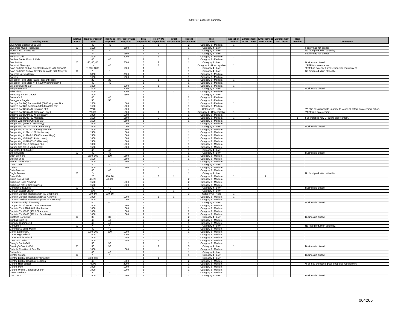| <b>Facility Name</b>                                                       | Inactive<br><b>FSFs</b> | <b>Trap/Interceptor</b><br><b>Size</b> | <b>Required</b> | Trap Size Interceptor Size<br>Required | Total                            | <b>Follow Up</b><br>Inspections   Inspections   Inspections   Inspections | Initial        | Repeat                         | <b>Risk</b><br>Rating                      | Inspection<br>Letters | Enforcement Enforcement Enforcement<br>NONC Letter   NOV Letter |                | <b>SNC letter</b> | Trap<br>Installed | <b>Comments</b>                                                       |
|----------------------------------------------------------------------------|-------------------------|----------------------------------------|-----------------|----------------------------------------|----------------------------------|---------------------------------------------------------------------------|----------------|--------------------------------|--------------------------------------------|-----------------------|-----------------------------------------------------------------|----------------|-------------------|-------------------|-----------------------------------------------------------------------|
| Blue Chips Sports Pub & Grill                                              |                         | 40                                     | 40              |                                        | $\mathbf{3}$                     |                                                                           |                | $\overline{2}$                 | Category 3 - Medium                        | $\mathbf{1}$          |                                                                 |                |                   |                   |                                                                       |
| <b>Bluegrass Music Restaurant</b>                                          | $\times$                | 1500                                   |                 | 1500                                   | $\overline{1}$                   |                                                                           |                | $\mathbf{1}$                   | Category 4 - Low                           |                       |                                                                 |                |                   |                   | Facility has not opened.                                              |
| Blues & Jazz Sports Bar                                                    | X                       | $\star_{\star}$                        | $^\star$        |                                        | $\mathbf{1}$                     |                                                                           |                | $\mathbf{1}$                   | Category 4 - Low                           |                       |                                                                 |                |                   |                   | No food production at facility.                                       |
| Bojangles                                                                  | $\overline{X}$          | $\overline{\mathbf{r}}$                |                 | 1500                                   | $\overline{1}$                   | $\overline{1}$                                                            |                |                                | Category 4 - Low                           |                       |                                                                 |                |                   |                   | Facility has not opened.                                              |
| <b>Bonefish Grill</b>                                                      |                         | 2000                                   |                 | 2000                                   | $\overline{2}$                   | 1                                                                         |                | $\mathbf{1}$                   | Category 3 - Medium                        | $\mathbf{1}$          |                                                                 |                |                   |                   |                                                                       |
| Borders Books Music & Cafe                                                 |                         | 40                                     | 40              |                                        | $\overline{2}$                   |                                                                           |                | $\overline{2}$                 | Category 3 - Medium                        |                       |                                                                 |                |                   |                   |                                                                       |
| <b>Bo's Laffitte</b>                                                       | $\times$                | 40.40.40                               |                 | 2000                                   | 3                                | $\overline{2}$                                                            |                | $\overline{1}$                 | Category 4 - Low                           |                       |                                                                 |                |                   |                   | Business is closed.                                                   |
| <b>Bountiful Blessings</b>                                                 |                         | **                                     | 40              |                                        | 3                                | $\mathbf{3}$                                                              |                |                                | Category 1 - Unacceptable                  | $\mathbf{1}$          |                                                                 |                |                   |                   | **FSF is in enforcement.                                              |
| Boys and Girl Club of Greater Knoxville (407 Caswell)                      |                         | *1000, 1000                            |                 | 1000                                   | $\overline{1}$                   |                                                                           |                |                                | Category 4 - Low                           |                       |                                                                 |                |                   |                   | *FSF has exceeded grease trap size requirement.                       |
| Boys and Girls Club of Greater Knoxville (522 Maryville                    | $\mathsf{X}$            | ×.                                     | $\star$         |                                        | $\overline{1}$                   |                                                                           |                | $\overline{1}$<br>$\mathbf{1}$ | Category 4 - Low                           |                       |                                                                 |                |                   |                   | No food production at facility.                                       |
| <b>Brakebill Nursing Home</b>                                              |                         | 3000<br>1500                           |                 | 3000<br>1500                           | $\overline{1}$<br>$\mathbf{1}$   |                                                                           |                | $\overline{1}$                 | Category 3 - Medium<br>Category 3 - Medium |                       |                                                                 |                |                   |                   |                                                                       |
| Bravo's<br>Breadbox Food Store (5328 Pleasant Ridge)                       |                         | 20                                     | 20              |                                        | $\overline{2}$                   | $\mathbf{1}$                                                              |                | -1.                            | Category 3 - Medium                        | $\mathbf{1}$          |                                                                 |                |                   |                   |                                                                       |
| Breadbox Food Store #44 (5020 Washington Pk)                               |                         | 40                                     | 40              |                                        | 1                                |                                                                           |                | $\mathbf{1}$                   | Category 3 - Medium                        |                       |                                                                 |                |                   |                   |                                                                       |
| Breaker's Sports Bar                                                       |                         | 1000                                   |                 | 1000                                   | $\overline{2}$                   | $\overline{1}$                                                            |                | $\overline{1}$                 | Category 3 - Medium                        | $\overline{1}$        |                                                                 |                |                   |                   |                                                                       |
| <b>Bridge View Grill</b>                                                   | X                       | 2000                                   |                 | 2000                                   | 1                                |                                                                           |                | $\mathbf{1}$                   | Category 4 - Low                           |                       |                                                                 |                |                   |                   | Business is closed                                                    |
| Brixx Pizza                                                                |                         | 2000                                   |                 | 2000                                   | $\mathbf{1}$                     |                                                                           |                |                                | Category 3 - Medium                        |                       |                                                                 |                |                   |                   |                                                                       |
| <b>Broadway Baptist Church</b>                                             |                         | 1500                                   |                 | 1500                                   | $\mathbf{1}$                     |                                                                           |                | $\overline{1}$                 | Category 4 - Low                           |                       |                                                                 |                |                   |                   |                                                                       |
| Brownie's 2                                                                |                         | 40                                     | 40              |                                        | $\overline{2}$                   |                                                                           |                | $\mathcal{P}$                  | Category 3 - Medium                        |                       |                                                                 |                |                   |                   |                                                                       |
| Bruegger's Bagels                                                          |                         | 50                                     | 50              |                                        | $\overline{1}$                   |                                                                           |                | $\mathbf{1}$                   | Category 3 - Medium                        |                       |                                                                 |                |                   |                   |                                                                       |
| Buddy's Bar B Q Banquet Hall (5806 Kingston Pk.)                           |                         | 1500                                   |                 | 1500                                   | $\overline{1}$                   |                                                                           |                | $\overline{1}$                 | Category 3 - Medium                        | $\overline{1}$        |                                                                 |                |                   |                   |                                                                       |
| Buddy's Bar B Q Bearden (5806 Kingston Pk.)                                |                         | 1500                                   |                 | 1500                                   | 1                                |                                                                           |                | $\mathbf{1}$                   | Category 3 - Medium                        |                       |                                                                 |                |                   |                   |                                                                       |
| Buddy's Bar BQ (8402 Kingston Pk.)                                         |                         | $\overline{440}$                       |                 | 1500                                   | $\overline{1}$                   |                                                                           |                | $\mathbf{1}$                   | Category 2 - High                          |                       |                                                                 |                |                   |                   | ** FSF has planned to upgrade to larger GI before enforcement action. |
| Buddy's Bar BQ (4401 Chapman Hwy.)                                         |                         | **1000                                 |                 | 1500                                   | $\overline{4}$                   | $\overline{1}$                                                            |                | $\mathbf{3}$                   | Category 1 - Unacceptable                  | $\mathbf{1}$          |                                                                 |                |                   |                   | **FSF is in enforcement.                                              |
| Buddy's Bar BQ (4500 N. Broadway)                                          |                         | 1000                                   |                 | 1000                                   | 1                                |                                                                           |                |                                | Category 3 - Medium                        | $\overline{1}$        |                                                                 |                |                   |                   |                                                                       |
| Buddy's Bar BQ (3700 Magnolia)<br>Buffalo Wild Wings Grill and Bar         |                         | 1500<br>1500                           |                 | 1500<br>1500                           | 5<br>$\overline{1}$              | $\overline{2}$                                                            |                | 3<br>$\overline{1}$            | Category 3 - Medium<br>Category 3 - Medium |                       | $\mathbf{1}$                                                    |                |                   |                   | FSF installed new GI due to enforcement.                              |
| Burger King (2806 N. Broadway)                                             |                         | 1000                                   |                 | 1000                                   | $\mathbf{1}$                     |                                                                           |                |                                | Category 3 - Medium                        |                       |                                                                 |                |                   |                   |                                                                       |
| Burger King #321 (2024 Cumberland)                                         | $\times$                | 1000                                   |                 | 1000                                   | $\mathbf{1}$                     |                                                                           |                | $\overline{1}$                 | Category 4 - Low                           |                       |                                                                 |                |                   |                   | Business is closed.                                                   |
| Burger King #11722 (7206 Region Lane)                                      |                         | 1500                                   |                 | 1500                                   | $\mathbf{1}$                     |                                                                           |                | -1.                            | Category 3 - Medium                        |                       |                                                                 |                |                   |                   |                                                                       |
| Burger King #12141 (127 Northshore)                                        |                         | 1500                                   |                 | 1500                                   | $\mathbf{1}$                     |                                                                           |                |                                | Category 3 - Medium                        |                       |                                                                 |                |                   |                   |                                                                       |
| Burger King #13146 (2800 Chapman Hwy.)                                     |                         | 1500                                   |                 | 1500                                   | $\overline{1}$                   |                                                                           |                | $\overline{1}$                 | Category 3 - Medium                        |                       |                                                                 |                |                   |                   |                                                                       |
| Burger King #5346 (319 Merchants)                                          |                         | 1000                                   |                 | 1000                                   | $\mathbf{1}$                     |                                                                           |                |                                | Category 3 - Medium                        |                       |                                                                 |                |                   |                   |                                                                       |
| Burger King #9679 (5316 Millertown)                                        |                         | 1500                                   |                 | 1500                                   | $\mathbf{1}$                     |                                                                           |                | $\mathbf{1}$                   | Category 3 - Medium                        |                       |                                                                 |                |                   |                   |                                                                       |
| Burger King (8412 Kingston Pk.)                                            |                         | 1000                                   |                 | 1000                                   | $\mathbf{1}$                     |                                                                           |                | -1.                            | Category 3 - Medium                        |                       |                                                                 |                |                   |                   |                                                                       |
| Burger King (5310 Middlebrook)                                             |                         | 1500                                   |                 | 1500                                   | $\mathbf{1}$                     |                                                                           |                | $\mathbf{1}$                   | Category 3 - Medium                        |                       |                                                                 |                |                   |                   |                                                                       |
| <b>Burlington Fish Market</b>                                              |                         | 40                                     | 40              |                                        | $\overline{1}$                   |                                                                           |                | $\overline{1}$                 | Category 4 - Low                           |                       |                                                                 |                |                   |                   |                                                                       |
| <b>Burrito Diablo</b>                                                      | $\overline{\mathsf{x}}$ | 40                                     | 40              |                                        | $\overline{1}$                   |                                                                           |                | $\mathbf{1}$                   | Category 4 - Low                           |                       |                                                                 |                |                   |                   | Business is closed                                                    |
| <b>Bush Brothers</b>                                                       |                         | 1500, 100                              | 100             | 1500                                   | 1<br>$\mathbf{1}$                |                                                                           |                | $\mathbf{1}$<br>$\overline{1}$ | Category 3 - Medium                        |                       |                                                                 |                |                   |                   |                                                                       |
| <b>Butcher Shop</b><br>By the Tracks Bistro                                |                         | 1500<br>1500                           |                 | 1500<br>1500                           | $\mathbf{1}$                     |                                                                           |                |                                | Category 3 - Medium                        | $\mathbf{1}$          |                                                                 |                |                   |                   |                                                                       |
| 3 & C Café                                                                 |                         | 20                                     | 20              |                                        | $\mathbf{1}$                     |                                                                           |                |                                | Category 3 - Medium<br>Category 4 - Low    |                       |                                                                 |                |                   |                   |                                                                       |
| Cafe 4                                                                     |                         | 1500                                   |                 | 1500                                   | $\overline{4}$                   | $\overline{2}$                                                            |                | $\mathcal{P}$                  | Category 3 - Medium                        | $\mathbf{1}$          |                                                                 |                |                   |                   |                                                                       |
| Cafe Gourmet                                                               |                         | 40                                     | 40              |                                        | $\ddot{\phantom{1}}$             |                                                                           |                | $\mathbf{1}$                   | Category 3 - Medium                        |                       |                                                                 |                |                   |                   |                                                                       |
| Cagle Terrace                                                              | $\times$                | ×.                                     | $\star_{\star}$ |                                        | 1                                |                                                                           |                | $\overline{1}$                 | Category 4 - Low                           |                       |                                                                 |                |                   |                   | No food production at facility.                                       |
| Cairo Cafe                                                                 |                         | 20                                     | 100, 20         |                                        | $\mathbf{A}$                     | $\mathbf{3}$                                                              | $\overline{1}$ |                                | Category 3 - Medium                        | $\overline{1}$        | $\overline{1}$                                                  | $\overline{1}$ |                   |                   |                                                                       |
| Cajun Cafe & Grill                                                         |                         | 40, 20                                 | 40, 20          |                                        | $\overline{2}$                   |                                                                           |                | $\overline{2}$                 | Category 3 - Medium                        |                       |                                                                 |                |                   |                   |                                                                       |
| Calhoun's (400 Neyland)                                                    |                         | 1500                                   |                 | 1500                                   | $\overline{2}$                   |                                                                           |                | $\mathfrak{p}$                 | Category 3 - Medium                        |                       |                                                                 |                |                   |                   |                                                                       |
| Calhoun's (6515 Kingston Pk.)                                              |                         | 1500                                   |                 | 1500                                   | $\overline{1}$                   |                                                                           |                | $\overline{1}$                 | Category 3 - Medium                        |                       |                                                                 |                |                   |                   |                                                                       |
| Camargo's Taqueria                                                         | X                       | 40                                     | 40              |                                        | $\overline{2}$                   |                                                                           |                | $\overline{a}$                 | Category 4 - Low                           |                       |                                                                 |                |                   |                   | Business is closed.                                                   |
| Canaan Baptist Church                                                      |                         | 500                                    | 40              |                                        | $\overline{1}$                   |                                                                           | $\mathbf{1}$   |                                | Category 4 - Low                           |                       |                                                                 |                |                   |                   |                                                                       |
| Cancun Mexican Restaurant (4409 Chapman)                                   |                         | 200.50                                 | 200, 50         |                                        | $\mathbf{3}$                     |                                                                           |                | 3                              | Category 2 - High                          | -1                    |                                                                 |                |                   |                   |                                                                       |
| Cancun Mexican Restaurant (8606 Asheville)                                 |                         | 1000                                   |                 | 1000<br>1000                           | $\overline{2}$<br>$\overline{1}$ |                                                                           | $\mathbf{1}$   |                                | Category 3 - Medium                        | $\mathbf{1}$          |                                                                 |                |                   |                   |                                                                       |
| Cancun Mexican Restaurant (4829 N. Broadway)<br>Capone's Windy City Eatery | $\mathsf{X}$            | 1000<br>40                             | 40              |                                        | $\overline{1}$                   |                                                                           |                | $\mathbf{1}$                   | Category 3 - Medium<br>Category 4 - Low    |                       |                                                                 |                |                   |                   | Business is closed.                                                   |
| Cappuccino's/Copper Cellar Restaurant                                      |                         | 1500                                   |                 | 1500                                   | $\overline{2}$                   |                                                                           |                | $\overline{2}$                 | Category 3 - Medium                        |                       |                                                                 |                |                   |                   |                                                                       |
| Captain D's # 3204 (812 Merchants)                                         |                         | 1000                                   |                 | 1000                                   | $\overline{1}$                   |                                                                           |                | $\overline{1}$                 | Category 3 - Medium                        |                       |                                                                 |                |                   |                   |                                                                       |
| Captain D's #3205 (4320 Chapman)                                           |                         | 1000                                   |                 | 1000                                   | $\overline{2}$                   |                                                                           |                | $\overline{2}$                 | Category 3 - Medium                        |                       |                                                                 |                |                   |                   |                                                                       |
| Captain D's #3406 (3121 N. Broadway)                                       |                         | 1000                                   |                 | 1000                                   | $\overline{2}$                   |                                                                           |                | $\mathfrak{p}$                 | Category 3 - Medium                        |                       |                                                                 |                |                   |                   |                                                                       |
| Captains Bar & Grill                                                       | $\times$                | 30                                     | 30              |                                        | $\overline{2}$                   |                                                                           |                | $\overline{2}$                 | Category 4 - Low                           |                       |                                                                 |                |                   |                   | Business is closed.                                                   |
| Cardins Drive-In                                                           |                         | 40                                     | 40              |                                        | $\overline{2}$                   |                                                                           |                | $\mathcal{P}$                  | Category 3 - Medium                        |                       |                                                                 |                |                   |                   |                                                                       |
| Carmike Cinemas 10                                                         |                         | 40                                     | 40              |                                        | $\overline{1}$                   |                                                                           |                | -1.                            | Category 3 - Medium                        |                       |                                                                 |                |                   |                   |                                                                       |
| Carousel II                                                                | $\mathsf{x}$            |                                        | $\star_-$       |                                        | -1                               |                                                                           |                |                                | Category 4 - Low                           |                       |                                                                 |                |                   |                   | No food production at facility.                                       |
| Carringer & Son's Market                                                   |                         | 40                                     | 40              |                                        | $\overline{2}$                   |                                                                           |                | $\overline{2}$                 | Category 3 - Medium                        |                       |                                                                 |                |                   |                   |                                                                       |
| Carter Elementary                                                          |                         | 1000, 200                              | 200             | 1000                                   | $\overline{1}$                   |                                                                           |                | $\mathbf{1}$                   | Category 3 - Medium                        |                       |                                                                 |                |                   |                   |                                                                       |
| Carter High School                                                         |                         | 2000                                   |                 | 2000                                   | $\overline{1}$                   |                                                                           |                | $\overline{1}$                 | Category 3 - Medium                        |                       |                                                                 |                |                   |                   |                                                                       |
| Carter Middle School                                                       |                         | 1500                                   |                 | 1500                                   | $\overline{1}$                   |                                                                           |                |                                | Category 3 - Medium                        |                       |                                                                 |                |                   |                   |                                                                       |
| Casa Don Gallo                                                             |                         | 1500<br>30                             |                 | 1500                                   | 5                                | 3                                                                         |                | $\overline{2}$                 | Category 3 - Medium                        | $\overline{2}$        |                                                                 |                |                   |                   |                                                                       |
| Casey's Bar & Grill<br>Cassidy's Country Deli                              | $\times$                | 30                                     | 30<br>30        |                                        | 1<br>$\overline{4}$              | $\mathbf{1}$                                                              |                | $\overline{1}$<br>$\mathbf{3}$ | Category 3 - Medium<br>Category 4 - Low    | $\mathbf{1}$          |                                                                 |                |                   |                   | Business is closed                                                    |
| Catholic Charities of East TN.                                             |                         | 1000                                   |                 | 1000                                   | $\overline{1}$                   |                                                                           |                | $\overline{1}$                 | Category 3 - Medium                        |                       |                                                                 |                |                   |                   |                                                                       |
| Catinella's                                                                |                         | 40                                     | 40              |                                        | $\overline{1}$                   |                                                                           |                | $\mathbf{1}$                   | Category 4 - Low                           |                       |                                                                 |                |                   |                   |                                                                       |
| Center Kitchen                                                             | $\times$                | $\star$                                | $\star$         |                                        | $\overline{1}$                   |                                                                           |                | $\overline{1}$                 | Category 4 - Low                           |                       |                                                                 |                |                   |                   | Business is closed.                                                   |
| Central Baptist Church Early Child Ctr.                                    |                         | 1000, 100                              |                 |                                        | $\overline{1}$                   | $\mathbf{1}$                                                              |                |                                | Category 4 - Low                           |                       |                                                                 |                |                   |                   |                                                                       |
| Central Baptist Church of Bearden                                          |                         | 40                                     |                 | 1500                                   | $\overline{2}$                   |                                                                           |                | $\overline{2}$                 | Category 3 - Medium                        |                       |                                                                 |                |                   |                   |                                                                       |
| Central High School                                                        |                         | *4000                                  |                 | 2000                                   |                                  |                                                                           |                |                                | Category 3 - Medium                        |                       |                                                                 |                |                   |                   | *FSF has exceeded grease trap size requirement.                       |
| Central Park                                                               |                         | 1000                                   |                 | 1000                                   | $\overline{1}$                   |                                                                           |                | $\overline{1}$                 | Category 3 - Medium                        |                       |                                                                 |                |                   |                   |                                                                       |
| Central United Methodist Church                                            |                         | 1000                                   |                 | 1000                                   | $\mathbf{1}$                     |                                                                           |                | $\mathbf{1}$                   | Category 3 - Medium                        |                       |                                                                 |                |                   |                   |                                                                       |
| Cesar's Bakery                                                             |                         | 30                                     | 30              |                                        |                                  |                                                                           |                | $\mathbf{1}$                   | Category 3 - Medium                        |                       |                                                                 |                |                   |                   |                                                                       |
| Cha Cha's                                                                  | X                       | 1500                                   |                 | 1500                                   |                                  |                                                                           |                |                                | Category 4 - Low                           |                       |                                                                 |                |                   |                   | Business is closed.                                                   |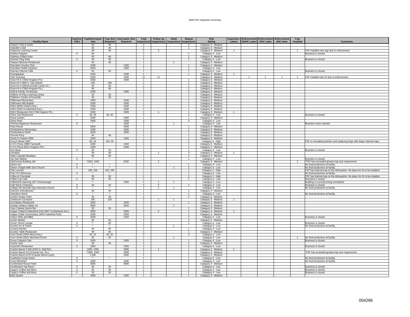| <b>Facility Name</b>                                   | <b>Inactive</b><br><b>FSFs</b> | <b>Trap/Interceptor</b><br><b>Size</b> | Required                   | Trap Size Interceptor Size<br>Required | Total                            | <b>Follow Up</b><br>Inspections Inspections | <b>Initial</b><br><b>Inspections</b> | Repeat<br><b>Inspections</b>     | <b>Risk</b><br>Rating                      | Letters        | Inspection   Enforcement   Enforcement   Enforcement<br>NONC Letter NOV Letter<br><b>SNC letter</b> | Trap<br>Installed | <b>Comments</b>                                                                                              |
|--------------------------------------------------------|--------------------------------|----------------------------------------|----------------------------|----------------------------------------|----------------------------------|---------------------------------------------|--------------------------------------|----------------------------------|--------------------------------------------|----------------|-----------------------------------------------------------------------------------------------------|-------------------|--------------------------------------------------------------------------------------------------------------|
| Chaiyo's Thai & Sushi                                  |                                | 40                                     | 40                         |                                        | -3                               |                                             |                                      | 3                                | Category 3 - Medium                        |                |                                                                                                     |                   |                                                                                                              |
| Chandler's Deli                                        |                                | 40                                     | 40                         |                                        | $\overline{1}$                   |                                             |                                      | $\overline{1}$                   | Category 3 - Medium                        |                |                                                                                                     |                   |                                                                                                              |
| Chapman Learning Center                                |                                | 40                                     | 40                         |                                        | $\overline{2}$                   | $\overline{\phantom{a}}$                    |                                      |                                  | Category 3 - Medium                        | $\overline{1}$ |                                                                                                     | -1                | FSF installed new trap due to enforcement.                                                                   |
| <b>Charley Peppers</b>                                 | X                              | 40                                     |                            |                                        | $\mathbf{1}$                     |                                             |                                      |                                  | Category 4 - Low                           |                |                                                                                                     |                   | Business is closed.                                                                                          |
| <b>Charleys Grilled Subs</b>                           |                                | 60                                     | 60                         |                                        | $\overline{1}$                   |                                             |                                      | $\overline{1}$                   | Category 3 - Medium                        |                |                                                                                                     |                   |                                                                                                              |
| Checker Flag Shell                                     | $\times$                       | 40                                     | 40                         |                                        | $\overline{1}$                   |                                             |                                      | $\overline{1}$                   | Category 4 - Low                           |                |                                                                                                     |                   | Business is closed.                                                                                          |
| Chepa's Mexican Restaurant                             |                                | 40                                     | 40                         |                                        | $\mathbf{1}$                     |                                             | $\mathbf{1}$                         |                                  | Category 3 - Medium                        |                |                                                                                                     |                   |                                                                                                              |
| Cherokee Country Club<br>Cherokee Health Systems       |                                | 1000<br>1500                           |                            | 1000<br>1500                           | $\overline{1}$<br>$\overline{1}$ |                                             |                                      | $\mathbf{1}$<br>$\overline{1}$   | Category 3 - Medium                        |                |                                                                                                     |                   |                                                                                                              |
| Cherries Internet Cafe                                 | X                              | 50                                     | 50                         |                                        | $\overline{1}$                   |                                             |                                      | $\overline{1}$                   | Category 4 - Low                           |                |                                                                                                     |                   |                                                                                                              |
| Chesapeakes                                            |                                | 1000                                   |                            | 1000                                   | $\overline{1}$                   |                                             |                                      | $\overline{1}$                   | Category 4 - Low<br>Category 3 - Medium    | $\mathbf{1}$   |                                                                                                     |                   | Business is closed.                                                                                          |
| Chez Guevara                                           |                                | 1500                                   |                            | 1500                                   | 11                               | 11                                          |                                      |                                  | Category 3 - Medium                        |                | $\overline{1}$<br>$\overline{1}$<br>$\overline{1}$                                                  | $\overline{1}$    | FSF installed new GI due to enforcement.                                                                     |
| Chick-Fil-A (7063 Kingston Pk.)                        |                                | 1500                                   |                            | 1500                                   | $\overline{1}$                   |                                             |                                      | $\mathbf{1}$                     | Category 3 - Medium                        |                |                                                                                                     |                   |                                                                                                              |
| Chick-Fil-A (800 S. Gay Street)                        |                                | 150                                    | 150                        |                                        | $\overline{1}$                   |                                             |                                      | $\mathbf{1}$                     | Category 3 - Medium                        |                |                                                                                                     |                   |                                                                                                              |
| Chick-Fil-A (3001 Knoxville Center Dr.)                |                                | 40                                     | 40                         |                                        | $\overline{2}$                   |                                             |                                      | $\mathcal{P}$                    | Category 3 - Medium                        |                |                                                                                                     |                   |                                                                                                              |
| Chick-Fil-A (7600 Kingston Pk.)                        |                                | 50                                     | 50                         |                                        | $\overline{2}$                   |                                             |                                      | $\overline{2}$                   | Category 3 - Medium                        |                |                                                                                                     |                   |                                                                                                              |
| Child & Family Tennessee                               |                                | 1000                                   |                            | 1000                                   | $\overline{2}$                   |                                             |                                      | $\mathcal{P}$                    | Category 3 - Medium                        |                |                                                                                                     |                   |                                                                                                              |
| Children At Play Learning Center                       |                                | 30                                     | 30                         |                                        | $\mathbf{1}$                     |                                             |                                      | $\overline{1}$                   | Category 3 - Medium                        |                |                                                                                                     |                   |                                                                                                              |
| Children's Center of Knoxville                         |                                | 40                                     | 40                         |                                        | $\overline{1}$<br>$\overline{1}$ |                                             |                                      | $\mathbf{1}$<br>$\mathbf{1}$     | Category 3 - Medium                        |                |                                                                                                     |                   |                                                                                                              |
| <b>Chilhowee Elementary</b><br>Chilhowee Hills Baptist |                                | 1500<br>1000                           |                            | 1500<br>1000                           | $\overline{1}$                   |                                             |                                      | $\mathbf{1}$                     | Category 3 - Medium<br>Category 3 - Medium |                |                                                                                                     |                   |                                                                                                              |
| Chili's (6635 Clinton Hwy.)                            |                                | 1500                                   |                            | 1500                                   | $\overline{1}$                   |                                             |                                      | $\mathbf{1}$                     | Category 3 - Medium                        |                |                                                                                                     |                   |                                                                                                              |
| Chili's (1815 Cumberland Ave.)                         |                                | 1000                                   |                            | 1000                                   | $\overline{1}$                   |                                             |                                      | $\overline{1}$                   | Category 3 - Medium                        |                |                                                                                                     |                   |                                                                                                              |
| Chili's Restaurant #34 (7304 Kigston Pk.)              |                                | 1500                                   |                            | 1500                                   | $\overline{2}$                   |                                             |                                      | $\mathbf{1}$                     | Category 3 - Medium                        |                |                                                                                                     |                   |                                                                                                              |
| China City Restaurant                                  | $\times$                       | 40, 40                                 | 40, 40                     |                                        | $\overline{4}$                   |                                             |                                      | $\overline{4}$                   | Category 4 - Low                           |                |                                                                                                     |                   | Business is closed.                                                                                          |
| China Garden                                           |                                | 1000                                   |                            | 1000                                   | $\overline{1}$                   |                                             |                                      | $\mathbf{1}$                     | Category 3 - Medium                        |                |                                                                                                     |                   |                                                                                                              |
| China Pearl                                            |                                | 1500                                   |                            | 1500                                   | $\overline{\mathbf{3}}$          |                                             |                                      | $\mathbf{3}$                     | Category 4 - Low                           |                |                                                                                                     |                   |                                                                                                              |
| Chinese/Japanese Restaurant                            | X                              | ٠.                                     |                            | 1500                                   | $\overline{1}$                   |                                             | -1.                                  |                                  | Category 4 - Low                           |                |                                                                                                     |                   | Business never opened.                                                                                       |
| Chop House                                             |                                | 2000                                   |                            | 2000                                   | $\overline{1}$                   |                                             |                                      | $\mathbf{1}$                     | Category 3 - Medium                        |                |                                                                                                     |                   |                                                                                                              |
| Christenberry Elementary                               |                                | 1000                                   |                            | 1000                                   | $\overline{1}$                   |                                             |                                      |                                  | Category 3 - Medium                        |                |                                                                                                     |                   |                                                                                                              |
| <b>Christenberry North</b>                             |                                | 1000                                   |                            | 1000                                   | $\overline{1}$                   |                                             |                                      | $\overline{1}$                   | Category 3 - Medium                        |                |                                                                                                     |                   |                                                                                                              |
| Chrome Pony<br>Chuck E Cheese #055                     |                                | 40<br>1500                             | 40                         | 1500                                   | $\mathbf{1}$<br>$\mathbf{1}$     |                                             |                                      | $\mathbf{1}$<br>$\mathbf{1}$     | Category 3 - Medium                        |                |                                                                                                     |                   |                                                                                                              |
| Church Street UMC                                      |                                | 60, 40                                 | 150, 50                    |                                        | $\overline{2}$                   |                                             |                                      | $\overline{2}$                   | Category 3 - Medium<br>Category 2 - High   |                |                                                                                                     |                   | FSF is remodeling kitchen and replacing traps with larger internal traps.                                    |
| Ci Ci's Pizza (2885 Tazewell)                          |                                | 1000                                   |                            | 1000                                   | $\mathbf{1}$                     |                                             |                                      | -1                               | Category 3 - Medium                        |                |                                                                                                     |                   |                                                                                                              |
| Ci Ci's Pizza (8414 Kingston Pk.)                      |                                | 1000                                   |                            | 1000                                   | $\overline{1}$                   |                                             |                                      | $\mathbf{1}$                     | Category 3 - Medium                        |                |                                                                                                     |                   |                                                                                                              |
| Cine Bean                                              | $\overline{X}$                 | 20                                     | 20                         |                                        | $\overline{1}$                   |                                             |                                      | $\overline{1}$                   | Category 4 - Low                           |                |                                                                                                     |                   | Business is closed.                                                                                          |
| Cinnabon                                               |                                | 30                                     | 30                         |                                        | $\overline{4}$                   | $\overline{1}$                              |                                      | 3                                | Category 3 - Medium                        |                |                                                                                                     |                   |                                                                                                              |
| Cities Cupcake Boutique                                |                                | 60                                     | 60                         |                                        | $\overline{1}$                   |                                             |                                      | $\overline{1}$                   | Category 3 - Medium                        |                |                                                                                                     |                   |                                                                                                              |
| City Star Market                                       | $\times$                       | $\star_{\scriptscriptstyle\bullet}$    | ۰.                         |                                        | $\overline{1}$                   |                                             |                                      | $\mathbf{1}$                     | Category 4 - Low                           |                |                                                                                                     |                   | Business is closed.                                                                                          |
| City/County Building Jail                              |                                | *1500, 1500                            |                            | 2000                                   | $\overline{\mathbf{c}}$          | $\overline{2}$                              |                                      |                                  | Category 3 - Medium                        |                |                                                                                                     |                   | *FSF has exceeded grease trap size requirement.                                                              |
| Clarion Inn                                            | $\times$                       | <b>x</b>                               | $\star$<br>$\star_{\star}$ |                                        | $\overline{1}$                   |                                             |                                      | $\mathbf{1}$                     | Category 4 - Low                           |                |                                                                                                     |                   | No food production at facility.                                                                              |
| Clinton Chapel AME Zion Church                         | $\overline{X}$                 | ×,                                     |                            |                                        | $\overline{2}$<br>$\overline{1}$ |                                             |                                      | $\overline{1}$<br>$\overline{1}$ | Category 4 - Low                           |                |                                                                                                     |                   | No food production at facility.                                                                              |
| Club Leconte<br>Club XYZ (Remove)                      |                                | 100, 100<br>$\star_{\star}$            | 100, 100<br>$\star$ .      |                                        | $\overline{1}$                   |                                             |                                      | $\overline{1}$                   | Category 2 - High                          |                |                                                                                                     |                   | FSF has internal trap on the dishwasher. No place for GI to be installed.                                    |
| Coffee & Chocolate                                     | $\mathsf{X}$                   | 30                                     | 30                         |                                        | $\overline{1}$                   |                                             |                                      | $\mathbf{1}$                     | Category 4 - Low<br>Category 2 - High      |                |                                                                                                     |                   | No food production at facility.<br>FSF has internal trap on the dishwasher. No place for GI to be installed. |
| Coffee Cup Cafe                                        | X                              | 40                                     | 40                         |                                        | $\mathbf{1}$                     |                                             |                                      | $\mathbf{1}$                     | Category 4 - Low                           |                |                                                                                                     |                   | Business is closed.                                                                                          |
| Coffee/Deli Opening (427 Chicamauga)                   |                                | $\star_-$                              |                            | 1500                                   | $\overline{2}$                   | $\overline{1}$                              | $\overline{1}$                       |                                  | Category 4 - Low                           |                |                                                                                                     |                   | Building is currently being remodeled.                                                                       |
| <b>Cold Stone Creamery</b>                             | $\mathsf{X}$                   | 40                                     | 40                         |                                        | $\overline{4}$                   | $\overline{2}$                              |                                      | $\overline{2}$                   | Category 4 - Low                           |                |                                                                                                     |                   | Business is closed                                                                                           |
| College Hill Seventh Day Advenlist Church              | X                              | $\star_{\star}$                        | $\star$                    |                                        | $\overline{2}$                   | $\mathbf{1}$                                |                                      |                                  | Category 4 - Low                           |                |                                                                                                     |                   | No food production at facility.                                                                              |
| Colonel's Delicatessen                                 |                                | 40 <sup>°</sup>                        | 40                         |                                        | $\overline{1}$                   |                                             |                                      | $\overline{1}$                   | Category 3 - Medium                        |                |                                                                                                     |                   |                                                                                                              |
| Columbus Home                                          | X                              |                                        | $^\star$                   |                                        | 1                                |                                             |                                      |                                  | Category 4 - Low                           |                |                                                                                                     |                   | No food production at facility.                                                                              |
| Comfort Suites Hotel                                   |                                | 40                                     | 40                         |                                        | $\overline{2}$                   |                                             |                                      | $\overline{2}$                   | Category 3 - Medium                        |                |                                                                                                     |                   |                                                                                                              |
| Continuum Courtyard                                    |                                | 100                                    | 100                        | 1000                                   | $\overline{2}$                   | $\overline{1}$                              | $\overline{1}$                       | $\mathbf{1}$                     | Category 3 - Medium                        | $\overline{1}$ |                                                                                                     |                   |                                                                                                              |
| Cool Beans Restaurant<br>Coolato Gelato's Italian Ice  |                                | 1000<br>3000                           |                            | 3000                                   | $\mathbf{1}$<br>$\overline{1}$   |                                             | $\overline{1}$                       |                                  | Category 3 - Medium<br>Category 3 - Medium |                |                                                                                                     |                   |                                                                                                              |
| Copa Cabana Sports Bar                                 |                                | 30                                     | 30                         |                                        | $\overline{2}$                   |                                             |                                      | $\mathcal{P}$                    | Category 3 - Medium                        |                |                                                                                                     |                   |                                                                                                              |
| Copper Cellar/Cumberland Grill (1807 Cumberland Ave.)  |                                | 2000                                   |                            | 2000                                   | 3                                | $\overline{2}$                              |                                      | $\mathbf{1}$                     | Category 3 - Medium                        | 1              |                                                                                                     |                   |                                                                                                              |
| Copper Cellar Commissary (3001 Industrial Park)        |                                | 1000                                   |                            | 1000                                   | $\overline{1}$                   |                                             |                                      | $\overline{1}$                   | Category 3 - Medium                        |                |                                                                                                     |                   |                                                                                                              |
| Corky's Ribs and BBQ                                   | $\overline{X}$                 | 1500                                   |                            | 1500                                   | $\overline{2}$                   |                                             |                                      | $\overline{2}$                   | Category 4 - Low                           |                |                                                                                                     |                   | Business is closed.                                                                                          |
| Corner Market                                          |                                | 50                                     | 50                         |                                        | $\overline{2}$                   |                                             |                                      | $\overline{2}$                   | Category 3 - Medium                        |                |                                                                                                     |                   |                                                                                                              |
| Corner Street Lounge                                   | $\times$                       | $\star\star$                           | 60                         |                                        | $\overline{1}$                   |                                             |                                      | $\overline{1}$                   | Category 4 - Low                           |                |                                                                                                     |                   | Business is closed.                                                                                          |
| Country Inn & Suites                                   | $\mathsf{x}$                   | ×.                                     | ۰.                         |                                        | $\mathbf{1}$                     |                                             |                                      |                                  | Category 4 - Low                           |                |                                                                                                     |                   | No food production at facility.                                                                              |
| Country Kitchen                                        |                                | 40                                     | 40                         |                                        | $\mathbf{1}$                     |                                             |                                      |                                  | Category 4 - Low                           |                |                                                                                                     |                   |                                                                                                              |
| Country Table Restaurant                               |                                | 40                                     | 40                         |                                        | $\overline{1}$                   |                                             |                                      | $\overline{1}$                   | Category 3 - Medium                        |                |                                                                                                     |                   |                                                                                                              |
| Court South (2934 Alcoa Hwy.)                          |                                | 40.20                                  | 40, 20                     |                                        | $\mathbf{3}$                     |                                             |                                      | $\mathbf{3}$                     | Category 4 - Low                           |                |                                                                                                     |                   |                                                                                                              |
| Court South (5621 Merchant Drive)                      | $\times$                       | 20                                     | 20                         |                                        | $\overline{1}$<br>$\overline{1}$ |                                             |                                      | $\overline{1}$                   | Category 4 - Low                           |                |                                                                                                     |                   | No food production at facility.                                                                              |
| Couva Calypsa Cafe<br>Coyote Joes                      | X                              | 1500<br>40                             | 40                         | 1500                                   | $\mathbf{1}$                     |                                             |                                      | $\mathbf{1}$                     | Category 4 - Low<br>Category 3 - Medium    |                |                                                                                                     |                   | Business is closed.                                                                                          |
| Cozymel's Restaurant                                   | $\times$                       | 1000                                   |                            | 1000                                   | $\overline{2}$                   |                                             |                                      | $\mathcal{P}$                    | Category 4 - Low                           |                |                                                                                                     |                   | Business is closed.                                                                                          |
| Cracker Barrel # 546 (2920 S. Mall Rd.)                |                                | 1000.1000                              |                            | 2000                                   | $\overline{2}$                   |                                             |                                      | $\overline{1}$                   | Category 3 - Medium                        | $\overline{1}$ |                                                                                                     |                   |                                                                                                              |
| Cracker Barrel #12 (Central Ave. Pk.)                  |                                | *1500, 1500                            |                            | 2000                                   | $\overline{1}$                   |                                             |                                      | $\overline{1}$                   | Category 3 - Medium                        |                |                                                                                                     |                   | *FSF has exceeded grease trap size requirement.                                                              |
| Cracker Barrel #170 (Cracker Barrel Lane)              |                                | 1,500                                  |                            | 1500                                   | $\overline{1}$                   |                                             |                                      | $\overline{1}$                   | Category 3 - Medium                        |                |                                                                                                     |                   |                                                                                                              |
| Crawfords Group Home                                   | $\times$                       | ×.                                     | $\star$                    |                                        | $\overline{1}$                   |                                             |                                      | $\mathbf{1}$                     | Category 4 - Low                           |                |                                                                                                     |                   | No food production at facility.                                                                              |
| <b>Cross Ministries</b>                                | X                              | 1000                                   |                            | 1000                                   | $\mathbf{1}$                     |                                             |                                      | $\mathbf{1}$                     | Category 4 - Low                           |                |                                                                                                     |                   | No food production at facility                                                                               |
| Cumberland House Hotel                                 |                                | 3000                                   |                            | 3000                                   | $\overline{1}$                   |                                             |                                      |                                  | Category 3 - Medium                        |                |                                                                                                     |                   |                                                                                                              |
| Cumberland Tap Room                                    | $\overline{X}$                 | 30 <sup>2</sup>                        | 30                         |                                        | $\overline{1}$                   |                                             |                                      | $\overline{1}$                   | Category 4 - Low                           |                |                                                                                                     |                   | Business is closed                                                                                           |
| Cuppy's Coffee and More                                | X                              | 30<br>30                               | 30                         |                                        | $\overline{1}$<br>$\mathbf{1}$   |                                             |                                      | $\mathbf{1}$<br>$\overline{1}$   | Category 4 - Low                           |                |                                                                                                     |                   | Business is closed                                                                                           |
| Cuppy's Coffee and More<br>Dairy Queen                 | X                              | 1000                                   | 30                         | 1000                                   |                                  |                                             |                                      |                                  | Category 4 - Low<br>Category 3 - Medium    |                |                                                                                                     |                   | Business is closed                                                                                           |
|                                                        |                                |                                        |                            |                                        |                                  |                                             |                                      |                                  |                                            |                |                                                                                                     |                   |                                                                                                              |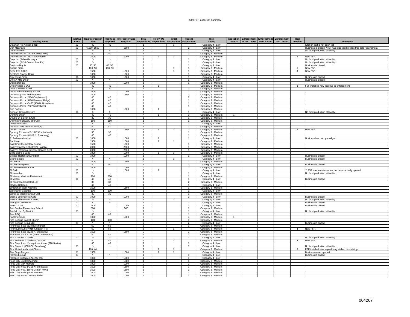| <b>Facility Name</b>                                                                    | <b>Inactive</b><br><b>FSFs</b> | <b>Trap/Interceptor</b><br><b>Size</b> | <b>Trap Size</b><br>Required | <b>Interceptor Size</b><br>Required | Total                          | <b>Follow Up</b><br>Inspections Inspections Inspections Inspections | Initial        | Repeat                           | <b>Risk</b><br>Rating                   | Inspection<br>Letters | Enforcement Enforcement Enforcement<br>NONC Letter NOV Letter | <b>SNC letter</b> | Trap<br>Installed | <b>Comments</b>                                                                      |
|-----------------------------------------------------------------------------------------|--------------------------------|----------------------------------------|------------------------------|-------------------------------------|--------------------------------|---------------------------------------------------------------------|----------------|----------------------------------|-----------------------------------------|-----------------------|---------------------------------------------------------------|-------------------|-------------------|--------------------------------------------------------------------------------------|
| Dalawah Hut African Shop                                                                | X                              | 40                                     | 40                           |                                     | -1.                            |                                                                     |                |                                  | Category 4 - Low                        |                       |                                                               |                   |                   | Kitchen part is not open yet.                                                        |
| Dan McGrews                                                                             | $\times$                       | 1500, 1500                             |                              | 1500                                | $\overline{2}$                 |                                                                     |                | $\overline{2}$                   | Category 4 - Low                        |                       |                                                               |                   |                   | Business is closed. *FSF has exceeded grease trap size requirement.                  |
| Dara's Garden                                                                           | $\overline{X}$                 | $\star$                                | $^\star$                     |                                     | $\overline{1}$                 |                                                                     |                | $\overline{1}$                   | Category 4 - Low                        |                       |                                                               |                   |                   | No food production at facility.                                                      |
| DaVinci's Pizza (113 S.Central Ave.)                                                    |                                | 40                                     | 40                           |                                     | $\mathbf{1}$                   |                                                                     |                | $\mathbf{1}$                     | Category 3 - Medium                     |                       |                                                               |                   |                   |                                                                                      |
| DaVinci's Pizza (3337 Sutherland)                                                       |                                | 2000                                   |                              | 1000                                | $\mathbf{3}$                   | 2                                                                   |                |                                  | Category 3 - Medium                     |                       |                                                               |                   |                   | New FSF.                                                                             |
| Days Inn (Asheville Hwy.)                                                               | $\times$                       | ж.                                     | $\star_-$                    |                                     | $\mathbf{1}$                   |                                                                     |                | $\overline{1}$                   | Category 4 - Low                        |                       |                                                               |                   |                   | No food production at facility.                                                      |
| Days Inn (5434 Central Ave. Pk.)                                                        | X                              | $\overline{\cdot}$                     | $\star$                      |                                     | $\mathbf{1}$                   |                                                                     |                |                                  | Category 4 - Low                        |                       |                                                               |                   |                   | No food production at facility                                                       |
| Daytona Nights                                                                          | $\times$                       | 60, 30                                 | 60, 30                       |                                     | $\overline{1}$                 |                                                                     |                | $\overline{1}$                   | Category 4 - Low                        |                       |                                                               |                   |                   | Business is closed.                                                                  |
| Dazzio Pizza                                                                            |                                | 100.50                                 | 100.50                       |                                     | $\overline{2}$                 |                                                                     |                | $\overline{1}$                   | Category 3 - Medium                     |                       |                                                               |                   | $\overline{2}$    | New FSF                                                                              |
| Dead End B.B.Q.                                                                         |                                | 1500                                   |                              | 1500                                | $\overline{2}$                 |                                                                     | $\overline{1}$ | $\mathbf{1}$                     | Category 3 - Medium                     |                       |                                                               |                   |                   | New FSF                                                                              |
| Denton's Orange Drink                                                                   |                                | 1000                                   |                              | 1000                                | $\overline{1}$                 |                                                                     |                | $\overline{1}$                   | Category 3 - Medium                     |                       |                                                               |                   |                   |                                                                                      |
| Digenovas Pizza                                                                         | X                              | 1000                                   |                              | 1000                                | $\mathbf{1}$                   |                                                                     |                | $\overline{1}$                   | Category 4 - Low                        |                       |                                                               |                   |                   | Business is closed.                                                                  |
| Dine-A-Mite Diner                                                                       | $\times$                       | -82                                    | $\star$ .                    |                                     | $\mathbf{1}$                   |                                                                     |                | $\mathbf{1}$                     | Category 4 - Low                        |                       |                                                               |                   |                   | Business is closed.                                                                  |
| <b>Dippin Donuts</b>                                                                    |                                | 1000                                   |                              | 1000                                | $\overline{1}$                 |                                                                     |                | $\overline{1}$                   | Category 3 - Medium                     |                       |                                                               |                   |                   |                                                                                      |
| Dixson's Bar B Que                                                                      |                                | 40                                     | 40                           |                                     | $\mathbf{1}$                   |                                                                     |                |                                  | Category 3 - Medium                     |                       |                                                               |                   |                   | FSF installed new trap due to enforcement.                                           |
| Doan's Market & Deli                                                                    |                                | 30                                     | 30                           |                                     | $\mathbf{1}$                   |                                                                     |                | $\mathbf{1}$                     | Category 3 - Medium                     |                       |                                                               |                   |                   |                                                                                      |
| Dogwood Elementary School                                                               |                                | 1000                                   |                              | 1000                                | $\overline{2}$                 |                                                                     |                | $\overline{2}$                   | Category 3 - Medium                     |                       |                                                               |                   |                   |                                                                                      |
| Domino's (7419 Middlebrook)                                                             |                                | 1500                                   |                              | 1500                                | $\mathbf{1}$                   |                                                                     |                | $\mathbf{1}$                     | Category 3 - Medium                     |                       |                                                               |                   |                   |                                                                                      |
| Domino's Pizza (2104 Cumberland)                                                        |                                | 40                                     | 40                           |                                     | $\overline{2}$                 |                                                                     |                | $\overline{2}$                   | Category 3 - Medium                     |                       |                                                               |                   |                   |                                                                                      |
| Domino's Pizza (5420 Pleasant Ridge)                                                    |                                | 40 <sup>°</sup>                        | 40                           |                                     | $\overline{1}$                 |                                                                     |                | $\overline{1}$                   | Category 3 - Medium                     |                       |                                                               |                   |                   |                                                                                      |
| Domino's Pizza #5466 (900 N. Broadway)                                                  |                                | 40                                     | 40                           |                                     | $\mathbf{1}$                   |                                                                     |                | $\mathbf{1}$                     | Category 3 - Medium                     |                       |                                                               |                   |                   |                                                                                      |
| Domino's Pizza (7527 Northshore)                                                        |                                | 40                                     | 40                           |                                     | $\overline{1}$                 |                                                                     |                | $\overline{1}$                   | Category 3 - Medium                     |                       |                                                               |                   |                   |                                                                                      |
| Don Pablo's                                                                             |                                | 1000                                   |                              | 1000                                | $\overline{1}$                 | $\overline{1}$                                                      |                |                                  | Category 3 - Medium                     |                       |                                                               |                   |                   |                                                                                      |
| Donna's Group Daycare                                                                   | X                              | $\circ$                                | $\circ$                      |                                     | 1                              |                                                                     |                | $\mathbf{1}$                     | Category 4 - Low                        |                       |                                                               |                   |                   | No food production at facility.                                                      |
| Dorthy's Diner                                                                          |                                | 40                                     | 40                           |                                     | $\overline{4}$                 | $\overline{1}$                                                      |                | $\mathbf{3}$                     | Category 3 - Medium                     | $\overline{1}$        |                                                               |                   |                   |                                                                                      |
| Double D. Saloon & Grill                                                                |                                | 30 <sup>2</sup>                        | 30                           |                                     | $\overline{1}$                 |                                                                     |                | $\overline{1}$                   | Category 3 - Medium                     |                       |                                                               |                   |                   |                                                                                      |
| Downtown Brewery and Grill                                                              |                                | 150                                    | 150                          |                                     | $\overline{1}$                 |                                                                     |                | $\overline{1}$                   | Category 3 - Medium                     |                       |                                                               |                   |                   |                                                                                      |
| Downtown Grind                                                                          |                                | 30                                     | 30                           |                                     | $\overline{1}$                 |                                                                     |                | $\overline{1}$                   | Category 4 - Low                        |                       |                                                               |                   |                   |                                                                                      |
| Duncan Cafe/ Duncan Building                                                            |                                | 40                                     | 40                           |                                     | $\mathbf{1}$                   |                                                                     |                | $\mathbf{1}$                     | Category 3 - Medium                     |                       |                                                               |                   |                   |                                                                                      |
| Dunkin Donuts                                                                           |                                | 1500                                   |                              | 1500                                | 6                              | 3                                                                   |                | $\overline{2}$                   | Category 3 - Medium                     | 1                     |                                                               |                   |                   | New FSF                                                                              |
| Dynasty Express #2 (1647 Cumberland)                                                    |                                | 30                                     | 30                           |                                     | $\overline{1}$                 |                                                                     |                | $\overline{1}$                   | Category 3 - Medium                     |                       |                                                               |                   |                   |                                                                                      |
| Dynasty Express (4911 N. Broadway)                                                      |                                | 40                                     | 40                           |                                     | 1                              |                                                                     |                | $\overline{1}$                   | Category 3 - Medium                     |                       |                                                               |                   |                   |                                                                                      |
| E. Anderson Market                                                                      | $\times$                       | 1000                                   |                              | 1000                                | $\overline{2}$                 | $\mathbf{1}$                                                        |                | $\overline{1}$                   | Category 4 - Low                        |                       |                                                               |                   |                   | Business has not opened yet.                                                         |
| Earthfare                                                                               |                                | 1500                                   |                              | 1500                                | $\overline{2}$                 | $\overline{1}$                                                      | $\mathbf{1}$   |                                  | Category 3 - Medium                     |                       |                                                               |                   |                   |                                                                                      |
| East Knox Elementary School                                                             |                                | 1500                                   |                              | 1500                                | $\mathbf{1}$                   |                                                                     |                | $\mathbf{1}$                     | Category 3 - Medium                     |                       |                                                               |                   |                   |                                                                                      |
| East Tennessee Children's Hospital                                                      |                                | 2000                                   |                              | 2000                                | $\overline{1}$                 |                                                                     |                | $\overline{1}$                   | Category 3 - Medium                     |                       |                                                               |                   |                   |                                                                                      |
| East TN Regional Juvenile Service Cent.                                                 |                                | 2000                                   |                              | 2000                                | $\overline{1}$                 |                                                                     |                | $\overline{1}$                   | Category 3 - Medium                     |                       |                                                               |                   |                   |                                                                                      |
| Echo Bistro & Wine                                                                      |                                | 1000                                   |                              | 1000                                | $\overline{2}$                 | $\mathbf{1}$                                                        | $\mathbf{1}$   |                                  | Category 3 - Medium                     |                       |                                                               |                   |                   |                                                                                      |
| Eclipse Restaurant And Bar                                                              | X                              | 1000                                   |                              | 1000                                | $\overline{1}$                 |                                                                     |                | $\overline{1}$                   | Category 4 - Low                        |                       |                                                               |                   |                   | Business is closed.                                                                  |
| Econo Lodge                                                                             | $\mathsf{x}$                   | $\star_{\scriptscriptstyle\bullet}$    |                              |                                     | $\mathbf{1}$                   |                                                                     | $\mathbf{1}$   |                                  | Category 4 - Low                        |                       |                                                               |                   |                   | <b>Business is closed</b>                                                            |
| El Charro                                                                               |                                | 1500                                   |                              | 1500                                | $\overline{2}$                 |                                                                     |                |                                  | Category 3 - Medium                     |                       |                                                               |                   |                   |                                                                                      |
| El Charro Express                                                                       | $\mathsf{X}$                   | 20                                     | 50                           |                                     | $\overline{1}$                 |                                                                     |                | $\overline{1}$                   | Category 4 - Low                        |                       |                                                               |                   |                   | Business is closed.                                                                  |
| El Chico Restaurant #1                                                                  |                                | 1000                                   |                              | 1000                                | $\overline{2}$                 |                                                                     |                | $\overline{2}$                   | Category 3 - Medium                     |                       |                                                               |                   |                   |                                                                                      |
| El Gallo                                                                                | $\times$                       | $\star\star$                           |                              | 1000                                | $\overline{1}$                 | $\overline{1}$                                                      |                |                                  | Category 4 - Low                        |                       |                                                               |                   |                   | ** FSF was in enforcement but never actually opened.                                 |
| El Herradero                                                                            | $\mathsf{X}$                   | ×,                                     | $\star$ .                    |                                     | $\mathbf{1}$                   |                                                                     |                | $\overline{1}$                   | Category 4 - Low                        |                       |                                                               |                   |                   | No food production at facility.                                                      |
| El Mezcal Mexican Restaurant                                                            |                                | 200                                    | 200                          |                                     | $\mathbf{1}$                   |                                                                     |                | $\overline{1}$                   | Category 3 - Medium                     |                       |                                                               |                   |                   |                                                                                      |
| El Mezon                                                                                | X                              | 40                                     | 40                           |                                     | $\mathbf{1}$                   |                                                                     |                | $\mathbf{1}$                     | Category 4 - Low                        |                       |                                                               |                   |                   | Business is closed.                                                                  |
| El Tenampa Garibaldi LLC                                                                |                                | 30                                     | 30                           |                                     | $\overline{2}$                 |                                                                     |                | $\overline{2}$                   | Category 3 - Medium                     |                       |                                                               |                   |                   |                                                                                      |
| Electric Ballroom                                                                       |                                | 40                                     | 40                           |                                     | $\mathbf{1}$                   |                                                                     |                | $\overline{1}$                   | Category 4 - Low                        |                       |                                                               |                   |                   |                                                                                      |
| Elmcroft of West Knoxville                                                              |                                | 1500                                   |                              | 1500                                | $\mathbf{1}$                   |                                                                     |                | $\overline{1}$                   | Category 3 - Medium                     |                       |                                                               |                   |                   |                                                                                      |
| <b>Entertainer Catering</b>                                                             |                                | 100                                    | 100                          |                                     | $\mathbf{1}$                   |                                                                     |                | $\overline{1}$                   | Category 4 - Low                        |                       |                                                               |                   |                   |                                                                                      |
| Ephesus Mediterranean Grill                                                             |                                | 30                                     | 30                           |                                     | $\mathbf{1}$                   |                                                                     |                | $\mathbf{1}$                     | Category 3 - Medium                     |                       |                                                               |                   |                   |                                                                                      |
| Eternal Life Harvest Cafe                                                               | X<br>$\overline{X}$            | 1000<br>$\star$                        | $^\star$                     | 1000                                | $\mathbf{3}$<br>$\overline{1}$ |                                                                     |                | $\mathbf{3}$                     | Category 4 - Low                        |                       |                                                               |                   |                   | Business is closed.                                                                  |
| Eternal Life Harvest Center                                                             |                                |                                        |                              |                                     |                                |                                                                     | $\overline{1}$ |                                  | Category 4 - Low                        |                       |                                                               |                   |                   | No food production at facility                                                       |
| Evangical Bookstore                                                                     | X                              | 30                                     | 30                           |                                     | 1                              |                                                                     |                | $\mathbf{1}$                     | Category 4 - Low                        |                       |                                                               |                   |                   | Business is closed.                                                                  |
| Eva's To Go<br>Fair Garden Elementary School                                            | $\times$                       | 1000<br>500                            |                              | 1000<br>500                         | $\mathbf{1}$<br>$\mathbf{1}$   |                                                                     |                | $\overline{1}$<br>$\overline{1}$ | Category 4 - Low                        |                       |                                                               |                   |                   | Business is closed.                                                                  |
|                                                                                         |                                | ×                                      | $\overline{\phantom{a}}$     |                                     | $\mathbf{1}$                   |                                                                     |                | $\mathbf{1}$                     | Category 3 - Medium                     |                       |                                                               |                   |                   |                                                                                      |
| Fairfield Inn By Mariott                                                                | X                              | 40                                     | 40                           |                                     | $\overline{1}$                 |                                                                     |                | $\overline{1}$                   | Category 4 - Low                        |                       |                                                               |                   |                   | No food production at facility                                                       |
| Fats BBQ<br>Fazoli's #5046                                                              |                                | 1000                                   |                              | 1000                                | $\overline{4}$                 |                                                                     |                | $\overline{4}$                   | Category 3 - Medium                     | $\mathbf{1}$          |                                                               |                   |                   |                                                                                      |
|                                                                                         |                                | 100                                    | 100                          |                                     | $\mathbf{1}$                   |                                                                     |                | $\overline{1}$                   | Category 3 - Medium                     |                       |                                                               |                   |                   |                                                                                      |
| Fifth Avenue Baptist Church                                                             |                                | ۰.                                     | $\star_-$                    |                                     |                                |                                                                     |                | $\overline{2}$                   | Category 3 - Medium                     |                       |                                                               |                   |                   | Business is closed.                                                                  |
| Fifth Avenue Deli & Mkt.<br>Firehouse Subs (128 Buckingham)                             | X                              | 50                                     | 50                           |                                     | $\overline{a}$<br>$\mathbf{1}$ |                                                                     |                | $\overline{1}$                   | Category 4 - Low<br>Category 3 - Medium |                       |                                                               |                   |                   |                                                                                      |
| FireHouse Subs (4916 Kingston Pk.)                                                      |                                | 50                                     | 50                           |                                     | $\overline{1}$                 |                                                                     | $\overline{1}$ |                                  | Category 3 - Medium                     |                       |                                                               |                   | $\overline{1}$    | New FSF                                                                              |
|                                                                                         |                                | 1500                                   |                              | 1500                                | $\overline{2}$                 |                                                                     |                | $\overline{2}$                   |                                         |                       |                                                               |                   |                   |                                                                                      |
| Firehouse Subs (5226 N. Broadway)                                                       |                                | 40                                     | 40                           |                                     | $\mathbf{1}$                   |                                                                     |                | $\overline{1}$                   | Category 3 - Medium                     |                       |                                                               |                   |                   |                                                                                      |
| Firehouse Subs #191 (1708 Cumberland)<br>First Christian Church                         | $\mathsf{X}$                   | $\star_-$                              | $\star$                      |                                     | $\mathbf{1}$                   |                                                                     |                | $\overline{1}$                   | Category 3 - Medium                     |                       |                                                               |                   |                   | No food production at facility                                                       |
| First Lutheran Church and School                                                        |                                | 40 <sup>°</sup>                        | 40                           |                                     | $\mathbf{1}$                   |                                                                     | $\overline{1}$ |                                  | Category 4 - Low<br>Category 3 - Medium |                       |                                                               |                   | $\overline{1}$    | New FSF.                                                                             |
|                                                                                         |                                | 40                                     | 40                           |                                     | $\mathbf{1}$                   |                                                                     |                | 1                                |                                         |                       |                                                               |                   |                   |                                                                                      |
| First Step II Inc. Young Adventurers (520 Sevier)<br>First Steps II (4605 Old Broadway) | $\times$                       | $\star$                                | $\star$                      |                                     | $\overline{1}$                 |                                                                     |                | $\overline{1}$                   | Category 4 - Low<br>Category 4 - Low    |                       |                                                               |                   |                   |                                                                                      |
| First United Methodist Church                                                           |                                | 100, 40                                |                              |                                     | $\overline{2}$                 |                                                                     | $\overline{1}$ |                                  |                                         |                       |                                                               |                   |                   | No food production at facility<br>FSF installed new traps during kitchen remodeling. |
|                                                                                         | X                              | 1500                                   |                              | 1500                                | $\overline{2}$                 | $\mathbf{1}$                                                        | $\mathbf{1}$   |                                  | Category 3 - Medium                     |                       |                                                               |                   |                   | Business never opened                                                                |
| Five Guys Burgers                                                                       | X                              | $\star$ .                              | $\star$                      |                                     | $\mathbf{1}$                   |                                                                     |                | $\overline{1}$                   | Category 4 - Low<br>Category 4 - Low    |                       |                                                               |                   |                   | Business is closed.                                                                  |
| Flames Lounge<br>Florence Crittenton Agency Inc.                                        |                                | 1000                                   |                              | 1000                                | $\overline{1}$                 |                                                                     |                | $\overline{1}$                   | Category 4 - Low                        |                       |                                                               |                   |                   |                                                                                      |
| Food City (4580 Chapman)                                                                |                                | 1000                                   |                              | 1000                                | 1                              |                                                                     |                | $\mathbf{1}$                     | Category 3 - Medium                     |                       |                                                               |                   |                   |                                                                                      |
| Food City (284 Morrell)                                                                 |                                | 1000                                   |                              | 1000                                | $\overline{2}$                 |                                                                     |                | $\overline{2}$                   | Category 3 - Medium                     |                       |                                                               |                   |                   |                                                                                      |
| Food City # 673 (4216 N. Broadway)                                                      |                                | 1500                                   |                              | 1500                                | $\overline{1}$                 |                                                                     |                | $\overline{1}$                   | Category 3 - Medium                     |                       |                                                               |                   |                   |                                                                                      |
| Food City # 677 (5078 Clinton Hwy.)                                                     |                                | 1500                                   |                              | 1500                                | $\mathbf{1}$                   |                                                                     |                | $\mathbf{1}$                     | Category 3 - Medium                     |                       |                                                               |                   |                   |                                                                                      |
| Food City # 678 (5801 Western)                                                          |                                | 1000                                   |                              | 1000                                | $\mathbf{1}$                   |                                                                     |                | $\overline{1}$                   | Category 3 - Medium                     |                       |                                                               |                   |                   |                                                                                      |
| Food City #655 (7510 Asheville)                                                         |                                | 1000                                   |                              | 1000                                | $\overline{2}$                 |                                                                     |                | $\overline{2}$                   | Category 3 - Medium                     |                       |                                                               |                   |                   |                                                                                      |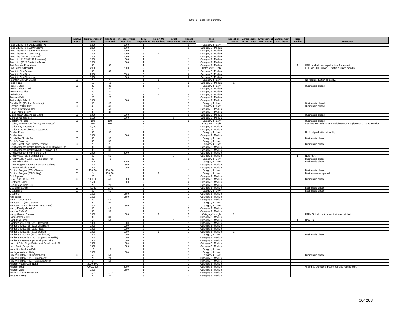| <b>Facility Name</b>                                                                             | <b>Inactive</b><br><b>FSFs</b> | Trap/Interceptor<br><b>Size</b> | <b>Trap Size</b><br>Required | <b>Interceptor Size</b><br>Required | Total<br><b>Inspections</b>    | <b>Follow Up</b><br>Inspections Inspections | <b>Initial</b> | Repeat<br><b>Inspections</b>     | <b>Risk</b><br>Rating                      | <b>Inspection</b><br>Letters | <b>Enforcement Enforcement Enforcement</b> | NONC Letter NOV Letter | <b>SNC letter</b> | Trap<br>Installed | <b>Comments</b>                                                           |
|--------------------------------------------------------------------------------------------------|--------------------------------|---------------------------------|------------------------------|-------------------------------------|--------------------------------|---------------------------------------------|----------------|----------------------------------|--------------------------------------------|------------------------------|--------------------------------------------|------------------------|-------------------|-------------------|---------------------------------------------------------------------------|
| Food City #674 (5941 Kingston Pk.)                                                               |                                | 1000                            |                              | 1000                                | -1.                            |                                             |                | -1.                              | Category 4 - Low                           |                              |                                            |                        |                   |                   |                                                                           |
| Food City #676 (1950 Western)                                                                    |                                | 2000                            |                              | 2000                                | $\overline{1}$                 |                                             |                | $\overline{1}$                   | Category 3 - Medium                        |                              |                                            |                        |                   |                   |                                                                           |
| Food City #685 (4805 N. Broadway)                                                                |                                | 1000                            |                              | 1000                                | $\overline{2}$                 |                                             |                | $\overline{\phantom{a}}$         | Category 3 - Medium                        |                              |                                            |                        |                   |                   |                                                                           |
| Food City #689 (2939 Alcoa)                                                                      |                                | 1000                            |                              | 1000                                | $\mathbf{3}$                   |                                             |                | $\mathcal{P}$                    | Category 3 - Medium                        | $\mathbf{1}$                 |                                            |                        |                   |                   |                                                                           |
| Food City (2712 Loves Creek)                                                                     |                                | 1000                            |                              | 1000                                | $\mathbf{1}$                   |                                             |                | $\mathbf{1}$                     | Category 3 - Medium                        |                              |                                            |                        |                   |                   |                                                                           |
| Food Lion #1545 (6221 Riverview)                                                                 |                                | 1000                            |                              | 1000                                | $\overline{1}$                 |                                             |                | $\overline{1}$                   | Category 3 - Medium                        |                              |                                            |                        |                   |                   |                                                                           |
| Food Lion (4728 Centerline Drive)                                                                |                                | 1000                            |                              | 1000                                | $\mathbf{1}$                   |                                             |                |                                  | Category 3 - Medium                        |                              |                                            |                        |                   |                   |                                                                           |
| Fort Sanders Educational                                                                         |                                | 50                              | 50                           |                                     | $\overline{1}$                 |                                             |                | $\overline{1}$                   | Category 3 - Medium                        |                              |                                            |                        |                   | $\mathbf{1}$      | FSF installed new trap due to enforcement.                                |
| Fort Sanders Hospital                                                                            |                                | 2000                            |                              | 2000                                | $\overline{2}$                 |                                             |                | $\overline{2}$                   | Category 2 - High                          |                              |                                            |                        |                   |                   | FSF has 2000 gallon GI that is pumped monthly.                            |
| Fountain City Creamery                                                                           |                                | 30                              | 30                           |                                     | $\overline{1}$                 |                                             |                | $\mathbf{1}$                     | Category 3 - Medium                        |                              |                                            |                        |                   |                   |                                                                           |
| Fountain City Diner                                                                              |                                | 2000                            |                              | 2000                                | 6                              |                                             |                | -6                               | Category 3 - Medium                        |                              |                                            |                        |                   |                   |                                                                           |
| Fountain City Elementary                                                                         |                                | 1000                            |                              | 1000                                | $\overline{2}$                 |                                             |                | $\overline{2}$                   | Category 3 - Medium                        |                              |                                            |                        |                   |                   |                                                                           |
| Fountain City UM Church                                                                          | $\times$                       | -82                             | $\star$                      |                                     | $\mathbf{1}$                   | $\overline{1}$                              |                |                                  | Category 4 - Low                           |                              |                                            |                        |                   |                   | No food production at facility.                                           |
| Fox's Pizza                                                                                      |                                | 50                              | 50                           |                                     | $\overline{2}$                 |                                             |                | $\overline{\phantom{a}}$         | Category 3 - Medium                        | $\overline{1}$               |                                            |                        |                   |                   |                                                                           |
| Frank N Stein                                                                                    | X                              | 20                              | 20                           |                                     | $\mathbf{1}$                   |                                             |                | $\mathbf{1}$                     | Category 4 - Low                           |                              |                                            |                        |                   |                   | Business is closed.                                                       |
| Fresh Market & Deli                                                                              |                                | 20                              | 20                           |                                     | $\overline{2}$                 | $\mathbf{1}$                                |                | $\overline{1}$                   | Category 3 - Medium                        | 1                            |                                            |                        |                   |                   |                                                                           |
| <b>Froots Smoothies</b>                                                                          |                                | 40                              | 40                           |                                     | $\overline{2}$                 |                                             |                | $\overline{2}$                   | Category 3 - Medium                        |                              |                                            |                        |                   |                   |                                                                           |
| Frullati Cafe                                                                                    |                                | 30                              | 30                           |                                     | 5                              | $\mathbf{1}$                                |                | $\overline{4}$                   | Category 3 - Medium                        |                              |                                            |                        |                   |                   |                                                                           |
| <b>Frussies Deli</b>                                                                             |                                | 20                              | 20                           |                                     | $\overline{1}$                 |                                             |                | $\overline{1}$                   | Category 3 - Medium                        |                              |                                            |                        |                   |                   |                                                                           |
| Fulton High School                                                                               |                                | 1000                            |                              | 1000                                | $\overline{1}$                 |                                             |                | $\overline{1}$                   | Category 3 - Medium                        |                              |                                            |                        |                   |                   |                                                                           |
| Garelli's #2 (2044 N. Broadway)                                                                  | X                              | 40                              | 40                           |                                     | $\overline{2}$                 |                                             |                | $\overline{2}$                   | Category 4 - Low                           |                              |                                            |                        |                   |                   | Business is closed.                                                       |
| Garelli's (710 S. Gay)                                                                           | $\times$                       | 40                              | 40                           |                                     | $\overline{1}$                 |                                             |                | $\overline{1}$                   | Category 4 - Low                           |                              |                                            |                        |                   |                   | Business is closed.                                                       |
| Garrett's Downtown Deli                                                                          |                                | 50                              | 50                           |                                     | $\overline{1}$                 |                                             |                | $\overline{1}$                   | Category 3 - Medium                        |                              |                                            |                        |                   |                   |                                                                           |
| Gino's Pizza & Subs                                                                              |                                | 30                              | 30                           |                                     | $\mathbf{1}$                   |                                             |                | $\mathbf{1}$                     | Category 3 - Medium                        |                              |                                            |                        |                   |                   |                                                                           |
| Ginza Japan Steakhouse & Grill                                                                   | $\times$                       | 1000                            |                              | 1000                                | $\overline{1}$                 |                                             |                | $\overline{1}$                   | Category 3 - Medium                        |                              |                                            |                        |                   |                   | Business is closed.                                                       |
| Gluton Free Goodies                                                                              |                                | 1500                            |                              | 1500                                | $\overline{1}$                 |                                             | $\overline{1}$ |                                  | Category 3 - Medium                        |                              |                                            |                        |                   |                   |                                                                           |
| Godfather's Pizza                                                                                | X                              | 100                             | 100                          |                                     | $\overline{2}$                 |                                             |                | $\overline{2}$                   | Category 4 - Low                           |                              |                                            |                        |                   |                   | Business is closed.                                                       |
| Godfrey's Restaurant (Holiday Inn Express)                                                       |                                | 150                             | 150                          |                                     | $\overline{1}$                 |                                             |                | $\overline{1}$                   | Category 2 - High                          |                              |                                            |                        |                   |                   | FSF has internal trap on the dishwasher. No place for GI to be installed. |
| Golden City Restaurant                                                                           |                                | 60.40                           |                              |                                     | $\overline{\phantom{a}}$       |                                             |                | $\mathbf{1}$                     | Category 3 - Medium                        |                              |                                            |                        |                   |                   |                                                                           |
| Golden Garden Chinese Restaurant                                                                 |                                | 40                              | 40                           |                                     | $\overline{2}$                 |                                             |                | $\overline{2}$                   | Category 3 - Medium                        |                              |                                            |                        |                   |                   |                                                                           |
| Golden Roast                                                                                     | $\times$                       | 30                              | 30                           |                                     | $\overline{1}$                 |                                             |                | $\overline{1}$                   | Category 4 - Low                           |                              |                                            |                        |                   |                   | No food production at facility                                            |
| Golden Wok                                                                                       |                                | 1000                            |                              | 1000                                | $\mathbf{1}$<br>$\mathbf{1}$   |                                             |                | $\overline{1}$                   | Category 3 - Medium                        |                              |                                            |                        |                   |                   |                                                                           |
| Goodfella's Sports Bar                                                                           | $\times$                       | 30                              | 30<br>50                     |                                     | $\mathbf{1}$                   |                                             |                | $\overline{1}$<br>$\overline{1}$ | Category 4 - Low                           |                              |                                            |                        |                   |                   | Business is closed.                                                       |
| Gordo's Catering<br>Grand Forest Town Homes/Remove                                               | X                              | 50                              | $\star$ .                    |                                     | $\mathbf{1}$                   |                                             |                | $\mathbf{1}$                     | Category 4 - Low<br>Category 4 - Low       |                              |                                            |                        |                   |                   | Business is closed.                                                       |
|                                                                                                  |                                | 30                              | 30                           |                                     | $\overline{1}$                 |                                             |                | $\mathbf{1}$                     |                                            |                              |                                            |                        |                   |                   |                                                                           |
| Great American Cookie Company (3001 Knoxville Ctr)<br>Great American Cookies (7600 Kingston Pk.) |                                | 30 <sup>2</sup>                 | 30                           |                                     | $\overline{1}$                 |                                             |                | $\overline{1}$                   | Category 3 - Medium<br>Category 3 - Medium |                              |                                            |                        |                   |                   |                                                                           |
| Great American Steak & Buffet Co.                                                                |                                | 2000                            |                              | 2000                                | $\overline{1}$                 |                                             |                | $\mathbf{1}$                     | Category 3 - Medium                        |                              |                                            |                        |                   |                   |                                                                           |
| Great Wraps (1838 Cumberland)                                                                    |                                | 50                              | 50                           |                                     | $\mathbf{1}$                   |                                             | $\mathbf{1}$   |                                  | Category 3 - Medium                        |                              |                                            |                        |                   | $\mathbf{1}$      | New FSF                                                                   |
| Great Wraps, #1312 (7600 Kingston Pk.)                                                           | $\times$                       | 40                              | 40                           |                                     | $\mathbf{1}$                   |                                             |                | $\mathbf{1}$                     | Category 4 - Low                           |                              |                                            |                        |                   |                   | <b>Business is closed</b>                                                 |
| Green Hills Grille                                                                               | X                              | 2000                            |                              | 2000                                | $\mathbf{1}$                   |                                             |                |                                  | Category 4 - Low                           |                              |                                            |                        |                   |                   | Business is closed                                                        |
| Green Magnet Math and Science Academy                                                            |                                | 1500                            |                              | 1500                                | $\overline{1}$                 |                                             |                | $\overline{1}$                   | Category 3 - Medium                        |                              |                                            |                        |                   |                   |                                                                           |
| Gresham Middle School                                                                            |                                | 1000                            |                              | 1000                                | $\overline{1}$                 |                                             |                | $\overline{1}$                   | Category 3 - Medium                        |                              |                                            |                        |                   |                   |                                                                           |
| Gridiron Burgers (6631 Clinton)                                                                  | $\times$                       | 150, 50                         | 150, 50                      |                                     | $\overline{1}$                 |                                             |                | $\overline{1}$                   | Category 4 - Low                           |                              |                                            |                        |                   |                   | Business is closed.                                                       |
| Gridiron Burgers (508 S. Gay)                                                                    | $\mathsf{X}$                   | $\mathcal{R}_\alpha$            | 150, 50                      |                                     | $\overline{1}$                 | $\overline{1}$                              |                |                                  | Category 4 - Low                           |                              |                                            |                        |                   |                   | Business never opened                                                     |
| <b>Grill Express</b>                                                                             |                                | 20                              | 20                           |                                     | $\mathbf{1}$                   |                                             |                | $\overline{1}$                   | Category 3 - Medium                        |                              |                                            |                        |                   |                   |                                                                           |
| GSA Court House Café                                                                             | X                              | 1000, 40                        | 40                           | 1000                                | $\mathbf{1}$                   |                                             |                |                                  | Category 3 - Medium                        |                              |                                            |                        |                   |                   | Business is closed.                                                       |
| Gunthor's Galley                                                                                 |                                | 1500                            |                              | 1500                                | $\overline{2}$                 |                                             |                | $\overline{2}$                   | Category 3 - Medium                        |                              |                                            |                        |                   |                   |                                                                           |
| Gus's Good Time Deli                                                                             |                                | 20                              | 20                           |                                     | $\overline{1}$                 |                                             |                | $\overline{1}$                   | Category 3 - Medium                        |                              |                                            |                        |                   |                   |                                                                           |
| Gus's Restaurant                                                                                 | $\times$                       | 40, 40                          | 40, 40                       |                                     | $\overline{2}$                 |                                             |                | $\overline{2}$                   | Category 3 - Medium                        |                              |                                            |                        |                   |                   | Business is closed.                                                       |
| Gutbuster's                                                                                      | $\times$                       | 50                              | 50                           |                                     | $\overline{1}$                 |                                             |                | $\overline{1}$                   | Category 4 - Low                           |                              |                                            |                        |                   |                   | Business is closed.                                                       |
| Guthrie's                                                                                        |                                | 1500                            |                              | 1500                                | 1                              |                                             |                | $\mathbf{1}$                     | Category 3 - Medium                        |                              |                                            |                        |                   |                   |                                                                           |
| <b>Half Barrel</b>                                                                               |                                | 1500                            |                              | 1500                                | $\overline{1}$                 |                                             |                | $\mathbf{1}$                     | Category 3 - Medium                        |                              |                                            |                        |                   |                   |                                                                           |
| Ham 'N' Goodys, Inc.                                                                             |                                | 40                              | 40                           |                                     | $\overline{1}$                 |                                             |                | $\overline{1}$                   | Category 3 - Medium                        |                              |                                            |                        |                   |                   |                                                                           |
| Hampton Inn (7445 Sawyer)                                                                        |                                | 50                              | 50                           |                                     | 1                              |                                             |                | 1                                | Category 4 - Low                           |                              |                                            |                        |                   |                   |                                                                           |
| Hampton Inn & Suites (5411 Pratt Road)                                                           |                                | 1500<br>40                      | 40                           | 1500                                | $\mathbf{3}$                   |                                             |                | $\mathbf{3}$                     | Category 4 - Low                           |                              |                                            |                        |                   |                   |                                                                           |
| Handy Dandy Market #5                                                                            |                                | 30                              | 30                           |                                     | $\overline{2}$<br>$\mathbf{1}$ |                                             |                | $\overline{2}$<br>$\mathbf{1}$   | Category 3 - Medium                        |                              |                                            |                        |                   |                   |                                                                           |
| Hanna's Cafe #2                                                                                  |                                | 1000                            |                              | 1000                                | 6                              | $\mathbf{1}$                                |                | -5                               | Category 3 - Medium                        | $\mathbf{1}$                 |                                            |                        |                   |                   | FSF's GI had crack in wall that was patched.                              |
| Happy Garden Chinese<br>Harb's Pizza & Deli                                                      |                                | 30 <sup>2</sup>                 | 30                           |                                     | $\overline{1}$                 |                                             |                | 1                                | Category 2 - High<br>Category 3 - Medium   |                              |                                            |                        |                   |                   |                                                                           |
| Hard Knox Pizza                                                                                  |                                | 50                              | 50                           |                                     | $\mathbf{1}$                   |                                             |                |                                  | Category 3 - Medium                        |                              |                                            |                        |                   |                   | New FSF                                                                   |
| Hardee's #1501786 (2919 Tazewell)                                                                |                                | 1000                            |                              | 1000                                | $\mathbf{1}$                   |                                             |                | $\overline{1}$                   | Category 3 - Medium                        |                              |                                            |                        |                   |                   |                                                                           |
| Hardee's #1501798 (3318 Chapman)                                                                 |                                | 1000                            |                              | 1000                                | $\mathbf{1}$                   |                                             |                | -1                               | Category 3 - Medium                        |                              |                                            |                        |                   |                   |                                                                           |
| Hardee's #1501829 (2930 Alcoa)                                                                   |                                | 1000                            |                              | 1000                                | $\overline{2}$                 |                                             |                | $\overline{2}$                   | Category 3 - Medium                        |                              |                                            |                        |                   |                   |                                                                           |
| Hardee's #1501837 (3718 Western)                                                                 |                                | 1000                            |                              | 1000                                | $\overline{2}$                 | $\mathbf{1}$                                |                | $\overline{1}$                   | Category 3 - Medium                        | $\overline{1}$               |                                            |                        |                   |                   |                                                                           |
| Hardee's #1501874 (7426 Northshore)                                                              | $\times$                       | 1000                            |                              | 1000                                | $\mathbf{1}$                   |                                             |                | $\overline{1}$                   | Category 4 - Low                           |                              |                                            |                        |                   |                   | Business is closed.                                                       |
| Hardee's Knoxville #1501785 (3926 Asheville)                                                     |                                | 1000                            |                              | 1000                                | $\overline{2}$                 |                                             |                | $\overline{2}$                   | Category 3 - Medium                        |                              |                                            |                        |                   |                   |                                                                           |
| Hardee's Restaurant (7201 Kingston Pk.)                                                          |                                | 1500                            |                              | 1500                                | $\overline{1}$                 |                                             |                | $\overline{1}$                   | Category 3 - Medium                        |                              |                                            |                        |                   |                   |                                                                           |
| Harvest Echo Ridge Retirement Residence LLC                                                      |                                | 1500                            |                              | 1500                                | $\mathbf{1}$                   |                                             |                | $\overline{1}$                   | Category 3 - Medium                        |                              |                                            |                        |                   |                   |                                                                           |
| Head Start (Prospect)                                                                            |                                | 1000                            |                              | 1000                                | $\mathbf{1}$                   |                                             |                | $\overline{1}$                   | Category 3 - Medium                        |                              |                                            |                        |                   |                   |                                                                           |
| Hemphill's Market & Deli                                                                         |                                | 10                              | 10                           |                                     | $\overline{1}$                 |                                             |                | $\overline{1}$                   | Category 4 - Low                           |                              |                                            |                        |                   |                   |                                                                           |
| Heritage Assisted Living                                                                         |                                | 1000                            |                              | 1000                                | $\mathbf{1}$                   |                                             |                | $\mathbf{1}$                     | Category 4 - Low                           |                              |                                            |                        |                   |                   |                                                                           |
| Hibachi Factory (130 Northshore)                                                                 | X                              | 50                              | 50                           |                                     | $\mathbf{1}$                   |                                             |                | $\mathbf{1}$                     | Category 4 - Low                           |                              |                                            |                        |                   |                   | Business is closed.                                                       |
| Hibachi Factory (1815 Cumberland)                                                                |                                | 20                              | 20                           |                                     | $\mathbf{1}$                   |                                             |                | $\overline{1}$                   | Category 3 - Medium                        |                              |                                            |                        |                   |                   |                                                                           |
| Hibachi Factory (1645 Downtown West)                                                             |                                | 60                              | 60                           |                                     | $\mathbf{1}$                   |                                             |                | $\mathbf{1}$                     | Category 3 - Medium                        |                              |                                            |                        |                   |                   |                                                                           |
| Hillcrest Health Care North                                                                      |                                | 2000, 500                       |                              |                                     | $\overline{1}$                 |                                             |                | $\overline{1}$                   | Category 3 - Medium                        |                              |                                            |                        |                   |                   |                                                                           |
| <b>Hillcrest South</b>                                                                           |                                | *2000.500                       |                              | 2000                                | $\overline{1}$                 |                                             |                | $\overline{1}$                   | Category 3 - Medium                        |                              |                                            |                        |                   |                   | *FSF has exceeded grease trap size requirement.                           |
| <b>Hillcrest West</b>                                                                            |                                | 1500                            |                              | 1500                                | $\mathbf{1}$                   |                                             |                |                                  | Category 3 - Medium                        |                              |                                            |                        |                   |                   |                                                                           |
| Ho Ho Chinese Restaurant                                                                         |                                | 20, 20                          | 20, 20                       |                                     | 1                              |                                             |                | $\overline{1}$                   | Category 3 - Medium                        |                              |                                            |                        |                   |                   |                                                                           |
| Hogan's Bakery                                                                                   |                                | 30                              | 30                           |                                     | 3                              |                                             |                | 3                                | Category 3 - Medium                        |                              |                                            |                        |                   |                   |                                                                           |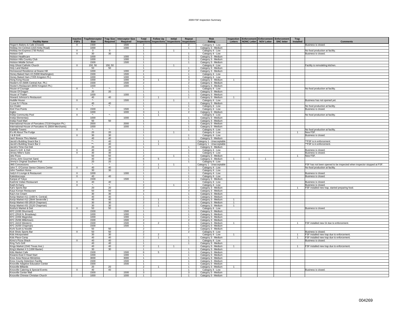| <b>Facility Name</b>                                              | <b>Inactive</b><br><b>FSFs</b> | <b>Trap/Interceptor</b><br><b>Size</b> | <b>Trap Size</b><br><b>Required</b> | <b>Interceptor Size</b><br>Required | Total<br>nspections                     | <b>Follow Up</b><br>Inspections Inspections | Initial        | Repeat<br><b>Inspections</b>     | Risk<br>Rating                                   | Inspection<br>Letters | Enforcement Enforcement Enforcement<br>NONC Letter NOV Letter |                | <b>SNC letter</b> | Trap<br><b>Installed</b> | <b>Comments</b>                                                                                           |
|-------------------------------------------------------------------|--------------------------------|----------------------------------------|-------------------------------------|-------------------------------------|-----------------------------------------|---------------------------------------------|----------------|----------------------------------|--------------------------------------------------|-----------------------|---------------------------------------------------------------|----------------|-------------------|--------------------------|-----------------------------------------------------------------------------------------------------------|
| Hogan's Bakery & Cafe (Closed)                                    | $\times$                       | 1500                                   |                                     | 1500                                | 2                                       |                                             |                | $\overline{2}$                   | Category 4 - Low                                 |                       |                                                               |                |                   |                          | Business is closed.                                                                                       |
| Holiday Inn Central (1315 Kirby Road)                             |                                | 1000                                   |                                     | 1000                                | $\overline{1}$                          |                                             |                | 1                                | Category 3 - Medium                              |                       |                                                               |                |                   |                          |                                                                                                           |
| Holiday Inn Express (730 Rufus)                                   | $\mathsf{x}$                   | $\Omega$                               | $\Omega$                            |                                     | $\overline{1}$                          |                                             | $\overline{1}$ |                                  | Category 4 - Low                                 |                       |                                                               |                |                   |                          | No food production at facility.                                                                           |
| <b>Holston Grill</b>                                              | $\overline{X}$                 | 30                                     | 30                                  |                                     | $\overline{1}$                          |                                             |                | $\overline{1}$                   | Category 4 - Low                                 |                       |                                                               |                |                   |                          | Business is closed.                                                                                       |
| Holston Healthcare                                                |                                | 1000                                   |                                     | 1000                                | $\overline{1}$                          |                                             |                | $\mathbf{1}$                     | Category 3 - Medium                              |                       |                                                               |                |                   |                          |                                                                                                           |
| Holston Hills Country Club                                        |                                | 1000                                   |                                     | 1000                                | $\overline{1}$                          |                                             |                | $\overline{1}$                   | Category 3 - Medium                              |                       |                                                               |                |                   |                          |                                                                                                           |
| <b>Holston Middle School</b>                                      |                                | 1500                                   |                                     | 1500                                | $\mathbf{1}$<br>$\mathbf{1}$            |                                             | $\mathbf{1}$   | $\mathbf{1}$                     | Category 3 - Medium                              |                       |                                                               |                |                   |                          |                                                                                                           |
| Holy Ghost Catholic Church<br><b>Holy Land Market</b>             | X                              | 150, 50<br>50                          | 150, 50<br>50                       |                                     | $\overline{1}$                          |                                             |                | $\overline{1}$                   | Category 4 - Low<br>Category 3 - Medium          |                       |                                                               |                |                   |                          | Facility is remodeling kitchen.                                                                           |
| Homewood Residence at Deane Hill                                  |                                | 1000                                   |                                     | 1000                                | $\overline{2}$                          |                                             |                | $\overline{2}$                   | Category 3 - Medium                              |                       |                                                               |                |                   |                          |                                                                                                           |
| Honey Baked Ham #2 (5308 Washington)                              |                                | 1500                                   |                                     | 1500                                | $\mathbf{1}$                            |                                             |                | $\overline{1}$                   | Category 4 - Low                                 |                       |                                                               |                |                   |                          |                                                                                                           |
| Honey Baked Ham (7205 Kingston Pk.)                               |                                | 1000                                   |                                     | 1000                                | $\mathbf{3}$                            |                                             |                | $\mathbf{3}$                     | Category 4 - Low                                 |                       |                                                               |                |                   |                          |                                                                                                           |
| Hong Kong House                                                   |                                | 1000                                   |                                     | 1000                                | $\overline{4}$                          | $\overline{1}$                              |                | 3                                | Category 3 - Medium                              | $\mathbf{1}$          |                                                               |                |                   |                          |                                                                                                           |
| Hooter's #2 (5005 Central Ave. Pk.)                               |                                | 1500                                   |                                     | 1500                                | $\overline{2}$                          |                                             |                | $\overline{2}$                   | Category 3 - Medium                              |                       |                                                               |                |                   |                          |                                                                                                           |
| Hooter's Restaurant (8050 Kingston Pk.)                           |                                | 1000                                   | $\star$                             | 1000                                | $\overline{1}$                          |                                             |                | $\overline{1}$                   | Category 3 - Medium                              |                       |                                                               |                |                   |                          |                                                                                                           |
| House of Courage                                                  | X                              | $\mathcal{R}_\alpha$<br>20             | 20                                  |                                     | $\overline{1}$<br>$\mathbf{1}$          |                                             |                | $\mathbf{1}$<br>$\overline{1}$   | Category 4 - Low                                 |                       |                                                               |                |                   |                          | No food production at facility.                                                                           |
| House Of Dragon<br><b>House of Thaller</b>                        |                                | 1000                                   |                                     | 1000                                | $\overline{1}$                          |                                             |                | $\overline{1}$                   | Category 3 - Medium<br>Category 3 - Medium       |                       |                                                               |                |                   |                          |                                                                                                           |
| Howard Johnson's Restaurant                                       |                                | 40                                     | 40                                  |                                     | $\overline{2}$                          |                                             |                | $\mathbf{1}$                     | Category 3 - Medium                              |                       |                                                               |                |                   |                          |                                                                                                           |
| <b>Huddle House</b>                                               | $\times$                       | $\mathbf{x}_\perp$                     |                                     | 1500                                | $\overline{1}$                          |                                             | $\overline{1}$ |                                  | Category 4 - Low                                 |                       |                                                               |                |                   |                          | Business has not opened yet.                                                                              |
| I Love N Y Pizza                                                  |                                | 40                                     | 40                                  |                                     | $\overline{1}$                          |                                             |                | $\overline{1}$                   | Category 3 - Medium                              |                       |                                                               |                |                   |                          |                                                                                                           |
| Ice-Chalet                                                        |                                | ×.                                     | $\star$                             |                                     | 1                                       |                                             |                | $\mathbf{1}$                     | Category 4 - Low                                 |                       |                                                               |                |                   |                          | No food production at facility.                                                                           |
| <b>IGA/ Five Points</b>                                           | X                              | 1500                                   |                                     | 1500                                | $\overline{1}$                          |                                             |                | $\overline{1}$                   | Category 4 - Low                                 |                       |                                                               |                |                   |                          | Business is closed.                                                                                       |
| Ingles                                                            | X                              | 1000<br><b>x</b>                       | $\star$                             | 1000                                | $\overline{\mathbf{3}}$<br>$\mathbf{1}$ | $\overline{1}$                              |                | $\overline{2}$                   | Category 3 - Medium                              |                       |                                                               |                |                   |                          |                                                                                                           |
| Inskip Community Pool<br>Inskip Elementary                        |                                | 1000                                   |                                     | 1000                                | $\overline{1}$                          |                                             |                | $\overline{1}$                   | Category 4 - Low<br>Category 3 - Medium          |                       |                                                               |                |                   |                          | No food production at facility.                                                                           |
| Inskip Food Mart                                                  |                                | 50                                     | 50                                  |                                     | 1                                       |                                             |                | $\overline{1}$                   | Category 3 - Medium                              |                       |                                                               |                |                   |                          |                                                                                                           |
| International House of Pancakes (7218 Kingston Pk.)               |                                | 2000                                   |                                     | 2000                                | $\overline{1}$                          |                                             |                | $\overline{1}$                   | Category 3 - Medium                              |                       |                                                               |                |                   |                          |                                                                                                           |
| International House of Pancakes #1 (5604 Merchants)               |                                | 1000                                   |                                     | 1000                                | $\overline{1}$                          |                                             |                | $\overline{1}$                   | Category 3 - Medium                              |                       |                                                               |                |                   |                          |                                                                                                           |
| <b>Isabella Towers</b>                                            | X                              | $\star_{\star}$                        |                                     |                                     | $\mathbf{1}$                            |                                             |                | 1                                | Category 4 - Low                                 |                       |                                                               |                |                   |                          | No food production at facility.                                                                           |
| It's All About The Fudge                                          |                                | 20                                     | 20                                  |                                     | $\overline{1}$                          |                                             | $\overline{1}$ |                                  | Category 4 - Low                                 |                       |                                                               |                |                   | -1                       | New FSF.                                                                                                  |
| J & B Grill                                                       | $\overline{X}$                 | 30                                     | 30                                  |                                     | $\overline{1}$                          |                                             |                | $\overline{1}$                   | Category 4 - Low                                 |                       |                                                               |                |                   |                          | <b>Business is closed</b>                                                                                 |
| Jack' Breeze Thru Market<br>Jacob's Building Snack Bar 1          |                                | 40<br>$\star\star$                     | 40<br>40                            |                                     | $\mathbf{1}$<br>$\overline{1}$          | $\overline{1}$                              |                | $\overline{1}$                   | Category 3 - Medium<br>Category 1 - Unacceptable |                       |                                                               |                |                   |                          | "FSF is in enforcement.                                                                                   |
| Jacob's Building Snack Bar 2                                      |                                | $*$                                    | 40                                  |                                     | $\mathbf{1}$                            | $\mathbf{1}$                                |                |                                  | Category 1 - Unacceptable                        |                       |                                                               |                |                   |                          | "FSF is in enforcement.                                                                                   |
| Jacob's Time-Out Deli                                             |                                | 20                                     | 20                                  |                                     | 1                                       |                                             |                | $\mathbf{1}$                     | Category 3 - Medium                              |                       |                                                               |                |                   |                          |                                                                                                           |
| Jason's Grill & Deli                                              | $\overline{X}$                 | 40                                     | 40                                  |                                     | $\overline{1}$                          |                                             |                | $\overline{1}$                   | Category 4 - Low                                 |                       |                                                               |                |                   |                          | Business is closed.                                                                                       |
| Jersey Mike's Subs                                                | X                              | 30                                     | 30                                  |                                     | $\mathbf{1}$                            |                                             |                | $\mathbf{1}$                     | Category 4 - Low                                 |                       |                                                               |                |                   |                          | Business is closed.                                                                                       |
| Jets Pizza                                                        |                                | 50                                     | 50                                  |                                     | $\overline{2}$                          |                                             |                | $\overline{1}$                   | Category 3 - Medium                              |                       |                                                               |                |                   |                          | New FSF.                                                                                                  |
| Jimmy John Gourmet Sand.                                          |                                | 40                                     | 40                                  |                                     | - 6                                     | -5                                          |                | $\overline{1}$                   | Category 3 - Medium                              | $\overline{1}$        | $\overline{1}$                                                | $\overline{1}$ |                   |                          |                                                                                                           |
| Jimmy's Original Southern Pub                                     |                                | 20<br>$\star$                          | 20<br>$\star_{\star}$               |                                     | 1<br>$\overline{2}$                     | $\overline{1}$                              | $\overline{1}$ | $\overline{1}$                   | Category 4 - Low                                 |                       |                                                               |                |                   |                          |                                                                                                           |
| <b>JMS</b> Concessions<br>John T. O'Connor Senior Citizens Center | $\overline{X}$                 | 40                                     | 40                                  |                                     | $\overline{2}$                          | $\overline{1}$                              |                | $\overline{1}$                   | Category 1 - Unacceptable                        |                       |                                                               |                |                   |                          | FSF has not been opened to be inspected when inspector stopped at FSF.<br>No food production at facility. |
| John Tarelton Home                                                |                                | 30                                     | 30                                  |                                     | 1                                       |                                             |                | $\mathbf{1}$                     | Category 4 - Low<br>Category 4 - Low             |                       |                                                               |                |                   |                          |                                                                                                           |
| Judy's II Lounge & Restaurant                                     | $\times$                       | 1000                                   |                                     | 1000                                | $\overline{1}$                          |                                             |                | $\overline{1}$                   | Category 4 - Low                                 |                       |                                                               |                |                   |                          | Business is closed                                                                                        |
| Kaleidoscoops                                                     | $\times$                       | 40                                     | 40                                  |                                     | $\overline{1}$                          |                                             |                | $\overline{1}$                   | Category 4 - Low                                 |                       |                                                               |                |                   |                          | <b>Business is closed</b>                                                                                 |
| Kanpai of Tokyo                                                   |                                | 1500                                   |                                     | 1500                                | $\mathbf{1}$                            |                                             |                | $\mathbf{1}$                     | Category 3 - Medium                              |                       |                                                               |                |                   |                          |                                                                                                           |
| Kashmir Indian Restaurant                                         | $\times$                       | 40                                     | 40                                  |                                     | $\overline{1}$                          |                                             |                | $\overline{1}$                   | Category 4 - Low                                 |                       |                                                               |                |                   |                          | Business is closed.                                                                                       |
| Kash-N-Karry                                                      | $\overline{X}$                 | ×                                      | $\star$                             |                                     | $\overline{2}$                          |                                             |                | $\overline{1}$                   | Category 4 - Low                                 |                       |                                                               |                |                   |                          | Business is closed                                                                                        |
| Kat's Sports Bar                                                  |                                | 20                                     | 20                                  |                                     | $\overline{2}$                          |                                             |                | 2                                | Category 3 - Medium                              |                       |                                                               |                |                   |                          | FSF installed new trap, started preparing food.                                                           |
| Kaya Korean Restaurant<br>Kay's Ice Cream                         |                                | 50<br>30                               | 50<br>30                            |                                     | 3<br>$\mathbf{1}$                       |                                             |                | 3<br>$\overline{1}$              | Category 3 - Medium<br>Category 3 - Medium       |                       |                                                               |                |                   |                          |                                                                                                           |
| Kenjo Market #11 (1400 N. Central)                                |                                | 40                                     | 40                                  |                                     | $\mathbf{1}$                            |                                             |                | $\mathbf{1}$                     | Category 3 - Medium                              |                       |                                                               |                |                   |                          |                                                                                                           |
| Kenjo Market #12 (3644 Sevierville)                               |                                | 40                                     | 40                                  |                                     | $\overline{2}$                          | $\overline{1}$                              |                | $\overline{1}$                   | Category 3 - Medium                              | $\mathbf{1}$          |                                                               |                |                   |                          |                                                                                                           |
| Kenjo Market #30 (6519 Chapman)                                   |                                | 30                                     | 30                                  |                                     | $\overline{2}$                          | $\overline{1}$                              |                | $\overline{1}$                   | Category 3 - Medium                              | $\mathbf{1}$          |                                                               |                |                   |                          |                                                                                                           |
| Kenjo Market #31 (3120 Chapman)                                   |                                | 30                                     | 30                                  |                                     | $\overline{2}$                          | $\overline{1}$                              |                | $\overline{1}$                   | Category 3 - Medium                              | $\mathbf{1}$          |                                                               |                |                   |                          |                                                                                                           |
| Kesha's Market & Deli                                             | $\times$                       | 50                                     | 50                                  |                                     | $\overline{1}$                          |                                             |                | $\overline{1}$                   | Category 4 - Low                                 |                       |                                                               |                |                   |                          | <b>Business is closed</b>                                                                                 |
| KFC (1030 Shurmard)                                               |                                | 1500                                   |                                     | 1500                                | $\mathbf{1}$                            |                                             |                | $\mathbf{1}$                     | Category 3 - Medium                              |                       |                                                               |                |                   |                          |                                                                                                           |
| KFC (2918 N. Broadway)<br>KFC (2456 Magnolia)                     |                                | 1000<br>1000                           |                                     | 1000<br>1000                        | $\overline{1}$<br>$\overline{1}$        |                                             |                | $\overline{1}$<br>$\overline{1}$ | Category 3 - Medium<br>Category 3 - Medium       |                       |                                                               |                |                   |                          |                                                                                                           |
| KFC (5266 Millertown)                                             |                                | 1500                                   |                                     | 1500                                | $\overline{2}$                          |                                             |                | $\overline{2}$                   | Category 3 - Medium                              |                       |                                                               |                |                   |                          |                                                                                                           |
| KFC (4419 Western)                                                |                                | 1500                                   |                                     | 1500                                | $\mathbf{3}$                            | $\overline{2}$                              |                | $\overline{1}$                   | Category 3 - Medium                              | $\overline{1}$        |                                                               |                |                   | $\overline{1}$           | FSF installed new GI due to enforcement.                                                                  |
| KFC (4200 Chapman)                                                |                                | 1500                                   |                                     | 1500                                | $\overline{1}$                          |                                             |                | $\overline{1}$                   | Category 3 - Medium                              |                       |                                                               |                |                   |                          |                                                                                                           |
| Kichi Sushi & Noodle                                              |                                | 50                                     | 50                                  |                                     | $\overline{2}$                          |                                             |                | $\overline{2}$                   | Category 3 - Medium                              |                       |                                                               |                |                   |                          |                                                                                                           |
| Kick Shots Sports Bar                                             | $\times$                       | 50                                     | 50                                  |                                     | $\overline{2}$                          |                                             |                | $\overline{2}$                   | Category 4 - Low                                 |                       |                                                               |                |                   |                          | Business is closed.                                                                                       |
| Kids Inkorporated                                                 |                                | 30                                     | 30                                  |                                     | $\mathfrak{p}$                          | $\mathcal{P}$                               |                |                                  | Category 4 - Low                                 | $\mathbf{1}$          |                                                               |                |                   |                          | FSF installed new trap due to enforcement.                                                                |
| Kids Place-Camp                                                   |                                | 40                                     | 40                                  |                                     | $\mathcal{P}$                           | $\overline{1}$                              |                |                                  | Category 3 - Medium                              |                       |                                                               |                |                   |                          | FSF installed new trap due to enforcement.                                                                |
| Kimo's Pizza Shack<br>King Tut's Grill                            | X                              | 40<br>40                               | 40<br>40                            |                                     | $\overline{1}$<br>$\mathbf{1}$          |                                             |                | $\overline{1}$<br>$\overline{1}$ | Category 4 - Low<br>Category 3 - Medium          |                       |                                                               |                |                   |                          | Business is closed.                                                                                       |
| Kings Market (1542 Texas Ave.)                                    |                                | 40                                     | 40                                  |                                     | $\overline{2}$                          | $\mathbf{1}$                                |                |                                  | Category 3 - Medium                              | $\mathbf{1}$          |                                                               |                |                   | $\mathbf{1}$             | FSF installed new trap due to enforcement.                                                                |
| King's Market # 2 (1300 Baxter)                                   |                                | 30                                     | 30                                  |                                     | $\overline{1}$                          |                                             |                | $\overline{1}$                   | Category 3 - Medium                              |                       |                                                               |                |                   |                          |                                                                                                           |
| Kitts Market Cafe                                                 |                                | 1500                                   |                                     | 1500                                | 6                                       | 5                                           |                | $\mathbf{1}$                     | Category 3 - Medium                              |                       |                                                               |                |                   |                          |                                                                                                           |
| Kiwanis-East II Head Start                                        |                                | 1000                                   |                                     | 1000                                | $\overline{1}$                          |                                             |                | $\overline{1}$                   | Category 3 - Medium                              |                       |                                                               |                |                   |                          |                                                                                                           |
| Knox Area Rescue Ministries                                       |                                | 3000                                   |                                     | 3000                                | $\overline{1}$                          |                                             |                | $\overline{1}$                   | Category 3 - Medium                              |                       |                                                               |                |                   |                          |                                                                                                           |
| Knox County Detention Facility                                    |                                | 1500                                   |                                     | 1500                                | $\mathbf{1}$                            |                                             |                | $\overline{1}$                   | Category 3 - Medium                              |                       |                                                               |                |                   |                          |                                                                                                           |
| Knoxville Adaptive Education Center                               |                                | 1500<br>20                             | 20                                  | 1500                                | $\overline{1}$<br>$\overline{2}$        | $\overline{1}$                              |                | $\overline{1}$<br>$\overline{1}$ | Category 3 - Medium                              | $\overline{1}$        |                                                               |                |                   |                          |                                                                                                           |
| Knoxville Billiards<br>Knoxville Catering & Special Events        | X                              | 40                                     | 40                                  |                                     | $\mathbf{1}$                            |                                             |                | 1                                | Category 3 - Medium<br>Category 4 - Low          |                       |                                                               |                |                   |                          | Business is closed.                                                                                       |
| Knoxville Center Mall                                             |                                | 1500                                   |                                     | 1500                                | 3                                       |                                             |                | 3                                | Category 3 - Medium                              |                       |                                                               |                |                   |                          |                                                                                                           |
| Knoxville Chinese Christian Church                                |                                | 1000                                   |                                     | 1000                                |                                         |                                             |                | $\mathbf{1}$                     | Category 3 - Medium                              |                       |                                                               |                |                   |                          |                                                                                                           |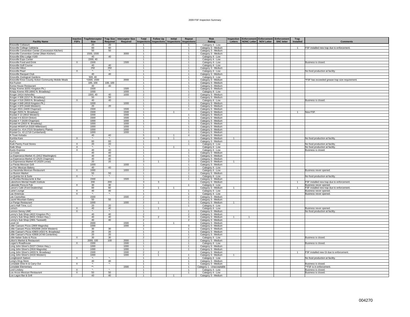| <b>Facility Name</b>                                      | <b>Inactive</b><br><b>FSFs</b> | Trap/Interceptor   Trap Size   Interceptor Size<br><b>Size</b> | Required                                  | Required | Total                                     | <b>Follow Up</b><br>Inspections Inspections Inspections Inspections | Initial        | Repeat                  | <b>Risk</b><br>Rating                   | Letters        | <b>Inspection Enforcement Enforcement Enforcement</b><br>NONC Letter   NOV Letter<br>SNC letter | Trap<br>Installed | <b>Comments</b>                                                      |
|-----------------------------------------------------------|--------------------------------|----------------------------------------------------------------|-------------------------------------------|----------|-------------------------------------------|---------------------------------------------------------------------|----------------|-------------------------|-----------------------------------------|----------------|-------------------------------------------------------------------------------------------------|-------------------|----------------------------------------------------------------------|
| Knoxville Coliseum                                        |                                | 20                                                             | 20                                        |          | -1                                        |                                                                     |                | -1                      | Category 4 - Low                        |                |                                                                                                 |                   |                                                                      |
| Knoxville College Cafeteria                               |                                | 60                                                             | 60                                        |          | $\overline{1}$                            |                                                                     |                | $\mathbf{1}$            | Category 3 - Medium                     |                |                                                                                                 |                   | FSF installed new trap due to enforcement.                           |
| Knoxville Convention Center (Concession Kitchen)          |                                | 50                                                             | 50                                        |          | $\overline{1}$                            |                                                                     |                | $\overline{1}$          | Category 3 - Medium                     |                |                                                                                                 |                   |                                                                      |
| Knoxville Convention Center (Main Kitchen)                |                                | 1500, 1500                                                     |                                           | 3000     |                                           |                                                                     |                | $\mathbf{1}$            | Category 3 - Medium                     |                |                                                                                                 |                   |                                                                      |
| Knoxville Elks Lodge #160                                 |                                | 40                                                             | 40                                        |          | $\overline{1}$                            |                                                                     |                | $\blacktriangleleft$    | Category 4 - Low                        |                |                                                                                                 |                   |                                                                      |
| Knoxville Expo Center                                     |                                | 1500.40                                                        |                                           |          | $\mathbf{1}$                              |                                                                     |                | $\overline{1}$          | Category 4 - Low                        |                |                                                                                                 |                   |                                                                      |
| Knoxville Food and Drink                                  | X                              | 1500                                                           |                                           | 1500     | $\overline{1}$                            |                                                                     |                | $\mathbf{1}$            | Category 4 - Low                        |                |                                                                                                 |                   | Business is closed.                                                  |
| Knoxville Golf Course                                     |                                | 40                                                             | 40                                        |          | $\overline{1}$                            |                                                                     |                | $\overline{1}$          | Category 4 - Low                        |                |                                                                                                 |                   |                                                                      |
| Knoxville Hilton                                          |                                | 250                                                            | 250                                       |          | $\overline{1}$                            |                                                                     |                | $\overline{1}$          | Category 3 - Medium                     |                |                                                                                                 |                   |                                                                      |
| Knoxville Pearl                                           | X                              | $\mathcal{R}_\alpha$                                           | $\star_-$                                 |          | $\overline{1}$                            |                                                                     |                | $\mathbf{1}$            | Category 4 - Low                        |                |                                                                                                 |                   | No food production at facility.                                      |
| Knoxville Racquet Club                                    |                                | 40                                                             | 40                                        |          | $\overline{1}$                            |                                                                     |                | $\mathbf{1}$            | Category 3 - Medium                     |                |                                                                                                 |                   |                                                                      |
| Knoxville Zoological Gardens                              |                                | 500, 40                                                        |                                           |          | -1                                        |                                                                     |                | $\mathbf{1}$            | Category 4 - Low                        |                |                                                                                                 |                   |                                                                      |
| Knoxville-Knox County Action Community Mobile Meals       |                                | 1500, 1500                                                     |                                           | 2000     | $\overline{1}$                            |                                                                     |                | $\mathbf{1}$            | Category 3 - Medium                     |                |                                                                                                 |                   | *FSF has exceeded grease trap size requirement.                      |
| Koi Fuzion                                                |                                | 100, 100                                                       | 100, 100                                  |          | $\overline{1}$                            |                                                                     |                | $\overline{1}$          | Category 3 - Medium                     |                |                                                                                                 |                   |                                                                      |
| Korea House Restaurant                                    |                                | 40                                                             | 40                                        |          | $\mathbf{1}$                              |                                                                     |                | $\mathbf{1}$            | Category 3 - Medium                     |                |                                                                                                 |                   |                                                                      |
| Krispy Kreme (6201 Kingston Pk.)                          |                                | 1500                                                           |                                           | 1500     | $\overline{1}$                            |                                                                     |                | $\mathbf{1}$            | Category 3 - Medium                     |                |                                                                                                 |                   |                                                                      |
| Krispy Kreme #55 (4842 N. Broadway)                       |                                | 1000                                                           |                                           | 1000     | $\overline{1}$                            |                                                                     |                | $\overline{1}$          | Category 4 - Low                        |                |                                                                                                 |                   |                                                                      |
| Kroger (4414 Asheville)                                   |                                | 1000, 40                                                       | 40                                        | 1000     | $\overline{2}$                            |                                                                     |                | $\overline{2}$          | Category 3 - Medium                     |                |                                                                                                 |                   |                                                                      |
| Kroger #506 (2217 N. Broadway)                            |                                | 50                                                             | 50                                        |          | $\overline{1}$                            |                                                                     |                | $\mathbf{1}$            | Category 3 - Medium                     |                |                                                                                                 |                   |                                                                      |
| Kroger # 516 (5003 N. Broadway)                           | $\times$                       | 40                                                             | 40                                        |          | $\overline{1}$                            |                                                                     |                | $\overline{1}$          | Category 4 - Low                        |                |                                                                                                 |                   | Business is closed.                                                  |
| Kroger # 848 (4918 Kingston Pk.)                          |                                | 1000                                                           |                                           | 1000     | $\mathbf{1}$                              |                                                                     |                | $\overline{1}$          | Category 3 - Medium                     |                |                                                                                                 |                   |                                                                      |
| Kroger # 870 (4440 Western)                               |                                | 20                                                             | 20 <sup>2</sup>                           |          | $\overline{1}$                            |                                                                     |                | $\mathbf{1}$            | Category 3 - Medium                     |                |                                                                                                 |                   |                                                                      |
| Kroger #531 (4409 Chapman)                                |                                | 1500                                                           |                                           | 1500     | -1                                        |                                                                     |                | $\overline{1}$          | Category 3 - Medium                     |                |                                                                                                 |                   |                                                                      |
| Kroger (5201 N. Broadway)                                 |                                | 1500                                                           |                                           | 1500     |                                           |                                                                     |                |                         | Category 3 - Medium                     |                |                                                                                                 | $\overline{1}$    | New FSF.                                                             |
| Krystal # 13 (3910 Western)                               |                                | 1000                                                           |                                           | 1000     | $\overline{1}$                            |                                                                     |                | $\mathbf{1}$            | Category 3 - Medium                     |                |                                                                                                 |                   |                                                                      |
| Krystal # 6 (5219 Clinton)                                |                                | 1500                                                           |                                           | 1500     | $\overline{1}$                            |                                                                     |                | $\overline{1}$          | Category 3 - Medium                     |                |                                                                                                 |                   |                                                                      |
| Krystal # 7 (4100 Chapman)                                |                                | 1000                                                           |                                           | 1000     | $\mathbf{1}$                              |                                                                     |                | $\mathbf{1}$            | Category 3 - Medium                     |                |                                                                                                 |                   |                                                                      |
| Krystal #4 (2815 N. Broadway)                             |                                | 1000                                                           |                                           | 1000     | $\overline{1}$                            |                                                                     |                | $\overline{1}$          | Category 3 - Medium                     |                |                                                                                                 |                   |                                                                      |
| Krystal #KNXF14 (5320 Millertown)                         |                                | 1000                                                           |                                           | 1000     | $\overline{1}$                            |                                                                     |                | $\overline{1}$          | Category 3 - Medium                     |                |                                                                                                 |                   |                                                                      |
| Krystal Co. #14 (7215 Strawberry Plains)                  |                                | 1000                                                           |                                           | 1000     | $\overline{1}$                            |                                                                     |                | $\mathbf{1}$            | Category 3 - Medium                     |                |                                                                                                 |                   |                                                                      |
| Krystal Co. #2 (1718 Cumberland)                          |                                | 1000                                                           |                                           | 1000     | $\overline{1}$                            |                                                                     |                | $\overline{1}$          | Category 3 - Medium                     |                |                                                                                                 |                   |                                                                      |
| K-Town Kebabs                                             |                                | 40                                                             | 40                                        |          | 5                                         |                                                                     | $\mathbf{1}$   | $\overline{4}$          | Category 3 - Medium                     |                |                                                                                                 |                   |                                                                      |
| Kumba Kare                                                | $\times$                       | ×                                                              | $\star_{\scriptscriptstyle\bullet}$       |          | $\overline{4}$                            | 3                                                                   | $\mathbf{1}$   |                         | Category 3 - Medium                     |                |                                                                                                 |                   | No food production at facility.                                      |
| Kurt's                                                    |                                | 60                                                             | 60                                        |          | $\overline{1}$                            |                                                                     |                | $\overline{1}$          | Category 3 - Medium                     |                |                                                                                                 |                   |                                                                      |
| Kwik Pantry Food Stores                                   | X                              | 20                                                             | 20                                        |          |                                           |                                                                     |                | $\mathbf{1}$            | Category 4 - Low                        |                |                                                                                                 |                   | No food production at facility.                                      |
| Kwik Shop                                                 | $\overline{\mathsf{x}}$        | ×.                                                             | $^\star$                                  |          | $\overline{1}$                            |                                                                     | $\mathbf{1}$   |                         | Category 4 - Low                        |                |                                                                                                 |                   | No food production at facility.                                      |
| Kyoto Express                                             | $\mathsf{X}$                   | 40                                                             | 40                                        |          | $\overline{1}$                            |                                                                     |                | $\overline{1}$          | Category 4 - Low                        |                |                                                                                                 |                   | Business is closed.                                                  |
| La Costa                                                  |                                | 40                                                             | 40                                        |          | $\overline{1}$                            |                                                                     |                | $\mathbf{1}$            | Category 3 - Medium                     |                |                                                                                                 |                   |                                                                      |
| La Esperanza Market #1 (2412 Washington)                  |                                | 40                                                             | 40                                        |          | $\overline{1}$                            |                                                                     |                | $\overline{1}$          | Category 3 - Medium                     |                |                                                                                                 |                   |                                                                      |
| La Esperanza Market #2 (2525 Chapman)                     |                                | 40                                                             | 40                                        |          | $\overline{1}$                            |                                                                     |                | $\mathbf{1}$            | Category 3 - Medium                     |                |                                                                                                 |                   |                                                                      |
| La Espreranza Market #3 (4329 Lonas)                      |                                | 20                                                             | $20\,$                                    |          | 3                                         |                                                                     |                | $\overline{2}$          | Category 3 - Medium                     |                |                                                                                                 |                   |                                                                      |
| La Fiesta Mexican Grill                                   |                                | 1000                                                           |                                           | 1000     | $\overline{1}$                            |                                                                     |                | $\overline{1}$          | Category 3 - Medium                     |                |                                                                                                 |                   |                                                                      |
| La Flor Mexican Bakery                                    |                                | 40                                                             | 40                                        |          | $\overline{1}$                            |                                                                     |                | $\overline{1}$          | Category 4 - Low                        |                |                                                                                                 |                   |                                                                      |
| La Haceinda Mexican Restaurant                            | $\times$                       | 1000                                                           |                                           | 1000     | $\overline{2}$                            |                                                                     |                | $\overline{2}$          | Category 4 - Low                        |                |                                                                                                 |                   | Business never opened.                                               |
| La Illusion Market                                        |                                | 50<br>×.                                                       | 50<br>$\star_{\scriptscriptstyle\bullet}$ |          | $\overline{1}$                            |                                                                     |                | $\overline{1}$          | Category 3 - Medium                     |                |                                                                                                 |                   |                                                                      |
| La Quinta Inn & Suite                                     | X                              |                                                                |                                           |          | $\overline{1}$                            |                                                                     |                | $\overline{1}$          | Category 4 - Low                        |                |                                                                                                 |                   | No food production at facility.                                      |
| La Rumba Restaurante & Bar                                |                                | 1500                                                           | 200                                       | 1500     | $\overline{1}$<br>$\overline{\mathbf{3}}$ |                                                                     |                | $\mathbf{1}$            | Category 3 - Medium                     |                |                                                                                                 |                   |                                                                      |
| Lakeshore Mental Health Institute<br>Lakeside Pizza & Pub | $\overline{X}$                 | 200<br>30                                                      | 30                                        |          | $\overline{1}$                            | $\overline{\mathbf{3}}$                                             |                | $\overline{1}$          | Category 3 - Medium                     |                |                                                                                                 |                   | FSF installed new trap due to enforcement.<br>Business never opened. |
| Lance's Cafe (Ford Dealership)                            |                                | 60                                                             | 60                                        |          | $\overline{2}$                            |                                                                     |                |                         | Category 4 - Low<br>Category 3 - Medium |                |                                                                                                 |                   | FSF installed new trap due to enforcement.                           |
|                                                           |                                | 40                                                             | 40                                        |          | $\overline{1}$                            |                                                                     |                | $\overline{1}$          | Category 4 - Low                        |                |                                                                                                 |                   |                                                                      |
| Lariet Lounge<br>Las Americas                             | X<br>X                         |                                                                | $\star_{\scriptscriptstyle\perp}$         |          |                                           |                                                                     |                | $\mathbf{1}$            | Category 4 - Low                        |                |                                                                                                 |                   | Business never opened.<br>Business never opened                      |
| Las Cazeulitas                                            |                                | 1500                                                           |                                           | 1500     | $\overline{2}$                            |                                                                     |                | $\overline{2}$          | Category 3 - Medium                     |                |                                                                                                 |                   |                                                                      |
| <b>Laurel Mountain Eatery</b>                             |                                | $50^{\circ}$                                                   | 50                                        |          | $\overline{1}$                            |                                                                     |                | $\overline{1}$          | Category 3 - Medium                     |                |                                                                                                 |                   |                                                                      |
| Le Parigo Restaurant                                      |                                | 1000                                                           |                                           | 1000     | $\overline{2}$                            |                                                                     |                | 1                       | Category 3 - Medium                     |                |                                                                                                 |                   |                                                                      |
| Lee's Half-Time, LLC                                      |                                | 20                                                             | 20                                        |          | $\overline{1}$                            |                                                                     |                | 1                       | Category 4 - Low                        |                |                                                                                                 |                   |                                                                      |
| Lema's                                                    | $\times$                       | 40                                                             | 40                                        |          | $\overline{1}$                            | $\mathbf{1}$                                                        |                |                         | Category 4 - Low                        |                |                                                                                                 |                   | Business never opened.                                               |
| Lennon-Seney UMC                                          | X                              | ×.                                                             | ۰.                                        |          |                                           |                                                                     |                | $\mathbf{1}$            | Category 3 - Medium                     |                |                                                                                                 |                   | No food production at facility.                                      |
| Lenny's Sub Shop (4622 Kingston Pk.)                      |                                | 40                                                             | 40                                        |          | $\overline{2}$                            |                                                                     |                | $\overline{2}$          | Category 3 - Medium                     |                |                                                                                                 |                   |                                                                      |
| Lenny's Sub Shop (6631 Clinton Hwy.)                      |                                | 40                                                             | 40                                        |          | 5                                         | $\overline{2}$                                                      |                | $\overline{\mathbf{3}}$ | Category 3 - Medium                     | $\overline{1}$ | $\overline{1}$                                                                                  |                   |                                                                      |
| Lenny's Sub Shop (2901 Tazewell)                          |                                | 40                                                             | 40                                        |          | $\overline{2}$                            |                                                                     |                | $\overline{2}$          | Category 3 - Medium                     |                |                                                                                                 |                   |                                                                      |
| Level 10                                                  |                                | 2000                                                           |                                           | 1500     | $\overline{1}$                            |                                                                     | $\overline{1}$ |                         | Category 3 - Medium                     |                |                                                                                                 |                   |                                                                      |
| Little Caesars Pizza (2800 Magnolia)                      |                                | 1000                                                           |                                           | 1000     | 3                                         |                                                                     |                | 3                       | Category 3 - Medium                     |                |                                                                                                 |                   |                                                                      |
| Little Caesars Pizza #052006 (4434 Western)               |                                | 30                                                             | 30                                        |          | $\overline{1}$                            |                                                                     |                | $\mathbf{1}$            | Category 3 - Medium                     |                |                                                                                                 |                   |                                                                      |
| Little Caesar's Pizza #2803 (4322 N. Broadway)            |                                | 20                                                             | 20                                        |          | $\overline{1}$                            |                                                                     |                | $\overline{1}$          | Category 3 - Medium                     |                |                                                                                                 |                   |                                                                      |
| Little Caesar's Pizza #2808 (4748 Centerline)             |                                | 20                                                             | 20                                        |          | $\overline{1}$                            |                                                                     |                | $\overline{1}$          | Category 3 - Medium                     |                |                                                                                                 |                   |                                                                      |
| Little Italian Subs & Pizza                               | X                              | 30                                                             | 30                                        |          | $\overline{2}$                            |                                                                     |                | $\overline{2}$          | Category 4 - Low                        |                |                                                                                                 |                   | Business is closed.                                                  |
| Litton's Market & Restaurant                              |                                | 2000, 100                                                      | 100                                       | 2000     | $\overline{1}$                            |                                                                     |                | $\overline{1}$          | Category 3 - Medium                     |                |                                                                                                 |                   |                                                                      |
| Logan's Roadhouse                                         | X                              | 1500                                                           |                                           | 1500     | $\mathbf{1}$                              |                                                                     |                | $\mathbf{1}$            | Category 4 - Low                        |                |                                                                                                 |                   | Business is closed.                                                  |
| Long John Silver's (5227 Clinton Hwy.)                    |                                | 1000                                                           |                                           | 1000     | $\overline{1}$                            |                                                                     |                | $\overline{1}$          | Category 3 - Medium                     |                |                                                                                                 |                   |                                                                      |
| Long John Silver's (2816 Magnolia)                        |                                | 1000                                                           |                                           | 1000     | $\overline{1}$                            |                                                                     |                | $\overline{1}$          | Category 3 - Medium                     |                |                                                                                                 |                   |                                                                      |
| Long John Silver's (4833 N. Broadway)                     |                                | 1500                                                           |                                           | 1500     | $\overline{2}$                            | $\overline{2}$                                                      |                |                         | Category 3 - Medium                     |                |                                                                                                 |                   | FSF installed new GI due to enforcement.                             |
| Long John Silver's (4416 Western)                         |                                | 1000                                                           |                                           | 1000     | $\overline{2}$                            | $\overline{1}$                                                      |                | $\overline{1}$          | Category 3 - Medium                     | $\overline{1}$ |                                                                                                 |                   |                                                                      |
| Longbranch Saloon                                         | $\mathsf{x}$                   | ۰.                                                             | ۰.                                        |          | $\overline{1}$                            |                                                                     |                | $\overline{1}$          | Category 4 - Low                        |                |                                                                                                 |                   | No food production at facility.                                      |
| Long's Drug Store                                         |                                | 40                                                             | 40                                        |          | $\mathbf{1}$                              |                                                                     |                | 1                       | Category 3 - Medium                     |                |                                                                                                 |                   |                                                                      |
| Lonsdale Dine-In & Carry-Out                              | $\mathsf{x}$                   | $\star$                                                        | $\star$                                   |          | $\overline{1}$                            |                                                                     |                | $\overline{1}$          | Category 3 - Medium                     |                |                                                                                                 |                   | Business is closed.                                                  |
| Lonsdale Elementary                                       |                                | $\star\star$                                                   |                                           | 1500     | $\overline{1}$                            |                                                                     |                | $\overline{1}$          | Category 1 - Unacceptable               |                |                                                                                                 |                   | "FSF is in enforcement.                                              |
| Lord Lindsey                                              | $\overline{\mathsf{x}}$        | $\star$                                                        | $\star$                                   |          | $\mathbf{1}$                              |                                                                     |                | $\mathbf{1}$            | Category 4 - Low                        |                |                                                                                                 |                   | Business is closed.                                                  |
| Los Arcos Mexican Restaurant                              | X                              | 50                                                             | 50                                        |          | $\mathbf{1}$                              |                                                                     |                | $\overline{1}$          | Category 4 - Low                        |                |                                                                                                 |                   | <b>Business is closed</b>                                            |
| Los Lagos Bar & Grill                                     |                                | 40                                                             | 40                                        |          |                                           |                                                                     | 1              |                         | Category 3 - Medium                     |                |                                                                                                 |                   |                                                                      |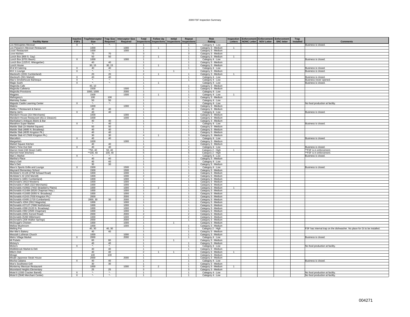| <b>Facility Name</b>                                                 | <b>Inactive</b><br><b>FSFs</b> | <b>Trap/Interceptor</b><br><b>Size</b> | <b>Trap Size</b><br>Required | <b>Interceptor Size</b><br>Required | Total<br>Inspections                      | <b>Follow Up</b><br><b>Inspections</b> | Initial<br><b>Inspections</b> Inspections | Repeat                           | <b>Risk</b><br>Rating                      | Inspection<br>Letters | Enforcement Enforcement Enforcement | NONC Letter NOV Letter | <b>SNC letter</b> | Trap<br>Installed | <b>Comments</b>                                                           |
|----------------------------------------------------------------------|--------------------------------|----------------------------------------|------------------------------|-------------------------------------|-------------------------------------------|----------------------------------------|-------------------------------------------|----------------------------------|--------------------------------------------|-----------------------|-------------------------------------|------------------------|-------------------|-------------------|---------------------------------------------------------------------------|
| Los Molcajetes Mexican                                               | $\times$                       | ۰.                                     | ۰.                           |                                     | -1                                        |                                        |                                           | $\overline{1}$                   | Category 4 - Low                           |                       |                                     |                        |                   |                   | Business is closed.                                                       |
| Los Paisano's Mexican Restaurant                                     |                                | 1000                                   |                              | 1000                                | $\overline{2}$                            | $\overline{1}$                         |                                           | $\mathbf{1}$                     | Category 3 - Medium                        | $\mathbf{1}$          |                                     |                        |                   |                   |                                                                           |
| Louis' Restaurant                                                    |                                | 1000                                   |                              | 1000                                | $\overline{1}$                            |                                        |                                           | $\overline{1}$                   | Category 3 - Medium                        |                       |                                     |                        |                   |                   |                                                                           |
| Love Kitchen<br>Lunch Box (800 S. Gay)                               |                                | 70<br>50                               | 70<br>50                     |                                     | $\overline{\mathbf{3}}$<br>$\overline{2}$ | $\overline{1}$                         |                                           | $\mathbf{3}$<br>$\mathbf{1}$     | Category 3 - Medium<br>Category 3 - Medium | $\mathbf{1}$          |                                     |                        |                   |                   |                                                                           |
| Lunch Box (6701 Baum)                                                | X                              | 1000                                   |                              | 1000                                | $\overline{1}$                            |                                        |                                           | $\overline{1}$                   | Category 4 - Low                           |                       |                                     |                        |                   |                   | Business is closed.                                                       |
| Lunch Box (1225 E. Wiesgarber)                                       |                                | 40                                     | 40                           |                                     | $\mathbf{1}$                              |                                        |                                           | -1.                              | Category 3 - Medium                        |                       |                                     |                        |                   |                   |                                                                           |
| Lunch House                                                          |                                | 30, 15                                 | 30, 15                       |                                     | $\overline{2}$                            | $\mathbf{1}$                           |                                           | $\mathbf{1}$                     | Category 3 - Medium                        |                       |                                     |                        |                   |                   |                                                                           |
| M & M Catering                                                       | $\overline{X}$                 | 40                                     | 40                           |                                     | $\overline{1}$                            |                                        |                                           | $\overline{1}$                   | Category 4 - Low                           |                       |                                     |                        |                   |                   | Business is closed.                                                       |
| M.K.'s Lounge                                                        | $\mathsf{x}$                   | ×.<br>20                               | $\star_{\text{-}}$<br>20     |                                     | $\mathbf{1}$                              | $\overline{1}$                         |                                           |                                  | Category 3 - Medium                        | $\mathbf{1}$          |                                     |                        |                   |                   | Business is closed.                                                       |
| Macleod's (1931 Cumberland)<br>Macleod's (501 Market)                | $\times$                       | 40                                     | 40                           |                                     | $\overline{2}$<br>$\overline{1}$          |                                        |                                           | $\overline{1}$                   | Category 3 - Medium<br>Category 4 - Low    |                       |                                     |                        |                   |                   | Business is closed.                                                       |
| Mac's Smokehouse Barbeque                                            | X                              | $\star_{\star}$                        | $\star$                      |                                     | $\mathbf{1}$                              |                                        |                                           |                                  | Category 4 - Low                           |                       |                                     |                        |                   |                   | Business never opened.                                                    |
| Magic Sushi                                                          | $\boldsymbol{\mathsf{X}}$      | $\star$                                | ×.                           |                                     | $\overline{1}$                            | $\overline{1}$                         |                                           |                                  | Category 4 - Low                           |                       |                                     |                        |                   |                   | Business is closed.                                                       |
| Magnolia Cafe                                                        |                                | 40.10                                  |                              |                                     | $\overline{1}$                            |                                        |                                           | $\mathbf{1}$                     | Category 3 - Medium                        |                       |                                     |                        |                   |                   |                                                                           |
| Magnolia Cafeteria                                                   |                                | 1500                                   |                              | 1500                                | $\mathbf{1}$                              |                                        |                                           |                                  | Category 3 - Medium                        |                       |                                     |                        |                   |                   |                                                                           |
| Magnolia Provisions                                                  |                                | 1000, 1000<br>1500                     |                              | 2000<br>1500                        | 1<br>$\overline{2}$                       | $\overline{1}$                         |                                           | $\overline{1}$<br>$\overline{1}$ | Category 4 - Low                           | $\mathbf{1}$          |                                     |                        |                   |                   |                                                                           |
| Magpies<br>Mahogany's                                                |                                | 100                                    | 100                          |                                     | $\mathbf{1}$                              |                                        |                                           |                                  | Category 4 - Low<br>Category 3 - Medium    |                       |                                     |                        |                   |                   |                                                                           |
| <b>Mainstay Suites</b>                                               |                                | 50                                     | 50                           |                                     | $\overline{1}$                            |                                        |                                           | $\overline{1}$                   | Category 4 - Low                           |                       |                                     |                        |                   |                   |                                                                           |
| Majestic Castle Learning Center                                      | $\times$                       | $\mathbf{x}_\perp$                     | $\star_{\text{-}}$           |                                     | $\overline{1}$                            |                                        |                                           | $\mathbf{1}$                     | Category 4 - Low                           |                       |                                     |                        |                   |                   | No food production at facility                                            |
| Makino                                                               |                                | 1000                                   |                              | 1000                                | $\overline{1}$                            |                                        |                                           | $\mathbf{1}$                     | Category 3 - Medium                        |                       |                                     |                        |                   |                   |                                                                           |
| Malibu 7 Restaurant & Dance<br>Mama Jan's                            |                                | 40<br>40                               | 40<br>40                     |                                     | $\mathbf{1}$                              |                                        |                                           | $\mathbf{1}$                     | Category 3 - Medium                        |                       |                                     |                        |                   |                   | Business is closed.                                                       |
| Mandarin House (314 Merchants)                                       | $\times$                       | 1000                                   |                              | 1000                                | $\overline{1}$<br>$\mathbf{1}$            |                                        |                                           | -1.<br>$\mathbf{1}$              | Category 4 - Low<br>Category 3 - Medium    |                       |                                     |                        |                   |                   |                                                                           |
| Mandarin House Restaurant (8111 Gleason)                             |                                | 1000                                   |                              | 1000                                | $\overline{1}$                            |                                        |                                           | $\overline{1}$                   | Category 3 - Medium                        |                       |                                     |                        |                   |                   |                                                                           |
| Manhattan's Antiques Bistro & Bar                                    |                                | 40                                     | 40                           |                                     | $\overline{1}$                            |                                        |                                           | $\mathbf{1}$                     | Category 3 - Medium                        |                       |                                     |                        |                   |                   |                                                                           |
| Marathon Super Market                                                | X                              | $\star_{\star}$                        | 40                           |                                     | $\mathbf{1}$                              |                                        |                                           | $\mathbf{1}$                     | Category 4 - Low                           |                       |                                     |                        |                   |                   | Business is closed.                                                       |
| Marble Slab (14 Market Square)                                       |                                | 50                                     | 50                           |                                     | $\overline{1}$                            |                                        |                                           | $\overline{1}$                   | Category 3 - Medium                        |                       |                                     |                        |                   |                   |                                                                           |
| Marble Slab (4885 N. Broadway)<br>Marble Slab (4835 Kingston Pk.)    |                                | 40<br>40                               | 40<br>40                     |                                     | $\mathbf{1}$<br>$\overline{1}$            |                                        |                                           | -1.<br>$-1$                      | Category 3 - Medium                        |                       |                                     |                        |                   |                   |                                                                           |
| Marble Slab #2 (7600 Kingston Pk.)                                   |                                | 30                                     | 30                           |                                     | $\overline{4}$                            | $\overline{1}$                         |                                           | $\mathbf{3}$                     | Category 3 - Medium<br>Category 3 - Medium |                       |                                     |                        |                   |                   |                                                                           |
| Marcella's                                                           | X                              | 40                                     | 40                           |                                     | $\mathbf{1}$                              |                                        |                                           |                                  | Category 4 - Low                           |                       |                                     |                        |                   |                   | Business is closed.                                                       |
| Margarita's                                                          |                                | 1000                                   |                              | 1000                                | $\overline{1}$                            |                                        |                                           | $\mathbf{1}$                     | Category 3 - Medium                        |                       |                                     |                        |                   |                   |                                                                           |
| Market Square Kitchen                                                |                                | 40                                     | 40                           |                                     | $\overline{1}$                            |                                        |                                           | $\mathbf{1}$                     | Category 3 - Medium                        |                       |                                     |                        |                   |                   |                                                                           |
| Mark's Time Out Deli                                                 | X                              | 40<br>$*50, 40$                        | 40<br>50, 40                 |                                     | $\overline{2}$<br>$5\overline{5}$         |                                        |                                           | $\overline{2}$<br>$-5$           | Category 4 - Low                           | $\overline{1}$        |                                     |                        |                   |                   | Business is closed.                                                       |
| Marriot Hotel (Hill Street Café)<br>Marriott Hotel (Kitchen)         |                                | **100, 40                              | 100, 40                      |                                     | $5\overline{5}$                           |                                        |                                           | 5                                | Category 2 - High<br>Category 2 - High     |                       |                                     |                        |                   |                   | **FSF is in enforcement.<br>**FSF is in enforcement.                      |
| Mart 1 Market                                                        | X                              | <b>A</b>                               | $\star_{\star}$              |                                     | $\mathbf{1}$                              |                                        |                                           | $\mathbf{1}$                     | Category 4 - Low                           |                       |                                     |                        |                   |                   | Business is closed.                                                       |
| Martha's Place                                                       |                                | 40                                     | 40                           |                                     | $\overline{1}$                            |                                        |                                           | $\overline{1}$                   | Category 3 - Medium                        |                       |                                     |                        |                   |                   |                                                                           |
| Mary's Deli                                                          |                                | 40                                     | 40                           |                                     | $\mathbf{1}$                              |                                        |                                           |                                  | Category 4 - Low                           |                       |                                     |                        |                   |                   |                                                                           |
| Max's Deli                                                           | $\overline{X}$                 | 30<br>1500                             | 30                           | 1500                                | $\overline{1}$<br>$\overline{1}$          |                                        |                                           | $\overline{1}$<br>$\overline{1}$ | Category 3 - Medium                        |                       |                                     |                        |                   |                   |                                                                           |
| Maxx's Sports Grille and Lounge<br>Maynard Elementary School         |                                | 1500                                   |                              | 1500                                | $\overline{1}$                            |                                        |                                           | $\overline{1}$                   | Category 4 - Low<br>Category 3 - Medium    |                       |                                     |                        |                   |                   | Business is closed.                                                       |
| McAlister's #1126 (2758 Schaad Road)                                 |                                | 1000                                   |                              | 1000                                | $\mathbf{1}$                              |                                        |                                           | $\overline{1}$                   | Category 3 - Medium                        |                       |                                     |                        |                   |                   |                                                                           |
| McAlister's #2 (232 Morrell)                                         |                                | 1000                                   |                              | 1000                                | $\overline{2}$                            |                                        |                                           | $\overline{2}$                   | Category 3 - Medium                        |                       |                                     |                        |                   |                   |                                                                           |
| McAlister's (1801 Cumberland)                                        |                                | 1000                                   |                              | 1000                                | $\overline{1}$                            |                                        |                                           |                                  | Category 3 - Medium                        |                       |                                     |                        |                   |                   |                                                                           |
| McDonald's (4410 Western)<br>McDonalds # 3925 (322 Merchants)        |                                | 1000<br>1000                           |                              | 1000<br>1000                        | $\overline{1}$<br>$\overline{1}$          |                                        |                                           | $\overline{1}$<br>$\overline{1}$ | Category 3 - Medium                        |                       |                                     |                        |                   |                   |                                                                           |
| McDonalds #10662 (7402 Strawberry Plains)                            |                                | 1000                                   |                              | 1000                                | $\mathbf{3}$                              | $\overline{2}$                         |                                           | $\mathbf{1}$                     | Category 3 - Medium<br>Category 3 - Medium | $\mathbf{1}$          |                                     |                        |                   |                   |                                                                           |
| McDonalds #11484 (6526 Chapman Hwy.)                                 |                                | 1000                                   |                              | 1000                                | $\overline{1}$                            |                                        |                                           | $\overline{1}$                   | Category 3 - Medium                        |                       |                                     |                        |                   |                   |                                                                           |
| McDonalds #11600 (5055 N. Broadway)                                  |                                | 1000                                   |                              | 1000                                | 1                                         |                                        |                                           |                                  | Category 3 - Medium                        |                       |                                     |                        |                   |                   |                                                                           |
| McDonalds #1243 (7030 Kingston Pk.)                                  |                                | 2000                                   |                              | 2000                                | $\overline{1}$                            |                                        |                                           | $\mathbf{1}$                     | Category 3 - Medium                        |                       |                                     |                        |                   |                   |                                                                           |
| McDonalds #2495 (1720 Cumberland)<br>McDonald's #264 (2812 Magnolia) |                                | 2000.30<br>1000                        | 30                           | 2000<br>1000                        | $\overline{1}$<br>$\overline{1}$          |                                        |                                           | $\overline{1}$                   | Category 3 - Medium<br>Category 3 - Medium |                       |                                     |                        |                   |                   |                                                                           |
| McDonalds #27127 (7686 Northshore)                                   |                                | 1000                                   |                              | 1000                                | 1                                         |                                        |                                           | $\overline{1}$                   | Category 3 - Medium                        |                       |                                     |                        |                   |                   |                                                                           |
| McDonalds #288 (3120 N. Broadway)                                    |                                | 1000                                   |                              | 1000                                | $\overline{1}$                            |                                        |                                           | $\mathbf{1}$                     | Category 3 - Medium                        |                       |                                     |                        |                   |                   |                                                                           |
| McDonalds #392 (2505 Chapman)                                        |                                | 1000                                   |                              | 1000                                | 1                                         |                                        |                                           |                                  | Category 3 - Medium                        |                       |                                     |                        |                   |                   |                                                                           |
| McDonalds (3051 Kenzel Road)                                         |                                | 2000                                   |                              | 2000                                | $\overline{2}$                            |                                        |                                           | $\overline{2}$                   | Category 3 - Medium                        |                       |                                     |                        |                   |                   |                                                                           |
| McDonalds (5260 Millertown)<br>McDonald's (206 Walker Springs)       |                                | 1000<br>2000                           |                              | 1000<br>2000                        | $\overline{2}$<br>$\overline{1}$          |                                        |                                           | $\overline{2}$<br>$\mathbf{1}$   | Category 3 - Medium<br>Category 3 - Medium |                       |                                     |                        |                   |                   |                                                                           |
| McDougal's Chicken                                                   |                                | 1000                                   |                              | 1000                                | $\mathbf{1}$                              |                                        | $\overline{1}$                            |                                  | Category 3 - Medium                        |                       |                                     |                        |                   |                   |                                                                           |
| Mellow Mushroom                                                      |                                | 1000                                   |                              | 1000                                | $\overline{1}$                            |                                        |                                           | -1.                              | Category 3 - Medium                        |                       |                                     |                        |                   |                   |                                                                           |
| <b>Melting Pot</b>                                                   |                                | 40, 30                                 | 40, 30                       |                                     | $\mathbf{1}$                              |                                        |                                           |                                  | Category 2 - High                          |                       |                                     |                        |                   |                   | FSF has internal trap on the dishwasher. No place for GI to be installed. |
| Mer-Mer's Bakery                                                     |                                | 40                                     | 40                           |                                     | $\overline{1}$                            |                                        |                                           | $\overline{1}$                   | Category 3 - Medium                        |                       |                                     |                        |                   |                   |                                                                           |
| Messiah Lutheran Church                                              |                                | 1000                                   |                              | 1000                                | 1<br>$\overline{1}$                       |                                        |                                           | $\mathbf{1}$<br>$\mathbf{1}$     | Category 3 - Medium                        |                       |                                     |                        |                   |                   |                                                                           |
| Metro Village Market<br>Mi Pubelo                                    | X                              | 2000<br>60                             | 60                           | 2000                                | $\mathbf{1}$                              |                                        | $\overline{1}$                            |                                  | Category 4 - Low<br>Category 3 - Medium    |                       |                                     |                        |                   |                   | Business is closed.                                                       |
| Mickey's                                                             |                                | 40                                     | 40                           |                                     | 1                                         |                                        |                                           | $\mathbf{1}$                     | Category 3 - Medium                        |                       |                                     |                        |                   |                   |                                                                           |
| Micko's                                                              | $\times$                       | $\star$ .                              | $\star_{\star}$              |                                     | $\overline{1}$                            |                                        |                                           | $\mathbf{1}$                     | Category 4 - Low                           |                       |                                     |                        |                   |                   | No food production at facility                                            |
| Middlebrook Market & Deli                                            |                                | 40                                     | 40                           |                                     | $\overline{1}$                            |                                        |                                           | $\overline{1}$                   | Category 3 - Medium                        |                       |                                     |                        |                   |                   |                                                                           |
| Mike's Deli                                                          |                                | 40                                     | 40                           |                                     | $\overline{2}$<br>$\overline{1}$          | $\mathbf{1}$                           |                                           | $\overline{1}$                   | Category 3 - Medium                        | $\mathbf{1}$          |                                     |                        |                   |                   |                                                                           |
| Mirage<br>Misaki Japanese Steak House                                |                                | 100<br>2000                            | 100                          | 2000                                | $\overline{1}$                            |                                        |                                           | $\overline{1}$                   | Category 3 - Medium<br>Category 3 - Medium |                       |                                     |                        |                   |                   |                                                                           |
| Mocha Cabana                                                         | $\times$                       | 40                                     | 40                           |                                     | $\mathbf{1}$                              |                                        |                                           | $\mathbf{1}$                     | Category 4 - Low                           |                       |                                     |                        |                   |                   | Business is closed.                                                       |
| Moe's Southwest Grill                                                |                                | 30                                     | 30                           |                                     | $\overline{1}$                            |                                        |                                           | $\overline{1}$                   | Category 3 - Medium                        |                       |                                     |                        |                   |                   |                                                                           |
| Monterrey Mexican Restaurant                                         |                                | 1000                                   |                              | 1000                                | $\overline{\mathbf{3}}$                   | $\overline{2}$                         |                                           | $\overline{1}$                   | Category 3 - Medium                        | $\overline{1}$        |                                     |                        |                   |                   |                                                                           |
| Mooreland Heights Elementary                                         |                                | 25                                     | 25                           |                                     | $\mathbf{3}$                              |                                        |                                           | 3                                | Category 3 - Medium                        |                       |                                     |                        |                   |                   |                                                                           |
| Motel 6 (1550 Cracker Barrell)<br>Motel 6 (5640 Merchant Center)     | X<br>$\overline{X}$            | $\star_-$                              | $\star_-$                    |                                     |                                           |                                        |                                           | $\mathbf{1}$                     | Category 4 - Low<br>Category 4 - Low       |                       |                                     |                        |                   |                   | No food production at facility<br>No food production at facility          |
|                                                                      |                                |                                        |                              |                                     |                                           |                                        |                                           |                                  |                                            |                       |                                     |                        |                   |                   |                                                                           |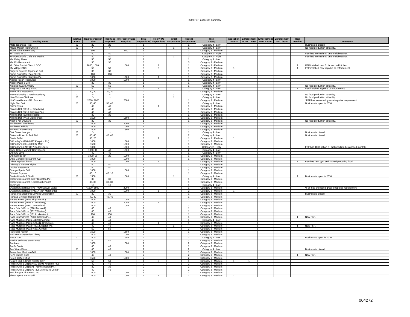| <b>Facility Name</b>                                           | nactive<br><b>FSFs</b>    | <b>Trap/Interceptor</b><br><b>Size</b> | Required          | Trap Size Interceptor Size<br>Required | Total          | <b>Follow Up</b><br>Inspections Inspections | Initial<br><b>Inspections</b> | Repeat<br><b>Inspections</b> | <b>Risk</b><br>Rating | Letters      | <b>Inspection Enforcement Enforcement Enforcement</b><br>NONC Letter NOV Letter<br><b>SNC letter</b> | Trap<br>Installed | <b>Comments</b>                                        |
|----------------------------------------------------------------|---------------------------|----------------------------------------|-------------------|----------------------------------------|----------------|---------------------------------------------|-------------------------------|------------------------------|-----------------------|--------------|------------------------------------------------------------------------------------------------------|-------------------|--------------------------------------------------------|
| Moto Japanese Rest.                                            | X                         | 20                                     | 20                |                                        | -1             |                                             |                               |                              | Category 4 - Low      |              |                                                                                                      |                   | Business is closed.                                    |
| Mount Moriah FBH Church                                        | $\times$                  | $\star$                                | $\star$           |                                        | $\overline{2}$ |                                             | $\mathbf{1}$                  | $\mathbf{1}$                 | Category 4 - Low      |              |                                                                                                      |                   | No food production at facility                         |
| Mount Olive Elementary                                         |                           | 800                                    |                   | 800                                    | $\overline{1}$ |                                             |                               | $\overline{1}$               | Category 3 - Medium   |              |                                                                                                      |                   |                                                        |
| Mr. Gattis #610                                                |                           | 40                                     | 40                |                                        | $\overline{2}$ |                                             |                               | $\mathcal{P}$                | Category 2 - High     |              |                                                                                                      |                   | FSF has internal trap on the dishwasher.               |
| Mrs Goodstuff's Cafe and Market                                |                           | 40                                     | 40                |                                        | $\overline{4}$ |                                             |                               | 3                            | Category 2 - High     |              |                                                                                                      |                   | FSF has internal trap on the dishwasher.               |
| Ms. Daisy Place                                                |                           | 50                                     | 50                |                                        | $\overline{1}$ |                                             |                               | $\mathbf{1}$                 | Category 4 - Low      |              |                                                                                                      |                   |                                                        |
| Ms. D's Restaurant                                             |                           | 30                                     | 30                |                                        | 3              |                                             |                               | 3                            | Category 3 - Medium   |              |                                                                                                      |                   |                                                        |
| Mt. Olive Baptist Church DCC                                   |                           | 1000, 1000                             |                   | 1500                                   | $\overline{2}$ |                                             |                               | $\mathbf{1}$                 | Category 3 - Medium   |              |                                                                                                      |                   | FSF installed new GI for second kitchen.               |
| My Village CDC                                                 |                           | 50                                     | 50                |                                        | $\overline{9}$ | $\overline{\mathbf{a}}$                     |                               | $\mathbf{1}$                 | Category 3 - Medium   | $\mathbf{1}$ |                                                                                                      |                   | FSF installed new trap due to enforcement.             |
| Nagoya Express Japanese Grill                                  |                           | 30                                     | 30                |                                        | $\overline{1}$ |                                             |                               | $\overline{1}$               | Category 3 - Medium   |              |                                                                                                      |                   |                                                        |
|                                                                |                           | 100                                    | 100               |                                        | $\overline{1}$ |                                             |                               | $\overline{1}$               | Category 3 - Medium   |              |                                                                                                      |                   |                                                        |
| Nama Sushi Bar (Gay Street)<br>Nama Sushi Bar (Kingston Pk.)   |                           | 1000                                   |                   | 1000                                   | $\overline{2}$ | -1                                          |                               | -1                           | Category 3 - Medium   |              |                                                                                                      |                   |                                                        |
| Naples Italian Restaurant                                      |                           | 1000                                   |                   | 1000                                   | $\overline{1}$ |                                             |                               | $\mathbf{1}$                 |                       |              |                                                                                                      |                   |                                                        |
| Napoli Pizza & Grill                                           |                           | 30                                     | 30                |                                        | $\overline{1}$ |                                             |                               | $\overline{1}$               | Category 4 - Low      |              |                                                                                                      |                   |                                                        |
| National Guard Armory                                          | X                         | 50                                     | 50                |                                        | $\mathbf{1}$   |                                             |                               | $\mathbf{1}$                 | Category 4 - Low      |              |                                                                                                      |                   | No food production at facility.                        |
|                                                                |                           |                                        | 40                |                                        |                | $\overline{1}$                              |                               | $\overline{1}$               | Category 4 - Low      |              |                                                                                                      |                   |                                                        |
| Neighbor's Hot Dog Stand                                       |                           | 40                                     |                   |                                        | $\overline{2}$ |                                             |                               |                              | Category 4 - Low      |              |                                                                                                      | $\overline{1}$    | FSF installed trap due to enforcement.                 |
| New China Restaurant                                           |                           | 30, 30                                 | 30, 30<br>$\star$ |                                        | $\overline{2}$ |                                             |                               | $\overline{2}$               | Category 3 - Medium   |              |                                                                                                      |                   |                                                        |
| New Fellowship Church Academy                                  | X                         | $\star_-$                              | $\star$           |                                        | $\mathbf{1}$   |                                             |                               |                              | Category 4 - Low      |              |                                                                                                      |                   | No food production at facility.                        |
| New Visions Childcare                                          | $\boldsymbol{\mathsf{X}}$ |                                        |                   |                                        | $\overline{1}$ |                                             | $\overline{1}$                |                              | Category 4 - Low      |              |                                                                                                      |                   | No food production at facility                         |
| NHC Healthcare of Ft. Sanders                                  |                           | *2000, 1000                            |                   | 2000                                   | $\overline{1}$ |                                             |                               | $\mathbf{1}$                 | Category 3 - Medium   |              |                                                                                                      |                   | *FSF has exceeded grease trap size requirement         |
| Night Owl Deli                                                 | $\times$                  | 50, 40                                 | 50, 40            |                                        | $\overline{2}$ |                                             |                               | $\mathcal{P}$                | Category 4 - Low      |              |                                                                                                      |                   | Business to open in 2010.                              |
| Niro's Gyros                                                   |                           | 40                                     | 40                |                                        | $\overline{2}$ | $\overline{1}$                              |                               | $\mathbf{1}$                 | Category 3 - Medium   |              |                                                                                                      |                   |                                                        |
| Nixon's Deli (5118 N. Broadway)                                |                           | 40                                     | 40                |                                        | $\overline{1}$ |                                             |                               | $\mathbf{1}$                 | Category 3 - Medium   |              |                                                                                                      |                   |                                                        |
| Nixon's Deli (5716 Kingston Pk.)                               |                           | 40                                     | 40                |                                        | $\mathbf{1}$   |                                             |                               | $\overline{1}$               | Category 3 - Medium   |              |                                                                                                      |                   |                                                        |
| Nixon's Deli (508 Merchants)                                   |                           | 30                                     | 30                |                                        | $\overline{1}$ |                                             |                               | $\mathbf{1}$                 | Category 3 - Medium   |              |                                                                                                      |                   |                                                        |
| Nixon's Deli (7419 Middlebrook)                                |                           | 1500                                   |                   | 1500                                   | $\overline{1}$ |                                             |                               | $\overline{1}$               | Category 3 - Medium   |              |                                                                                                      |                   |                                                        |
| Noah's Ark Daycare                                             | X                         | 30                                     | 30                |                                        | $\mathbf{1}$   |                                             |                               | $\mathbf{1}$                 | Category 3 - Medium   |              |                                                                                                      |                   | No food production at facility.                        |
| Northhaven Healthcare                                          |                           | 2000                                   |                   | 2000                                   | $\overline{1}$ |                                             |                               | $\mathbf{1}$                 | Category 3 - Medium   |              |                                                                                                      |                   |                                                        |
| Northwest Middle                                               |                           | 1000                                   |                   | 1000                                   | $\mathbf{1}$   |                                             |                               | -1                           | Category 3 - Medium   |              |                                                                                                      |                   |                                                        |
| Norwood Elementary                                             |                           | 1500                                   |                   | 1500                                   | $\overline{1}$ |                                             |                               |                              | Category 3 - Medium   |              |                                                                                                      |                   |                                                        |
| Oak Grove Lounge                                               | $\overline{X}$            | $\star$                                |                   |                                        | $\overline{1}$ |                                             |                               | $\overline{1}$               | Category 4 - Low      |              |                                                                                                      |                   | Business is closed                                     |
| Oakwood Lincoln Park Deli                                      | X                         | 40, 40                                 | 40, 40            |                                        | $\overline{2}$ |                                             |                               | $\overline{2}$               | Category 4 - Low      |              |                                                                                                      |                   | <b>Business is closed</b>                              |
| Oasis Buffet                                                   |                           | 35, 25                                 |                   |                                        | $\mathbf{3}$   | $\overline{2}$                              |                               | $\overline{1}$               | Category 3 - Medium   | 1            |                                                                                                      |                   |                                                        |
| O'Charley's #208 (8077 Kingston Pk.)                           |                           | 1000                                   |                   | 1000                                   | $\overline{1}$ |                                             |                               | $\mathbf{1}$                 | Category 3 - Medium   |              |                                                                                                      |                   |                                                        |
| O'Charley's #361 (3050 S. Mall)                                |                           | 1500                                   |                   | 1500                                   | 1              |                                             |                               |                              | Category 3 - Medium   |              |                                                                                                      |                   |                                                        |
| O'Charley's # 217 (117 Cedar Lane)                             |                           | 1000                                   |                   | 1000                                   | $\overline{1}$ |                                             |                               | $\overline{1}$               | Category 2 - High     |              |                                                                                                      |                   | FSF has 1000 gallon GI that needs to be pumped monthly |
| Okee Dokee Market/ Dairy Queen                                 |                           | 1000, 40                               | 40                | 1000                                   | $\overline{2}$ |                                             |                               | $\overline{2}$               | Category 4 - Low      |              |                                                                                                      |                   |                                                        |
| Old City Java                                                  |                           | 40                                     | 40                |                                        | $\overline{1}$ |                                             |                               | $\overline{1}$               | Category 4 - Low      |              |                                                                                                      |                   |                                                        |
| Old College Inn                                                |                           | 1000, 20                               | 20                | 1000                                   | $\overline{1}$ |                                             |                               | $\overline{1}$               | Category 3 - Medium   |              |                                                                                                      |                   |                                                        |
| Olive Garden Restaurant #92                                    |                           | 1000                                   |                   | 1000                                   | $\mathbf{1}$   |                                             |                               | $\mathbf{1}$                 | Category 3 - Medium   |              |                                                                                                      |                   |                                                        |
| Olivet Baptist Church                                          |                           | 1000                                   |                   | 1000                                   | $\mathbf{1}$   |                                             |                               |                              | Category 3 - Medium   |              |                                                                                                      |                   | FSF has new gym and started preparing food.            |
| Ollantay's Havana Nights                                       |                           | 40                                     | 40                |                                        | $\overline{1}$ |                                             |                               | $\overline{1}$               | Category 3 - Medium   |              |                                                                                                      |                   |                                                        |
| Oodles Restaurant                                              |                           | 40                                     | 40                |                                        | $\mathbf{1}$   |                                             |                               | $\overline{1}$               | Category 3 - Medium   |              |                                                                                                      |                   |                                                        |
| Orange Sports Grill                                            |                           | 1000                                   |                   | 1000                                   | $\overline{1}$ |                                             |                               | $\mathbf{1}$                 | Category 3 - Medium   |              |                                                                                                      |                   |                                                        |
| <b>Oriental Express</b>                                        |                           | 40, 10                                 | 40, 10            |                                        | $\overline{1}$ |                                             |                               | $\mathbf{1}$                 | Category 3 - Medium   |              |                                                                                                      |                   |                                                        |
| Osaka Hibachi & Sushi                                          | X                         | 1500                                   |                   | 1500                                   | $\mathbf{1}$   |                                             | $\mathbf{1}$                  |                              | Category 4 - Low      |              |                                                                                                      | $\overline{1}$    | Business to open in 2010.                              |
| Oscar's Restaurant (6907 Kingston Pk.)                         |                           | 30                                     | 30                |                                        | $\overline{1}$ |                                             |                               |                              | Category 3 - Medium   |              |                                                                                                      |                   |                                                        |
| Oscar's Restaurant (1840 Cumberland)                           |                           | 30, 30                                 | 30, 30            |                                        | $\overline{1}$ |                                             |                               | $\overline{1}$               | Category 3 - Medium   |              |                                                                                                      |                   |                                                        |
| Our Place                                                      |                           | 10                                     | 10                |                                        | $\mathbf{1}$   |                                             |                               | $\mathbf{1}$                 | Category 4 - Low      |              |                                                                                                      |                   |                                                        |
| Outback Steakhouse #2 (7400 Sawyer Lane)                       |                           | *1500, 1500                            |                   | 2000                                   | $\overline{1}$ |                                             |                               | $\overline{1}$               | Category 3 - Medium   |              |                                                                                                      |                   | *FSF has exceeded grease trap size requirement.        |
| Outback Steakhouse #4317 (314 Merchants)                       |                           | 1000                                   |                   | 1000                                   | $\mathbf{3}$   | $\mathbf{1}$                                |                               | $\mathcal{P}$                |                       | $\mathbf{1}$ |                                                                                                      |                   |                                                        |
|                                                                | X                         |                                        |                   |                                        | $\mathbf{1}$   |                                             |                               |                              | Category 3 - Medium   |              |                                                                                                      |                   |                                                        |
| Panasonic Electronic Devices Corporation                       |                           | 30                                     | 30                |                                        | $\overline{1}$ |                                             |                               | $\mathbf{1}$                 | Category 3 - Medium   |              |                                                                                                      |                   | Business is closed.                                    |
| Panda's Chinese Restaurant<br>Panera Bread (4855 Kingston Pk.) |                           | 40, 40<br>1000                         | 40, 40            | 1000                                   | $\overline{1}$ |                                             |                               | $\overline{1}$               | Category 3 - Medium   |              |                                                                                                      |                   |                                                        |
|                                                                |                           |                                        |                   |                                        |                |                                             |                               |                              | Category 3 - Medium   |              |                                                                                                      |                   |                                                        |
| Panera Bread (4893 N. Broadway)                                |                           | 2000                                   |                   | 2000                                   | $\overline{1}$ |                                             |                               |                              | Category 3 - Medium   |              |                                                                                                      |                   |                                                        |
| Panera Bread (2000 Cumberland)                                 |                           | 1000                                   |                   | 1000                                   | $\overline{1}$ |                                             |                               | $\overline{1}$               | Category 3 - Medium   |              |                                                                                                      |                   |                                                        |
| Papa John's Pizza (2901Tazewell)                               |                           | 40                                     | 40                |                                        | $\mathbf{1}$   |                                             |                               | $\mathbf{1}$                 | Category 3 - Medium   |              |                                                                                                      |                   |                                                        |
| Papa John's Pizza (5617 Western)                               |                           | 40                                     | 40                |                                        | $\mathbf{1}$   |                                             |                               | $\mathbf{1}$                 | Category 3 - Medium   |              |                                                                                                      |                   |                                                        |
| Papa John's Pizza (1819 Lake Ave.)                             |                           | 100                                    | 100               |                                        | $\overline{1}$ |                                             |                               | $\overline{1}$               | Category 3 - Medium   |              |                                                                                                      |                   |                                                        |
| Papa John's Pizza (7038 Kingston Pk.)                          |                           | 40                                     | 40                |                                        | $\mathbf{1}$   |                                             |                               | $\mathbf{1}$                 | Category 3 - Medium   |              |                                                                                                      |                   | New FSF                                                |
| Papa Murphy's Pizza (4409 Chapman)                             |                           | 40                                     | 40                |                                        | $\overline{1}$ |                                             |                               | $\overline{1}$               | Category 4 - Low      |              |                                                                                                      |                   |                                                        |
| Papa Murphy's Pizza (5214 N. Broadway)                         |                           | 40                                     | 40                |                                        | $\overline{2}$ | $\overline{1}$                              |                               | $\overline{1}$               | Category 3 - Medium   |              |                                                                                                      |                   |                                                        |
| Papa Murphy's Pizza (4801 Kingston Pk.)                        |                           | 40                                     | 40                |                                        | $\mathbf{1}$   |                                             |                               |                              | Category 3 - Medium   |              |                                                                                                      |                   | New FSF                                                |
| Papa Murphy's Pizza (6631 Clinton)                             |                           | 50                                     | 50                |                                        | $\overline{2}$ |                                             |                               | $\mathcal{P}$                | Category 3 - Medium   |              |                                                                                                      |                   |                                                        |
| Parkridge Harbor                                               |                           | 1500                                   |                   | 1500                                   | $\overline{1}$ |                                             |                               | $\mathbf{1}$                 | Category 3 - Medium   |              |                                                                                                      |                   |                                                        |
| Parkview Independent Living                                    |                           | 1000                                   |                   | 1000                                   | $\mathbf{1}$   |                                             |                               |                              | Category 3 - Medium   |              |                                                                                                      |                   |                                                        |
| Pasta Trio                                                     | $\times$                  | 1500                                   |                   | 1500                                   | $\overline{2}$ |                                             |                               | $\mathcal{P}$                | Category 4 - Low      |              |                                                                                                      |                   | Business to open in 2010.                              |
| Patrick Sullivans Steakhouse                                   |                           | 40                                     | 40                |                                        | -1             |                                             |                               | $\mathbf{1}$                 | Category 3 - Medium   |              |                                                                                                      |                   |                                                        |
| Pauline's                                                      |                           | 1000                                   |                   | 1000                                   | 2              |                                             |                               | $\mathcal{P}$                | Category 3 - Medium   |              |                                                                                                      |                   |                                                        |
| Paul's Oasis                                                   |                           | 40                                     | 40                |                                        | $\overline{1}$ |                                             |                               | $\overline{1}$               | Category 3 - Medium   |              |                                                                                                      |                   |                                                        |
| Pee Wees Diner                                                 | X                         | 40                                     | 40                |                                        | $\mathfrak{p}$ |                                             |                               | $\mathcal{P}$                | Category 4 - Low      |              |                                                                                                      |                   | Business is closed                                     |
| Pelancho's Mexican Grill                                       |                           | 1000                                   |                   | 1000                                   | $\overline{1}$ |                                             |                               | $\mathbf{1}$                 | Category 3 - Medium   |              |                                                                                                      |                   |                                                        |
| Penn Station Subs                                              |                           | 40                                     | 40                |                                        | $\overline{2}$ |                                             |                               | $\overline{2}$               | Category 3 - Medium   |              |                                                                                                      | $\overline{1}$    | <b>New FSF</b>                                         |
| Pete's Coffee Shop                                             |                           | 1500                                   |                   | 1500                                   | $\overline{2}$ |                                             |                               | $\overline{2}$               | Category 3 - Medium   |              |                                                                                                      |                   |                                                        |
| Petro's Chili & Chips (800 S. Gay)                             |                           | 50                                     | 50                |                                        | $\overline{4}$ | 3                                           |                               |                              | Category 3 - Medium   |              |                                                                                                      |                   |                                                        |
| Petros Chili & Chips # 502 (7005 Kingston Pk.)                 |                           | 40                                     | 40                |                                        | $\overline{2}$ |                                             |                               | $\overline{\phantom{a}}$     | Category 3 - Medium   |              |                                                                                                      |                   |                                                        |
| Petros Chili & Chips #1 (7600 Kingston Pk.)                    |                           | 30                                     | 30                |                                        | $\overline{2}$ |                                             |                               | $\mathcal{P}$                | Category 3 - Medium   |              |                                                                                                      |                   |                                                        |
| Petros Chili & Chips #2 (3001 Knoxville Center)                |                           | 40                                     | 40                |                                        | $\overline{2}$ |                                             |                               | $\mathcal{P}$                | Category 3 - Medium   |              |                                                                                                      |                   |                                                        |
| PF Changs China Bistro Inc.                                    |                           | 1000                                   |                   | 1000                                   | $\overline{1}$ |                                             |                               | $\mathbf{1}$                 | Category 3 - Medium   |              |                                                                                                      |                   |                                                        |
| Phatz Sports Bar & Grill                                       |                           | 1000                                   |                   | 1000                                   | $\overline{2}$ |                                             |                               |                              | Category 3 - Medium   |              |                                                                                                      |                   |                                                        |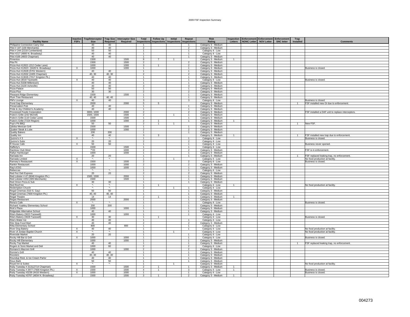|                                                                        |                           |                 |                                           | Inactive Trap/Interceptor   Trap Size   Interceptor Size | Total                           | <b>Follow Up</b>   | Initial            | Repeat                           | <b>Risk</b>                                |                | <b>Inspection Enforcement Enforcement Enforcement</b> |                   | Trap             |                                                   |
|------------------------------------------------------------------------|---------------------------|-----------------|-------------------------------------------|----------------------------------------------------------|---------------------------------|--------------------|--------------------|----------------------------------|--------------------------------------------|----------------|-------------------------------------------------------|-------------------|------------------|---------------------------------------------------|
| <b>Facility Name</b>                                                   | <b>FSFs</b>               | <b>Size</b>     | <b>Required</b>                           | Required                                                 | <b>Inspections</b>              | <b>Inspections</b> | <b>Inspections</b> | <b>Inspections</b>               | Rating                                     | Letters        | NONC Letter NOV Letter                                | <b>SNC letter</b> | <b>Installed</b> | <b>Comments</b>                                   |
| Philippine Connection Carry Out                                        |                           | 40              | 40                                        |                                                          |                                 |                    |                    |                                  | Category 3 - Medium                        |                |                                                       |                   |                  |                                                   |
| Pilot #187 (100 Merchants)                                             |                           | 40              | 40                                        |                                                          | $\overline{a}$                  |                    |                    | $\overline{2}$                   | Category 3 - Medium                        |                |                                                       |                   |                  |                                                   |
| Pilot #244 (2218 Cumberland)                                           |                           | 50              | 50                                        |                                                          | $\mathbf{1}$                    |                    |                    |                                  | Category 4 - Low                           |                |                                                       |                   |                  |                                                   |
| Pilot #217 (4800 N. Broadway)                                          |                           | 40              | 40                                        |                                                          | $\sim$                          |                    |                    |                                  | Category 4 - Low                           |                |                                                       |                   |                  |                                                   |
| Pilot #166 (4603 Chapman)                                              |                           | 40              | 40                                        |                                                          | $\overline{1}$                  |                    |                    | $\overline{1}$                   | Category 3 - Medium                        |                |                                                       |                   |                  |                                                   |
| Pimentos                                                               |                           | 1500            |                                           | 1500                                                     | 8                               |                    |                    |                                  | Category 3 - Medium                        |                |                                                       |                   |                  |                                                   |
| Pita Pit                                                               |                           | 1500            |                                           | 1500                                                     | $\mathcal{P}$                   |                    |                    | $\overline{2}$                   | Category 3 - Medium                        |                |                                                       |                   |                  |                                                   |
| Pizza Hut #12621 (212 Cedar Lane)                                      | $\times$                  | 1000            |                                           | 1000                                                     | 3<br>$\mathbf{1}$               | 1                  |                    | 2                                | Category 3 - Medium                        |                |                                                       |                   |                  |                                                   |
| Pizza Hut #12623 (3428 N. Broadway)<br>Pizza Hut #12628 (5701 Western) |                           | 1000<br>40      | 40                                        | 1000                                                     | $\sim$                          |                    |                    | $\overline{1}$                   | Category 3 - Medium<br>Category 3 - Medium |                |                                                       |                   |                  | Business is closed.                               |
| Pizza Hut #12632 (2405 Chapman)                                        |                           | 40, 30          | 40, 30                                    |                                                          | 2                               |                    |                    | $\overline{2}$                   | Category 3 - Medium                        |                |                                                       |                   |                  |                                                   |
| Pizza Hut #13026 (7017 Kingston Pk.)                                   |                           | 40              | 40                                        |                                                          | $\overline{1}$                  |                    |                    |                                  | Category 3 - Medium                        |                |                                                       |                   |                  |                                                   |
| Pizza Hut (3018 Tazewell)                                              | X                         | 40              | 40                                        |                                                          | $\mathbf{1}$                    |                    |                    |                                  | Category 4 - Low                           |                |                                                       |                   |                  | Business is closed.                               |
| Pizza Hut (5338 Millertown)                                            |                           | 40              | 40                                        |                                                          | $\overline{1}$                  |                    |                    |                                  | Category 3 - Medium                        |                |                                                       |                   |                  |                                                   |
| Pizza Hut (4100 Asheville)                                             |                           | 40              | 40                                        |                                                          | $\mathbf{3}$                    |                    |                    | $\mathbf{3}$                     | Category 3 - Medium                        |                |                                                       |                   |                  |                                                   |
| Pizza Palace                                                           |                           | 50              | 50                                        |                                                          | $\mathbf{1}$                    |                    |                    |                                  | Category 3 - Medium                        |                |                                                       |                   |                  |                                                   |
| Pizza Plus                                                             |                           | 30              | 30                                        |                                                          | $\overline{2}$                  |                    |                    | $\overline{\phantom{a}}$         | Category 3 - Medium                        |                |                                                       |                   |                  |                                                   |
| Pleasant Ridge Elementary                                              |                           | 1500            |                                           | 1500                                                     | $\overline{1}$                  |                    |                    | -1                               | Category 3 - Medium                        |                |                                                       |                   |                  |                                                   |
| Plum Tree Restaurant                                                   |                           | 40, 40          | 40, 40                                    |                                                          | $\overline{1}$                  |                    |                    |                                  | Category 3 - Medium                        |                |                                                       |                   |                  |                                                   |
| PM's Lounge                                                            | $\times$                  | 40              | 40                                        |                                                          | $\mathbf{3}$                    |                    |                    | $\mathbf{3}$                     | Category 4 - Low                           |                |                                                       |                   |                  | Business is closed.                               |
| Pond Gap Elementary                                                    |                           | 2000            |                                           | 2000                                                     | $5\overline{5}$<br>$\mathbf{1}$ | 5                  |                    |                                  | Category 3 - Medium                        |                |                                                       |                   | $\mathbf{1}$     | FSF installed new GI due to enforcement.          |
| Preservation Pub<br>Pride & Joy Children's Academy                     |                           | 40<br>40        | 40<br>40                                  |                                                          | $\overline{1}$                  |                    |                    |                                  | Category 3 - Medium<br>Category 3 - Medium |                |                                                       |                   |                  |                                                   |
| Processed Foods Corporation                                            |                           | 3000, 1000      |                                           | 2000                                                     | $\mathfrak{p}$                  |                    |                    | $\mathcal{P}$                    | Category 3 - Medium                        |                |                                                       |                   |                  | FSF installed a DAF unit to replace interceptors. |
| Puleo's Grille (242 Morrell)                                           |                           | 1500, 1500      |                                           | 1500                                                     | $\mathcal{P}$                   |                    | $\overline{1}$     |                                  | Category 3 - Medium                        |                |                                                       |                   |                  |                                                   |
| Puleo's Grille (110 Cedar Lane)                                        |                           | 1500            |                                           | 1500                                                     | $\mathbf{1}$                    |                    |                    |                                  | Category 3 - Medium                        |                |                                                       |                   |                  |                                                   |
| Puleo's Grille (7224 Region)                                           |                           | 1000            |                                           | 1000                                                     | $\overline{2}$                  |                    |                    |                                  | Category 3 - Medium                        | 1              |                                                       |                   |                  |                                                   |
| Pup's Pit BBQ                                                          |                           | 50              | 50                                        |                                                          | $\mathcal{P}$                   | $\mathbf{1}$       | $\overline{1}$     |                                  | Category 3 - Medium                        |                |                                                       |                   | $\overline{1}$   | New FSF.                                          |
| Qdoba Mexican Grill                                                    |                           | 1500            |                                           | 1500                                                     | $\mathbf{1}$                    |                    |                    |                                  | Category 3 - Medium                        |                |                                                       |                   |                  |                                                   |
| Quaker Steak & Lube                                                    |                           | 1000            |                                           | 1000                                                     | $\overline{2}$                  |                    |                    | $\overline{2}$                   | Category 3 - Medium                        |                |                                                       |                   |                  |                                                   |
| <b>Quality Bakers</b>                                                  |                           | 200             | 200                                       |                                                          | $\overline{1}$                  |                    |                    | $\overline{1}$                   | Category 3 - Medium                        |                |                                                       |                   |                  |                                                   |
| Quality Inn                                                            |                           | 40              | 40                                        |                                                          | $\mathbf{3}$                    |                    |                    |                                  | Category 3 - Medium                        |                |                                                       |                   |                  | FSF installed new trap due to enforcement.        |
| Quizno's #3                                                            | $\boldsymbol{\mathsf{X}}$ | $\star_-$       | ×.                                        |                                                          | $\overline{1}$                  |                    |                    |                                  | Category 4 - Low                           |                |                                                       |                   |                  | Business is closed.                               |
| Quizno's Subs                                                          |                           | 20              | 20                                        |                                                          | $\mathfrak{p}$<br>$\mathbf{1}$  |                    |                    | $\mathcal{P}$                    | Category 4 - Low                           |                |                                                       |                   |                  |                                                   |
| R House Cafe<br>Rafferty's                                             | $\overline{\mathsf{x}}$   | 50<br>1500      | 50                                        | 1500                                                     | $\overline{1}$                  |                    |                    |                                  | Category 4 - Low                           |                |                                                       |                   |                  | Business never opened.                            |
| Rainbow Club West                                                      |                           | **20            |                                           | 1000                                                     | $\overline{2}$                  |                    |                    | $\overline{2}$                   | Category 4 - Low<br>Category 3 - Medium    |                |                                                       |                   |                  | FSF is in enforcement.                            |
| Rallys Hamburger                                                       |                           | 1000            |                                           | 1000                                                     | $\overline{1}$                  |                    |                    | $\overline{1}$                   | Category 3 - Medium                        |                |                                                       |                   |                  |                                                   |
| Ramada Inn                                                             |                           | 20              | 20                                        |                                                          | $\mathbf{1}$                    |                    |                    |                                  | Category 3 - Medium                        |                |                                                       |                   | -1               | FSF replaced leaking trap, no enforcement.        |
| Ramada Limited                                                         | $\times$                  | $\star_{\star}$ | $\star$                                   |                                                          | $\overline{1}$                  |                    | $\overline{1}$     |                                  | Category 4 - Low                           |                |                                                       |                   |                  | No food production at facility.                   |
| Ramsey's Restaurant                                                    | $\mathsf{X}$              | 1500            |                                           | 1500                                                     | $\overline{2}$                  |                    |                    | $\mathcal{L}$                    | Category 4 - Low                           |                |                                                       |                   |                  | Business is closed.                               |
| Rankin Restaurant                                                      |                           | 1000            |                                           | 1000                                                     | $\mathfrak{p}$                  |                    |                    |                                  | Category 3 - Medium                        |                |                                                       |                   |                  |                                                   |
| Ray's ESG                                                              |                           | 1000            |                                           | 1000                                                     | $\mathbf{1}$                    |                    |                    | $\overline{1}$                   | Category 3 - Medium                        |                |                                                       |                   |                  |                                                   |
| Rebeccas                                                               |                           |                 |                                           |                                                          | $\mathbf{1}$                    |                    |                    |                                  | Category 4 - Low                           |                |                                                       |                   |                  |                                                   |
| Red Fez Deli Express                                                   |                           | $20\,$          | 20                                        |                                                          |                                 |                    |                    |                                  | Category 3 - Medium                        |                |                                                       |                   |                  |                                                   |
| Red Lobster # 47 (8040 Kingston Pk.)                                   |                           | 1500, 1500      |                                           | 2000                                                     | $\overline{1}$                  |                    |                    | $\mathbf{1}$                     | Category 3 - Medium                        |                |                                                       |                   |                  |                                                   |
| Red Lobster #253 (305 Merchants)                                       |                           | 1500            |                                           | 1500                                                     | 1<br>$\mathbf{1}$               |                    |                    |                                  | Category 3 - Medium                        |                |                                                       |                   |                  |                                                   |
| Red Onion Pizza & Sub<br>Red Roof Inn                                  | $\times$                  | 30<br>۰.        | 30<br>$\star_{\scriptscriptstyle\bullet}$ |                                                          | $\overline{1}$                  | -1                 |                    |                                  | Category 3 - Medium<br>Category 4 - Low    | $\mathbf{1}$   |                                                       |                   |                  | No food production at facility.                   |
| Redemption Church                                                      |                           | ×               | $\star$                                   |                                                          | $\overline{2}$                  |                    |                    |                                  | Category 4 - Low                           |                |                                                       |                   |                  |                                                   |
| Regal Cinemas (510 S. Gay)                                             |                           | 50              | 50                                        |                                                          | $\overline{1}$                  |                    |                    |                                  | Category 3 - Medium                        |                |                                                       |                   |                  |                                                   |
| Regal Cinemas (7600 Kingston Pk.)                                      |                           | 40, 40          | 40, 40                                    |                                                          | $\overline{1}$                  |                    |                    | $\overline{1}$                   | Category 3 - Medium                        |                |                                                       |                   |                  |                                                   |
| Regal Theatre                                                          |                           | 14              | 14                                        |                                                          | $\overline{2}$                  | $\mathbf{1}$       |                    |                                  | Category 3 - Medium                        | $\overline{1}$ |                                                       |                   |                  |                                                   |
| Regas Restaurant                                                       |                           | 2000            |                                           | 2000                                                     | $\overline{1}$                  |                    |                    |                                  | Category 3 - Medium                        |                |                                                       |                   |                  |                                                   |
| Rena's Cafe                                                            | X                         | $\star$         | $\star$                                   |                                                          | $\mathbf{1}$                    |                    |                    |                                  | Category 4 - Low                           |                |                                                       |                   |                  | Business is closed.                               |
| Richard Yoakley Elementary School                                      |                           | 200             | 200                                       |                                                          | $\overline{1}$                  |                    |                    | $\overline{1}$                   | Category 3 - Medium                        |                |                                                       |                   |                  |                                                   |
| <b>Rick's Place</b>                                                    |                           | 1000            |                                           | 1000                                                     | $\mathbf{1}$<br>$\sim$          |                    |                    |                                  | Category 3 - Medium                        |                |                                                       |                   |                  |                                                   |
| Ridgedale Alternative School<br>Rita's Bakery (3023 Tazewell)          |                           | 40<br>1000      | 40                                        | 1000                                                     | -1                              |                    |                    | $\overline{1}$                   | Category 3 - Medium                        |                |                                                       |                   |                  |                                                   |
| Rita's Bakery (3028 Tazewell)                                          | X                         | 30              | 30                                        |                                                          |                                 |                    |                    |                                  | Category 4 - Low<br>Category 4 - Low       |                |                                                       |                   |                  | Business is closed.                               |
| Rita's Water Ice                                                       |                           | 40              | 40                                        |                                                          | $\overline{1}$                  |                    |                    |                                  | Category 4 - Low                           |                |                                                       |                   |                  |                                                   |
| Rite Stop Food Mart                                                    |                           | 40              | 40                                        |                                                          | $\overline{2}$                  |                    |                    | $\overline{2}$                   | Category 3 - Medium                        |                |                                                       |                   |                  |                                                   |
| Ritta Elementary School                                                |                           | 800             |                                           | 800                                                      | $\overline{1}$                  |                    |                    |                                  | Category 4 - Low                           |                |                                                       |                   |                  |                                                   |
| River Dog Bakery                                                       | $\times$                  | 40              | 40                                        |                                                          | $\overline{1}$                  |                    |                    |                                  | Category 4 - Low                           |                |                                                       |                   |                  | No food production at facility.                   |
| River of Jordan Baptist Church                                         | $\times$                  |                 | $\star_{\star}$                           |                                                          | $\mathbf{1}$                    |                    |                    |                                  | Category 4 - Low                           |                |                                                       |                   |                  | No food production at facility                    |
| <b>Riverside Market</b>                                                |                           | 20              | 20                                        |                                                          | $\sim$                          |                    |                    |                                  | Category 4 - Low                           |                |                                                       |                   |                  |                                                   |
| Rocky Hill Bar & Grill                                                 | $\overline{X}$            | 1000            |                                           | 1000                                                     | $\overline{1}$                  |                    |                    | $\overline{1}$                   | Category 4 - Low                           |                |                                                       |                   |                  | Business is closed.                               |
| Rocky Hill Elementary                                                  |                           | 1000            |                                           | 1000                                                     | $\overline{1}$                  |                    |                    |                                  | Category 3 - Medium                        |                |                                                       |                   |                  |                                                   |
| Rocky Top Market                                                       |                           | 40              | 40                                        |                                                          | $\overline{1}$                  |                    |                    | $\mathbf{1}$                     | Category 3 - Medium                        |                |                                                       |                   | $\overline{1}$   | FSF replaced leaking trap, no enforcement.        |
| Rogers & Sons Market and Deli                                          |                           | 1000            | 60                                        |                                                          | $\mathfrak{p}$                  |                    |                    | $\overline{2}$                   | Category 4 - Low                           |                |                                                       |                   |                  |                                                   |
| Romano's Macroni Grill                                                 |                           | 1000<br>40      | 40                                        | 1000                                                     | $\mathcal{P}$<br>$\overline{1}$ |                    |                    | $\overline{2}$<br>$\overline{1}$ | Category 3 - Medium                        |                |                                                       |                   |                  |                                                   |
| Ronnie's Grill<br>Roosters                                             |                           | 40, 40          | 40, 40                                    |                                                          | $\mathbf{1}$                    |                    |                    |                                  | Category 3 - Medium<br>Category 3 - Medium |                |                                                       |                   |                  |                                                   |
| Roundup Rest. & Ice Cream Parlor                                       |                           | 40              | 40                                        |                                                          | $\mathbf{1}$                    |                    |                    | $\overline{1}$                   | Category 3 - Medium                        |                |                                                       |                   |                  |                                                   |
| Roux Barb                                                              |                           | 50              | 50                                        |                                                          | $\overline{1}$                  |                    |                    | $\overline{1}$                   | Category 3 - Medium                        |                |                                                       |                   |                  |                                                   |
| Royal Inn & Suites                                                     | X                         | $\star$         | $\star$                                   |                                                          | $\blacktriangleleft$            |                    |                    |                                  | Category 3 - Medium                        |                |                                                       |                   |                  | No food production at facility.                   |
| Ruby Tuesday # 3131(2714 Chapman)                                      |                           | 1500            |                                           | 1500                                                     | $\overline{2}$                  | $\mathbf{1}$       |                    |                                  | Category 3 - Medium                        | $\overline{1}$ |                                                       |                   |                  |                                                   |
| Ruby Tuesday # 3977 (7600 Kingston Pk.)                                | X                         | 1500            |                                           | 1500                                                     | $\overline{4}$                  | $\mathbf{1}$       |                    | $\mathbf{3}$                     | Category 4 - Low                           | $\mathbf{1}$   |                                                       |                   |                  | Business is closed.                               |
| Ruby Tuesday #3239 (4416 Western)                                      | $\times$                  | 1000            |                                           | 1000                                                     | $\mathbf{1}$                    |                    |                    |                                  | Category 4 - Low                           |                |                                                       |                   |                  | Business is closed.                               |
| Ruby Tuesday #3767 (4834 N. Broadway)                                  |                           | 1500            |                                           | 1500                                                     | 3                               |                    |                    | $\overline{2}$                   | Category 3 - Medium                        |                |                                                       |                   |                  |                                                   |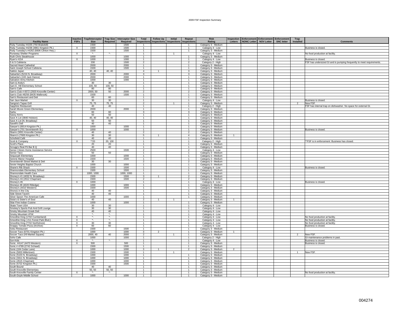| <b>Facility Name</b>                      | <b>Inactive</b><br><b>FSFs</b> | <b>Trap/Interceptor</b><br><b>Size</b> | Required      | Trap Size   Interceptor Size<br>Required | Total<br><b>Inspections</b> | <b>Follow Up</b><br><b>Inspections</b> | Initial<br><b>Inspections</b> | Repeat<br>nspections     | <b>Risk</b><br>Rating | Letters        | <b>Inspection Enforcement Enforcement Enforcement</b><br>NONC Letter NOV Letter | <b>SNC letter</b> | Trap<br>Installed | <b>Comments</b>                                                       |
|-------------------------------------------|--------------------------------|----------------------------------------|---------------|------------------------------------------|-----------------------------|----------------------------------------|-------------------------------|--------------------------|-----------------------|----------------|---------------------------------------------------------------------------------|-------------------|-------------------|-----------------------------------------------------------------------|
| Ruby Tuesday #4155 (750 Brakebill)        |                                | 1500                                   |               | 1500                                     | $\overline{1}$              |                                        |                               | $\mathbf{1}$             | Category 3 - Medium   |                |                                                                                 |                   |                   |                                                                       |
| Ruby Tuesday #4236 (4861 Kingston Pk.)    | X                              | 1500                                   |               | 1500                                     | $\overline{1}$              |                                        |                               | $\mathbf{1}$             | Category 4 - Low      |                |                                                                                 |                   |                   | Business is closed.                                                   |
| Ruby Tuesday's #4262 (6606 Clinton Hwy.)  |                                | 1500                                   |               | 1500                                     | $\overline{1}$              |                                        |                               | $\overline{1}$           | Category 3 - Medium   |                |                                                                                 |                   |                   |                                                                       |
| Runaway Shelter Programs                  | $\mathsf{X}$                   | ×                                      | $\star$       |                                          | $\overline{1}$              |                                        |                               |                          | Category 4 - Low      |                |                                                                                 |                   |                   | No food production at facility                                        |
| Ruth Chris Steakhouse                     |                                | 1000                                   |               | 1000                                     | $\overline{1}$              |                                        |                               |                          | Category 3 - Medium   |                |                                                                                 |                   |                   |                                                                       |
| Ryan's #154                               | $\mathsf{X}$                   | 1000                                   |               | 1000                                     | $\overline{1}$              |                                        |                               | $\overline{1}$           | Category 4 - Low      |                |                                                                                 |                   |                   | Business is closed.                                                   |
| S & S Cafeteria                           |                                | 200                                    |               | 1500                                     | $\overline{2}$              |                                        |                               | 2                        | Category 2 - High     |                |                                                                                 |                   |                   | FSF has undersized GI and is pumping frequently to meet requirements. |
|                                           |                                | 2000                                   |               | 2000                                     | $\overline{1}$              |                                        |                               |                          |                       |                |                                                                                 |                   |                   |                                                                       |
| Sacred Heart Cathedral                    |                                | 1500                                   |               | 1500                                     | $\overline{1}$              |                                        |                               | $\overline{1}$           | Category 3 - Medium   |                |                                                                                 |                   |                   |                                                                       |
| Saint Joseph School Cafeteria             |                                |                                        |               |                                          |                             |                                        |                               | $\mathbf{3}$             | Category 3 - Medium   |                |                                                                                 |                   |                   |                                                                       |
| Sakkio Japan                              |                                | 40, 40                                 | 40, 40        |                                          | $\overline{4}$              |                                        |                               |                          | Category 3 - Medium   |                |                                                                                 |                   |                   |                                                                       |
| Salsarita's (5224 N. Broadway)            |                                | 2000                                   |               | 2000                                     | $\mathbf{3}$                |                                        |                               | 3                        | Category 3 - Medium   |                |                                                                                 |                   |                   |                                                                       |
| Salsarita's (100 Jack Dance)              |                                | 2000                                   |               | 2000                                     | $\overline{1}$              |                                        |                               | $\mathbf{1}$             | Category 3 - Medium   |                |                                                                                 |                   |                   |                                                                       |
| Salvation Army Kitchen                    |                                | 1000                                   |               | 1000                                     | $\mathbf{1}$                |                                        |                               |                          | Category 3 - Medium   |                |                                                                                 |                   |                   |                                                                       |
| Sam & Andy's                              |                                | 30                                     | 30            |                                          | $\overline{1}$              |                                        |                               | $\mathbf{1}$             | Category 3 - Medium   |                |                                                                                 |                   |                   |                                                                       |
| Sam E. Hill Elementary School             |                                | 100.50                                 | 100.50        |                                          | $\overline{1}$              |                                        |                               | $\overline{1}$           | Category 3 - Medium   |                |                                                                                 |                   |                   |                                                                       |
| Sam's Cafe                                |                                | 80                                     | 80            |                                          | $\overline{1}$              |                                        |                               | $\overline{1}$           | Category 3 - Medium   |                |                                                                                 |                   |                   |                                                                       |
| Sam's Club # 6572 (2920 Knoxville Center) |                                | 2000, 50                               | 50            | 2000                                     | $\overline{2}$              |                                        |                               | $\mathcal{P}$            | Category 3 - Medium   |                |                                                                                 |                   |                   |                                                                       |
| Sam's Club #8256 (8435 Walbrook)          |                                | 1500                                   |               | 1500                                     | -1                          |                                        |                               | $\mathbf{1}$             | Category 3 - Medium   |                |                                                                                 |                   |                   |                                                                       |
| Sam's Restaurant and Deli                 |                                | 60                                     | 60            |                                          | $\mathbf{1}$                |                                        |                               |                          | Category 3 - Medium   |                |                                                                                 |                   |                   |                                                                       |
| San Jaun Market                           | $\overline{X}$                 | 30                                     | 30            |                                          | $\overline{1}$              |                                        |                               | $\overline{1}$           | Category 4 - Low      |                |                                                                                 |                   |                   | Business is closed.                                                   |
| Sangria's Tapas Grill                     |                                | 75, 75                                 | 75, 75        |                                          | 2                           |                                        | $\overline{1}$                | $\overline{1}$           | Category 3 - Medium   |                |                                                                                 |                   | 2                 | New FSF.                                                              |
| Sapphire Restaurant                       |                                | 40                                     | 40            |                                          | $\overline{1}$              |                                        |                               | $\mathbf{1}$             | Category 2 - High     |                |                                                                                 |                   |                   | FSF has internal trap on dishwasher. No space for external GI.        |
| Sarah Moore Green Elementary              |                                | 2000                                   |               | 2000                                     | $\overline{1}$              |                                        |                               | $\mathbf{1}$             | Category 3 - Medium   |                |                                                                                 |                   |                   |                                                                       |
| Sarku                                     |                                | 60                                     | 60            |                                          | 3                           |                                        |                               | 3                        | Category 3 - Medium   |                |                                                                                 |                   |                   |                                                                       |
| Sassy Ann's                               |                                | 50                                     | 50            |                                          | $\overline{1}$              |                                        |                               |                          | Category 3 - Medium   |                |                                                                                 |                   |                   |                                                                       |
| Save A Lot (3840 Holston)                 |                                | 40, 40                                 | 40, 40        |                                          | $\overline{1}$              |                                        |                               | $\overline{1}$           | Category 3 - Medium   |                |                                                                                 |                   |                   |                                                                       |
| Save A Lot (N. Broadway)                  |                                | 50                                     | 50            |                                          | $\mathbf{1}$                |                                        |                               | $\mathbf{1}$             | Category 3 - Medium   |                |                                                                                 |                   |                   |                                                                       |
| Savelli's Deli                            |                                | 40                                     | 40            |                                          | $\overline{1}$              |                                        |                               | $\overline{1}$           | Category 3 - Medium   |                |                                                                                 |                   |                   |                                                                       |
| Sawyer's (6914 Kingston Pk.)              |                                | 1000                                   |               | 1000                                     | $\overline{1}$              |                                        |                               | $\mathbf{1}$             | Category 3 - Medium   |                |                                                                                 |                   |                   |                                                                       |
| Sawyer's (701 Seventeenth St.)            | X                              | 1000                                   |               | 1000                                     | $\mathbf{1}$                |                                        |                               |                          | Category 3 - Medium   |                |                                                                                 |                   |                   | Business is closed.                                                   |
| Sbarro (3001 Knoxville Center)            |                                | 40                                     | 40            |                                          | $\overline{2}$              |                                        |                               | $\mathcal{P}$            | Category 3 - Medium   |                |                                                                                 |                   |                   |                                                                       |
| Sbarro's (7600 Kingston Pk.)              |                                | 30                                     | 30            |                                          | 5                           |                                        |                               | $\overline{4}$           | Category 3 - Medium   | $\overline{1}$ |                                                                                 |                   |                   |                                                                       |
| Schofield Café                            |                                | 40                                     | 40            |                                          | $\overline{1}$              |                                        |                               | $\mathbf{1}$             | Category 3 - Medium   |                |                                                                                 |                   |                   |                                                                       |
|                                           |                                | **20                                   | 20, 100       |                                          | $\overline{1}$              |                                        |                               | $\overline{1}$           | Category 2 - High     |                |                                                                                 |                   |                   | **FSF is in enforcement. Business has closed.                         |
| Scott & Company<br>Scott's Place          | X                              | 20                                     | 20            |                                          | $\overline{1}$              |                                        |                               | $\mathbf{1}$             |                       |                |                                                                                 |                   |                   |                                                                       |
|                                           |                                |                                        |               |                                          | $\mathbf{1}$                |                                        |                               |                          | Category 3 - Medium   |                |                                                                                 |                   |                   |                                                                       |
| Scrugg's Real Pit Bar B Q                 |                                | 40                                     | 40            |                                          | $\overline{2}$              |                                        |                               | $\overline{\phantom{a}}$ | Category 3 - Medium   |                |                                                                                 |                   |                   |                                                                       |
| Senior Citizen Home Assistance Service    |                                | 2500                                   |               | 1500                                     |                             |                                        |                               |                          | Category 4 - Low      |                |                                                                                 |                   |                   |                                                                       |
| Senior Taco                               |                                | 50                                     | 50            |                                          | $\overline{1}$              |                                        |                               | $\overline{1}$           | Category 3 - Medium   |                |                                                                                 |                   |                   |                                                                       |
| Sequoyah Elementary                       |                                | 1000                                   |               | 1000                                     | $\overline{1}$              |                                        |                               | $\mathbf{1}$             | Category 3 - Medium   |                |                                                                                 |                   |                   |                                                                       |
| Serene Manor Hospital                     |                                | 1500                                   |               | 1500                                     | $\overline{1}$              |                                        |                               | $\mathbf{1}$             | Category 3 - Medium   |                |                                                                                 |                   |                   |                                                                       |
| Seventeenth Street Market & Deli          |                                | 30                                     | 30            |                                          | $\mathfrak{p}$              |                                        |                               | $\mathcal{P}$            | Category 3 - Medium   |                |                                                                                 |                   |                   |                                                                       |
| Sevier Heights Baptist Church             |                                | 1000                                   |               | 1000                                     | $\overline{1}$              |                                        |                               | $\mathbf{1}$             | Category 3 - Medium   |                |                                                                                 |                   |                   |                                                                       |
| Shane's Rib Shack                         | $\overline{X}$                 | 1500                                   |               | 1500                                     | $\overline{1}$              |                                        |                               | $\overline{1}$           | Category 4 - Low      |                |                                                                                 |                   |                   | Business is closed                                                    |
| Shannondale Elementary School             |                                | 1500                                   |               | 1500                                     | $\overline{1}$              |                                        |                               |                          | Category 3 - Medium   |                |                                                                                 |                   |                   |                                                                       |
| Shannondale Health Care                   |                                | 1000, 1000                             |               | 1000, 1000                               | $\overline{1}$              |                                        |                               | $\overline{1}$           | Category 3 - Medium   |                |                                                                                 |                   |                   |                                                                       |
| Shoney's #1 (4032 N. Broadway)            |                                | 1500                                   |               | 1500                                     | $\mathbf{3}$                | $\overline{1}$                         |                               | $\overline{2}$           | Category 3 - Medium   |                |                                                                                 |                   |                   |                                                                       |
| Shoney's #4 (2612 Chapman)                |                                | 1500                                   |               | 1500                                     | $\overline{2}$              |                                        |                               | $\overline{2}$           | Category 3 - Medium   |                |                                                                                 |                   |                   |                                                                       |
| Shoney's #6                               | $\times$                       | 1000                                   |               |                                          | $\overline{1}$              |                                        |                               | $\mathbf{1}$             | Category 4 - Low      |                |                                                                                 |                   |                   | Business is closed.                                                   |
| Shoneys #8 (4020 Ritledge)                |                                | 1000                                   |               | 1000                                     | $\overline{1}$              |                                        |                               | $\mathbf{1}$             | Category 3 - Medium   |                |                                                                                 |                   |                   |                                                                       |
| Shoney's (4410 Western)                   |                                | 1500                                   |               | 1500                                     | $\overline{1}$              |                                        |                               | $\overline{1}$           | Category 3 - Medium   |                |                                                                                 |                   |                   |                                                                       |
| Shonos in the City                        |                                | 40                                     | 40            |                                          | $\overline{1}$              |                                        |                               | $\mathbf{1}$             | Category 3 - Medium   |                |                                                                                 |                   |                   |                                                                       |
| Side Street Tavern                        |                                | 40                                     | 40            |                                          | $\overline{1}$              |                                        |                               | $\mathbf{1}$             | Category 3 - Medium   |                |                                                                                 |                   |                   |                                                                       |
| Silver Spoon The American Cafe            |                                | 1000                                   |               | 1000                                     | $\overline{1}$              |                                        |                               | $\mathbf{1}$             | Category 3 - Medium   |                |                                                                                 |                   |                   |                                                                       |
| Sista's & Sister's of Soul                |                                | 40                                     | 40            |                                          | $\overline{2}$              |                                        |                               |                          | Category 3 - Medium   | $\mathbf{1}$   |                                                                                 |                   |                   |                                                                       |
| Sitar Fine Indian Cuisine                 |                                | 1000                                   |               | 1000                                     | $\overline{1}$              |                                        |                               | $\overline{1}$           | Category 3 - Medium   |                |                                                                                 |                   |                   |                                                                       |
| Skate Town USA                            |                                | 30                                     | 30            |                                          | $\overline{1}$              |                                        |                               | $\mathbf{1}$             | Category 4 - Low      |                |                                                                                 |                   |                   |                                                                       |
| Smokey's Sports Pub And Grill Lounge      |                                | 30                                     | 30            |                                          | $\overline{1}$              |                                        |                               | $\mathbf{1}$             | Category 4 - Low      |                |                                                                                 |                   |                   |                                                                       |
| Smoky Mountain Greek Deli                 |                                | 40                                     | 40            |                                          | $\mathbf{1}$                |                                        |                               | $\mathbf{1}$             | Category 4 - Low      |                |                                                                                 |                   |                   |                                                                       |
| Smoky Mountain VFW                        |                                | ×.                                     | $\star$       |                                          | $\overline{1}$              |                                        |                               | $\overline{1}$           | Category 4 - Low      |                |                                                                                 |                   |                   |                                                                       |
| Smoothie King (1702 Cumberland)           | $\overline{X}$                 | ×                                      | $\star_{\!-}$ |                                          | $\overline{1}$              |                                        |                               | $\overline{1}$           |                       |                |                                                                                 |                   |                   | No food production at facility                                        |
| Smoothie King (211 Forest Park Blvd.)     |                                | ×                                      | $\star$       |                                          | $\overline{1}$              |                                        |                               | $\overline{1}$           | Category 4 - Low      |                |                                                                                 |                   |                   |                                                                       |
|                                           | X                              |                                        | 30            |                                          | $\overline{1}$              |                                        |                               | $\overline{1}$           | Category 4 - Low      |                |                                                                                 |                   |                   | No food production at facility.                                       |
| Smoothie King (7702 Northshore)           | $\mathsf{X}$                   | 30                                     |               |                                          |                             |                                        |                               |                          | Category 4 - Low      |                |                                                                                 |                   |                   | No food production at facility.                                       |
| Snappy Tomato Pizza (Archive)             | X                              | 60                                     | 60            |                                          | $\overline{1}$              |                                        |                               | $\mathbf{1}$             | Category 4 - Low      |                |                                                                                 |                   |                   | Business is closed.                                                   |
| Sobu Restaurant                           |                                | 1500                                   |               | 1500                                     | 1                           |                                        |                               |                          | Category 3 - Medium   |                |                                                                                 |                   |                   |                                                                       |
| Soccer Taco (6701 Kingston Pk.)           |                                | 1000                                   |               | 1000                                     | $\mathbf{3}$                | $\overline{2}$                         |                               | $-1$                     | Category 3 - Medium   | $\overline{1}$ |                                                                                 |                   |                   |                                                                       |
| Soccer Taco (#9 Market Square)            |                                | 2000.40                                | 40            | 2000                                     | $\mathcal{P}$               |                                        |                               | $\mathbf{1}$             | Category 3 - Medium   |                |                                                                                 |                   |                   | New FSF.                                                              |
| Soho Cafe                                 |                                | 1000                                   |               | 1000                                     | $\overline{1}$              |                                        |                               |                          | Category 2 - High     |                |                                                                                 |                   |                   | GI maintenance problems in past.                                      |
| Son Kids                                  | X                              | <b>A</b>                               | *.            |                                          | $\overline{1}$              |                                        |                               | $\overline{1}$           | Category 4 - Low      |                |                                                                                 |                   |                   | Business is closed.                                                   |
| Sonic #4147 (4470 Western)                | X                              | 500                                    |               | 500                                      | $\overline{1}$              |                                        |                               |                          | Category 3 - Medium   |                |                                                                                 |                   |                   | <b>Business is closed</b>                                             |
| Sonic #4789 (2742 Schaad)                 |                                | 1500                                   |               | 1500                                     | $\overline{1}$              |                                        |                               | $\overline{1}$           | Category 3 - Medium   |                |                                                                                 |                   |                   |                                                                       |
| Sonic (104 Cedar Lane)                    |                                | 1000                                   |               | 1000                                     | $\overline{\mathbf{3}}$     |                                        |                               | $\mathfrak{p}$           | Category 3 - Medium   | $\mathcal{L}$  |                                                                                 |                   |                   |                                                                       |
| Sonic (5003 Millertown)                   |                                | 1500                                   |               | 1500                                     | $\overline{1}$              |                                        |                               |                          | Category 3 - Medium   |                |                                                                                 |                   | $\mathbf{1}$      | New FSF.                                                              |
| Sonic (5103 N. Broadway)                  |                                | 1000                                   |               | 1000                                     | $\overline{1}$              |                                        |                               |                          | Category 3 - Medium   |                |                                                                                 |                   |                   |                                                                       |
| Sonic (3311 N. Broadway)                  |                                | 1000                                   |               | 1000                                     | $\overline{1}$              |                                        |                               | $\overline{1}$           | Category 3 - Medium   |                |                                                                                 |                   |                   |                                                                       |
| Sonic (4515 Chapman)                      |                                | 1000                                   |               | 1000                                     | $\overline{1}$              |                                        |                               | $\mathbf{1}$             | Category 3 - Medium   |                |                                                                                 |                   |                   |                                                                       |
| Sonic (5722 Kingston Pk.)                 |                                | 1500                                   |               | 1500                                     | $\overline{1}$              |                                        |                               |                          | Category 3 - Medium   |                |                                                                                 |                   |                   |                                                                       |
| South Bound                               |                                | 40                                     | 40            |                                          | $\overline{1}$              |                                        |                               | $\overline{1}$           | Category 3 - Medium   |                |                                                                                 |                   |                   |                                                                       |
| South Knoxville Elementary                |                                | 50, 50                                 | 50, 50        |                                          | $\overline{1}$              |                                        |                               | $\overline{1}$           | Category 3 - Medium   |                |                                                                                 |                   |                   |                                                                       |
| South Knoxville Family Center             | X                              | $\star$                                | $\star$       |                                          | $\overline{1}$              |                                        |                               | $\overline{1}$           | Category 3 - Medium   |                |                                                                                 |                   |                   | No food production at facility                                        |
| South-Doyle Middle School                 |                                | 1000                                   |               | 1000                                     | 1                           |                                        |                               |                          | Category 3 - Medium   |                |                                                                                 |                   |                   |                                                                       |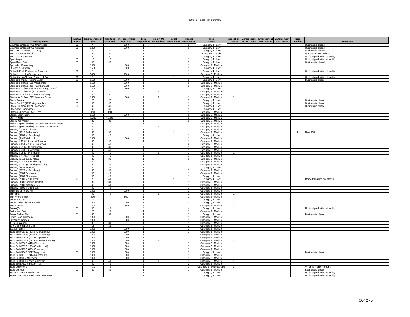#### 2009 FSF Inspection Summary

| <b>Facility Name</b>                                     | <b>Inactive</b><br><b>FSFs</b> | <b>Trap/Interceptor</b><br><b>Size</b> | <b>Trap Size</b><br>Required      | <b>Interceptor Size</b><br>Total<br>Required<br><b>Inspections</b> | <b>Follow Up</b> | <b>Initial</b><br>Inspections Inspections | Repeat<br>nspections         | <b>Risk</b><br>Rating                | Inspection<br>Letters | <b>NONC Letter</b> | Enforcement Enforcement Enforcement<br><b>NOV Letter</b> | <b>SNC letter</b> | Trap<br>Installed | <b>Comments</b>                          |
|----------------------------------------------------------|--------------------------------|----------------------------------------|-----------------------------------|--------------------------------------------------------------------|------------------|-------------------------------------------|------------------------------|--------------------------------------|-----------------------|--------------------|----------------------------------------------------------|-------------------|-------------------|------------------------------------------|
| Southern Graces (4900 Chambliss)                         | X                              |                                        |                                   | 1500                                                               |                  |                                           | -1.                          | Category 4 - Low                     |                       |                    |                                                          |                   |                   | Business is closed.                      |
| Southern Graces (5032 Witaker)                           | $\boldsymbol{\mathsf{X}}$      | 1000                                   |                                   | 1000<br>$\overline{1}$                                             |                  |                                           | $\mathbf{1}$                 | Category 4 - Low                     |                       |                    |                                                          |                   |                   | Business is closed.                      |
| Southern Graces (810 Clinch)                             | $\mathsf{X}$                   | 50                                     | 50                                | $\overline{1}$                                                     |                  |                                           | $\mathbf{1}$                 | Category 4 - Low                     |                       |                    |                                                          |                   |                   | Business is closed.                      |
| South's Finest Chocolate                                 |                                | 20                                     | 20                                | $\mathbf{1}$                                                       |                  |                                           | $\mathbf{1}$                 | Category 2 - High                    |                       |                    |                                                          |                   |                   | Undersized internal trap.                |
| Southside Sports Bar                                     | X                              | $\star$                                | $\star_{\scriptscriptstyle\perp}$ | 1                                                                  |                  |                                           | $\mathbf{1}$                 | Category 4 - Low                     |                       |                    |                                                          |                   |                   | No food production at facility           |
| Spa Visage                                               | $\times$                       | 10                                     | 10                                | $\overline{1}$                                                     |                  |                                           | $\mathbf{1}$                 | Category 4 - Low                     |                       |                    |                                                          |                   |                   | No food production at facility           |
| Speed Mart Deli                                          | X                              | 40                                     | 40                                | $\overline{2}$                                                     |                  |                                           | $\overline{2}$               | Category 4 - Low                     |                       |                    |                                                          |                   |                   | Business is closed.                      |
| Spring Hill Elementary                                   |                                | 1000                                   |                                   | 1000<br>$\overline{1}$                                             |                  |                                           | $\mathbf{1}$                 | Category 3 - Medium                  |                       |                    |                                                          |                   |                   |                                          |
| St. John's Cathedral                                     |                                | 1500                                   |                                   | 1500<br>$\overline{1}$                                             |                  |                                           | $\overline{1}$               | Category 4 - Low                     |                       |                    |                                                          |                   |                   |                                          |
| St. Mark Early Enrichment Program                        | X                              | $\mathcal{R}_\alpha$                   | $\star_-$                         | $\mathbf{1}$                                                       |                  |                                           | $\mathbf{1}$                 | Category 4 - Low                     |                       |                    |                                                          |                   |                   | No food production at facility           |
| St. Mary's Health System, Inc.                           |                                | 3000                                   |                                   | 3000<br>$\mathbf{1}$                                               |                  |                                           | $\mathbf{1}$                 | Category 3 - Medium                  |                       |                    |                                                          |                   |                   |                                          |
| St. Matthewa Glorious Church of God                      | X                              | $\star_{\scriptscriptstyle\bullet}$    |                                   |                                                                    |                  | -1                                        |                              | Category 4 - Low                     |                       |                    |                                                          |                   |                   | No food production at facility           |
| Starbucks (7222 Regions Lane)                            | $\times$                       | 1500                                   |                                   | 1500<br>$\overline{1}$                                             |                  |                                           | $\mathbf{1}$                 | Category 4 - Low                     |                       |                    |                                                          |                   |                   | Business is closed.                      |
| Starbucks Coffee (116 Merchants)                         |                                | 1500                                   |                                   | 1500<br>$\overline{1}$                                             |                  |                                           | $\mathbf{1}$                 | Category 3 - Medium                  |                       |                    |                                                          |                   |                   |                                          |
| Starbucks Coffee (2017 Cumberland)                       |                                | 1500                                   |                                   | 1500<br>$\mathbf{1}$                                               |                  |                                           | 1                            | Category 3 - Medium                  |                       |                    |                                                          |                   |                   |                                          |
| Starbucks Coffee # 8536 (4924 Kingston Pk.)              |                                | 1500                                   |                                   | 1500<br>$\overline{1}$                                             |                  |                                           | $\mathbf{1}$                 | Category 4 - Low                     |                       |                    |                                                          |                   |                   |                                          |
| Starbucks Coffee #1 (501 Church)                         |                                | 40                                     | 40                                | $\overline{2}$                                                     | $\mathbf{1}$     |                                           | $\mathbf{1}$                 | Category 3 - Medium                  | $\mathbf{1}$          |                    |                                                          |                   |                   |                                          |
| Starbuck's Coffee #3 (1015 Volunteer)                    |                                | $\star_{\star}$                        | $\star_{\star}$                   | $\overline{2}$                                                     |                  |                                           | $\overline{2}$               | Category 3 - Medium                  |                       |                    |                                                          |                   |                   |                                          |
| Starbucks Coffee (7803 Montvue Drive)                    |                                | 1500                                   |                                   | 1500<br>$\overline{2}$                                             | $\mathbf{1}$     |                                           | $\overline{1}$               | Category 3 - Medium                  | $\mathbf{1}$          |                    |                                                          |                   |                   |                                          |
|                                                          | $\mathsf{x}$                   |                                        | 20                                | $\overline{2}$                                                     |                  |                                           | $\overline{2}$               |                                      |                       |                    |                                                          |                   |                   |                                          |
| <b>Steak Escape</b><br>Steak Out # 1 (7836 Kingston Pk.) | $\times$                       | 20<br>40                               | 40                                | $\mathbf{1}$                                                       |                  |                                           | $\mathbf{1}$                 | Category 4 - Low<br>Category 4 - Low |                       |                    |                                                          |                   |                   | Business is closed<br>Business is closed |
| Steak Out #2 (2038 N. Broadway)                          | $\times$                       | 40                                     | 40                                | $\overline{1}$                                                     |                  |                                           | $\mathbf{1}$                 |                                      |                       |                    |                                                          |                   |                   | Business is closed.                      |
| Steamboat Sandwiches                                     |                                | 40                                     | 40                                |                                                                    |                  |                                           |                              | Category 4 - Low                     |                       |                    |                                                          |                   |                   |                                          |
|                                                          |                                | 150                                    | 150                               | $\overline{1}$                                                     |                  |                                           | $\mathbf{1}$                 | Category 4 - Low                     |                       |                    |                                                          |                   |                   |                                          |
| Stefano's Chicago Style Pizza                            |                                |                                        |                                   |                                                                    |                  |                                           | $\mathbf{1}$<br>$\mathbf{1}$ | Category 3 - Medium                  |                       |                    |                                                          |                   |                   |                                          |
| Sterchi Elementary                                       |                                | 1500<br>60.30                          | 60.30                             | 1500<br>$\overline{1}$<br>$\overline{1}$                           |                  |                                           |                              | Category 3 - Medium                  |                       |                    |                                                          |                   |                   |                                          |
| Stir Fry Cafe                                            |                                |                                        |                                   |                                                                    |                  |                                           | $\mathbf{1}$                 | Category 3 - Medium                  |                       |                    |                                                          |                   |                   |                                          |
| Stop N' Go Market                                        |                                | 30                                     | 30                                | $\mathbf{1}$                                                       |                  |                                           | $\mathbf{1}$                 | Category 3 - Medium                  |                       |                    |                                                          |                   |                   |                                          |
| Strike & Spare Bowling Center (3315 N. Broadway)         |                                | 40                                     | 40                                | $\mathbf{1}$                                                       |                  |                                           | $\mathbf{1}$                 | Category 3 - Medium                  |                       |                    |                                                          |                   |                   |                                          |
| Strike & Spare Bowling Center (5700 Western)             |                                | 40                                     | 40                                | $\overline{2}$                                                     | $\overline{1}$   |                                           | $\mathbf{1}$                 | Category 3 - Medium                  | $\mathbf{1}$          |                    |                                                          |                   |                   |                                          |
| Subway (1325 N. Cherry)                                  |                                | 40                                     | 40                                |                                                                    |                  |                                           | $\mathbf{1}$                 | Category 3 - Medium                  |                       |                    |                                                          |                   |                   |                                          |
| Subway (3317 Sutherland)                                 |                                | 50                                     | 50                                | $\overline{1}$                                                     |                  | $\overline{1}$                            |                              | Category 3 - Medium                  |                       |                    |                                                          |                   | $\sim$            | New FSF                                  |
| Subway (4803 N. Broadway)                                |                                | 40                                     | 40                                | $\mathbf{1}$                                                       |                  |                                           | $\mathbf{1}$                 | Category 4 - Low                     |                       |                    |                                                          |                   |                   |                                          |
| Subway (8445 Walbrook)                                   |                                | 1000                                   |                                   | 1000<br>$\overline{1}$                                             |                  |                                           | $\overline{1}$               | Category 3 - Medium                  |                       |                    |                                                          |                   |                   |                                          |
| Subway # 12 (#25 Market Square)                          |                                | 30                                     | 30                                | $\overline{1}$                                                     |                  |                                           | $\mathbf{1}$                 | Category 3 - Medium                  |                       |                    |                                                          |                   |                   |                                          |
| Subway # 15024 (6217 Riverview)                          |                                | 40                                     | 40                                | $\overline{2}$                                                     |                  |                                           | $\overline{2}$               | Category 3 - Medium                  |                       |                    |                                                          |                   |                   |                                          |
| Subway # 21 (7701 Northshore)                            |                                | 30                                     | 30                                |                                                                    |                  |                                           | $\mathbf{1}$                 | Category 3 - Medium                  |                       |                    |                                                          |                   |                   |                                          |
| Subway # 23 (314 Merchants)                              |                                | 40                                     | 40                                | $\overline{1}$                                                     |                  |                                           | $\mathbf{1}$                 | Category 3 - Medium                  |                       |                    |                                                          |                   |                   |                                          |
| Subway # 25 (2734 Schaad)                                |                                | 40                                     | 40                                | $\overline{2}$                                                     |                  |                                           | $\mathbf{1}$                 | Category 3 - Medium                  |                       |                    |                                                          |                   |                   |                                          |
| Subway # 4 (7327 Kingston)                               |                                | 40                                     | 40                                | -1                                                                 |                  |                                           | $\mathbf{1}$                 | Category 3 - Medium                  |                       |                    |                                                          |                   |                   |                                          |
| Subway #1559 (3105 Alcoa)                                |                                | 30                                     | 30                                | $\mathbf{1}$                                                       |                  |                                           | $\mathbf{1}$                 | Category 3 - Medium                  |                       |                    |                                                          |                   |                   |                                          |
| Subway #16 (8605 Walbrook)                               |                                | 40                                     | 40                                |                                                                    |                  |                                           | $\mathbf{1}$                 | Category 3 - Medium                  |                       |                    |                                                          |                   |                   |                                          |
| Subway #1711 (5201 Kingston Pk.)                         |                                | 20                                     | 20                                | $\overline{1}$                                                     |                  |                                           | $\mathbf{1}$                 | Category 3 - Medium                  |                       |                    |                                                          |                   |                   |                                          |
| Subway (4436 Western)                                    |                                | 30                                     | 30                                | $\overline{1}$                                                     |                  |                                           | $\overline{1}$               | Category 4 - Low                     |                       |                    |                                                          |                   |                   |                                          |
| Subway (2625 N. Broadway)                                |                                | 30                                     | 30                                | $\overline{2}$                                                     |                  |                                           | $\mathcal{P}$                | Category 3 - Medium                  |                       |                    |                                                          |                   |                   |                                          |
| Subway (2104 Cumberland)                                 |                                | 40                                     | 40                                |                                                                    |                  |                                           | $\overline{1}$               | Category 3 - Medium                  |                       |                    |                                                          |                   |                   |                                          |
| Subway (3708 Chapman)                                    |                                | 40                                     | 40                                | $\mathbf{1}$                                                       |                  |                                           | $\mathbf{1}$                 | Category 4 - Low                     |                       |                    |                                                          |                   |                   |                                          |
| Subway (7300 Middlebrook)                                | $\times$                       | $\star$                                | 40                                | $\overline{1}$                                                     |                  | $\mathbf{1}$                              |                              | Category 4 - Low                     |                       |                    |                                                          |                   |                   | Remodeling has not started.              |
| Subway (3001 Knoxville Center)                           |                                | 30                                     | 30                                | $\overline{1}$                                                     |                  |                                           | $\mathbf{1}$                 | Category 3 - Medium                  |                       |                    |                                                          |                   |                   |                                          |
| Subway (7600 Kingston Pk.)                               |                                | 40                                     | 40                                | $\overline{1}$                                                     |                  |                                           | $\overline{1}$               | Category 3 - Medium                  |                       |                    |                                                          |                   |                   |                                          |
| Subway (5501 Middlebrook)                                |                                | 40                                     | 40                                | $\mathbf{1}$                                                       |                  |                                           | $\mathbf{1}$                 | Category 3 - Medium                  |                       |                    |                                                          |                   |                   |                                          |
| Sullivans at Rocky Hill                                  |                                | 1000                                   |                                   | 1000<br>$\overline{1}$                                             |                  |                                           | $\overline{1}$               | Category 3 - Medium                  |                       |                    |                                                          |                   |                   |                                          |
| Sun Spot                                                 |                                | 40                                     | 40                                | $\overline{2}$                                                     |                  |                                           | -1.                          | Category 3 - Medium                  | -1                    |                    |                                                          |                   |                   |                                          |
| Sunnyview School                                         |                                | 500                                    |                                   | 500<br>$\overline{1}$                                              |                  |                                           | $\mathbf{1}$                 | Category 3 - Medium                  |                       |                    |                                                          |                   |                   |                                          |
| Super 8 Motel                                            |                                | $\star_-$                              | $\star_{\!-}$                     | $\overline{1}$                                                     |                  | $\overline{1}$                            |                              | Category 4 - Low                     |                       |                    |                                                          |                   |                   |                                          |
| Super Dollar Discount Foods                              |                                | 1000                                   |                                   | 1000<br>$\overline{2}$                                             |                  |                                           | $\mathcal{P}$                | Category 4 - Low                     |                       |                    |                                                          |                   |                   |                                          |
| Super Mario                                              |                                | 1500                                   |                                   | 1500<br>3                                                          | $\overline{2}$   |                                           | $\mathbf{1}$                 | Category 3 - Medium                  | $\mathbf{1}$          |                    |                                                          |                   |                   |                                          |
| Susie O's                                                | X                              | 40                                     | 40                                | $\overline{4}$                                                     |                  |                                           | $\overline{4}$               | Category 4 - Low                     |                       |                    |                                                          |                   |                   | No food production at facility           |
| Sutherland Deli                                          |                                | 20                                     | 20                                |                                                                    |                  |                                           | $\mathbf{1}$                 | Category 3 - Medium                  |                       |                    |                                                          |                   |                   |                                          |
| Sweet Bellie's Deli                                      | $\times$                       | 50                                     | 50                                | $\overline{1}$                                                     |                  |                                           | $\overline{1}$               | Category 4 - Low                     |                       |                    |                                                          |                   |                   | Business is closed.                      |
| Sysco Food Company                                       |                                | 1000                                   |                                   | 1000<br>$\overline{1}$                                             |                  |                                           | $\mathbf{1}$                 | Category 3 - Medium                  |                       |                    |                                                          |                   |                   |                                          |
| Szechuan Garden                                          |                                | 1000                                   |                                   | 1000<br>$\mathbf{1}$                                               |                  |                                           | $\mathbf{1}$                 | Category 3 - Medium                  |                       |                    |                                                          |                   |                   |                                          |
| T Ho Restaurant                                          |                                | 30                                     | 30                                | $\overline{1}$                                                     |                  |                                           | $\overline{1}$               | Category 3 - Medium                  |                       |                    |                                                          |                   |                   |                                          |
| . J.'s Sports Bar & Grill                                |                                | 15                                     | 15                                | $\overline{2}$                                                     |                  |                                           | $\overline{2}$               | Category 3 - Medium                  |                       |                    |                                                          |                   |                   |                                          |
| T.G.I. Friday's                                          |                                | 1000                                   |                                   | 1000                                                               |                  |                                           | $\mathbf{1}$                 | Category 3 - Medium                  |                       |                    |                                                          |                   |                   |                                          |
| Taco Bell #16310 (2085 N. Broadway)                      |                                | 1000                                   |                                   | 1000<br>$\overline{1}$                                             |                  |                                           | $\mathbf{1}$                 | Category 3 - Medium                  |                       |                    |                                                          |                   |                   |                                          |
| Taco Bell #16498 (4854 N. Broadway)                      |                                | 1000                                   |                                   | 1000<br>$\overline{1}$                                             |                  |                                           | $\overline{1}$               | Category 3 - Medium                  |                       |                    |                                                          |                   |                   |                                          |
| Taco Bell #20467 (102 Bridgewater)                       |                                | 1500                                   |                                   | 1500<br>$\overline{1}$                                             |                  |                                           | $\mathbf{1}$                 | Category 3 - Medium                  |                       |                    |                                                          |                   |                   |                                          |
| Taco Bell #20909 (7215 Strawberry Plains)                |                                | 1000                                   |                                   | 1000<br>$\overline{2}$                                             | $\overline{1}$   |                                           | $\mathbf{1}$                 | Category 3 - Medium                  | $\overline{1}$        |                    |                                                          |                   |                   |                                          |
| Taco Bell #2302 (4413 Western)                           |                                | 1500                                   |                                   | 1500                                                               |                  |                                           | $\mathbf{1}$                 | Category 3 - Medium                  |                       |                    |                                                          |                   |                   |                                          |
| Taco Bell #2379 (1900 Cumberland)                        |                                | 1000                                   |                                   | 1000<br>$\overline{1}$                                             |                  |                                           | $\mathbf{1}$                 | Category 3 - Medium                  |                       |                    |                                                          |                   |                   |                                          |
| Taco Bell #4756 (6504 Chapman)                           |                                | 1000                                   |                                   | 1000<br>$\overline{1}$                                             |                  |                                           | $\mathbf{1}$                 | Category 3 - Medium                  |                       |                    |                                                          |                   |                   |                                          |
| Taco Bell #9566 (3017 Magnolia)                          | $\times$                       | 1000                                   |                                   | 1000<br>$\overline{1}$                                             |                  |                                           | $\mathbf{1}$                 | Category 4 - Low                     |                       |                    |                                                          |                   |                   | Business is closed                       |
| Taco Bell #9575 (7414 Kingston Pk.)                      |                                | 1000                                   |                                   | 1000<br>$\overline{1}$                                             |                  |                                           | $\mathbf{1}$                 | Category 3 - Medium                  |                       |                    |                                                          |                   |                   |                                          |
| Taco Bell (5322 Millertown)                              |                                | 1000                                   |                                   | 1000<br>$\overline{1}$                                             |                  |                                           | $\mathbf{1}$                 | Category 3 - Medium                  |                       |                    |                                                          |                   |                   |                                          |
| Taco Bell (3001 Knoxville Center)                        |                                | 40                                     | 40                                | $\overline{4}$                                                     | $\mathbf{1}$     |                                           | 3                            | Category 3 - Medium                  | $\mathbf{1}$          |                    |                                                          |                   |                   |                                          |
| Taco Bell (7600 Kingston Pk.)                            |                                | 40                                     | 40                                | $\overline{2}$                                                     |                  |                                           | 2                            | Category 3 - Medium                  |                       |                    |                                                          |                   |                   |                                          |
| Taco De Mexico                                           |                                | $*20$                                  | 40                                | $\overline{1}$                                                     |                  |                                           | $\mathbf{1}$                 | Category 1 - Unacceptable            | $\overline{1}$        |                    |                                                          |                   |                   | **FSF is in enforcement.                 |
| Taco Del Mar                                             | X                              | 30                                     | 30                                | $\overline{1}$                                                     |                  |                                           | $\mathbf{1}$                 | Category 3 - Medium                  |                       |                    |                                                          |                   |                   | Business is closed.                      |
| Tacos El Maria Catering Van                              | X                              | $\star$ .                              | ۰.                                |                                                                    |                  |                                           | $\overline{1}$               | Category 4 - Low                     |                       |                    |                                                          |                   |                   | No food production at facility           |
| Tammy and Mike Fried Green Tomatoes                      | X                              |                                        |                                   |                                                                    |                  |                                           | -1                           | Category 4 - Low                     |                       |                    |                                                          |                   |                   | No food production at facility           |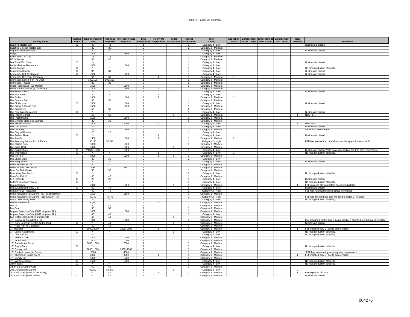#### 2009 FSF Inspection Summary

| <b>Facility Name</b>                                                    | <b>Inactive</b><br><b>FSFs</b> | <b>Trap/Interceptor</b><br>Size   | Required                | <b>Trap Size Interceptor Size</b><br>Required | Total<br>Inspections             | <b>Follow Up</b><br><b>Inspections</b> | Initial<br><b>Inspections</b> | Repeat<br><b>Inspections</b>     | <b>Risk</b><br>Rating                      | Letters        | nspection Enforcement Enforcement<br><b>NONC Letter</b> | <b>NOV Letter</b> | Enforcement<br><b>SNC letter</b> | Trap<br><b>Installed</b> | <b>Comments</b>                                                                   |
|-------------------------------------------------------------------------|--------------------------------|-----------------------------------|-------------------------|-----------------------------------------------|----------------------------------|----------------------------------------|-------------------------------|----------------------------------|--------------------------------------------|----------------|---------------------------------------------------------|-------------------|----------------------------------|--------------------------|-----------------------------------------------------------------------------------|
| Tammy's Restaurant                                                      | X                              | 40                                | 40                      |                                               |                                  |                                        |                               |                                  | Category 4 - Low                           |                |                                                         |                   |                                  |                          | Business is closed.                                                               |
| <b>Tapatios Mexican Restaurant</b>                                      |                                | 30                                | 30                      |                                               | $\overline{2}$                   |                                        |                               | $\overline{2}$                   | Category 3 - Medium                        |                |                                                         |                   |                                  |                          |                                                                                   |
| Taqueria Mexican Food                                                   | $\overline{X}$                 | 40                                | 40                      |                                               | $\overline{1}$                   |                                        |                               | $\overline{1}$                   | Category 4 - Low                           |                |                                                         |                   |                                  |                          | Business is closed.                                                               |
| Target                                                                  |                                | 1500                              |                         | 1500                                          | $\overline{1}$                   |                                        |                               | $\mathbf{1}$                     | Category 4 - Low                           |                |                                                         |                   |                                  |                          |                                                                                   |
| Tate's Teenz & Tots                                                     |                                | 75                                | 75                      |                                               | $\overline{1}$                   |                                        |                               | 1                                | Category 3 - Medium                        |                |                                                         |                   |                                  |                          |                                                                                   |
| <b>TD Barbecue</b>                                                      |                                | 40                                | 40                      |                                               | $\mathbf{1}$                     |                                        |                               | $\mathbf{1}$                     | Category 3 - Medium                        |                |                                                         |                   |                                  |                          |                                                                                   |
| Tea Time With Clara                                                     | X                              | $\cdot$                           | ×.                      |                                               | $\mathbf{1}$                     |                                        |                               |                                  | Category 4 - Low                           |                |                                                         |                   |                                  |                          | Business is closed.                                                               |
| Tekila Mexican Restaurant                                               |                                | 1000                              |                         | 1000                                          | $\mathbf{1}$                     |                                        |                               | $\mathbf{1}$                     | Category 4 - Low                           |                |                                                         |                   |                                  |                          |                                                                                   |
| Tekoa Lounge                                                            | $\overline{X}$                 | ×.                                | $\star$                 |                                               | $\overline{1}$                   |                                        |                               | $\overline{1}$                   | Category 4 - Low                           |                |                                                         |                   |                                  |                          | No food production at facility.                                                   |
| <b>Temptation Station</b>                                               | X                              | 30                                | 30                      |                                               | $\overline{1}$                   |                                        |                               | $\mathbf{1}$                     | Category 4 - Low                           |                |                                                         |                   |                                  |                          | Business is closed.                                                               |
| Tennessee Grill Restaurant                                              | $\times$                       | 1500                              |                         | 1500                                          | $\overline{1}$                   |                                        |                               | $\overline{1}$                   | Category 4 - Low                           |                |                                                         |                   |                                  |                          | Business is closed.                                                               |
| Tennessee Riverboat Company                                             |                                | 50                                | 50                      |                                               | $\overline{2}$                   | $\mathbf{1}$                           |                               | 1                                | Category 3 - Medium                        | 1              |                                                         |                   |                                  |                          |                                                                                   |
| Tennessee School For The Deaf                                           |                                | 100, 100<br>30                    | 100, 100<br>30          |                                               | $\overline{1}$<br>$\overline{2}$ |                                        |                               | $\mathbf{1}$<br>$\overline{2}$   | Category 3 - Medium                        |                |                                                         |                   |                                  |                          |                                                                                   |
| Tennessee Theatre<br>Texas Roadhouse (120 Morrell)                      |                                | 1500                              |                         | 1500                                          | 3                                |                                        |                               | $\mathbf{3}$                     | Category 3 - Medium<br>Category 3 - Medium |                |                                                         |                   |                                  |                          |                                                                                   |
| Texas Roadhouse #5 (3071 Kinzel)                                        |                                | 1500                              |                         | 1500                                          | 5                                | $\overline{2}$                         |                               | $\mathbf{3}$                     | Category 3 - Medium                        | $\mathbf{1}$   |                                                         |                   |                                  |                          |                                                                                   |
| Thackston School                                                        | $\times$                       | $\mathbf{x}_\perp$                | ۰.                      |                                               | $\overline{1}$                   |                                        | $\overline{1}$                |                                  | Category 4 - Low                           |                |                                                         |                   |                                  |                          | Business is closed.                                                               |
| The Blue Bean                                                           |                                | 20                                | 20                      |                                               | $\overline{2}$                   |                                        |                               | $\mathbf{1}$                     | Category 4 - Low                           |                |                                                         |                   |                                  |                          |                                                                                   |
| The Broker                                                              |                                | 1000                              |                         | 1000                                          | 2                                | $\mathcal{P}$                          |                               |                                  | Category 3 - Medium                        | $\overline{1}$ |                                                         |                   |                                  |                          |                                                                                   |
| The Campus Deli                                                         |                                | 30                                | 30 <sup>2</sup>         |                                               | $\overline{1}$                   |                                        |                               | $\overline{1}$                   | Category 3 - Medium                        |                |                                                         |                   |                                  |                          |                                                                                   |
| The Clubhouse                                                           | $\times$                       | 1000                              |                         | 1000                                          | $\overline{1}$                   |                                        |                               | 1                                | Category 4 - Low                           |                |                                                         |                   |                                  |                          | Business is closed.                                                               |
| The Crown & Goose Pub                                                   |                                | 1500                              |                         | 1500                                          | $\overline{1}$                   |                                        |                               | $\mathbf{1}$                     | Category 3 - Medium                        |                |                                                         |                   |                                  |                          |                                                                                   |
| The Cupcakery                                                           |                                | 50                                | 50                      |                                               | $\overline{2}$                   |                                        |                               | $\overline{2}$                   | Category 3 - Medium                        |                |                                                         |                   |                                  |                          |                                                                                   |
| The Four Way Restaurant                                                 | X                              | ×.                                | $\star$                 |                                               | $\overline{1}$                   |                                        |                               | 1                                | Category 4 - Low                           |                |                                                         |                   |                                  |                          | Business is closed.                                                               |
| The French Market                                                       |                                | 50                                | 50                      |                                               | $\overline{1}$                   |                                        | $\mathbf{1}$                  |                                  | Category 3 - Medium                        |                |                                                         |                   |                                  | $\mathbf{1}$             | New FSF.                                                                          |
| The Fresh Market                                                        |                                | 1500                              |                         | 1500                                          | $\overline{1}$                   |                                        |                               | $\overline{1}$                   | Category 3 - Medium                        |                |                                                         |                   |                                  |                          |                                                                                   |
| The General Store Sub Express                                           |                                | 30                                | 30 <sup>2</sup>         |                                               | $\overline{1}$                   |                                        |                               | $\overline{1}$                   | Category 3 - Medium                        |                |                                                         |                   |                                  |                          |                                                                                   |
| The Hill Restaurant                                                     |                                | 2000                              |                         | 2000                                          | $\overline{2}$                   | $\overline{2}$                         |                               |                                  | Category 4 - Low                           |                |                                                         |                   |                                  | -1                       | <b>New FSF</b>                                                                    |
| The Lost Savant                                                         | $\times$                       |                                   |                         |                                               | $\overline{1}$                   |                                        |                               |                                  | Category 4 - Low                           |                |                                                         |                   |                                  |                          | Business is closed.                                                               |
| The Orangery                                                            |                                | **40                              |                         | 1500                                          | 3                                |                                        |                               | 3                                | Category 3 - Medium                        | $\mathbf{1}$   |                                                         |                   |                                  |                          | **FSF is in enforcement                                                           |
| The Original Freeze                                                     |                                | 20                                | 20                      |                                               | $\overline{1}$                   |                                        |                               | $\overline{1}$                   | Category 4 - Low                           |                |                                                         |                   |                                  |                          |                                                                                   |
| The Perfect Place                                                       | $\overline{X}$                 | ×.                                | $\star_{\!-}$           |                                               | $\overline{2}$                   | $\mathfrak{p}$                         |                               |                                  | Category 4 - Low                           |                |                                                         |                   |                                  |                          | Business is closed.                                                               |
| The Purada<br>The Roaming Gnome Pub & Eatery                            |                                | 1500<br>50, 50                    | 50, 50                  | 1500                                          | 3<br>$\mathbf{1}$                | $\overline{2}$                         |                               | $\mathbf{1}$                     | Category 3 - Medium                        | $\overline{2}$ | $\mathbf{1}$                                            |                   |                                  |                          | FSF has internal trap on dishwasher. No space for external GI.                    |
| The Shrimp Dock                                                         |                                | 1000                              |                         | 1000                                          | $\overline{1}$                   |                                        |                               | 1                                | Category 2 - High<br>Category 3 - Medium   |                |                                                         |                   |                                  |                          |                                                                                   |
| The Spice Rack                                                          |                                | 1000                              |                         | 1000                                          | $\mathbf{1}$                     |                                        | $\mathbf{1}$                  |                                  | Category 3 - Medium                        |                |                                                         |                   |                                  |                          |                                                                                   |
| The Sugar Shack                                                         | $\overline{X}$                 | *1500, 1500                       |                         | 1500                                          | $\overline{1}$                   |                                        |                               | $\overline{1}$                   | Category 4 - Low                           |                |                                                         |                   |                                  |                          | Business is closed. *FSF has exceeded grease trap size requirement.               |
| The Three Bears                                                         | X                              | $\star_-$                         | $\star$                 |                                               | $\overline{1}$                   |                                        |                               |                                  | Category 4 - Low                           |                |                                                         |                   |                                  |                          | No food production at facility.                                                   |
| The Tin Roof                                                            |                                | 1000                              |                         | 1000                                          | $\mathbf{3}$                     | $\mathbf{1}$                           | -1                            | $\mathbf{1}$                     | Category 3 - Medium                        |                |                                                         |                   |                                  |                          |                                                                                   |
| The Upper Crust                                                         |                                | 30                                | 30                      |                                               | $\overline{\phantom{a}}$         |                                        |                               | $\mathcal{P}$                    | Category 4 - Low                           |                |                                                         |                   |                                  |                          |                                                                                   |
| The Wing Shack                                                          | X                              | 30                                | 30                      |                                               | $\mathbf{1}$                     |                                        |                               | 1                                | Category 4 - Low                           |                |                                                         |                   |                                  |                          | Business is closed.                                                               |
| <b>Three Brothers Pizza</b>                                             |                                | 40                                | 40                      |                                               | $\overline{1}$                   |                                        |                               | $\overline{1}$                   | Category 3 - Medium                        |                |                                                         |                   |                                  |                          |                                                                                   |
| Three Ridges Golf Course                                                |                                | 500                               |                         | 500                                           | $\overline{1}$                   |                                        |                               | $\mathbf{1}$                     | Category 3 - Medium                        |                |                                                         |                   |                                  |                          |                                                                                   |
| Time Out Deli Market                                                    |                                | 30                                | 30                      |                                               | $\overline{1}$                   |                                        |                               |                                  | Category 3 - Medium                        |                |                                                         |                   |                                  |                          |                                                                                   |
| Time Warp Tea Room                                                      | X                              | $\star_-$                         | $\star_-$               |                                               | $\overline{2}$                   |                                        |                               | $\overline{2}$                   | Category 4 - Low                           |                |                                                         |                   |                                  |                          | No food production at facility.                                                   |
| Time-Out Deli #2                                                        |                                | 40                                | 40                      |                                               | $\overline{1}$                   |                                        |                               | 1                                | Category 3 - Medium                        |                |                                                         |                   |                                  |                          |                                                                                   |
| TJ's (Closed)                                                           | X                              | 20                                | 20                      |                                               | $\overline{1}$                   |                                        |                               | $\mathbf{1}$                     | Category 4 - Low                           |                |                                                         |                   |                                  |                          | Business is closed.                                                               |
| Toddy's Backdoor Tavern                                                 | $\overline{\mathsf{x}}$        | ×.                                | ×.                      |                                               | $\mathbf{1}$                     |                                        |                               | $\mathbf{1}$                     | Category 4 - Low                           |                |                                                         |                   |                                  |                          | No food production at facility.                                                   |
| Tom & Barry's                                                           |                                | 1000                              |                         | 1000                                          | $\overline{2}$                   |                                        |                               | $\overline{1}$                   | Category 3 - Medium                        |                |                                                         |                   |                                  |                          | FSF replaced old trap before occupying building.                                  |
| Tom & Debbie's Family Deli                                              | $\times$                       | 40                                | 40                      |                                               | $\overline{1}$                   |                                        |                               | $\mathbf{1}$                     | Category 4 - Low                           |                |                                                         |                   |                                  |                          | Business is closed.                                                               |
| Tomato Head Restaurant                                                  |                                | 40                                | 40                      |                                               | $\overline{1}$                   |                                        |                               | $\overline{1}$                   | Category 2 - High                          |                |                                                         |                   |                                  |                          | FSF has had maintenance issues in the past.                                       |
| Tomo Japanese Restaurant (4877 N. Broadway)                             |                                | 1500                              |                         | 1500                                          | $\overline{1}$                   |                                        |                               | 1                                | Category 3 - Medium                        |                |                                                         |                   |                                  |                          |                                                                                   |
| Tomo Japanese Restaurant (7315 Kinston Pk.)<br>Toot's Little Honky Tonk | $\mathsf{X}$                   | 40, 40<br>$\overline{\mathbf{x}}$ | 40, 40<br>$\star_{\!-}$ |                                               | $\overline{2}$<br>$\overline{1}$ |                                        |                               | $\overline{2}$<br>$\overline{1}$ | Category 2 - High                          |                |                                                         |                   |                                  |                          | FSF has internal traps and will need to install GI in future.                     |
| Tracy's Restaurant                                                      |                                | 80,60                             |                         |                                               | 3                                | $\mathcal{P}$                          |                               | $\mathbf{1}$                     | Category 4 - Low<br>Category 3 - Medium    |                | $\mathbf{1}$                                            |                   |                                  |                          | No food production at facility.                                                   |
| Trino's                                                                 |                                | 40                                | 40                      |                                               | $\overline{1}$                   |                                        |                               | 1                                | Category 3 - Medium                        |                |                                                         |                   |                                  |                          |                                                                                   |
| Trio Cafe                                                               |                                | 50                                | 50                      |                                               | $\overline{1}$                   |                                        |                               | $\overline{1}$                   | Category 3 - Medium                        |                |                                                         |                   |                                  |                          |                                                                                   |
| Tropical Smoothie Café (8008 Kingston Pk.)                              |                                | 1000                              |                         | 1000                                          | $\mathbf{1}$                     |                                        |                               |                                  | Category 3 - Medium                        |                |                                                         |                   |                                  |                          |                                                                                   |
| Tropical Smoothie Cafe (4839 Kingston Pk.)                              |                                | 40                                | 40                      |                                               | $\overline{1}$                   |                                        |                               |                                  | Category 4 - Low                           |                |                                                         |                   |                                  |                          |                                                                                   |
| Two Sister's Sandwiches and Sweets                                      |                                | 40                                | 40                      |                                               | $\overline{1}$                   |                                        | 1                             |                                  | Category 3 - Medium                        |                |                                                         |                   |                                  |                          |                                                                                   |
| U.T. Bakery @ Presidential Hall                                         |                                | 300                               |                         | 1000                                          | $\overline{1}$                   |                                        |                               |                                  | Category 3 - Medium                        |                |                                                         |                   |                                  |                          | Investigating if 300 lb trap is being used or if plumbed to 1000 gal interceptor. |
| U.T. Early Learning Center (Sutherland)                                 | $\times$                       | ∗∗.                               | 40                      |                                               | $\overline{1}$                   |                                        | $\overline{1}$                |                                  | Category 3 - Medium                        |                |                                                         |                   |                                  |                          | Business is closed.                                                               |
| U.T. Hess Hall KFC Express                                              |                                | 40                                | 40                      |                                               | $\overline{1}$                   |                                        |                               |                                  | Category 3 - Medium                        |                |                                                         |                   |                                  |                          |                                                                                   |
| U.T Hospital                                                            |                                | 3000, 3000                        |                         | 2000, 2000                                    | 9                                | 6                                      |                               | 3                                | Category 3 - Medium                        |                |                                                         |                   |                                  |                          | FSF installed new GI due to enforcement.                                          |
| U.T. Laruel Apartments                                                  | $\overline{X}$                 | $\star$ .                         | $\star_-$               |                                               | $\overline{1}$                   |                                        | $\mathbf{1}$                  |                                  | Category 4 - Low                           |                |                                                         |                   |                                  |                          | No food production at facility                                                    |
| U.T. Law Building                                                       | $\times$                       | $\star_-$                         | ×.                      |                                               | $\mathbf{1}$                     |                                        | 1                             |                                  | Category 4 - Low                           |                |                                                         |                   |                                  |                          | No food production at facility.                                                   |
| U.T. Mable's Cafe                                                       |                                | 1500                              |                         | 1500                                          | $\overline{1}$                   |                                        |                               |                                  | Category 3 - Medium                        |                |                                                         |                   |                                  |                          |                                                                                   |
| U.T. Morrill Hall                                                       |                                | 1000                              |                         | 1000                                          | $\overline{1}$                   |                                        |                               | $\overline{1}$                   | Category 3 - Medium                        |                |                                                         |                   |                                  |                          |                                                                                   |
| U.T. Presidential Court                                                 |                                | 3000, 1000                        | $\star$                 | 2000                                          | $\mathbf{1}$                     |                                        |                               | $\mathbf{1}$                     | Category 3 - Medium                        |                |                                                         |                   |                                  |                          |                                                                                   |
| U.T. Ray's Place                                                        | $\times$                       | $\star$                           |                         |                                               | $\overline{1}$                   |                                        |                               |                                  | Category 4 - Low                           |                |                                                         |                   |                                  |                          | No food production at facility.                                                   |
| U.T. Strong Hall                                                        |                                | 3000, 1500                        |                         | 3000, 1500                                    | $\overline{1}$                   |                                        |                               |                                  | Category 3 - Medium                        |                |                                                         |                   |                                  |                          |                                                                                   |
| U.T. Student University Center                                          |                                | *6000                             |                         | 4000                                          | $\overline{1}$                   |                                        |                               | $\mathbf{1}$                     | Category 3 - Medium                        |                |                                                         |                   |                                  |                          | *FSF has exceeded grease trap size requirement.                                   |
| U.T. Thompson Boling Arena                                              |                                | 3000<br>1000                      |                         | 3000<br>1000                                  | $\overline{2}$<br>$\overline{1}$ | $\mathbf{1}$                           |                               | $\overline{1}$                   | Category 3 - Medium                        |                |                                                         |                   |                                  |                          | FSF installed new GI due to enforcement.                                          |
| U.T. Varsity Inn<br>U.T. Welcome Center                                 |                                | 1500                              |                         | 1500                                          | $\mathbf{1}$                     |                                        |                               |                                  | Category 3 - Medium<br>Category 4 - Low    |                |                                                         |                   |                                  |                          | No food production at facility.                                                   |
| Union Jacks                                                             | X<br>$\boldsymbol{\mathsf{x}}$ | $\star$                           | $\star$                 |                                               | $\mathbf{1}$                     |                                        |                               |                                  | Category 4 - Low                           |                |                                                         |                   |                                  |                          | No food production at facility                                                    |
| Urban Bar & Corner Cafe                                                 |                                | 60                                | 60                      |                                               | $\overline{1}$                   |                                        |                               | $\overline{1}$                   | Category 3 - Medium                        |                |                                                         |                   |                                  |                          |                                                                                   |
| Veg-O-Rama Restaurant                                                   |                                | 80, 50                            | 80, 50                  |                                               | $\overline{1}$                   |                                        | $\mathbf{1}$                  |                                  | Category 4 - Low                           |                |                                                         |                   |                                  |                          |                                                                                   |
| Vic & Bill's Deli (3553 N. Broadway)                                    |                                | 40                                | 40                      |                                               | $\overline{2}$                   | $\mathbf{1}$                           |                               |                                  | Category 3 - Medium                        |                |                                                         |                   |                                  | $\mathbf{1}$             | FSF replaced old trap.                                                            |
| Vic & Bill's Deli (1501 White)                                          | X                              | 40                                | 40                      |                                               |                                  |                                        |                               |                                  | Category 3 - Medium                        |                |                                                         |                   |                                  |                          | Business is closed.                                                               |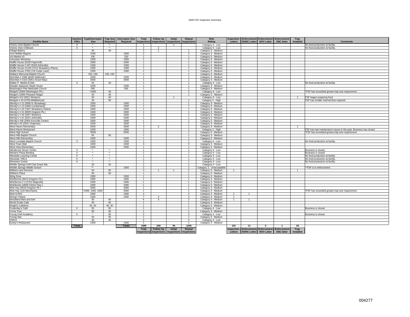#### 2009 FSF Inspection Summary

| <b>Facility Name</b>                                             | Inactive<br><b>FSFs</b> | <b>Trap/Interceptor</b><br><b>Size</b> | Required                          | Trap Size Interceptor Size<br>Required | Total<br>nspections              | <b>Follow Up</b>                               | <b>Initial</b><br>Inspections Inspections Inspections | Repeat                         | <b>Risk</b><br>Rating                      | Inspection<br>Letters | Enforcement Enforcement Enforcement<br>NONC Letter NOV Letter |              | <b>SNC letter</b> | <b>Trap</b><br>Installed | <b>Comments</b>                                                  |
|------------------------------------------------------------------|-------------------------|----------------------------------------|-----------------------------------|----------------------------------------|----------------------------------|------------------------------------------------|-------------------------------------------------------|--------------------------------|--------------------------------------------|-----------------------|---------------------------------------------------------------|--------------|-------------------|--------------------------|------------------------------------------------------------------|
| Victory View Baptist Church                                      | $\times$                |                                        |                                   |                                        |                                  |                                                |                                                       |                                | Category 4 - Low                           |                       |                                                               |              |                   |                          | No food production at facility                                   |
| Victory View Childcare                                           | $\times$                | ×.                                     | $\star_{\scriptscriptstyle\star}$ |                                        | $\mathcal{P}$                    | 2                                              |                                                       |                                | Category 4 - Low                           |                       |                                                               |              |                   |                          | No food production at facility                                   |
| <b>Village Bakery</b>                                            |                         | 40                                     | 40                                |                                        | $\overline{2}$                   | $\overline{1}$                                 |                                                       | -1                             | Category 3 - Medium                        |                       |                                                               |              |                   |                          |                                                                  |
| Vine Middle Magnet                                               |                         | 1000                                   |                                   | 1000                                   | 2                                |                                                |                                                       | $\mathfrak{p}$                 | Category 3 - Medium                        |                       |                                                               |              |                   |                          |                                                                  |
| Vol Market #3                                                    |                         | 100                                    |                                   | 100                                    | $\overline{1}$                   |                                                |                                                       | $\overline{1}$                 | Category 3 - Medium                        |                       |                                                               |              |                   |                          |                                                                  |
| <b>Volunteer Ministries</b>                                      |                         | 1500                                   |                                   | 1500                                   | $\overline{1}$                   |                                                |                                                       | $\mathbf{1}$                   | Category 3 - Medium                        |                       |                                                               |              |                   |                          |                                                                  |
| Waffle House (6230 Papermill)                                    |                         | 2000                                   |                                   | 2000                                   | $\overline{1}$                   |                                                |                                                       | -1.                            | Category 3 - Medium                        |                       |                                                               |              |                   |                          |                                                                  |
| Waffle House #447 (5416 Asheville)                               |                         | 1000                                   |                                   | 1000                                   | $\overline{1}$                   |                                                |                                                       | $\mathbf{1}$                   | Category 3 - Medium                        |                       |                                                               |              |                   |                          |                                                                  |
| Waffle House #1105 (7414 Strawberry Plains)                      |                         | 1000                                   |                                   | 1000                                   | $\overline{1}$                   |                                                |                                                       | $\mathbf{1}$                   | Category 3 - Medium                        |                       |                                                               |              |                   |                          |                                                                  |
| Waffle House #766 (119 Cedar Lane)                               |                         | 1000                                   |                                   | 1000                                   | $\overline{1}$                   |                                                |                                                       | $\mathbf{1}$                   | Category 3 - Medium                        |                       |                                                               |              |                   |                          |                                                                  |
| Wallace Memorial Baptist Church                                  |                         | 150, 150                               | 150, 150                          |                                        | $\overline{1}$                   |                                                |                                                       | $\mathbf{1}$                   | Category 3 - Medium                        |                       |                                                               |              |                   |                          |                                                                  |
| Wal-Mart # 2065 (8445 Walbrook)                                  |                         | 1500                                   |                                   | 1500                                   | $\overline{1}$                   |                                                |                                                       | -1.                            | Category 3 - Medium                        |                       |                                                               |              |                   |                          |                                                                  |
| Wal-Mart # 2310 (3051 Kinzel Way)                                |                         | 2000                                   |                                   | 2000                                   | $\overline{1}$                   |                                                |                                                       | -1.                            | Category 3 - Medium                        |                       |                                                               |              |                   |                          |                                                                  |
| Walter P. Market & Deli                                          | $\overline{\mathsf{x}}$ | 20                                     | 20                                |                                        | $\overline{1}$                   |                                                |                                                       | $\overline{1}$                 | Category 4 - Low                           |                       |                                                               |              |                   |                          | No food production at facility                                   |
| Wasabi Japanese Steak House                                      |                         | 1500<br>500                            |                                   | 1500                                   | $\overline{1}$<br>$\overline{1}$ |                                                |                                                       | $\mathbf{1}$<br>$\mathbf{1}$   | Category 3 - Medium                        |                       |                                                               |              |                   |                          |                                                                  |
| Washington Pike Methodist Church                                 |                         | *1000                                  | 40                                | 500                                    | $\mathcal{P}$                    |                                                |                                                       | $\mathcal{P}$                  | Category 3 - Medium                        |                       |                                                               |              |                   |                          |                                                                  |
| Weigel's (5904 Washington Pk.)<br>Weigel's (3900 Pleasant Ridge) |                         | 40                                     | 40                                |                                        | $\overline{1}$                   |                                                |                                                       | $\mathbf{1}$                   | Category 4 - Low<br>Category 3 - Medium    |                       |                                                               |              |                   |                          | *FSF has exceeded grease trap size requirement                   |
| Weigel's #12 (5621 Western)                                      |                         | 40                                     | 40                                |                                        | $\overline{1}$                   |                                                | $\overline{1}$                                        |                                | Category 4 - Low                           |                       |                                                               |              |                   | $\overline{1}$           | FSF began preparing food.                                        |
| Weigels #43 (4750 Middlebrook)                                   |                         | 30                                     | 50                                |                                        | $\overline{1}$                   |                                                |                                                       | $\mathbf{1}$                   | Category 2 - High                          |                       |                                                               |              |                   |                          | FSF has smaller internal than required.                          |
| Wendy's # 12 (3000 N. Broadway)                                  |                         | 1000                                   |                                   | 1000                                   | $\overline{1}$                   |                                                |                                                       | 1                              | Category 3 - Medium                        |                       |                                                               |              |                   |                          |                                                                  |
| Wendy's #13 (1806 Cumberland)                                    |                         | 1000                                   |                                   | 1000                                   | $\overline{1}$                   |                                                |                                                       | $\mathbf{1}$                   | Category 3 - Medium                        |                       |                                                               |              |                   |                          |                                                                  |
| Wendy's # 24 (7407 Strawberry Plains)                            |                         | 1000                                   |                                   | 1000                                   | $\overline{1}$                   |                                                |                                                       | $\mathbf{1}$                   | Category 3 - Medium                        |                       |                                                               |              |                   |                          |                                                                  |
| Wendy's #31 (8305 Kingston Pk.)                                  |                         | 1000                                   |                                   | 1000                                   | $\overline{1}$                   |                                                |                                                       |                                | Category 3 - Medium                        |                       |                                                               |              |                   |                          |                                                                  |
| Wendy's #34 (4407 Western)                                       |                         | 1000                                   |                                   | 1000                                   | $\overline{1}$                   |                                                |                                                       | $\mathbf{1}$                   | Category 3 - Medium                        |                       |                                                               |              |                   |                          |                                                                  |
| Wendy's #41 (6201 Asheville)                                     |                         | 1000                                   |                                   | 1000                                   | $\overline{1}$                   |                                                |                                                       | $\mathbf{1}$                   | Category 3 - Medium                        |                       |                                                               |              |                   |                          |                                                                  |
| Wendy's #28 (2904 Knoxville Center)                              |                         | 1000                                   |                                   | 1000                                   | $\overline{1}$                   |                                                |                                                       | $\mathbf{1}$                   | Category 3 - Medium                        |                       |                                                               |              |                   |                          |                                                                  |
| Wendy's #4 (2401 Chapman)                                        |                         | 1500                                   |                                   | 1500                                   | $\overline{1}$                   |                                                |                                                       | $\mathbf{1}$                   | Category 3 - Medium                        |                       |                                                               |              |                   |                          |                                                                  |
| West Haven Elementary                                            |                         | 2000                                   |                                   | 2000                                   | 3                                | $\mathcal{P}$                                  |                                                       | -1.                            | Category 3 - Medium                        |                       |                                                               |              |                   |                          |                                                                  |
| West Haven Restaurant                                            |                         | 1000                                   |                                   | 1000                                   | $\overline{1}$                   |                                                |                                                       | $\mathbf{1}$                   | Category 2 - High                          |                       |                                                               |              |                   |                          | FSF has had maintenance issues in the past. Business has closed. |
| West High School                                                 |                         | *3000                                  |                                   | 2000                                   | $\overline{1}$                   |                                                |                                                       | $\overline{1}$                 | Category 3 - Medium                        |                       |                                                               |              |                   |                          | *FSF has exceeded grease trap size requirement.                  |
| West Hills Baptist Church                                        |                         | 50                                     | 50                                |                                        | $\overline{1}$                   |                                                |                                                       | $\mathbf{1}$                   | Category 3 - Medium                        |                       |                                                               |              |                   |                          |                                                                  |
| West Hills Elementary                                            |                         | 1000                                   |                                   | 1000                                   | $\overline{1}$                   |                                                |                                                       | $\mathbf{1}$                   | Category 3 - Medium                        |                       |                                                               |              |                   |                          |                                                                  |
| West Lonsdale Baptist Church                                     | X                       | 1000                                   |                                   | 1000                                   | $\overline{1}$                   |                                                |                                                       | $\mathbf{1}$                   | Category 4 - Low                           |                       |                                                               |              |                   |                          | No food production at facility                                   |
| West Town Mall<br>West View Elementary                           |                         | 1000<br>1000                           |                                   | 1000<br>1000                           | $\mathbf{3}$<br>$\overline{1}$   |                                                |                                                       | 3<br>$\mathbf{1}$              | Category 3 - Medium                        |                       |                                                               |              |                   |                          |                                                                  |
| <b>Westbrook Senior Center</b>                                   | X                       | ×.                                     | $\mathbf{r}_{\perp}$              |                                        | $\overline{1}$                   |                                                |                                                       | $\mathbf{1}$                   | Category 3 - Medium<br>Category 4 - Low    |                       |                                                               |              |                   |                          | Business is closed.                                              |
| Western Plaza Bowling                                            | $\times$                | $\mathbf{x}_\perp$                     | $\star_{\star}$                   |                                        | $\overline{1}$                   |                                                |                                                       | $\mathbf{1}$                   | Category 4 - Low                           |                       |                                                               |              |                   |                          | Business is closed.                                              |
| Westside Learning Center                                         | $\times$                | ×.                                     | ×.                                |                                        | $\overline{1}$                   |                                                |                                                       | $\mathbf{1}$                   | Category 4 - Low                           |                       |                                                               |              |                   |                          | No food production at facility                                   |
| Westside YMCA                                                    | X                       | $\overline{\mathbf{r}}$                | $\star$                           |                                        | $\overline{1}$                   |                                                |                                                       | $\mathbf{1}$                   | Category 4 - Low                           |                       |                                                               |              |                   |                          | No food production at facility                                   |
| <b>Westview Center</b>                                           | $\times$                | $\mathbf{x}_\perp$                     | $\star$                           |                                        | $\overline{1}$                   |                                                |                                                       | $\mathbf{1}$                   | Category 4 - Low                           |                       |                                                               |              |                   |                          | No food production at facility                                   |
| Whittle Springs Golf Club Snack Bar                              |                         | 20                                     | 20                                |                                        | $\mathcal{P}$                    |                                                |                                                       | 2                              | Category 4 - Low                           |                       |                                                               |              |                   |                          |                                                                  |
| Whittle Springs Middle School                                    |                         | $\star\star$                           |                                   | 1500                                   | $\mathcal{P}$                    |                                                |                                                       | $\overline{2}$                 | Category 1 - Unacceptable                  |                       |                                                               |              |                   |                          | *FSF is in enforcement.                                          |
| Williams and Sonoma                                              |                         | 50                                     | 50                                |                                        | $\overline{4}$                   | $\mathbf{1}$                                   | $\overline{1}$                                        | 2                              | Category 3 - Medium                        | 1                     |                                                               |              |                   |                          |                                                                  |
| Williams Place                                                   |                         | 30                                     | 30                                |                                        | $\overline{1}$                   |                                                |                                                       | $\mathbf{1}$                   | Category 3 - Medium                        |                       |                                                               |              |                   |                          |                                                                  |
| Wing Zone                                                        |                         | 1500                                   |                                   | 1500                                   | $\overline{1}$                   |                                                |                                                       | $\mathbf{1}$                   | Category 3 - Medium                        |                       |                                                               |              |                   |                          |                                                                  |
| Wishbones (6913 Kingston Pk.)                                    |                         | 1000                                   |                                   | 1000                                   | $\overline{1}$                   |                                                |                                                       | $\overline{1}$                 | Category 3 - Medium                        |                       |                                                               |              |                   |                          |                                                                  |
| Wishbones # 2 (2701 Magnolia)                                    |                         | 1000                                   |                                   | 1000                                   | $\overline{1}$                   |                                                |                                                       | $\overline{1}$                 | Category 3 - Medium                        |                       |                                                               |              |                   |                          |                                                                  |
| Wishbones (4808 Clinton Hwy.)                                    |                         | 1000                                   |                                   | 1000                                   | $\overline{1}$                   |                                                |                                                       | $\mathbf{1}$                   | Category 3 - Medium                        |                       |                                                               |              |                   |                          |                                                                  |
| Wok Hay (5018 Kingston Pk.)                                      |                         | 2000                                   |                                   | 2000                                   | $\overline{1}$                   |                                                |                                                       | $\mathbf{1}$                   | Category 3 - Medium                        |                       |                                                               |              |                   |                          |                                                                  |
| Wok Hay (120 Merchants)                                          |                         | *1500, 1500, 1500                      |                                   | 2000                                   | $\overline{1}$                   |                                                |                                                       | $\overline{1}$                 | Category 3 - Medium                        |                       |                                                               |              |                   |                          | *FSF has exceeded grease trap size requirement.                  |
| Wok-N-Roll                                                       |                         | 1000                                   |                                   | 1000                                   | $\mathbf{3}$                     |                                                |                                                       | $\overline{\mathbf{3}}$        | Category 3 - Medium                        | $\overline{1}$        | $\overline{1}$                                                |              |                   |                          |                                                                  |
| Wong's Palace                                                    |                         | 1000                                   |                                   | 1000                                   | $\overline{7}$                   | $\overline{4}$                                 |                                                       | $\mathbf{3}$                   | Category 3 - Medium                        | $\mathbf{1}$          |                                                               |              |                   |                          |                                                                  |
| Woodland Mart and Deli<br>World Grotto Cafe                      |                         | 40<br>40                               | 40<br>40                          |                                        | -6<br>$\overline{1}$             | $\Delta$                                       |                                                       | $\mathfrak{D}$<br>$\mathbf{1}$ | Category 3 - Medium                        | $\mathbf{1}$          | $\overline{1}$                                                |              |                   |                          |                                                                  |
|                                                                  |                         | 40.40                                  | 40.40                             |                                        | $\overline{1}$                   |                                                |                                                       | $\mathbf{1}$                   | Category 3 - Medium<br>Category 3 - Medium |                       |                                                               |              |                   |                          |                                                                  |
| Wright's Cafeteria<br>Yesterday's Café                           | $\times$                | 50                                     | 50                                |                                        | $\overline{1}$                   |                                                |                                                       | $\mathbf{1}$                   | Category 4 - Low                           |                       |                                                               |              |                   |                          | Business is closed.                                              |
| Yoma Tora                                                        |                         | 30                                     | 30                                |                                        | $\overline{1}$                   |                                                |                                                       | $\mathbf{1}$                   | Category 3 - Medium                        |                       |                                                               |              |                   |                          |                                                                  |
| Young Chef Academy                                               | X                       | $\star_-$                              | 40                                |                                        | $\mathbf{3}$                     |                                                |                                                       | $\mathbf{3}$                   | Category 4 - Low                           |                       |                                                               |              |                   |                          | Business is closed.                                              |
| Young Star                                                       |                         | 30                                     | 30                                |                                        | $\overline{1}$                   |                                                |                                                       | $\overline{1}$                 | Category 3 - Medium                        |                       |                                                               |              |                   |                          |                                                                  |
| <b>YWCA</b>                                                      |                         | 40                                     | 40                                |                                        | $\mathbf{3}$                     |                                                |                                                       | $\overline{\mathbf{3}}$        | Category 4 - Low                           |                       |                                                               |              |                   |                          |                                                                  |
| Zaxby's Restaurant                                               |                         | 1500                                   |                                   | 1500                                   |                                  |                                                |                                                       |                                | Category 3 - Medium                        |                       |                                                               |              |                   |                          |                                                                  |
|                                                                  | <b>Totals</b>           |                                        |                                   | <b>Totals</b>                          | 1589                             | 240                                            | 94                                                    | 1255                           |                                            | 101                   | 11                                                            | $\mathbf{3}$ |                   | 63                       |                                                                  |
|                                                                  |                         |                                        |                                   |                                        | <b>Total</b>                     | <b>Follow Up</b>                               | Initial                                               | Repeat                         |                                            | nspection             | Enforcement Enforcement Enforcement                           |              |                   | Trap                     |                                                                  |
|                                                                  |                         |                                        |                                   |                                        |                                  | nspections Inspections Inspections Inspections |                                                       |                                |                                            | Letters               | NONC Letter NOV Letter SNC letter                             |              |                   | Installed                |                                                                  |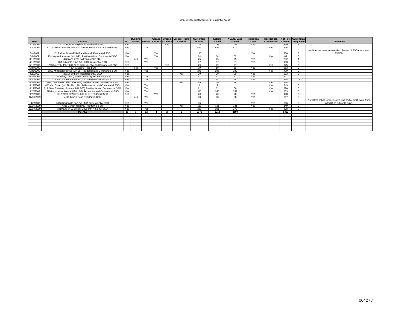#### 2009 Grease-related SSOs in Residential Areas

|            |                                                                    |     | <b>Building</b>                    |     | Grease <sup>1</sup> | Grease           | <b>Grease, Roots</b> | <b>Customers</b> | Letters         | Cans, Bags    | <b>Residential</b> | <b>Residential</b> |      | # of Feet Current BA     |                                                            |
|------------|--------------------------------------------------------------------|-----|------------------------------------|-----|---------------------|------------------|----------------------|------------------|-----------------|---------------|--------------------|--------------------|------|--------------------------|------------------------------------------------------------|
| Date       | <b>Address</b>                                                     |     | SSO Backup Grease & Roots & Debris |     |                     |                  | & Debris             | in Area          | <b>Mailed</b>   | <b>Mailed</b> | Only               | Commercial         |      | <b>Cleaned Frequency</b> | <b>Comments</b>                                            |
| 2/13/2009  | 4712 Moss Drive (lateral) Residential SSO                          | Yes |                                    |     |                     | Yes              |                      | 145              | 145             | 145           | Yes                |                    | 330  |                          |                                                            |
| 2/20/2009  | 117 Sixteenth Avenue (MH 21-33) Residential and Commercial SSO     | Yes |                                    | Yes |                     |                  |                      | 523              | 523             | 519           |                    | Yes                | 176  | $\Omega$                 |                                                            |
|            |                                                                    |     |                                    |     |                     |                  |                      |                  |                 |               |                    |                    |      |                          | No letters or cans were mailed. Repeat of SSO event from   |
| 3/4/2009   | 4712 Moss Drive (MH 43 and lateral) Residential SSO                | Yes |                                    |     | Yes                 |                  |                      | 145              |                 |               | Yes                |                    | 330  |                          | 2/13/09.                                                   |
| 3/6/2009   | 751 Ingresoll Avenue (MH 4-13) Residential and Commercial SSO      | Yes |                                    |     | Yes                 |                  |                      | 64               | 64              | 62            |                    | Yes                | 63   |                          |                                                            |
| 3/15/2009  | 4726 and 4728 Ball Camp Pike BBU                                   |     | Yes                                | Yes |                     |                  |                      | 25               | 25              | 25            | Yes                |                    | 232  |                          |                                                            |
| 4/15/2009  | 811 Edwards Drive (MH 107) Residential SSO                         | Yes |                                    | Yes |                     |                  |                      | 87               | 87              | 87            | Yes                |                    | 163  | $\sim$                   |                                                            |
| 5/15/2009  | 1233 Maryville Pike (MH 27-115) Residential and Commercial SSO     | Yes |                                    |     |                     | Yes              |                      | 29               | 29              | 27            |                    | Yes                | 325  |                          |                                                            |
| 5/24/2009  | 4304 Glascow Road BBU                                              |     | Yes                                |     | Yes                 |                  |                      | 19               | 19              | 19            | Yes                |                    | 363  |                          |                                                            |
| 5/25/2009  | 1800 Middlebrook Pike (MH 38) Residential and Commercial SSO       | Yes |                                    | Yes |                     |                  |                      | 246              | 246             | 239           |                    | Yes                | 400  |                          |                                                            |
| 6/6/2009   | 2501 Fernbank Road Resential SSO                                   | Yes |                                    |     |                     |                  | Yes                  | 20               | 20              | 20            | Yes                |                    | 633  |                          |                                                            |
| 6/22/2009  | 125 Tillery Drive (Lateral Cleanout) Residential SSO               | Yes |                                    | Yes |                     |                  |                      | 57               | 57              | 57            | Yes                |                    | 117  |                          |                                                            |
| 6/24/2009  | 2052 Dandridge Avenue (MH 4-103) Residential SSO                   | Yes |                                    | Yes |                     |                  |                      | 74               | 74              | 74            | Yes                |                    | 168  | 12                       |                                                            |
| 6/26/2009  | 4900 Landbrook Drive (MH 27-6) Residential and Commercial SSO      | Yes |                                    |     |                     |                  | Yes                  | 49               | 49              | 48            |                    | Yes                | 168  | $\Omega$                 |                                                            |
| 8/12/2009  | 601 Van Street (MH 28, 28-1, 28-14) Residential and Commercial SSO | Yes |                                    | Yes |                     |                  |                      | $\Delta$         | $\Delta$        |               |                    | Yes                | 243  | $\Omega$                 |                                                            |
| 8/17/2009  | 119 West Glenwood Avenue (MH 3-55) Residential and Commercial SSO  | Yes |                                    | Yes |                     |                  |                      | 61               | 61              | 60            |                    | Yes                | 220  | $\sim$                   |                                                            |
| 9/28/2009  | 2706 Mynderse Avenue (MH 18-3) Residential and Commercial SSO      | Yes |                                    | Yes |                     |                  |                      | 345              | 345             | 339           |                    | Yes                | 213  |                          |                                                            |
| 9/29/2009  | 8012 West Cliff Drive (MH 36-7) Residential SSO                    | Yes |                                    |     | Yes                 |                  |                      | 20               | 20 <sub>0</sub> | 20            | Yes                |                    | 118  |                          |                                                            |
| 10/10/2009 | 4111 Bruhin Road Residential BBU                                   |     | Yes                                | Yes |                     |                  |                      | 38               | 38              | 38            | Yes                |                    | 307  |                          |                                                            |
|            |                                                                    |     |                                    |     |                     |                  |                      |                  |                 |               |                    |                    |      |                          | No letters or bags mailed, area was part of SSO event from |
| 11/8/2009  | 6116 Sevierville Pike (MH 107-2) Residential SSO                   | Yes |                                    | Yes |                     |                  |                      | 16               |                 |               | Yes                |                    | 306  |                          | 4/15/09 on Edwards Drive.                                  |
| 12/16/2009 | 4315 Clinton Highway Residential SSO                               | Yes |                                    |     |                     |                  | Yes                  | 131              | 131             | 131           | Yes                |                    | 149  | $\Omega$                 |                                                            |
| 12/18/2009 | 3410 and 3412 Boright Drive (MH 42 & 43) SSO                       | Yes |                                    | Yes |                     |                  |                      | 281              | 281             | 279           |                    | Yes                | 338  | $\Omega$                 |                                                            |
|            | <b>TOTALS</b>                                                      | 18  | $\mathbf{3}$                       | 12  |                     | $\mathbf{\cdot}$ |                      | 2379             | 2218            | 2190          |                    |                    | 5362 |                          |                                                            |
|            |                                                                    |     |                                    |     |                     |                  |                      |                  |                 |               |                    |                    |      |                          |                                                            |
|            |                                                                    |     |                                    |     |                     |                  |                      |                  |                 |               |                    |                    |      |                          |                                                            |
|            |                                                                    |     |                                    |     |                     |                  |                      |                  |                 |               |                    |                    |      |                          |                                                            |
|            |                                                                    |     |                                    |     |                     |                  |                      |                  |                 |               |                    |                    |      |                          |                                                            |
|            |                                                                    |     |                                    |     |                     |                  |                      |                  |                 |               |                    |                    |      |                          |                                                            |
|            |                                                                    |     |                                    |     |                     |                  |                      |                  |                 |               |                    |                    |      |                          |                                                            |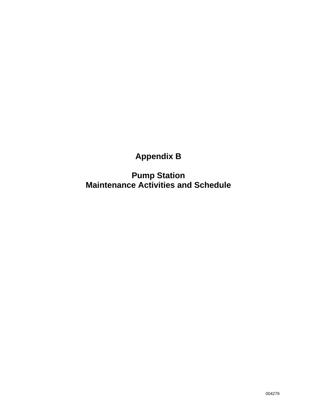# **Appendix B**

**Pump Station Maintenance Activities and Schedule**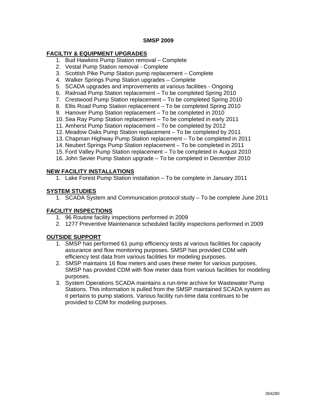#### **SMSP 2009**

#### **FACILTIY & EQUIPMENT UPGRADES**

- 1. Bud Hawkins Pump Station removal Complete
- 2. Vestal Pump Station removal Complete
- 3. Scottish Pike Pump Station pump replacement Complete
- 4. Walker Springs Pump Station upgrades Complete
- 5. SCADA upgrades and improvements at various facilities Ongoing
- 6. Railroad Pump Station replacement To be completed Spring 2010
- 7. Crestwood Pump Station replacement To be completed Spring 2010
- 8. Ellis Road Pump Station replacement To be completed Spring 2010
- 9. Hanover Pump Station replacement To be completed in 2010
- 10. Sea Ray Pump Station replacement To be completed in early 2011
- 11. Amherst Pump Station replacement To be completed by 2012
- 12. Meadow Oaks Pump Station replacement To be completed by 2011
- 13. Chapman Highway Pump Station replacement To be completed in 2011
- 14. Neubert Springs Pump Station replacement To be completed in 2011
- 15. Ford Valley Pump Station replacement To be completed in August 2010
- 16. John Sevier Pump Station upgrade To be completed in December 2010

#### **NEW FACILITY INSTALLATIONS**

1. Lake Forest Pump Station installation – To be complete in January 2011

#### **SYSTEM STUDIES**

1. SCADA System and Communication protocol study – To be complete June 2011

#### **FACILITY INSPECTIONS**

- 1. 96 Routine facility inspections performed in 2009
- 2. 1277 Preventive Maintenance scheduled facility inspections performed in 2009

#### **OUTSIDE SUPPORT**

- 1. SMSP has performed 61 pump efficiency tests at various facilities for capacity assurance and flow monitoring purposes. SMSP has provided CDM with efficiency test data from various facilities for modeling purposes.
- 2. SMSP maintains 16 flow meters and uses these meter for various purposes. SMSP has provided CDM with flow meter data from various facilities for modeling purposes.
- 3. System Operations SCADA maintains a run-time archive for Wastewater Pump Stations. This information is pulled from the SMSP maintained SCADA system as it pertains to pump stations. Various facility run-time data continues to be provided to CDM for modeling purposes.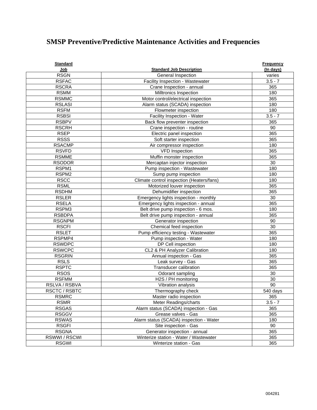## **SMSP Preventive/Predictive Maintenance Activities and Frequencies**

| <b>Standard</b>   |                                           | <b>Frequency</b> |
|-------------------|-------------------------------------------|------------------|
| Job               | <b>Standard Job Description</b>           | (In days)        |
| <b>RSGN</b>       | General Inspection                        | varies           |
| <b>RSFAC</b>      | Facility Inspection - Wastewater          | $3.5 - 7$        |
| <b>RSCRA</b>      | Crane Inspection - annual                 | 365              |
| <b>RSMM</b>       | Milltronics Inspection                    | 180              |
| <b>RSMMC</b>      | Motor control/electrical inspection       | 365              |
| <b>RSLASI</b>     | Alarm status (SCADA) inspection           | 180              |
| <b>RSFM</b>       | Flowmeter inspection                      | 180              |
| <b>RSBSI</b>      | Facility Inspection - Water               | $3.5 - 7$        |
| <b>RSBPV</b>      | Back flow preventer inspection            | 365              |
| <b>RSCRH</b>      | Crane inspection - routine                | 90               |
| <b>RSEP</b>       | Electric panel inspection                 | 365              |
| <b>RSSS</b>       | Soft starter inspection                   | 365              |
| <b>RSACMP</b>     | Air compressor inspection                 | 180              |
| <b>RSVFD</b>      | <b>VFD Inspection</b>                     | 365              |
| <b>RSMME</b>      | Muffin monster inspection                 | 365              |
| <b>RSODOR</b>     | Mercaptan injector inspection             | 30               |
| RSPM1             | Pump inspection - Wastewater              | 180              |
| RSPM <sub>2</sub> | Sump pump inspection                      | 180              |
| <b>RSCC</b>       | Climate control inspection (Heaters/fans) | 180              |
| <b>RSML</b>       | Motorized louver inspection               | 365              |
| <b>RSDHM</b>      | Dehumidifier inspection                   | 365              |
| <b>RSLER</b>      | Emergency lights inspection - monthly     | 30               |
| <b>RSELA</b>      | Emergency lights inspection - annual      | 365              |
| RSPM3             | Belt drive pump inspection - 6 mos.       | 180              |
| <b>RSBDPA</b>     | Belt drive pump inspection - annual       | 365              |
| <b>RSGNPM</b>     | Generator inspection                      | 90               |
| <b>RSCFI</b>      | Chemical feed inspection                  | 30               |
| <b>RSLET</b>      | Pump efficiency testing - Wastewater      | 365              |
| RSPMP4            | Pump inspection - Water                   | 180              |
| <b>RSWDPC</b>     | DP Cell inspection                        | 180              |
| <b>RSWCPC</b>     | CL2 & PH Analyzer Calibration             | 180              |
| <b>RSGRIN</b>     | Annual inspection - Gas                   | 365              |
| <b>RSLS</b>       | Leak survey - Gas                         | 365              |
| <b>RSPTC</b>      | <b>Transducer calibration</b>             | 365              |
| <b>RSOS</b>       | Odorant sampling                          | 30               |
| <b>RSFMM</b>      | H2S / PH monitoring                       | 30               |
| RSLVA / RSBVA     | Vibration analysis                        | 90               |
| RSCTC / RSBTC     | Thermography check                        | 540 days         |
| <b>RSMRC</b>      | Master radio inspection                   | 365              |
| <b>RSMR</b>       | Meter Readings/charts                     | $3.5 - 7$        |
| <b>RSGAS</b>      | Alarm status (SCADA) inspection - Gas     | 365              |
| <b>RSGGV</b>      | Grease valves - Gas                       | 365              |
| <b>RSWAS</b>      | Alarm status (SCADA) inspection - Water   | 180              |
| <b>RSGFI</b>      | Site inspection - Gas                     | 90               |
| <b>RSGNA</b>      | Generator inspection - annual             | 365              |
| RSWWI/RSCWI       | Winterize station - Water / Wastewater    | 365              |
| <b>RSGWI</b>      | Winterize station - Gas                   | 365              |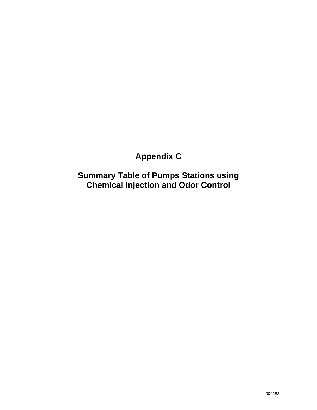# **Appendix C**

**Summary Table of Pumps Stations using Chemical Injection and Odor Control**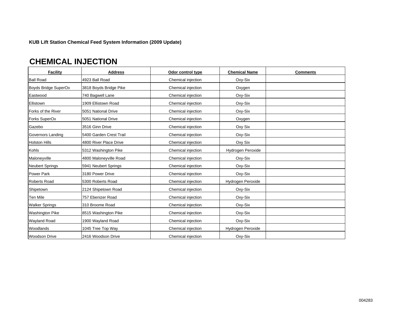#### **KUB Lift Station Chemical Feed System Information (2009 Update)**

## **CHEMICAL INJECTION**

| <b>Facility</b>        | <b>Address</b>          | Odor control type  | <b>Chemical Name</b> | <b>Comments</b> |
|------------------------|-------------------------|--------------------|----------------------|-----------------|
| <b>Ball Road</b>       | 4923 Ball Road          | Chemical injection | Oxy-Six              |                 |
| Boyds Bridge SuperOx   | 3818 Boyds Bridge Pike  | Chemical injection | Oxygen               |                 |
| Eastwood               | 740 Bagwell Lane        | Chemical injection | Oxy-Six              |                 |
| Ellistown              | 1909 Ellistown Road     | Chemical injection | Oxy-Six              |                 |
| Forks of the River     | 5051 National Drive     | Chemical injection | Oxy-Six              |                 |
| Forks SuperOx          | 5051 National Drive     | Chemical injection | Oxygen               |                 |
| Gazebo                 | 3516 Ginn Drive         | Chemical injection | Oxy Six              |                 |
| Governors Landing      | 5400 Garden Crest Trail | Chemical injection | Oxy-Six              |                 |
| <b>Holston Hills</b>   | 4800 River Place Drive  | Chemical injection | Oxy Six              |                 |
| Kohls                  | 5312 Washington Pike    | Chemical injection | Hydrogen Peroxide    |                 |
| Maloneyville           | 4800 Maloneyville Road  | Chemical injection | Oxy-Six              |                 |
| <b>Neubert Springs</b> | 5941 Neubert Springs    | Chemical injection | Oxy-Six              |                 |
| Power Park             | 3180 Power Drive        | Chemical injection | Oxy-Six              |                 |
| <b>Roberts Road</b>    | 5300 Roberts Road       | Chemical injection | Hydrogen Peroxide    |                 |
| Shipetown              | 2124 Shipetown Road     | Chemical injection | Oxy-Six              |                 |
| Ten Mile               | 757 Ebenizer Road       | Chemical injection | Oxy-Six              |                 |
| <b>Walker Springs</b>  | 310 Broome Road         | Chemical injection | Oxy-Six              |                 |
| <b>Washington Pike</b> | 8515 Washington Pike    | Chemical injection | Oxy-Six              |                 |
| <b>Wayland Road</b>    | 1900 Wayland Road       | Chemical injection | Oxy-Six              |                 |
| Woodlands              | 1045 Tree Top Way       | Chemical injection | Hydrogen Peroxide    |                 |
| <b>Woodson Drive</b>   | 2416 Woodson Drive      | Chemical injection | Oxy-Six              |                 |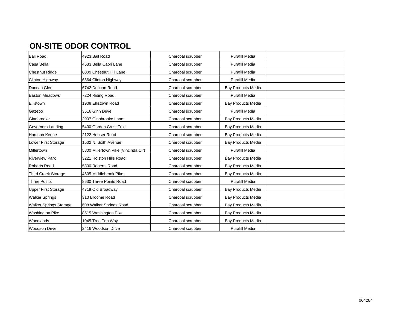## **ON-SITE ODOR CONTROL**

| 4923 Ball Road                      | Charcoal scrubber | <b>Purafill Media</b>     |  |
|-------------------------------------|-------------------|---------------------------|--|
| 4633 Bella Capri Lane               | Charcoal scrubber | <b>Purafill Media</b>     |  |
| 8009 Chestnut Hill Lane             | Charcoal scrubber | <b>Purafill Media</b>     |  |
| 6564 Clinton Highway                | Charcoal scrubber | <b>Purafill Media</b>     |  |
| 6742 Duncan Road                    | Charcoal scrubber | <b>Bay Products Media</b> |  |
| 7224 Rising Road                    | Charcoal scrubber | <b>Purafill Media</b>     |  |
| 1909 Ellistown Road                 | Charcoal scrubber | Bay Products Media        |  |
| 3516 Ginn Drive                     | Charcoal scrubber | <b>Purafill Media</b>     |  |
| 2907 Ginnbrooke Lane                | Charcoal scrubber | <b>Bay Products Media</b> |  |
| 5400 Garden Crest Trail             | Charcoal scrubber | <b>Bay Products Media</b> |  |
| 2122 Houser Road                    | Charcoal scrubber | <b>Bay Products Media</b> |  |
| 1502 N. Sixth Avenue                | Charcoal scrubber | <b>Bay Products Media</b> |  |
| 5800 Millertown Pike (Vincinda Cir) | Charcoal scrubber | <b>Purafill Media</b>     |  |
| 3221 Holston Hills Road             | Charcoal scrubber | Bay Products Media        |  |
| 5300 Roberts Road                   | Charcoal scrubber | Bay Products Media        |  |
| 4505 Middlebrook Pike               | Charcoal scrubber | Bay Products Media        |  |
| 8530 Three Points Road              | Charcoal scrubber | <b>Purafill Media</b>     |  |
| 4719 Old Broadway                   | Charcoal scrubber | <b>Bay Products Media</b> |  |
| 310 Broome Road                     | Charcoal scrubber | <b>Bay Products Media</b> |  |
| 608 Walker Springs Road             | Charcoal scrubber | <b>Bay Products Media</b> |  |
| 8515 Washington Pike                | Charcoal scrubber | Bay Products Media        |  |
| 1045 Tree Top Way                   | Charcoal scrubber | <b>Bay Products Media</b> |  |
| 2416 Woodson Drive                  | Charcoal scrubber | <b>Purafill Media</b>     |  |
|                                     |                   |                           |  |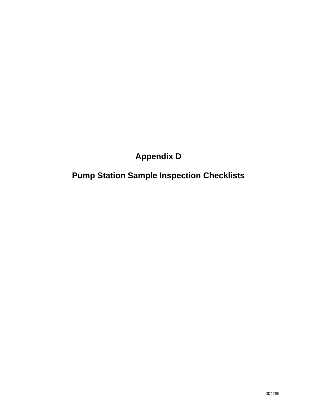# **Appendix D**

# **Pump Station Sample Inspection Checklists**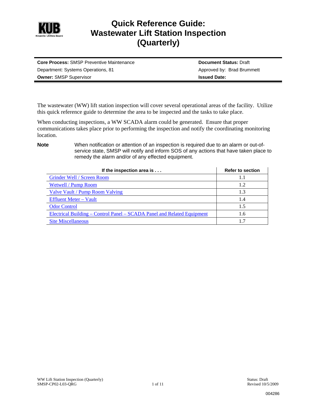

## **Quick Reference Guide: Wastewater Lift Station Inspection (Quarterly)**

| <b>Core Process: SMSP Preventive Maintenance</b> | <b>Document Status: Draft</b> |
|--------------------------------------------------|-------------------------------|
| Department: Systems Operations, 81               | Approved by: Brad Brummett    |
| <b>Owner: SMSP Supervisor</b>                    | <b>Issued Date:</b>           |

The wastewater (WW) lift station inspection will cover several operational areas of the facility. Utilize this quick reference guide to determine the area to be inspected and the tasks to take place.

When conducting inspections, a WW SCADA alarm could be generated. Ensure that proper communications takes place prior to performing the inspection and notify the coordinating monitoring location.

**Note** When notification or attention of an inspection is required due to an alarm or out-ofservice state, SMSP will notify and inform SOS of any actions that have taken place to remedy the alarm and/or of any effected equipment.

| If the inspection area is                                               | <b>Refer to section</b> |
|-------------------------------------------------------------------------|-------------------------|
| <b>Grinder Well / Screen Room</b>                                       | L I                     |
| <b>Wetwell / Pump Room</b>                                              | 1.2                     |
| Valve Vault / Pump Room Valving                                         | 1.3                     |
| <b>Effluent Meter - Vault</b>                                           | 1.4                     |
| <b>Odor Control</b>                                                     | 1.5                     |
| Electrical Building – Control Panel – SCADA Panel and Related Equipment | 1.6                     |
| <b>Site Miscellaneous</b>                                               | 1.7                     |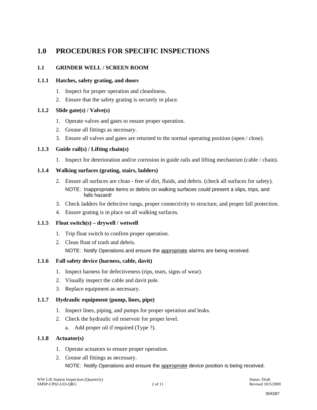## **1.0 PROCEDURES FOR SPECIFIC INSPECTIONS**

#### **1.1 GRINDER WELL / SCREEN ROOM**

#### **1.1.1 Hatches, safety grating, and doors**

- 1. Inspect for proper operation and cleanliness.
- 2. Ensure that the safety grating is securely in place.

#### **1.1.2 Slide gate(s) / Valve(s)**

- 1. Operate valves and gates to ensure proper operation.
- 2. Grease all fittings as necessary.
- 3. Ensure all valves and gates are returned to the normal operating position (open / close).

#### **1.1.3 Guide rail(s) / Lifting chain(s)**

1. Inspect for deterioration and/or corrosion in guide rails and lifting mechanism (cable / chain).

#### **1.1.4 Walking surfaces (grating, stairs, ladders)**

- 2. Ensure all surfaces are clean free of dirt, fluids, and debris. (check all surfaces for safety). NOTE: Inappropriate items or debris on walking surfaces could present a slips, trips, and falls hazard!
- 3. Check ladders for defective rungs, proper connectivity to structure, and proper fall protection.
- 4. Ensure grating is in place on all walking surfaces.

#### **1.1.5 Float switch(s) – drywell / wetwell**

- 1. Trip float switch to confirm proper operation.
- 2. Clean float of trash and debris. NOTE: Notify Operations and ensure the appropriate alarms are being received.

#### **1.1.6 Fall safety device (harness, cable, davit)**

- 1. Inspect harness for defectiveness (rips, tears, signs of wear).
- 2. Visually inspect the cable and davit pole.
- 3. Replace equipment as necessary.

#### **1.1.7 Hydraulic equipment (pump, lines, pipe)**

- 1. Inspect lines, piping, and pumps for proper operation and leaks.
- 2. Check the hydraulic oil reservoir for proper level.
	- a. Add proper oil if required (Type ?).

#### **1.1.8 Actuator(s)**

- 1. Operate actuators to ensure proper operation.
- 2. Grease all fittings as necessary. NOTE: Notify Operations and ensure the appropriate device position is being received.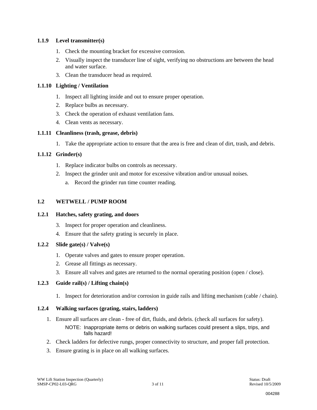#### **1.1.9 Level transmitter(s)**

- 1. Check the mounting bracket for excessive corrosion.
- 2. Visually inspect the transducer line of sight, verifying no obstructions are between the head and water surface.
- 3. Clean the transducer head as required.

#### **1.1.10 Lighting / Ventilation**

- 1. Inspect all lighting inside and out to ensure proper operation.
- 2. Replace bulbs as necessary.
- 3. Check the operation of exhaust ventilation fans.
- 4. Clean vents as necessary.

#### **1.1.11 Cleanliness (trash, grease, debris)**

1. Take the appropriate action to ensure that the area is free and clean of dirt, trash, and debris.

#### **1.1.12 Grinder(s)**

- 1. Replace indicator bulbs on controls as necessary.
- 2. Inspect the grinder unit and motor for excessive vibration and/or unusual noises.
	- a. Record the grinder run time counter reading.

#### **1.2 WETWELL / PUMP ROOM**

#### **1.2.1 Hatches, safety grating, and doors**

- 3. Inspect for proper operation and cleanliness.
- 4. Ensure that the safety grating is securely in place.

#### **1.2.2 Slide gate(s) / Valve(s)**

- 1. Operate valves and gates to ensure proper operation.
- 2. Grease all fittings as necessary.
- 3. Ensure all valves and gates are returned to the normal operating position (open / close).

#### **1.2.3 Guide rail(s) / Lifting chain(s)**

1. Inspect for deterioration and/or corrosion in guide rails and lifting mechanism (cable / chain).

#### **1.2.4 Walking surfaces (grating, stairs, ladders)**

- 1. Ensure all surfaces are clean free of dirt, fluids, and debris. (check all surfaces for safety). NOTE: Inappropriate items or debris on walking surfaces could present a slips, trips, and falls hazard!
- 2. Check ladders for defective rungs, proper connectivity to structure, and proper fall protection.
- 3. Ensure grating is in place on all walking surfaces.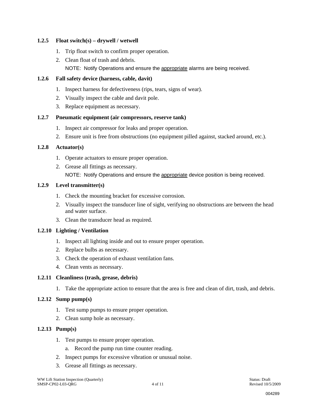#### **1.2.5 Float switch(s) – drywell / wetwell**

- 1. Trip float switch to confirm proper operation.
- 2. Clean float of trash and debris. NOTE: Notify Operations and ensure the appropriate alarms are being received.

#### **1.2.6 Fall safety device (harness, cable, davit)**

- 1. Inspect harness for defectiveness (rips, tears, signs of wear).
- 2. Visually inspect the cable and davit pole.
- 3. Replace equipment as necessary.

#### **1.2.7 Pneumatic equipment (air compressors, reserve tank)**

- 1. Inspect air compressor for leaks and proper operation.
- 2. Ensure unit is free from obstructions (no equipment pilled against, stacked around, etc.).

#### **1.2.8 Actuator(s)**

- 1. Operate actuators to ensure proper operation.
- 2. Grease all fittings as necessary. NOTE: Notify Operations and ensure the appropriate device position is being received.

#### **1.2.9 Level transmitter(s)**

- 1. Check the mounting bracket for excessive corrosion.
- 2. Visually inspect the transducer line of sight, verifying no obstructions are between the head and water surface.
- 3. Clean the transducer head as required.

#### **1.2.10 Lighting / Ventilation**

- 1. Inspect all lighting inside and out to ensure proper operation.
- 2. Replace bulbs as necessary.
- 3. Check the operation of exhaust ventilation fans.
- 4. Clean vents as necessary.

#### **1.2.11 Cleanliness (trash, grease, debris)**

1. Take the appropriate action to ensure that the area is free and clean of dirt, trash, and debris.

#### **1.2.12 Sump pump(s)**

- 1. Test sump pumps to ensure proper operation.
- 2. Clean sump hole as necessary.

#### **1.2.13 Pump(s)**

- 1. Test pumps to ensure proper operation.
	- a. Record the pump run time counter reading.
- 2. Inspect pumps for excessive vibration or unusual noise.
- 3. Grease all fittings as necessary.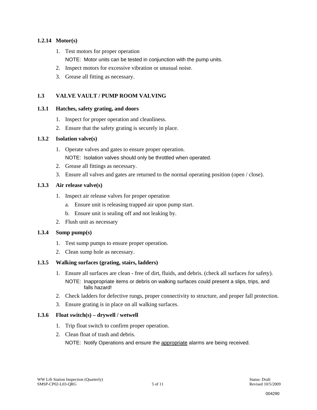#### **1.2.14 Motor(s)**

- 1. Test motors for proper operation
	- NOTE: Motor units can be tested in conjunction with the pump units.
- 2. Inspect motors for excessive vibration or unusual noise.
- 3. Grease all fitting as necessary.

#### **1.3 VALVE VAULT / PUMP ROOM VALVING**

#### **1.3.1 Hatches, safety grating, and doors**

- 1. Inspect for proper operation and cleanliness.
- 2. Ensure that the safety grating is securely in place.

#### **1.3.2 Isolation valve(s)**

- 1. Operate valves and gates to ensure proper operation. NOTE: Isolation valves should only be throttled when operated.
- 2. Grease all fittings as necessary.
- 3. Ensure all valves and gates are returned to the normal operating position (open / close).

#### **1.3.3 Air release valve(s)**

- 1. Inspect air release valves for proper operation
	- a. Ensure unit is releasing trapped air upon pump start.
	- b. Ensure unit is sealing off and not leaking by.
- 2. Flush unit as necessary

#### **1.3.4 Sump pump(s)**

- 1. Test sump pumps to ensure proper operation.
- 2. Clean sump hole as necessary.

#### **1.3.5 Walking surfaces (grating, stairs, ladders)**

- 1. Ensure all surfaces are clean free of dirt, fluids, and debris. (check all surfaces for safety). NOTE: Inappropriate items or debris on walking surfaces could present a slips, trips, and falls hazard!
- 2. Check ladders for defective rungs, proper connectivity to structure, and proper fall protection.
- 3. Ensure grating is in place on all walking surfaces.

#### **1.3.6 Float switch(s) – drywell / wetwell**

- 1. Trip float switch to confirm proper operation.
- 2. Clean float of trash and debris.

NOTE: Notify Operations and ensure the appropriate alarms are being received.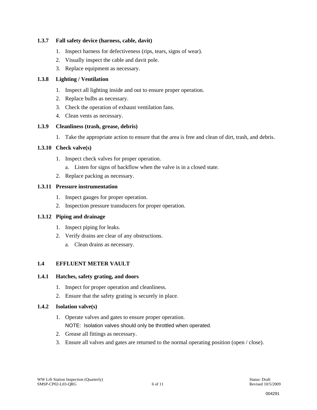#### **1.3.7 Fall safety device (harness, cable, davit)**

- 1. Inspect harness for defectiveness (rips, tears, signs of wear).
- 2. Visually inspect the cable and davit pole.
- 3. Replace equipment as necessary.

#### **1.3.8 Lighting / Ventilation**

- 1. Inspect all lighting inside and out to ensure proper operation.
- 2. Replace bulbs as necessary.
- 3. Check the operation of exhaust ventilation fans.
- 4. Clean vents as necessary.

#### **1.3.9 Cleanliness (trash, grease, debris)**

1. Take the appropriate action to ensure that the area is free and clean of dirt, trash, and debris.

#### **1.3.10 Check valve(s)**

- 1. Inspect check valves for proper operation.
	- a. Listen for signs of backflow when the valve is in a closed state.
- 2. Replace packing as necessary.

#### **1.3.11 Pressure instrumentation**

- 1. Inspect gauges for proper operation.
- 2. Inspection pressure transducers for proper operation.

#### **1.3.12 Piping and drainage**

- 1. Inspect piping for leaks.
- 2. Verify drains are clear of any obstructions.
	- a. Clean drains as necessary.

#### **1.4 EFFLUENT METER VAULT**

#### **1.4.1 Hatches, safety grating, and doors**

- 1. Inspect for proper operation and cleanliness.
- 2. Ensure that the safety grating is securely in place.

#### **1.4.2 Isolation valve(s)**

- 1. Operate valves and gates to ensure proper operation. NOTE: Isolation valves should only be throttled when operated.
- 2. Grease all fittings as necessary.
- 3. Ensure all valves and gates are returned to the normal operating position (open / close).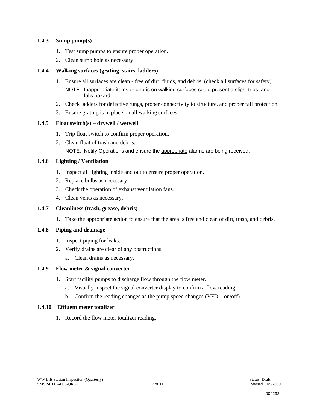#### **1.4.3 Sump pump(s)**

- 1. Test sump pumps to ensure proper operation.
- 2. Clean sump hole as necessary.

#### **1.4.4 Walking surfaces (grating, stairs, ladders)**

falls hazard!

- 1. Ensure all surfaces are clean free of dirt, fluids, and debris. (check all surfaces for safety). NOTE: Inappropriate items or debris on walking surfaces could present a slips, trips, and
- 2. Check ladders for defective rungs, proper connectivity to structure, and proper fall protection.
- 3. Ensure grating is in place on all walking surfaces.

#### **1.4.5 Float switch(s) – drywell / wetwell**

- 1. Trip float switch to confirm proper operation.
- 2. Clean float of trash and debris.

NOTE: Notify Operations and ensure the appropriate alarms are being received.

#### **1.4.6 Lighting / Ventilation**

- 1. Inspect all lighting inside and out to ensure proper operation.
- 2. Replace bulbs as necessary.
- 3. Check the operation of exhaust ventilation fans.
- 4. Clean vents as necessary.

#### **1.4.7 Cleanliness (trash, grease, debris)**

1. Take the appropriate action to ensure that the area is free and clean of dirt, trash, and debris.

#### **1.4.8 Piping and drainage**

- 1. Inspect piping for leaks.
- 2. Verify drains are clear of any obstructions.
	- a. Clean drains as necessary.

#### **1.4.9 Flow meter & signal converter**

- 1. Start facility pumps to discharge flow through the flow meter.
	- a. Visually inspect the signal converter display to confirm a flow reading.
	- b. Confirm the reading changes as the pump speed changes (VFD on/off).

#### **1.4.10 Effluent meter totalizer**

1. Record the flow meter totalizer reading.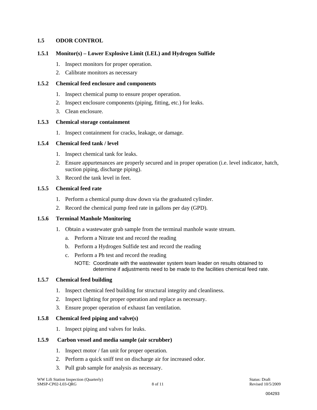#### **1.5 ODOR CONTROL**

#### **1.5.1 Monitor(s) – Lower Explosive Limit (LEL) and Hydrogen Sulfide**

- 1. Inspect monitors for proper operation.
- 2. Calibrate monitors as necessary

#### **1.5.2 Chemical feed enclosure and components**

- 1. Inspect chemical pump to ensure proper operation.
- 2. Inspect enclosure components (piping, fitting, etc.) for leaks.
- 3. Clean enclosure.

#### **1.5.3 Chemical storage containment**

1. Inspect containment for cracks, leakage, or damage.

#### **1.5.4 Chemical feed tank / level**

- 1. Inspect chemical tank for leaks.
- 2. Ensure appurtenances are properly secured and in proper operation (i.e. level indicator, hatch, suction piping, discharge piping).
- 3. Record the tank level in feet.

#### **1.5.5 Chemical feed rate**

- 1. Perform a chemical pump draw down via the graduated cylinder.
- 2. Record the chemical pump feed rate in gallons per day (GPD).

#### **1.5.6 Terminal Manhole Monitoring**

- 1. Obtain a wastewater grab sample from the terminal manhole waste stream.
	- a. Perform a Nitrate test and record the reading
	- b. Perform a Hydrogen Sulfide test and record the reading
	- c. Perform a Ph test and record the reading
		- NOTE: Coordinate with the wastewater system team leader on results obtained to determine if adjustments need to be made to the facilities chemical feed rate.

#### **1.5.7 Chemical feed building**

- 1. Inspect chemical feed building for structural integrity and cleanliness.
- 2. Inspect lighting for proper operation and replace as necessary.
- 3. Ensure proper operation of exhaust fan ventilation.

#### **1.5.8 Chemical feed piping and valve(s)**

1. Inspect piping and valves for leaks.

#### **1.5.9 Carbon vessel and media sample (air scrubber)**

- 1. Inspect motor / fan unit for proper operation.
- 2. Perform a quick sniff test on discharge air for increased odor.
- 3. Pull grab sample for analysis as necessary.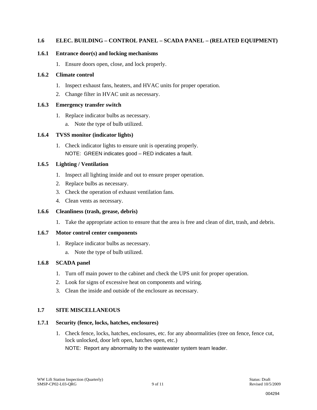#### **1.6 ELEC. BUILDING – CONTROL PANEL – SCADA PANEL – (RELATED EQUIPMENT)**

#### **1.6.1 Entrance door(s) and locking mechanisms**

1. Ensure doors open, close, and lock properly.

#### **1.6.2 Climate control**

- 1. Inspect exhaust fans, heaters, and HVAC units for proper operation.
- 2. Change filter in HVAC unit as necessary.

#### **1.6.3 Emergency transfer switch**

- 1. Replace indicator bulbs as necessary.
	- a. Note the type of bulb utilized.

#### **1.6.4 TVSS monitor (indicator lights)**

1. Check indicator lights to ensure unit is operating properly. NOTE: GREEN indicates good – RED indicates a fault.

#### **1.6.5 Lighting / Ventilation**

- 1. Inspect all lighting inside and out to ensure proper operation.
- 2. Replace bulbs as necessary.
- 3. Check the operation of exhaust ventilation fans.
- 4. Clean vents as necessary.

#### **1.6.6 Cleanliness (trash, grease, debris)**

1. Take the appropriate action to ensure that the area is free and clean of dirt, trash, and debris.

#### **1.6.7 Motor control center components**

- 1. Replace indicator bulbs as necessary.
	- a. Note the type of bulb utilized.

#### **1.6.8 SCADA panel**

- 1. Turn off main power to the cabinet and check the UPS unit for proper operation.
- 2. Look for signs of excessive heat on components and wiring.
- 3. Clean the inside and outside of the enclosure as necessary.

#### **1.7 SITE MISCELLANEOUS**

#### **1.7.1 Security (fence, locks, hatches, enclosures)**

1. Check fence, locks, hatches, enclosures, etc. for any abnormalities (tree on fence, fence cut, lock unlocked, door left open, hatches open, etc.)

NOTE: Report any abnormality to the wastewater system team leader.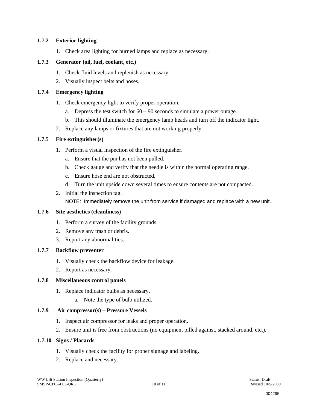#### **1.7.2 Exterior lighting**

1. Check area lighting for burned lamps and replace as necessary.

#### **1.7.3 Generator (oil, fuel, coolant, etc.)**

- 1. Check fluid levels and replenish as necessary.
- 2. Visually inspect belts and hoses.

#### **1.7.4 Emergency lighting**

- 1. Check emergency light to verify proper operation.
	- a. Depress the test switch for  $60 90$  seconds to simulate a power outage.
	- b. This should illuminate the emergency lamp heads and turn off the indicator light.
- 2. Replace any lamps or fixtures that are not working properly.

#### **1.7.5 Fire extinguisher(s)**

- 1. Perform a visual inspection of the fire extinguisher.
	- a. Ensure that the pin has not been pulled.
	- b. Check gauge and verify that the needle is within the normal operating range.
	- c. Ensure hose end are not obstructed.
	- d. Turn the unit upside down several times to ensure contents are not compacted.
- 2. Initial the inspection tag. NOTE: Immediately remove the unit from service if damaged and replace with a new unit.

#### **1.7.6 Site aesthetics (cleanliness)**

- 1. Perform a survey of the facility grounds.
- 2. Remove any trash or debris.
- 3. Report any abnormalities.

#### **1.7.7 Backflow preventer**

- 1. Visually check the backflow device for leakage.
- 2. Report as necessary.

#### **1.7.8 Miscellaneous control panels**

- 1. Replace indicator bulbs as necessary.
	- a. Note the type of bulb utilized.

#### **1.7.9 Air compressor(s) – Pressure Vessels**

- 1. Inspect air compressor for leaks and proper operation.
- 2. Ensure unit is free from obstructions (no equipment pilled against, stacked around, etc.).

#### **1.7.10 Signs / Placards**

- 1. Visually check the facility for proper signage and labeling.
- 2. Replace and necessary.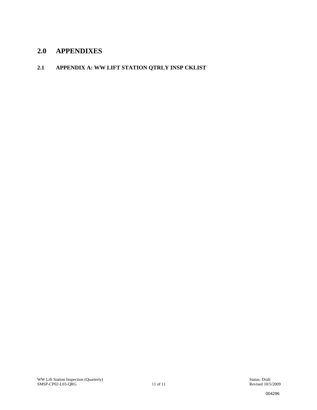## **2.0 APPENDIXES**

### **2.1 APPENDIX A: WW LIFT STATION QTRLY INSP CKLIST**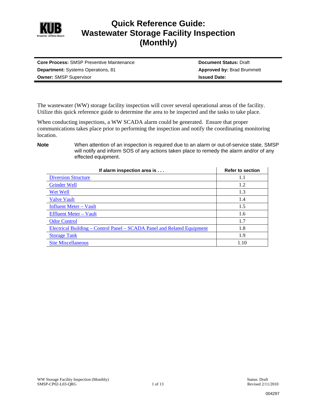

## **Quick Reference Guide: Wastewater Storage Facility Inspection (Monthly)**

| <b>Core Process: SMSP Preventive Maintenance</b> | <b>Document Status: Draft</b>     |
|--------------------------------------------------|-----------------------------------|
| <b>Department:</b> Systems Operations, 81        | <b>Approved by: Brad Brummett</b> |
| <b>Owner: SMSP Supervisor</b>                    | <b>Issued Date:</b>               |

The wastewater (WW) storage facility inspection will cover several operational areas of the facility. Utilize this quick reference guide to determine the area to be inspected and the tasks to take place.

When conducting inspections, a WW SCADA alarm could be generated. Ensure that proper communications takes place prior to performing the inspection and notify the coordinating monitoring location.

**Note** When attention of an inspection is required due to an alarm or out-of-service state, SMSP will notify and inform SOS of any actions taken place to remedy the alarm and/or of any effected equipment.

| If alarm inspection area is                                             | <b>Refer to section</b> |
|-------------------------------------------------------------------------|-------------------------|
| <b>Diversion Structure</b>                                              | 1.1                     |
| <b>Grinder Well</b>                                                     | 1.2                     |
| Wet Well                                                                | 1.3                     |
| <b>Valve Vault</b>                                                      | 1.4                     |
| <b>Influent Meter – Vault</b>                                           | 1.5                     |
| <b>Effluent Meter – Vault</b>                                           | 1.6                     |
| <b>Odor Control</b>                                                     | 1.7                     |
| Electrical Building – Control Panel – SCADA Panel and Related Equipment | 1.8                     |
| <b>Storage Tank</b>                                                     | 1.9                     |
| <b>Site Miscellaneous</b>                                               | 1.10                    |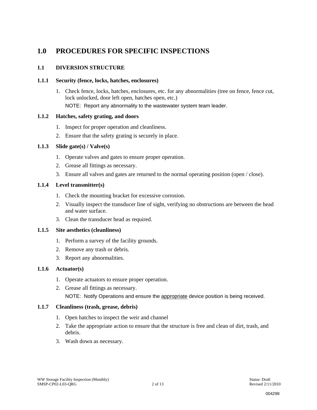## **1.0 PROCEDURES FOR SPECIFIC INSPECTIONS**

#### **1.1 DIVERSION STRUCTURE**

#### **1.1.1 Security (fence, locks, hatches, enclosures)**

1. Check fence, locks, hatches, enclosures, etc. for any abnormalities (tree on fence, fence cut, lock unlocked, door left open, hatches open, etc.)

NOTE: Report any abnormality to the wastewater system team leader.

#### **1.1.2 Hatches, safety grating, and doors**

- 1. Inspect for proper operation and cleanliness.
- 2. Ensure that the safety grating is securely in place.

#### **1.1.3 Slide gate(s) / Valve(s)**

- 1. Operate valves and gates to ensure proper operation.
- 2. Grease all fittings as necessary.
- 3. Ensure all valves and gates are returned to the normal operating position (open / close).

#### **1.1.4 Level transmitter(s)**

- 1. Check the mounting bracket for excessive corrosion.
- 2. Visually inspect the transducer line of sight, verifying no obstructions are between the head and water surface.
- 3. Clean the transducer head as required.

#### **1.1.5 Site aesthetics (cleanliness)**

- 1. Perform a survey of the facility grounds.
- 2. Remove any trash or debris.
- 3. Report any abnormalities.

#### **1.1.6 Actuator(s)**

- 1. Operate actuators to ensure proper operation.
- 2. Grease all fittings as necessary. NOTE: Notify Operations and ensure the appropriate device position is being received.

#### **1.1.7 Cleanliness (trash, grease, debris)**

- 1. Open hatches to inspect the weir and channel
- 2. Take the appropriate action to ensure that the structure is free and clean of dirt, trash, and debris.
- 3. Wash down as necessary.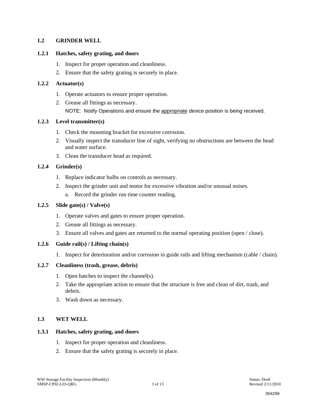#### **1.2 GRINDER WELL**

#### **1.2.1 Hatches, safety grating, and doors**

- 1. Inspect for proper operation and cleanliness.
- 2. Ensure that the safety grating is securely in place.

#### **1.2.2 Actuator(s)**

- 1. Operate actuators to ensure proper operation.
- 2. Grease all fittings as necessary. NOTE: Notify Operations and ensure the appropriate device position is being received.

#### **1.2.3 Level transmitter(s)**

- 1. Check the mounting bracket for excessive corrosion.
- 2. Visually inspect the transducer line of sight, verifying no obstructions are between the head and water surface.
- 3. Clean the transducer head as required.

#### **1.2.4 Grinder(s)**

- 1. Replace indicator bulbs on controls as necessary.
- 2. Inspect the grinder unit and motor for excessive vibration and/or unusual noises.
	- a. Record the grinder run time counter reading.

#### **1.2.5 Slide gate(s) / Valve(s)**

- 1. Operate valves and gates to ensure proper operation.
- 2. Grease all fittings as necessary.
- 3. Ensure all valves and gates are returned to the normal operating position (open / close).

#### **1.2.6 Guide rail(s) / Lifting chain(s)**

1. Inspect for deterioration and/or corrosion in guide rails and lifting mechanism (cable / chain).

#### **1.2.7 Cleanliness (trash, grease, debris)**

- 1. Open hatches to inspect the channel(s).
- 2. Take the appropriate action to ensure that the structure is free and clean of dirt, trash, and debris.
- 3. Wash down as necessary.

#### **1.3 WET WELL**

#### **1.3.1 Hatches, safety grating, and doors**

- 1. Inspect for proper operation and cleanliness.
- 2. Ensure that the safety grating is securely in place.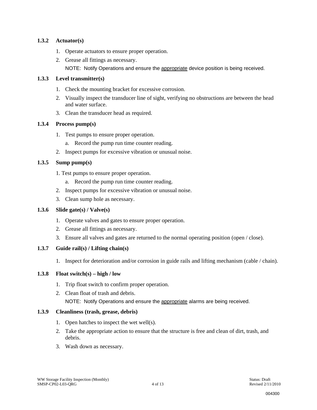#### **1.3.2 Actuator(s)**

- 1. Operate actuators to ensure proper operation.
- 2. Grease all fittings as necessary.
	- NOTE: Notify Operations and ensure the appropriate device position is being received.

#### **1.3.3 Level transmitter(s)**

- 1. Check the mounting bracket for excessive corrosion.
- 2. Visually inspect the transducer line of sight, verifying no obstructions are between the head and water surface.
- 3. Clean the transducer head as required.

#### **1.3.4 Process pump(s)**

- 1. Test pumps to ensure proper operation.
	- a. Record the pump run time counter reading.
- 2. Inspect pumps for excessive vibration or unusual noise.

#### **1.3.5 Sump pump(s)**

- 1. Test pumps to ensure proper operation.
	- a. Record the pump run time counter reading.
- 2. Inspect pumps for excessive vibration or unusual noise.
- 3. Clean sump hole as necessary.

#### **1.3.6 Slide gate(s) / Valve(s)**

- 1. Operate valves and gates to ensure proper operation.
- 2. Grease all fittings as necessary.
- 3. Ensure all valves and gates are returned to the normal operating position (open / close).

#### **1.3.7 Guide rail(s) / Lifting chain(s)**

1. Inspect for deterioration and/or corrosion in guide rails and lifting mechanism (cable / chain).

#### **1.3.8 Float switch(s) – high / low**

- 1. Trip float switch to confirm proper operation.
- 2. Clean float of trash and debris. NOTE: Notify Operations and ensure the appropriate alarms are being received.

#### **1.3.9 Cleanliness (trash, grease, debris)**

- 1. Open hatches to inspect the wet well(s).
- 2. Take the appropriate action to ensure that the structure is free and clean of dirt, trash, and debris.
- 3. Wash down as necessary.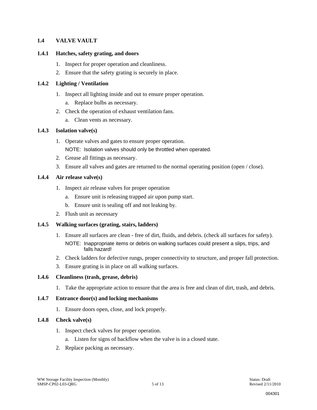#### **1.4 VALVE VAULT**

#### **1.4.1 Hatches, safety grating, and doors**

- 1. Inspect for proper operation and cleanliness.
- 2. Ensure that the safety grating is securely in place.

#### **1.4.2 Lighting / Ventilation**

- 1. Inspect all lighting inside and out to ensure proper operation.
	- a. Replace bulbs as necessary.
- 2. Check the operation of exhaust ventilation fans.
	- a. Clean vents as necessary.

#### **1.4.3 Isolation valve(s)**

- 1. Operate valves and gates to ensure proper operation. NOTE: Isolation valves should only be throttled when operated.
- 2. Grease all fittings as necessary.
- 3. Ensure all valves and gates are returned to the normal operating position (open / close).

#### **1.4.4 Air release valve(s)**

- 1. Inspect air release valves for proper operation
	- a. Ensure unit is releasing trapped air upon pump start.
	- b. Ensure unit is sealing off and not leaking by.
- 2. Flush unit as necessary

#### **1.4.5 Walking surfaces (grating, stairs, ladders)**

- 1. Ensure all surfaces are clean free of dirt, fluids, and debris. (check all surfaces for safety). NOTE: Inappropriate items or debris on walking surfaces could present a slips, trips, and falls hazard!
- 2. Check ladders for defective rungs, proper connectivity to structure, and proper fall protection.
- 3. Ensure grating is in place on all walking surfaces.

#### **1.4.6 Cleanliness (trash, grease, debris)**

1. Take the appropriate action to ensure that the area is free and clean of dirt, trash, and debris.

#### **1.4.7 Entrance door(s) and locking mechanisms**

1. Ensure doors open, close, and lock properly.

#### **1.4.8 Check valve(s)**

- 1. Inspect check valves for proper operation.
	- a. Listen for signs of backflow when the valve is in a closed state.
- 2. Replace packing as necessary.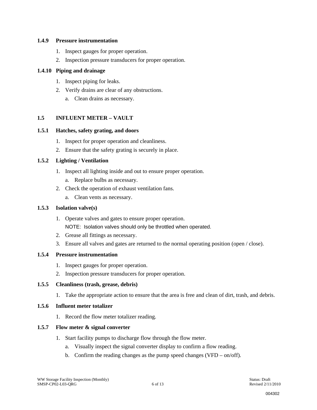#### **1.4.9 Pressure instrumentation**

- 1. Inspect gauges for proper operation.
- 2. Inspection pressure transducers for proper operation.

#### **1.4.10 Piping and drainage**

- 1. Inspect piping for leaks.
- 2. Verify drains are clear of any obstructions.
	- a. Clean drains as necessary.

#### **1.5 INFLUENT METER – VAULT**

#### **1.5.1 Hatches, safety grating, and doors**

- 1. Inspect for proper operation and cleanliness.
- 2. Ensure that the safety grating is securely in place.

#### **1.5.2 Lighting / Ventilation**

- 1. Inspect all lighting inside and out to ensure proper operation.
	- a. Replace bulbs as necessary.
- 2. Check the operation of exhaust ventilation fans.
	- a. Clean vents as necessary.

#### **1.5.3 Isolation valve(s)**

- 1. Operate valves and gates to ensure proper operation. NOTE: Isolation valves should only be throttled when operated.
- 2. Grease all fittings as necessary.
- 3. Ensure all valves and gates are returned to the normal operating position (open / close).

#### **1.5.4 Pressure instrumentation**

- 1. Inspect gauges for proper operation.
- 2. Inspection pressure transducers for proper operation.

#### **1.5.5 Cleanliness (trash, grease, debris)**

1. Take the appropriate action to ensure that the area is free and clean of dirt, trash, and debris.

#### **1.5.6 Influent meter totalizer**

1. Record the flow meter totalizer reading.

#### **1.5.7 Flow meter & signal converter**

- 1. Start facility pumps to discharge flow through the flow meter.
	- a. Visually inspect the signal converter display to confirm a flow reading.
	- b. Confirm the reading changes as the pump speed changes (VFD on/off).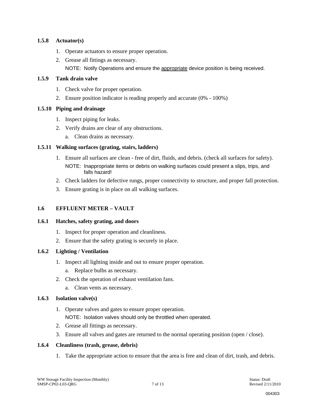#### **1.5.8 Actuator(s)**

- 1. Operate actuators to ensure proper operation.
- 2. Grease all fittings as necessary. NOTE: Notify Operations and ensure the appropriate device position is being received.

#### **1.5.9 Tank drain valve**

- 1. Check valve for proper operation.
- 2. Ensure position indicator is reading properly and accurate (0% 100%)

#### **1.5.10 Piping and drainage**

- 1. Inspect piping for leaks.
- 2. Verify drains are clear of any obstructions.
	- a. Clean drains as necessary.

#### **1.5.11 Walking surfaces (grating, stairs, ladders)**

- 1. Ensure all surfaces are clean free of dirt, fluids, and debris. (check all surfaces for safety). NOTE: Inappropriate items or debris on walking surfaces could present a slips, trips, and falls hazard!
- 2. Check ladders for defective rungs, proper connectivity to structure, and proper fall protection.
- 3. Ensure grating is in place on all walking surfaces.

#### **1.6 EFFLUENT METER – VAULT**

#### **1.6.1 Hatches, safety grating, and doors**

- 1. Inspect for proper operation and cleanliness.
- 2. Ensure that the safety grating is securely in place.

#### **1.6.2 Lighting / Ventilation**

- 1. Inspect all lighting inside and out to ensure proper operation.
	- a. Replace bulbs as necessary.
- 2. Check the operation of exhaust ventilation fans.
	- a. Clean vents as necessary.

#### **1.6.3 Isolation valve(s)**

- 1. Operate valves and gates to ensure proper operation. NOTE: Isolation valves should only be throttled when operated.
- 2. Grease all fittings as necessary.
- 3. Ensure all valves and gates are returned to the normal operating position (open / close).

#### **1.6.4 Cleanliness (trash, grease, debris)**

1. Take the appropriate action to ensure that the area is free and clean of dirt, trash, and debris.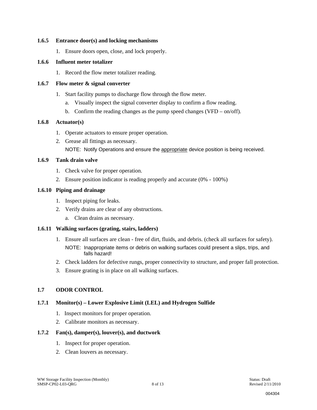#### **1.6.5 Entrance door(s) and locking mechanisms**

1. Ensure doors open, close, and lock properly.

#### **1.6.6 Influent meter totalizer**

1. Record the flow meter totalizer reading.

#### **1.6.7 Flow meter & signal converter**

- 1. Start facility pumps to discharge flow through the flow meter.
	- a. Visually inspect the signal converter display to confirm a flow reading.
	- b. Confirm the reading changes as the pump speed changes (VFD on/off).

#### **1.6.8 Actuator(s)**

- 1. Operate actuators to ensure proper operation.
- 2. Grease all fittings as necessary. NOTE: Notify Operations and ensure the appropriate device position is being received.

#### **1.6.9 Tank drain valve**

- 1. Check valve for proper operation.
- 2. Ensure position indicator is reading properly and accurate (0% 100%)

#### **1.6.10 Piping and drainage**

- 1. Inspect piping for leaks.
- 2. Verify drains are clear of any obstructions.
	- a. Clean drains as necessary.

#### **1.6.11 Walking surfaces (grating, stairs, ladders)**

- 1. Ensure all surfaces are clean free of dirt, fluids, and debris. (check all surfaces for safety). NOTE: Inappropriate items or debris on walking surfaces could present a slips, trips, and falls hazard!
- 2. Check ladders for defective rungs, proper connectivity to structure, and proper fall protection.
- 3. Ensure grating is in place on all walking surfaces.

#### **1.7 ODOR CONTROL**

### **1.7.1 Monitor(s) – Lower Explosive Limit (LEL) and Hydrogen Sulfide**

- 1. Inspect monitors for proper operation.
- 2. Calibrate monitors as necessary.

### **1.7.2 Fan(s), damper(s), louver(s), and ductwork**

- 1. Inspect for proper operation.
- 2. Clean louvers as necessary.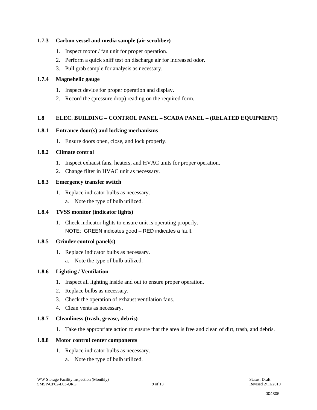#### **1.7.3 Carbon vessel and media sample (air scrubber)**

- 1. Inspect motor / fan unit for proper operation.
- 2. Perform a quick sniff test on discharge air for increased odor.
- 3. Pull grab sample for analysis as necessary.

#### **1.7.4 Magnehelic gauge**

- 1. Inspect device for proper operation and display.
- 2. Record the (pressure drop) reading on the required form.

#### **1.8 ELEC. BUILDING – CONTROL PANEL – SCADA PANEL – (RELATED EQUIPMENT)**

#### **1.8.1 Entrance door(s) and locking mechanisms**

1. Ensure doors open, close, and lock properly.

#### **1.8.2 Climate control**

- 1. Inspect exhaust fans, heaters, and HVAC units for proper operation.
- 2. Change filter in HVAC unit as necessary.

#### **1.8.3 Emergency transfer switch**

- 1. Replace indicator bulbs as necessary.
	- a. Note the type of bulb utilized.

#### **1.8.4 TVSS monitor (indicator lights)**

1. Check indicator lights to ensure unit is operating properly. NOTE: GREEN indicates good – RED indicates a fault.

#### **1.8.5 Grinder control panel(s)**

- 1. Replace indicator bulbs as necessary.
	- a. Note the type of bulb utilized.

#### **1.8.6 Lighting / Ventilation**

- 1. Inspect all lighting inside and out to ensure proper operation.
- 2. Replace bulbs as necessary.
- 3. Check the operation of exhaust ventilation fans.
- 4. Clean vents as necessary.

#### **1.8.7 Cleanliness (trash, grease, debris)**

1. Take the appropriate action to ensure that the area is free and clean of dirt, trash, and debris.

#### **1.8.8 Motor control center components**

- 1. Replace indicator bulbs as necessary.
	- a. Note the type of bulb utilized.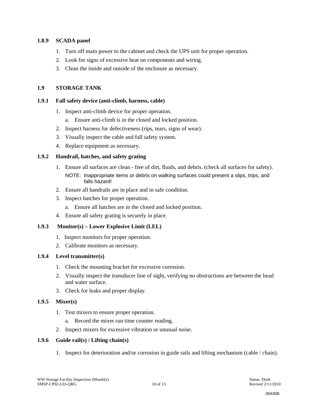#### **1.8.9 SCADA panel**

- 1. Turn off main power to the cabinet and check the UPS unit for proper operation.
- 2. Look for signs of excessive heat on components and wiring.
- 3. Clean the inside and outside of the enclosure as necessary.

#### **1.9 STORAGE TANK**

#### **1.9.1 Fall safety device (anti-climb, harness, cable)**

- 1. Inspect anti-climb device for proper operation.
	- a. Ensure anti-climb is in the closed and locked position.
- 2. Inspect harness for defectiveness (rips, tears, signs of wear).
- 3. Visually inspect the cable and fall safety system.
- 4. Replace equipment as necessary.

#### **1.9.2 Handrail, hatches, and safety grating**

- 1. Ensure all surfaces are clean free of dirt, fluids, and debris. (check all surfaces for safety). NOTE: Inappropriate items or debris on walking surfaces could present a slips, trips, and falls hazard!
- 2. Ensure all handrails are in place and in safe condition.
- 3. Inspect hatches for proper operation.
	- a. Ensure all hatches are in the closed and locked position.
- 4. Ensure all safety grating is securely in place.

#### **1.9.3 Monitor(s) – Lower Explosive Limit (LEL)**

- 1. Inspect monitors for proper operation.
- 2. Calibrate monitors as necessary.

#### **1.9.4 Level transmitter(s)**

- 1. Check the mounting bracket for excessive corrosion.
- 2. Visually inspect the transducer line of sight, verifying no obstructions are between the head and water surface.
- 3. Check for leaks and proper display.

#### **1.9.5 Mixer(s)**

- 1. Test mixers to ensure proper operation.
	- a. Record the mixer run time counter reading.
- 2. Inspect mixers for excessive vibration or unusual noise.

#### **1.9.6 Guide rail(s) / Lifting chain(s)**

1. Inspect for deterioration and/or corrosion in guide rails and lifting mechanism (cable / chain).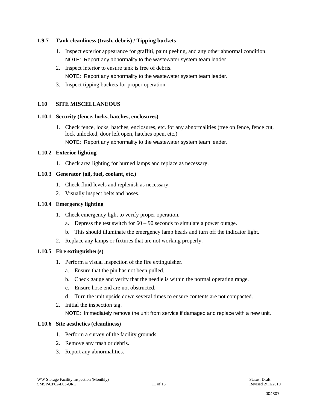#### **1.9.7 Tank cleanliness (trash, debris) / Tipping buckets**

- 1. Inspect exterior appearance for graffiti, paint peeling, and any other abnormal condition. NOTE: Report any abnormality to the wastewater system team leader.
- 2. Inspect interior to ensure tank is free of debris.
	- NOTE: Report any abnormality to the wastewater system team leader.
- 3. Inspect tipping buckets for proper operation.

#### **1.10 SITE MISCELLANEOUS**

#### **1.10.1 Security (fence, locks, hatches, enclosures)**

1. Check fence, locks, hatches, enclosures, etc. for any abnormalities (tree on fence, fence cut, lock unlocked, door left open, hatches open, etc.)

NOTE: Report any abnormality to the wastewater system team leader.

#### **1.10.2 Exterior lighting**

1. Check area lighting for burned lamps and replace as necessary.

#### **1.10.3 Generator (oil, fuel, coolant, etc.)**

- 1. Check fluid levels and replenish as necessary.
- 2. Visually inspect belts and hoses.

#### **1.10.4 Emergency lighting**

- 1. Check emergency light to verify proper operation.
	- a. Depress the test switch for  $60 90$  seconds to simulate a power outage.
	- b. This should illuminate the emergency lamp heads and turn off the indicator light.
- 2. Replace any lamps or fixtures that are not working properly.

#### **1.10.5 Fire extinguisher(s)**

- 1. Perform a visual inspection of the fire extinguisher.
	- a. Ensure that the pin has not been pulled.
	- b. Check gauge and verify that the needle is within the normal operating range.
	- c. Ensure hose end are not obstructed.
	- d. Turn the unit upside down several times to ensure contents are not compacted.
- 2. Initial the inspection tag. NOTE: Immediately remove the unit from service if damaged and replace with a new unit.

#### **1.10.6 Site aesthetics (cleanliness)**

- 1. Perform a survey of the facility grounds.
- 2. Remove any trash or debris.
- 3. Report any abnormalities.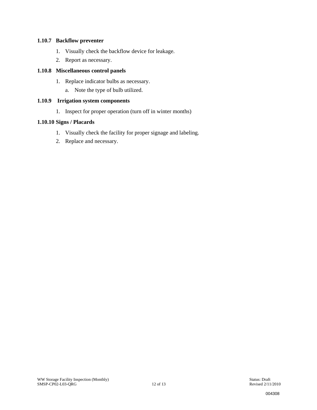#### **1.10.7 Backflow preventer**

- 1. Visually check the backflow device for leakage.
- 2. Report as necessary.

#### **1.10.8 Miscellaneous control panels**

- 1. Replace indicator bulbs as necessary.
	- a. Note the type of bulb utilized.

### **1.10.9 Irrigation system components**

1. Inspect for proper operation (turn off in winter months)

#### **1.10.10 Signs / Placards**

- 1. Visually check the facility for proper signage and labeling.
- 2. Replace and necessary.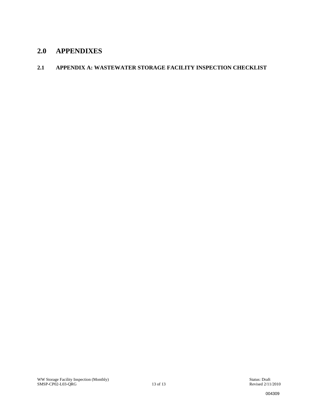## **2.0 APPENDIXES**

#### **2.1 APPENDIX A: WASTEWATER STORAGE FACILITY INSPECTION CHECKLIST**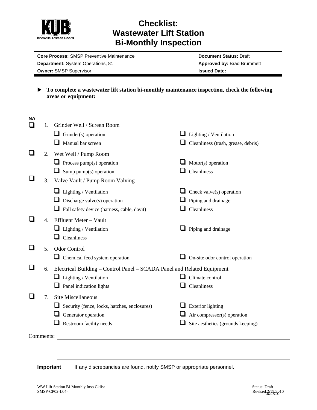

## **Checklist: Wastewater Lift Station Bi-Monthly Inspection**

**Core Process: SMSP Preventive Maintenance <b>Document Status: Draft** Document Status: Draft **Department:** System Operations, 81 **Approved by: Brad Brummett Approved by: Brad Brummett Owner:** SMSP Supervisor **ISSUED 2008 ISSUED 2018** 

▶ To complete a wastewater lift station bi-monthly maintenance inspection, check the following **areas or equipment:** 

| <b>NA</b> |                |                                                                         |                                     |
|-----------|----------------|-------------------------------------------------------------------------|-------------------------------------|
|           | 1.             | Grinder Well / Screen Room                                              |                                     |
|           |                | Grinder(s) operation<br>ப                                               | $\Box$ Lighting / Ventilation       |
|           |                | Manual bar screen                                                       | Cleanliness (trash, grease, debris) |
|           | 2.             | Wet Well / Pump Room                                                    |                                     |
|           |                | $\Box$ Process pump(s) operation                                        | Motor(s) operation                  |
|           |                | Sump pump(s) operation<br>⊔                                             | Cleanliness                         |
|           | 3.             | Valve Vault / Pump Room Valving                                         |                                     |
|           |                | $\Box$ Lighting / Ventilation                                           | Check valve(s) operation            |
|           |                | Discharge valve(s) operation                                            | Piping and drainage                 |
|           |                | Fall safety device (harness, cable, davit)                              | Cleanliness                         |
|           | $\mathbf{4}$ . | Effluent Meter - Vault                                                  |                                     |
|           |                | $\Box$ Lighting / Ventilation                                           | Piping and drainage                 |
|           |                | Cleanliness                                                             |                                     |
|           | 5.             | <b>Odor Control</b>                                                     |                                     |
|           |                | $\Box$ Chemical feed system operation                                   | On-site odor control operation      |
|           | 6.             | Electrical Building – Control Panel – SCADA Panel and Related Equipment |                                     |
|           |                | $\Box$ Lighting / Ventilation                                           | Climate control                     |
|           |                | $\Box$ Panel indication lights                                          | Cleanliness                         |
|           | 7.             | <b>Site Miscellaneous</b>                                               |                                     |
|           |                | Security (fence, locks, hatches, enclosures)<br>ப                       | <b>Exterior lighting</b>            |
|           |                | Generator operation                                                     | Air compressor(s) operation         |
|           |                | $\Box$ Restroom facility needs                                          | Site aesthetics (grounds keeping)   |
|           |                |                                                                         |                                     |
|           | Comments:      |                                                                         |                                     |
|           |                |                                                                         |                                     |
|           |                |                                                                         |                                     |

**Important** If any discrepancies are found, notify SMSP or appropriate personnel.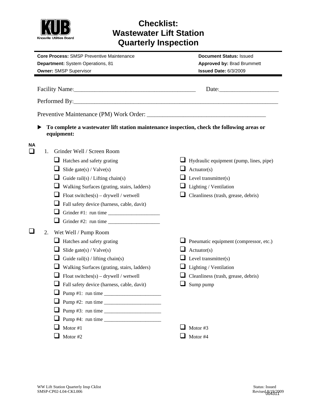

## **Checklist: Wastewater Lift Station Quarterly Inspection**

| <b>Core Process: SMSP Preventive Maintenance</b> |                                                                                                                                                                                                                                                                                                         | <b>Document Status: Issued</b>                 |  |  |
|--------------------------------------------------|---------------------------------------------------------------------------------------------------------------------------------------------------------------------------------------------------------------------------------------------------------------------------------------------------------|------------------------------------------------|--|--|
| Department: System Operations, 81                |                                                                                                                                                                                                                                                                                                         | <b>Approved by: Brad Brummett</b>              |  |  |
|                                                  | <b>Owner: SMSP Supervisor</b>                                                                                                                                                                                                                                                                           | Issued Date: 6/3/2009                          |  |  |
|                                                  |                                                                                                                                                                                                                                                                                                         |                                                |  |  |
|                                                  | Performed By:                                                                                                                                                                                                                                                                                           |                                                |  |  |
|                                                  |                                                                                                                                                                                                                                                                                                         |                                                |  |  |
|                                                  | To complete a wastewater lift station maintenance inspection, check the following areas or<br>equipment:                                                                                                                                                                                                |                                                |  |  |
| <b>NA</b><br>ப                                   | Grinder Well / Screen Room<br>1.                                                                                                                                                                                                                                                                        |                                                |  |  |
|                                                  | $\Box$ Hatches and safety grating                                                                                                                                                                                                                                                                       | $\Box$ Hydraulic equipment (pump, lines, pipe) |  |  |
|                                                  | Slide gate(s) / $Value(s)$<br>⊔                                                                                                                                                                                                                                                                         | $\Box$ Actuator(s)                             |  |  |
|                                                  | Guide rail(s) / Lifting chain(s)                                                                                                                                                                                                                                                                        | <b>Level transmitter(s)</b>                    |  |  |
|                                                  | ப<br>Walking Surfaces (grating, stairs, ladders)                                                                                                                                                                                                                                                        | $\Box$ Lighting / Ventilation                  |  |  |
|                                                  | ப<br>Float switches $(s)$ – drywell / wetwell                                                                                                                                                                                                                                                           | Cleanliness (trash, grease, debris)<br>u       |  |  |
|                                                  | ⊔<br>Fall safety device (harness, cable, davit)                                                                                                                                                                                                                                                         |                                                |  |  |
|                                                  | ⊔<br>Grinder #1: run time $\frac{1}{2}$ = $\frac{1}{2}$ = $\frac{1}{2}$ = $\frac{1}{2}$ = $\frac{1}{2}$ = $\frac{1}{2}$ = $\frac{1}{2}$ = $\frac{1}{2}$ = $\frac{1}{2}$ = $\frac{1}{2}$ = $\frac{1}{2}$ = $\frac{1}{2}$ = $\frac{1}{2}$ = $\frac{1}{2}$ = $\frac{1}{2}$ = $\frac{1}{2}$ = $\frac{1}{2}$ |                                                |  |  |
|                                                  | ⊔<br>Grinder #2: run time                                                                                                                                                                                                                                                                               |                                                |  |  |
| 2.                                               | Wet Well / Pump Room                                                                                                                                                                                                                                                                                    |                                                |  |  |
|                                                  | $\Box$ Hatches and safety grating                                                                                                                                                                                                                                                                       | Pneumatic equipment (compressor, etc.)         |  |  |
|                                                  | ⊔<br>Slide gate(s) / $Value(s)$                                                                                                                                                                                                                                                                         | $\Box$ Actuator(s)                             |  |  |
|                                                  | ப<br>Guide rail(s) / lifting chain(s)                                                                                                                                                                                                                                                                   | $\Box$ Level transmitter(s)                    |  |  |
|                                                  | Walking Surfaces (grating, stairs, ladders)<br>⊔                                                                                                                                                                                                                                                        | Lighting / Ventilation                         |  |  |
|                                                  | Float switches(s) – drywell / wetwell<br>⊔                                                                                                                                                                                                                                                              | $\Box$ Cleanliness (trash, grease, debris)     |  |  |
|                                                  | Fall safety device (harness, cable, davit)                                                                                                                                                                                                                                                              | Sump pump                                      |  |  |
|                                                  |                                                                                                                                                                                                                                                                                                         |                                                |  |  |
|                                                  |                                                                                                                                                                                                                                                                                                         |                                                |  |  |
|                                                  | ⊔                                                                                                                                                                                                                                                                                                       |                                                |  |  |
|                                                  |                                                                                                                                                                                                                                                                                                         |                                                |  |  |
|                                                  | Motor #1                                                                                                                                                                                                                                                                                                | Motor #3                                       |  |  |
|                                                  | Motor #2                                                                                                                                                                                                                                                                                                | Motor #4<br>⊔                                  |  |  |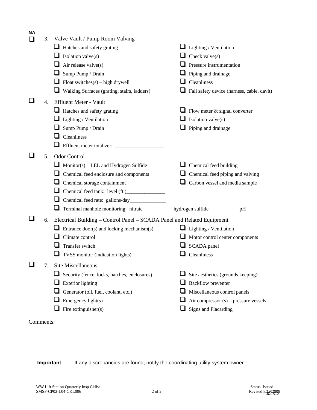| <b>NA</b> | 3. | Valve Vault / Pump Room Valving                                         |                                            |
|-----------|----|-------------------------------------------------------------------------|--------------------------------------------|
|           |    | Hatches and safety grating                                              | $\Box$ Lighting / Ventilation              |
|           |    | Isolation valve(s)                                                      | Check valve $(s)$                          |
|           |    | Air release valve(s)                                                    | Pressure instrumentation                   |
|           |    | Sump Pump / Drain                                                       | Piping and drainage                        |
|           |    | Float switches $(s)$ – high drywell                                     | Cleanliness                                |
|           |    | Walking Surfaces (grating, stairs, ladders)<br>⊔                        | Fall safety device (harness, cable, davit) |
|           | 4. | <b>Effluent Meter - Vault</b>                                           |                                            |
|           |    | Hatches and safety grating                                              | $\Box$ Flow meter & signal converter       |
|           |    | Lighting / Ventilation                                                  | Isolation valve(s)                         |
|           |    | Sump Pump / Drain                                                       | Piping and drainage                        |
|           |    | Cleanliness                                                             |                                            |
|           |    | Effluent meter totalizer:                                               |                                            |
|           | 5. | <b>Odor Control</b>                                                     |                                            |
|           |    | $Monitor(s) - LEL$ and Hydrogen Sulfide<br>⊔                            | Chemical feed building                     |
|           |    | Chemical feed enclosure and components                                  | Chemical feed piping and valving           |
|           |    | Chemical storage containment                                            | Carbon vessel and media sample             |
|           |    |                                                                         |                                            |
|           |    |                                                                         |                                            |
|           |    | Terminal manhole monitoring: nitrate________                            | hydrogen sulfide_________                  |
|           | 6. | Electrical Building - Control Panel - SCADA Panel and Related Equipment |                                            |
|           |    | Entrance door(s) and locking mechanism(s)                               | $\Box$ Lighting / Ventilation              |
|           |    | Climate control                                                         | Motor control center components            |
|           |    | Transfer switch                                                         | SCADA panel                                |
|           |    | TVSS monitor (indication lights)                                        | Cleanliness                                |
|           | 7. | Site Miscellaneous                                                      |                                            |
|           |    | Security (fence, locks, hatches, enclosures)                            | Site aesthetics (grounds keeping)          |
|           |    | <b>Exterior</b> lighting                                                | Backflow preventer                         |
|           |    | Generator (oil, fuel, coolant, etc.)                                    | Miscellaneous control panels               |
|           |    | Emergency light(s)                                                      | Air compressor $(s)$ – pressure vessels    |
|           |    | Fire extinguisher(s)                                                    | <b>Signs and Placarding</b>                |
|           |    |                                                                         |                                            |
| Comments: |    | <u> 1989 - Andrea Andrew Maria (h. 1989).</u>                           |                                            |
|           |    |                                                                         |                                            |
|           |    |                                                                         |                                            |
|           |    |                                                                         |                                            |

**Important** If any discrepancies are found, notify the coordinating utility system owner.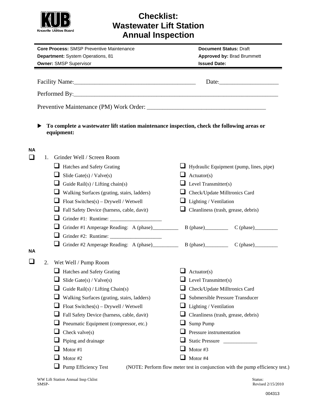

## **Checklist: Wastewater Lift Station Annual Inspection**

| <b>Core Process: SMSP Preventive Maintenance</b><br>Department: System Operations, 81<br><b>Owner: SMSP Supervisor</b> |                                                                                                          | <b>Document Status: Draft</b><br><b>Approved by: Brad Brummett</b><br><b>Issued Date:</b> |  |  |
|------------------------------------------------------------------------------------------------------------------------|----------------------------------------------------------------------------------------------------------|-------------------------------------------------------------------------------------------|--|--|
|                                                                                                                        |                                                                                                          |                                                                                           |  |  |
|                                                                                                                        |                                                                                                          |                                                                                           |  |  |
|                                                                                                                        |                                                                                                          |                                                                                           |  |  |
|                                                                                                                        | To complete a wastewater lift station maintenance inspection, check the following areas or<br>equipment: |                                                                                           |  |  |
| NА<br>$\Box$<br>1.                                                                                                     | Grinder Well / Screen Room                                                                               |                                                                                           |  |  |
|                                                                                                                        | $\Box$ Hatches and Safety Grating                                                                        | Hydraulic Equipment (pump, lines, pipe)                                                   |  |  |
|                                                                                                                        | Slide Gate $(s)$ / Valve $(s)$<br>⊔                                                                      | $\Box$ Actuator(s)                                                                        |  |  |
|                                                                                                                        | ப<br>Guide Rail(s) / Lifting chain(s)                                                                    | <b>Level Transmitter(s)</b>                                                               |  |  |
|                                                                                                                        | ⊔<br>Walking Surfaces (grating, stairs, ladders)                                                         | Check/Update Milltronics Card                                                             |  |  |
|                                                                                                                        | ⊔<br>Float Switches $(s)$ – Drywell / Wetwell                                                            | Lighting / Ventilation                                                                    |  |  |
|                                                                                                                        | Fall Safety Device (harness, cable, davit)                                                               | Cleanliness (trash, grease, debris)                                                       |  |  |
|                                                                                                                        | u                                                                                                        |                                                                                           |  |  |
|                                                                                                                        | ⊔<br>Grinder #1 Amperage Reading: A (phase)____________                                                  | $B$ (phase) $C$ (phase)                                                                   |  |  |
|                                                                                                                        | ⊔                                                                                                        |                                                                                           |  |  |
|                                                                                                                        |                                                                                                          | Grinder #2 Amperage Reading: A (phase) B (phase) C (phase)                                |  |  |
| ΝA                                                                                                                     |                                                                                                          |                                                                                           |  |  |
| 2.                                                                                                                     | Wet Well / Pump Room                                                                                     |                                                                                           |  |  |
|                                                                                                                        | Hatches and Safety Grating                                                                               | Actuator(s)                                                                               |  |  |
|                                                                                                                        | Slide Gate(s) / $Value(s)$                                                                               | <b>Level Transmitter(s)</b>                                                               |  |  |
|                                                                                                                        | Guide Rail(s) / Lifting Chain(s)                                                                         | Check/Update Milltronics Card                                                             |  |  |
|                                                                                                                        | Walking Surfaces (grating, stairs, ladders)                                                              | Submersible Pressure Transducer                                                           |  |  |
|                                                                                                                        | Float Switches(s) - Drywell / Wetwell                                                                    | Lighting / Ventilation                                                                    |  |  |
|                                                                                                                        | Fall Safety Device (harness, cable, davit)                                                               | Cleanliness (trash, grease, debris)                                                       |  |  |
|                                                                                                                        | Pneumatic Equipment (compressor, etc.)                                                                   | Sump Pump                                                                                 |  |  |
|                                                                                                                        | Check valve(s)                                                                                           | Pressure instrumentation                                                                  |  |  |
|                                                                                                                        | Piping and drainage                                                                                      | Static Pressure                                                                           |  |  |
|                                                                                                                        | Motor #1                                                                                                 | Motor #3<br>Motor #4                                                                      |  |  |
|                                                                                                                        | Motor #2                                                                                                 |                                                                                           |  |  |
|                                                                                                                        | Pump Efficiency Test                                                                                     | (NOTE: Perform flow meter test in conjunction with the pump efficiency test.)             |  |  |

Revised 2/15/2010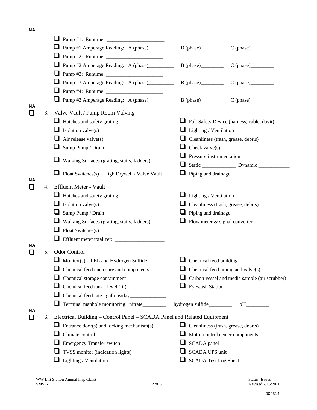**NA** 

|              |    | ⊔                                                                       |                                          |                                               |
|--------------|----|-------------------------------------------------------------------------|------------------------------------------|-----------------------------------------------|
|              |    | Pump #1 Amperage Reading: A (phase)___________<br>⊔                     |                                          |                                               |
|              |    |                                                                         |                                          |                                               |
|              |    | Pump #2 Amperage Reading: A (phase)____________                         | $B$ (phase)                              |                                               |
|              |    | ⊔                                                                       |                                          |                                               |
|              |    | ⊔<br>Pump #3 Amperage Reading: A (phase)__________                      |                                          |                                               |
|              |    | ⊔                                                                       |                                          |                                               |
|              |    | Pump #3 Amperage Reading: A (phase)                                     |                                          | $B$ (phase) $C$ (phase)                       |
| NА           | 3. | Valve Vault / Pump Room Valving                                         |                                          |                                               |
|              |    | $\Box$ Hatches and safety grating                                       |                                          | Fall Safety Device (harness, cable, davit)    |
|              |    | Isolation valve(s)                                                      | Lighting / Ventilation                   |                                               |
|              |    | Air release valve(s)<br>⊔                                               |                                          | Cleanliness (trash, grease, debris)           |
|              |    | Sump Pump / Drain<br>⊔                                                  | Check valve $(s)$                        |                                               |
|              |    |                                                                         | Pressure instrumentation<br>ப            |                                               |
|              |    | Walking Surfaces (grating, stairs, ladders)<br>⊔                        |                                          |                                               |
|              |    | $\Box$ Float Switches(s) – High Drywell / Valve Vault                   | Piping and drainage                      |                                               |
| NА           |    |                                                                         |                                          |                                               |
| $\mathbf{L}$ | 4. | Effluent Meter - Vault                                                  |                                          |                                               |
|              |    | Hatches and safety grating                                              | Lighting / Ventilation                   |                                               |
|              |    | ⊔<br>Isolation valve(s)                                                 |                                          | Cleanliness (trash, grease, debris)           |
|              |    | ⊔<br>Sump Pump / Drain                                                  | Piping and drainage                      |                                               |
|              |    | ⊔<br>Walking Surfaces (grating, stairs, ladders)                        | Flow meter & signal converter            |                                               |
|              |    | Float Switches(s)                                                       |                                          |                                               |
| ΝA           |    |                                                                         |                                          |                                               |
| $\mathbf{L}$ | 5. | <b>Odor Control</b>                                                     |                                          |                                               |
|              |    | $Monitor(s) - LEL$ and Hydrogen Sulfide                                 | $\Box$ Chemical feed building            |                                               |
|              |    | $\Box$ Chemical feed enclosure and components                           | $\Box$ Chemical feed piping and valve(s) |                                               |
|              |    | Chemical storage containment                                            |                                          | Carbon vessel and media sample (air scrubber) |
|              |    | ⊔                                                                       | $\Box$ Eyewash Station                   |                                               |
|              |    |                                                                         |                                          |                                               |
|              |    | Terminal manhole monitoring: nitrate________                            |                                          |                                               |
| ΝA           | 6. | Electrical Building – Control Panel – SCADA Panel and Related Equipment |                                          |                                               |
|              |    | Entrance door(s) and locking mechanism(s)                               |                                          | Cleanliness (trash, grease, debris)           |
|              |    | Climate control                                                         | Motor control center components<br>⊔     |                                               |
|              |    | <b>Emergency Transfer switch</b>                                        | SCADA panel                              |                                               |
|              |    | TVSS monitor (indication lights)                                        | SCADA UPS unit                           |                                               |
|              |    | $\Box$ Lighting / Ventilation                                           | <b>SCADA Test Log Sheet</b>              |                                               |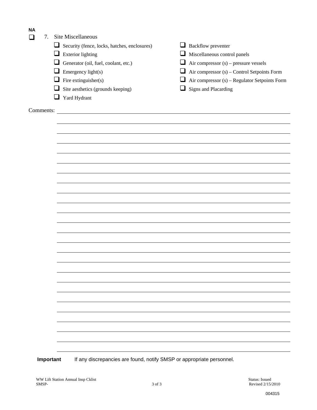| <b>NA</b> |    |                                                                                                                       |                                                      |
|-----------|----|-----------------------------------------------------------------------------------------------------------------------|------------------------------------------------------|
| $\sim$    | 7. | Site Miscellaneous                                                                                                    |                                                      |
|           |    | Security (fence, locks, hatches, enclosures)                                                                          | $\Box$ Backflow preventer                            |
|           |    | <b>Exterior lighting</b><br>⊔                                                                                         | Miscellaneous control panels                         |
|           |    | Generator (oil, fuel, coolant, etc.)<br>⊔                                                                             | $\Box$ Air compressor (s) – pressure vessels         |
|           |    | Emergency light(s)<br>⊔                                                                                               | $\Box$ Air compressor (s) – Control Setpoints Form   |
|           |    | $\Box$ Fire extinguisher(s)                                                                                           | $\Box$ Air compressor (s) – Regulator Setpoints Form |
|           |    | Site aesthetics (grounds keeping)<br>⊔                                                                                | $\Box$ Signs and Placarding                          |
|           |    | $\Box$ Yard Hydrant                                                                                                   |                                                      |
| Comments: |    | <u> 1989 - Johann Stoff, deutscher Stoffen und der Stoffen und der Stoffen und der Stoffen und der Stoffen und de</u> |                                                      |
|           |    |                                                                                                                       |                                                      |
|           |    |                                                                                                                       |                                                      |
|           |    |                                                                                                                       |                                                      |
|           |    |                                                                                                                       |                                                      |
|           |    |                                                                                                                       |                                                      |
|           |    |                                                                                                                       |                                                      |
|           |    |                                                                                                                       |                                                      |
|           |    |                                                                                                                       |                                                      |
|           |    |                                                                                                                       |                                                      |
|           |    |                                                                                                                       |                                                      |
|           |    |                                                                                                                       |                                                      |
|           |    |                                                                                                                       |                                                      |
|           |    |                                                                                                                       |                                                      |
|           |    |                                                                                                                       |                                                      |
|           |    |                                                                                                                       |                                                      |
|           |    |                                                                                                                       |                                                      |
|           |    |                                                                                                                       |                                                      |
|           |    |                                                                                                                       |                                                      |
|           |    |                                                                                                                       |                                                      |
|           |    |                                                                                                                       |                                                      |
|           |    |                                                                                                                       |                                                      |
|           |    |                                                                                                                       |                                                      |
|           |    |                                                                                                                       |                                                      |
|           |    |                                                                                                                       |                                                      |
|           |    |                                                                                                                       |                                                      |
|           |    |                                                                                                                       |                                                      |

**Important** If any discrepancies are found, notify SMSP or appropriate personnel.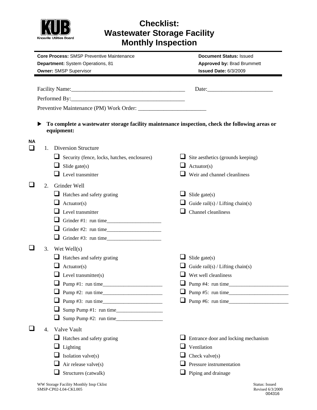

## **Checklist: Wastewater Storage Facility Monthly Inspection**

|         | <b>Core Process: SMSP Preventive Maintenance</b><br>Department: System Operations, 81<br><b>Owner: SMSP Supervisor</b> |                                                                                                              | <b>Document Status: Issued</b><br><b>Approved by: Brad Brummett</b><br>Issued Date: 6/3/2009 |  |  |
|---------|------------------------------------------------------------------------------------------------------------------------|--------------------------------------------------------------------------------------------------------------|----------------------------------------------------------------------------------------------|--|--|
|         |                                                                                                                        |                                                                                                              |                                                                                              |  |  |
|         |                                                                                                                        |                                                                                                              |                                                                                              |  |  |
|         |                                                                                                                        |                                                                                                              |                                                                                              |  |  |
|         |                                                                                                                        |                                                                                                              |                                                                                              |  |  |
|         |                                                                                                                        |                                                                                                              |                                                                                              |  |  |
|         |                                                                                                                        |                                                                                                              |                                                                                              |  |  |
|         |                                                                                                                        | To complete a wastewater storage facility maintenance inspection, check the following areas or<br>equipment: |                                                                                              |  |  |
| NА<br>ப | $1_{-}$                                                                                                                | <b>Diversion Structure</b>                                                                                   |                                                                                              |  |  |
|         |                                                                                                                        | Security (fence, locks, hatches, enclosures)                                                                 | $\Box$ Site aesthetics (grounds keeping)                                                     |  |  |
|         |                                                                                                                        | ⊔<br>Slide gate $(s)$                                                                                        | u<br>Actuator(s)                                                                             |  |  |
|         |                                                                                                                        | $\Box$ Level transmitter                                                                                     | $\Box$ Weir and channel cleanliness                                                          |  |  |
|         |                                                                                                                        | Grinder Well                                                                                                 |                                                                                              |  |  |
|         | 2.                                                                                                                     |                                                                                                              |                                                                                              |  |  |
|         |                                                                                                                        | Hatches and safety grating<br>Actuator(s)<br>u                                                               | Slide gate $(s)$                                                                             |  |  |
|         |                                                                                                                        | $\Box$ Level transmitter                                                                                     | Guide rail(s) / Lifting chain(s)<br>Channel cleanliness                                      |  |  |
|         |                                                                                                                        |                                                                                                              |                                                                                              |  |  |
|         |                                                                                                                        |                                                                                                              |                                                                                              |  |  |
|         |                                                                                                                        | Grinder #3: run time                                                                                         |                                                                                              |  |  |
|         |                                                                                                                        |                                                                                                              |                                                                                              |  |  |
|         | 3.                                                                                                                     | Wet Well $(s)$                                                                                               |                                                                                              |  |  |
|         |                                                                                                                        | $\Box$ Hatches and safety grating                                                                            | Slide gate $(s)$                                                                             |  |  |
|         |                                                                                                                        | $\Box$ Actuator(s)                                                                                           | Guide rail(s) / Lifting chain(s)                                                             |  |  |
|         |                                                                                                                        | Level transmitter(s)                                                                                         | $\Box$ Wet well cleanliness                                                                  |  |  |
|         |                                                                                                                        |                                                                                                              |                                                                                              |  |  |
|         |                                                                                                                        |                                                                                                              | ⊔                                                                                            |  |  |
|         |                                                                                                                        |                                                                                                              |                                                                                              |  |  |
|         |                                                                                                                        |                                                                                                              |                                                                                              |  |  |
|         |                                                                                                                        |                                                                                                              |                                                                                              |  |  |
|         | 4.                                                                                                                     | Valve Vault                                                                                                  |                                                                                              |  |  |
|         |                                                                                                                        | Hatches and safety grating                                                                                   | Entrance door and locking mechanism                                                          |  |  |
|         |                                                                                                                        | Lighting                                                                                                     | Ventilation                                                                                  |  |  |
|         |                                                                                                                        | Isolation valve(s)                                                                                           | Check valve(s)                                                                               |  |  |
|         |                                                                                                                        | Air release valve(s)                                                                                         | Pressure instrumentation                                                                     |  |  |
|         |                                                                                                                        | Structures (catwalk)                                                                                         | Piping and drainage                                                                          |  |  |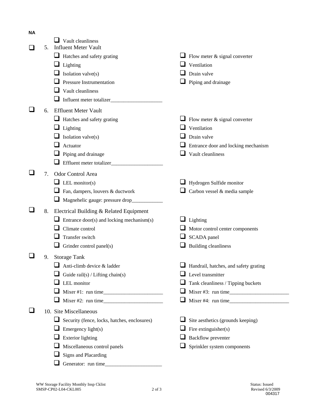| <b>NA</b> |    |                                                   |                 |                                       |
|-----------|----|---------------------------------------------------|-----------------|---------------------------------------|
|           |    | Vault cleanliness                                 |                 |                                       |
|           | 5. | <b>Influent Meter Vault</b>                       |                 |                                       |
|           |    | Hatches and safety grating                        | ⊔               | Flow meter $\&$ signal converter      |
|           |    | Lighting                                          | Ventilation     |                                       |
|           |    | Isolation valve(s)                                | Drain valve     |                                       |
|           |    | <b>Pressure Instrumentation</b>                   |                 | Piping and drainage                   |
|           |    | Vault cleanliness                                 |                 |                                       |
|           |    | Influent meter totalizer_                         |                 |                                       |
|           | 6. | <b>Effluent Meter Vault</b>                       |                 |                                       |
|           |    | Hatches and safety grating                        |                 | Flow meter & signal converter         |
|           |    | Lighting                                          | Ventilation     |                                       |
|           |    | Isolation valve(s)                                | Drain valve     |                                       |
|           |    | Actuator                                          |                 | Entrance door and locking mechanism   |
|           |    | Piping and drainage                               |                 | Vault cleanliness                     |
|           |    | Effluent meter totalizer_                         |                 |                                       |
|           | 7. | Odor Control Area                                 |                 |                                       |
|           |    |                                                   |                 |                                       |
|           |    | LEL monitor(s)                                    |                 | Hydrogen Sulfide monitor              |
|           |    | Fan, dampers, louvers & ductwork                  |                 | Carbon vessel & media sample          |
|           |    | Magnehelic gauge: pressure drop_                  |                 |                                       |
|           | 8. | Electrical Building & Related Equipment           |                 |                                       |
|           |    | Entrance door(s) and locking mechanism(s)         | $\Box$ Lighting |                                       |
|           |    | Climate control                                   |                 | Motor control center components       |
|           |    | Transfer switch                                   |                 | SCADA panel                           |
|           |    | Grinder control panel(s)                          |                 | <b>Building cleanliness</b>           |
|           | 9. | <b>Storage Tank</b>                               |                 |                                       |
|           |    | Anti-climb device & ladder                        |                 | Handrail, hatches, and safety grating |
|           |    | Guide rail(s) / Lifting chain(s)                  |                 | Level transmitter                     |
|           |    | LEL monitor                                       | ⊔               | Tank cleanliness / Tipping buckets    |
|           |    |                                                   |                 | Mixer $#3$ : run time                 |
|           |    | Mixer #2: run time                                |                 | Mixer #4: run time                    |
|           |    | 10. Site Miscellaneous                            |                 |                                       |
|           |    | Security (fence, locks, hatches, enclosures)<br>⊔ | ⊔               | Site aesthetics (grounds keeping)     |
|           |    | Emergency light(s)                                | ⊔               | Fire extinguisher(s)                  |
|           |    | <b>Exterior lighting</b>                          |                 | <b>Backflow</b> preventer             |
|           |    | Miscellaneous control panels                      |                 | Sprinkler system components           |
|           |    | <b>Signs and Placarding</b>                       |                 |                                       |
|           |    | Generator: run time_                              |                 |                                       |
|           |    |                                                   |                 |                                       |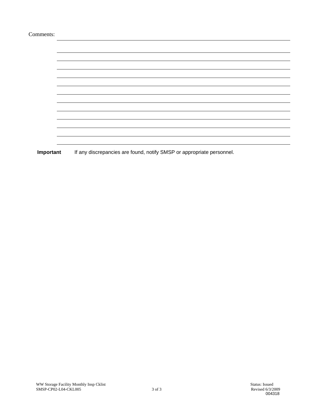| Comments: |                                                                       |  |  |  |  |
|-----------|-----------------------------------------------------------------------|--|--|--|--|
|           |                                                                       |  |  |  |  |
|           |                                                                       |  |  |  |  |
|           |                                                                       |  |  |  |  |
|           |                                                                       |  |  |  |  |
|           |                                                                       |  |  |  |  |
|           |                                                                       |  |  |  |  |
|           |                                                                       |  |  |  |  |
|           |                                                                       |  |  |  |  |
|           |                                                                       |  |  |  |  |
|           |                                                                       |  |  |  |  |
|           |                                                                       |  |  |  |  |
|           |                                                                       |  |  |  |  |
| Important | If any discrepancies are found, notify SMSP or appropriate personnel. |  |  |  |  |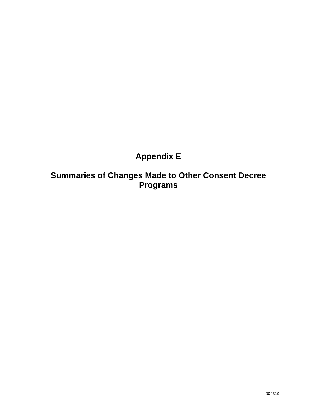# **Appendix E**

**Summaries of Changes Made to Other Consent Decree Programs**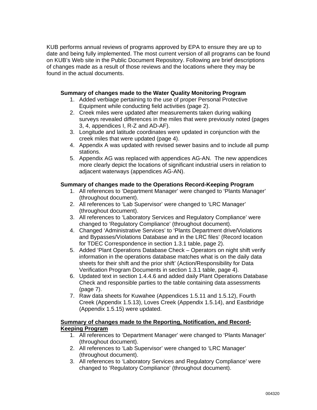KUB performs annual reviews of programs approved by EPA to ensure they are up to date and being fully implemented. The most current version of all programs can be found on KUB's Web site in the Public Document Repository. Following are brief descriptions of changes made as a result of those reviews and the locations where they may be found in the actual documents.

### **Summary of changes made to the Water Quality Monitoring Program**

- 1. Added verbiage pertaining to the use of proper Personal Protective Equipment while conducting field activities (page 2).
- 2. Creek miles were updated after measurements taken during walking surveys revealed differences in the miles that were previously noted (pages 3, 4, appendices I, R-Z and AD-AF).
- 3. Longitude and latitude coordinates were updated in conjunction with the creek miles that were updated (page 4).
- 4. Appendix A was updated with revised sewer basins and to include all pump stations.
- 5. Appendix AG was replaced with appendices AG-AN. The new appendices more clearly depict the locations of significant industrial users in relation to adjacent waterways (appendices AG-AN).

### **Summary of changes made to the Operations Record-Keeping Program**

- 1. All references to 'Department Manager' were changed to 'Plants Manager' (throughout document).
- 2. All references to 'Lab Supervisor' were changed to 'LRC Manager' (throughout document).
- 3. All references to 'Laboratory Services and Regulatory Compliance' were changed to 'Regulatory Compliance' (throughout document).
- 4. Changed 'Administrative Services' to 'Plants Department drive/Violations and Bypasses/Violations Database and in the LRC files' (Record location for TDEC Correspondence in section 1.3.1 table, page 2).
- 5. Added 'Plant Operations Database Check Operators on night shift verify information in the operations database matches what is on the daily data sheets for their shift and the prior shift' (Action/Responsibility for Data Verification Program Documents in section 1.3.1 table, page 4).
- 6. Updated text in section 1.4.4.6 and added daily Plant Operations Database Check and responsible parties to the table containing data assessments (page 7).
- 7. Raw data sheets for Kuwahee (Appendices 1.5.11 and 1.5.12), Fourth Creek (Appendix 1.5.13), Loves Creek (Appendix 1.5.14), and Eastbridge (Appendix 1.5.15) were updated.

#### **Summary of changes made to the Reporting, Notification, and Record-Keeping Program**

- 1. All references to 'Department Manager' were changed to 'Plants Manager' (throughout document).
- 2. All references to 'Lab Supervisor' were changed to 'LRC Manager' (throughout document).
- 3. All references to 'Laboratory Services and Regulatory Compliance' were changed to 'Regulatory Compliance' (throughout document).